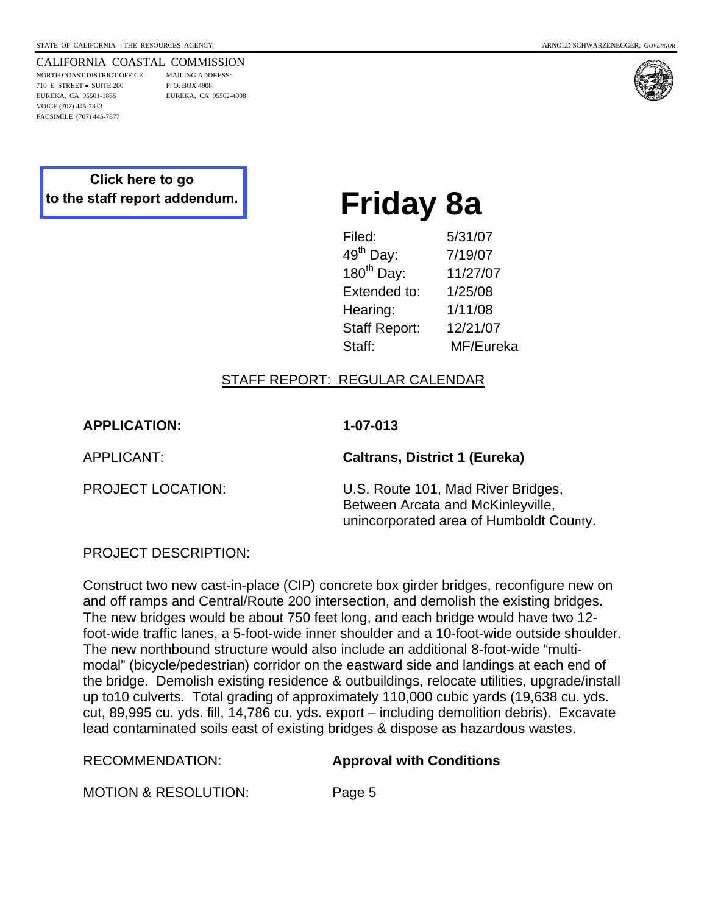CALIFORNIA COASTAL COMMISSION NORTH COAST DISTRICT OFFICE MAILING ADDRESS: 710 E STREET • SUITE 200 P. O. BOX 4908 EUREKA, CA 95501-1865 EUREKA, CA 95502-4908

VOICE (707) 445-7833 FACSIMILE (707) 445-7877



## **Click here to go [to the staff report addendum.](http://documents.coastal.ca.gov/reports/2008/1/F8a-1-2008-a5.pdf)**

# **Friday 8a**

| Filed:                | 5/31/07   |
|-----------------------|-----------|
| 49 <sup>th</sup> Day: | 7/19/07   |
| $180^{th}$ Day:       | 11/27/07  |
| Extended to:          | 1/25/08   |
| Hearing:              | 1/11/08   |
| <b>Staff Report:</b>  | 12/21/07  |
| Staff:                | MF/Eureka |
|                       |           |

#### STAFF REPORT: REGULAR CALENDAR

**APPLICATION: 1-07-013** 

APPLICANT: **Caltrans, District 1 (Eureka)**

PROJECT LOCATION: U.S. Route 101, Mad River Bridges, Between Arcata and McKinleyville, unincorporated area of Humboldt County.

PROJECT DESCRIPTION:

Construct two new cast-in-place (CIP) concrete box girder bridges, reconfigure new on and off ramps and Central/Route 200 intersection, and demolish the existing bridges. The new bridges would be about 750 feet long, and each bridge would have two 12 foot-wide traffic lanes, a 5-foot-wide inner shoulder and a 10-foot-wide outside shoulder. The new northbound structure would also include an additional 8-foot-wide "multimodal" (bicycle/pedestrian) corridor on the eastward side and landings at each end of the bridge. Demolish existing residence & outbuildings, relocate utilities, upgrade/install up to10 culverts. Total grading of approximately 110,000 cubic yards (19,638 cu. yds. cut, 89,995 cu. yds. fill, 14,786 cu. yds. export – including demolition debris). Excavate lead contaminated soils east of existing bridges & dispose as hazardous wastes.

#### RECOMMENDATION: **Approval with Conditions**

MOTION & RESOLUTION: Page 5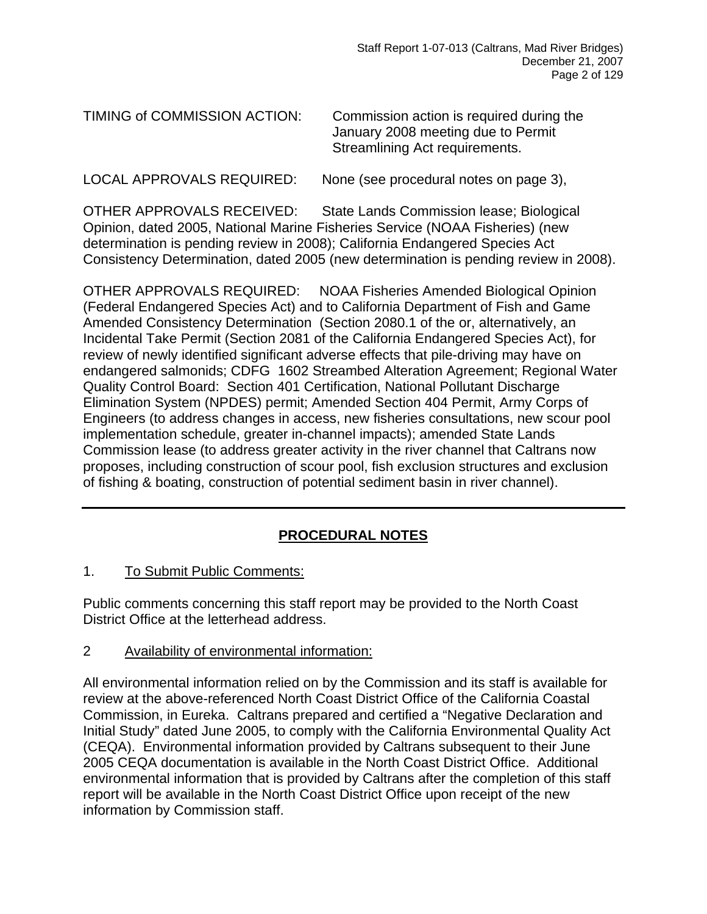| TIMING of COMMISSION ACTION: | Commission action is required during the<br>January 2008 meeting due to Permit<br>Streamlining Act requirements. |
|------------------------------|------------------------------------------------------------------------------------------------------------------|
|                              |                                                                                                                  |

LOCAL APPROVALS REQUIRED: None (see procedural notes on page 3),

OTHER APPROVALS RECEIVED: State Lands Commission lease; Biological Opinion, dated 2005, National Marine Fisheries Service (NOAA Fisheries) (new determination is pending review in 2008); California Endangered Species Act Consistency Determination, dated 2005 (new determination is pending review in 2008).

OTHER APPROVALS REQUIRED: NOAA Fisheries Amended Biological Opinion (Federal Endangered Species Act) and to California Department of Fish and Game Amended Consistency Determination (Section 2080.1 of the or, alternatively, an Incidental Take Permit (Section 2081 of the California Endangered Species Act), for review of newly identified significant adverse effects that pile-driving may have on endangered salmonids; CDFG 1602 Streambed Alteration Agreement; Regional Water Quality Control Board: Section 401 Certification, National Pollutant Discharge Elimination System (NPDES) permit; Amended Section 404 Permit, Army Corps of Engineers (to address changes in access, new fisheries consultations, new scour pool implementation schedule, greater in-channel impacts); amended State Lands Commission lease (to address greater activity in the river channel that Caltrans now proposes, including construction of scour pool, fish exclusion structures and exclusion of fishing & boating, construction of potential sediment basin in river channel).

## **PROCEDURAL NOTES**

1. To Submit Public Comments:

Public comments concerning this staff report may be provided to the North Coast District Office at the letterhead address.

2 Availability of environmental information:

All environmental information relied on by the Commission and its staff is available for review at the above-referenced North Coast District Office of the California Coastal Commission, in Eureka. Caltrans prepared and certified a "Negative Declaration and Initial Study" dated June 2005, to comply with the California Environmental Quality Act (CEQA). Environmental information provided by Caltrans subsequent to their June 2005 CEQA documentation is available in the North Coast District Office. Additional environmental information that is provided by Caltrans after the completion of this staff report will be available in the North Coast District Office upon receipt of the new information by Commission staff.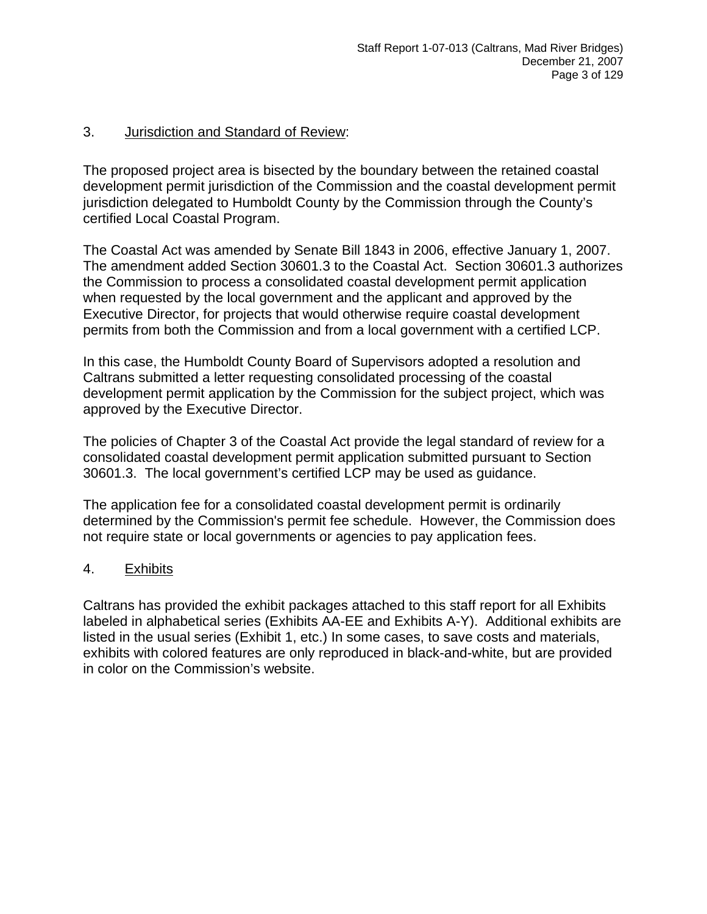#### 3. Jurisdiction and Standard of Review:

The proposed project area is bisected by the boundary between the retained coastal development permit jurisdiction of the Commission and the coastal development permit jurisdiction delegated to Humboldt County by the Commission through the County's certified Local Coastal Program.

The Coastal Act was amended by Senate Bill 1843 in 2006, effective January 1, 2007. The amendment added Section 30601.3 to the Coastal Act. Section 30601.3 authorizes the Commission to process a consolidated coastal development permit application when requested by the local government and the applicant and approved by the Executive Director, for projects that would otherwise require coastal development permits from both the Commission and from a local government with a certified LCP.

In this case, the Humboldt County Board of Supervisors adopted a resolution and Caltrans submitted a letter requesting consolidated processing of the coastal development permit application by the Commission for the subject project, which was approved by the Executive Director.

The policies of Chapter 3 of the Coastal Act provide the legal standard of review for a consolidated coastal development permit application submitted pursuant to Section 30601.3. The local government's certified LCP may be used as guidance.

The application fee for a consolidated coastal development permit is ordinarily determined by the Commission's permit fee schedule. However, the Commission does not require state or local governments or agencies to pay application fees.

#### 4. Exhibits

Caltrans has provided the exhibit packages attached to this staff report for all Exhibits labeled in alphabetical series (Exhibits AA-EE and Exhibits A-Y). Additional exhibits are listed in the usual series (Exhibit 1, etc.) In some cases, to save costs and materials, exhibits with colored features are only reproduced in black-and-white, but are provided in color on the Commission's website.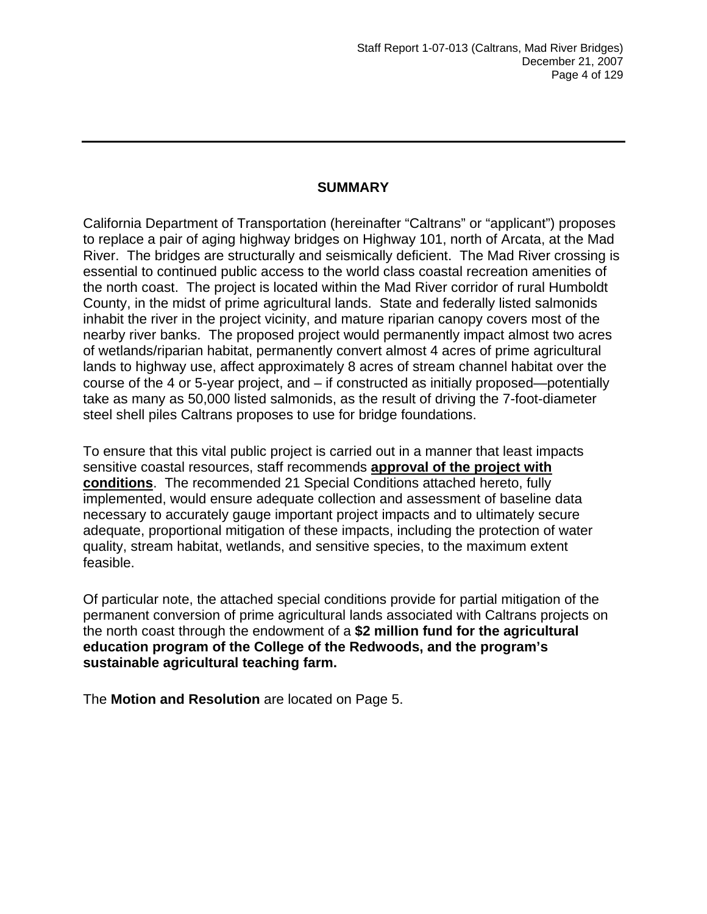#### **SUMMARY**

California Department of Transportation (hereinafter "Caltrans" or "applicant") proposes to replace a pair of aging highway bridges on Highway 101, north of Arcata, at the Mad River. The bridges are structurally and seismically deficient. The Mad River crossing is essential to continued public access to the world class coastal recreation amenities of the north coast. The project is located within the Mad River corridor of rural Humboldt County, in the midst of prime agricultural lands. State and federally listed salmonids inhabit the river in the project vicinity, and mature riparian canopy covers most of the nearby river banks. The proposed project would permanently impact almost two acres of wetlands/riparian habitat, permanently convert almost 4 acres of prime agricultural lands to highway use, affect approximately 8 acres of stream channel habitat over the course of the 4 or 5-year project, and – if constructed as initially proposed—potentially take as many as 50,000 listed salmonids, as the result of driving the 7-foot-diameter steel shell piles Caltrans proposes to use for bridge foundations.

To ensure that this vital public project is carried out in a manner that least impacts sensitive coastal resources, staff recommends **approval of the project with conditions**. The recommended 21 Special Conditions attached hereto, fully implemented, would ensure adequate collection and assessment of baseline data necessary to accurately gauge important project impacts and to ultimately secure adequate, proportional mitigation of these impacts, including the protection of water quality, stream habitat, wetlands, and sensitive species, to the maximum extent feasible.

Of particular note, the attached special conditions provide for partial mitigation of the permanent conversion of prime agricultural lands associated with Caltrans projects on the north coast through the endowment of a **\$2 million fund for the agricultural education program of the College of the Redwoods, and the program's sustainable agricultural teaching farm.**

The **Motion and Resolution** are located on Page 5.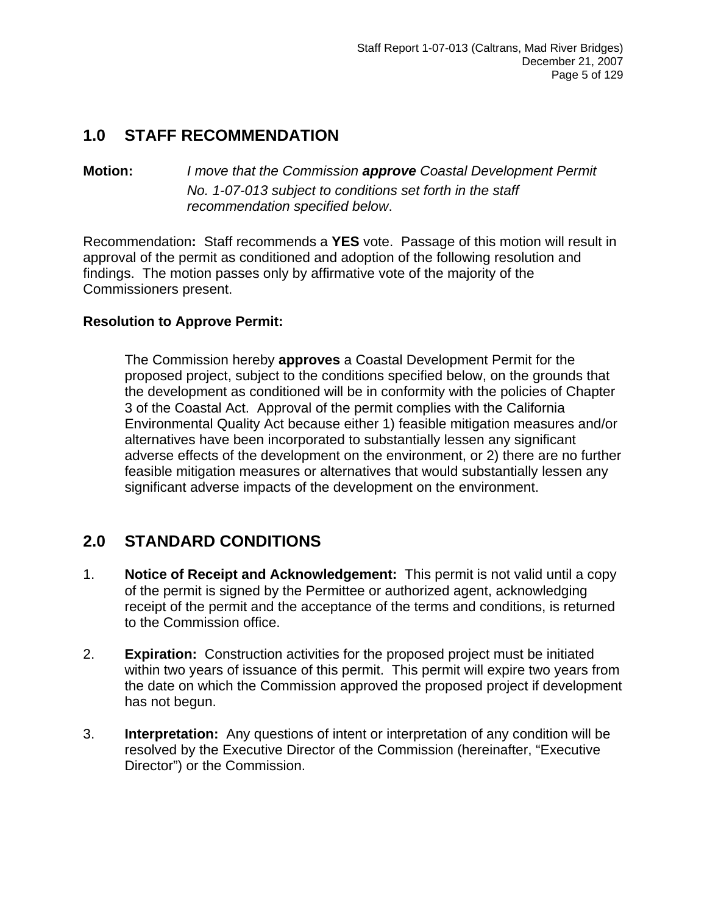# **1.0 STAFF RECOMMENDATION**

**Motion:** *I move that the Commission approve Coastal Development Permit No. 1-07-013 subject to conditions set forth in the staff recommendation specified below*.

Recommendation**:** Staff recommends a **YES** vote. Passage of this motion will result in approval of the permit as conditioned and adoption of the following resolution and findings. The motion passes only by affirmative vote of the majority of the Commissioners present.

#### **Resolution to Approve Permit:**

The Commission hereby **approves** a Coastal Development Permit for the proposed project, subject to the conditions specified below, on the grounds that the development as conditioned will be in conformity with the policies of Chapter 3 of the Coastal Act. Approval of the permit complies with the California Environmental Quality Act because either 1) feasible mitigation measures and/or alternatives have been incorporated to substantially lessen any significant adverse effects of the development on the environment, or 2) there are no further feasible mitigation measures or alternatives that would substantially lessen any significant adverse impacts of the development on the environment.

## **2.0 STANDARD CONDITIONS**

- 1. **Notice of Receipt and Acknowledgement:** This permit is not valid until a copy of the permit is signed by the Permittee or authorized agent, acknowledging receipt of the permit and the acceptance of the terms and conditions, is returned to the Commission office.
- 2. **Expiration:** Construction activities for the proposed project must be initiated within two years of issuance of this permit. This permit will expire two years from the date on which the Commission approved the proposed project if development has not begun.
- 3. **Interpretation:** Any questions of intent or interpretation of any condition will be resolved by the Executive Director of the Commission (hereinafter, "Executive Director") or the Commission.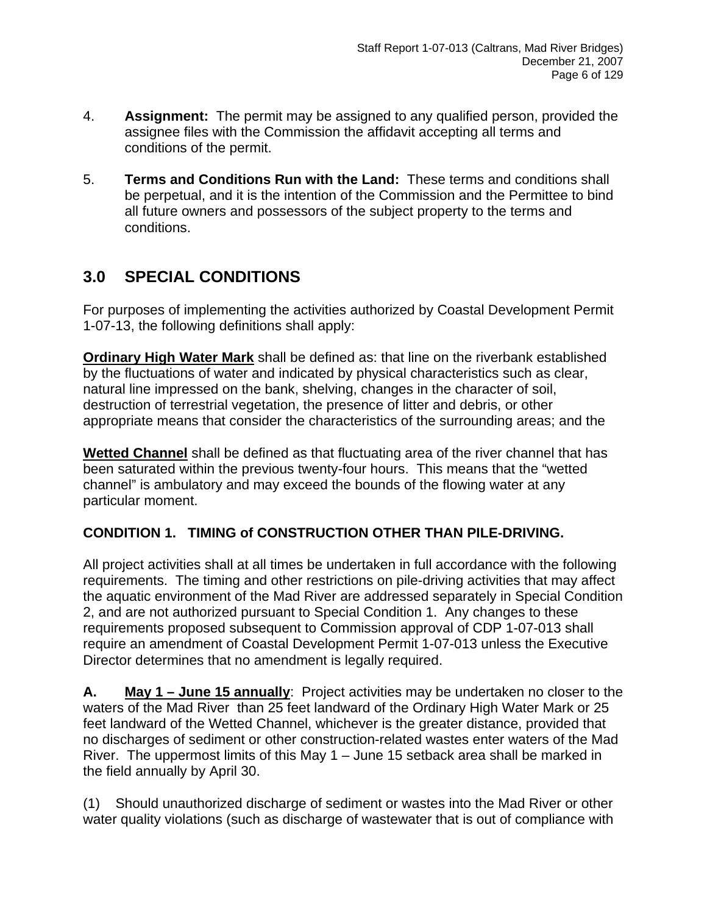- 4. **Assignment:** The permit may be assigned to any qualified person, provided the assignee files with the Commission the affidavit accepting all terms and conditions of the permit.
- 5. **Terms and Conditions Run with the Land:** These terms and conditions shall be perpetual, and it is the intention of the Commission and the Permittee to bind all future owners and possessors of the subject property to the terms and conditions.

# **3.0 SPECIAL CONDITIONS**

For purposes of implementing the activities authorized by Coastal Development Permit 1-07-13, the following definitions shall apply:

**Ordinary High Water Mark** shall be defined as: that line on the riverbank established by the fluctuations of water and indicated by physical characteristics such as clear, natural line impressed on the bank, shelving, changes in the character of soil, destruction of terrestrial vegetation, the presence of litter and debris, or other appropriate means that consider the characteristics of the surrounding areas; and the

**Wetted Channel** shall be defined as that fluctuating area of the river channel that has been saturated within the previous twenty-four hours. This means that the "wetted channel" is ambulatory and may exceed the bounds of the flowing water at any particular moment.

#### **CONDITION 1. TIMING of CONSTRUCTION OTHER THAN PILE-DRIVING.**

All project activities shall at all times be undertaken in full accordance with the following requirements. The timing and other restrictions on pile-driving activities that may affect the aquatic environment of the Mad River are addressed separately in Special Condition 2, and are not authorized pursuant to Special Condition 1. Any changes to these requirements proposed subsequent to Commission approval of CDP 1-07-013 shall require an amendment of Coastal Development Permit 1-07-013 unless the Executive Director determines that no amendment is legally required.

**A. May 1 – June 15 annually**: Project activities may be undertaken no closer to the waters of the Mad River than 25 feet landward of the Ordinary High Water Mark or 25 feet landward of the Wetted Channel, whichever is the greater distance, provided that no discharges of sediment or other construction-related wastes enter waters of the Mad River. The uppermost limits of this May 1 – June 15 setback area shall be marked in the field annually by April 30.

(1) Should unauthorized discharge of sediment or wastes into the Mad River or other water quality violations (such as discharge of wastewater that is out of compliance with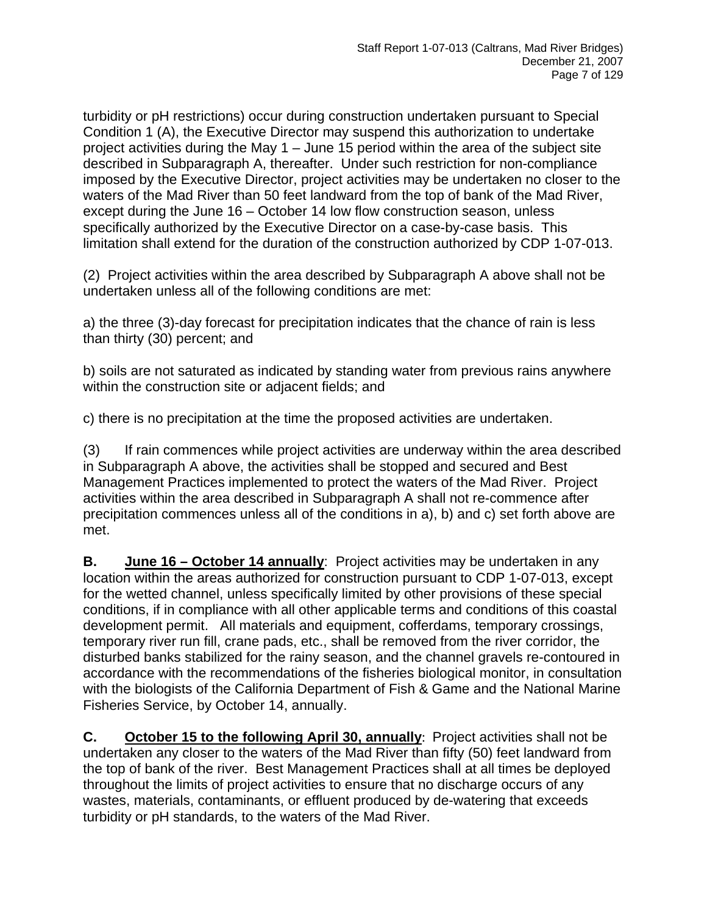turbidity or pH restrictions) occur during construction undertaken pursuant to Special Condition 1 (A), the Executive Director may suspend this authorization to undertake project activities during the May 1 – June 15 period within the area of the subject site described in Subparagraph A, thereafter. Under such restriction for non-compliance imposed by the Executive Director, project activities may be undertaken no closer to the waters of the Mad River than 50 feet landward from the top of bank of the Mad River, except during the June 16 – October 14 low flow construction season, unless specifically authorized by the Executive Director on a case-by-case basis. This limitation shall extend for the duration of the construction authorized by CDP 1-07-013.

(2) Project activities within the area described by Subparagraph A above shall not be undertaken unless all of the following conditions are met:

a) the three (3)-day forecast for precipitation indicates that the chance of rain is less than thirty (30) percent; and

b) soils are not saturated as indicated by standing water from previous rains anywhere within the construction site or adjacent fields; and

c) there is no precipitation at the time the proposed activities are undertaken.

(3) If rain commences while project activities are underway within the area described in Subparagraph A above, the activities shall be stopped and secured and Best Management Practices implemented to protect the waters of the Mad River. Project activities within the area described in Subparagraph A shall not re-commence after precipitation commences unless all of the conditions in a), b) and c) set forth above are met.

**B. June 16 – October 14 annually**: Project activities may be undertaken in any location within the areas authorized for construction pursuant to CDP 1-07-013, except for the wetted channel, unless specifically limited by other provisions of these special conditions, if in compliance with all other applicable terms and conditions of this coastal development permit. All materials and equipment, cofferdams, temporary crossings, temporary river run fill, crane pads, etc., shall be removed from the river corridor, the disturbed banks stabilized for the rainy season, and the channel gravels re-contoured in accordance with the recommendations of the fisheries biological monitor, in consultation with the biologists of the California Department of Fish & Game and the National Marine Fisheries Service, by October 14, annually.

**C. October 15 to the following April 30, annually**: Project activities shall not be undertaken any closer to the waters of the Mad River than fifty (50) feet landward from the top of bank of the river. Best Management Practices shall at all times be deployed throughout the limits of project activities to ensure that no discharge occurs of any wastes, materials, contaminants, or effluent produced by de-watering that exceeds turbidity or pH standards, to the waters of the Mad River.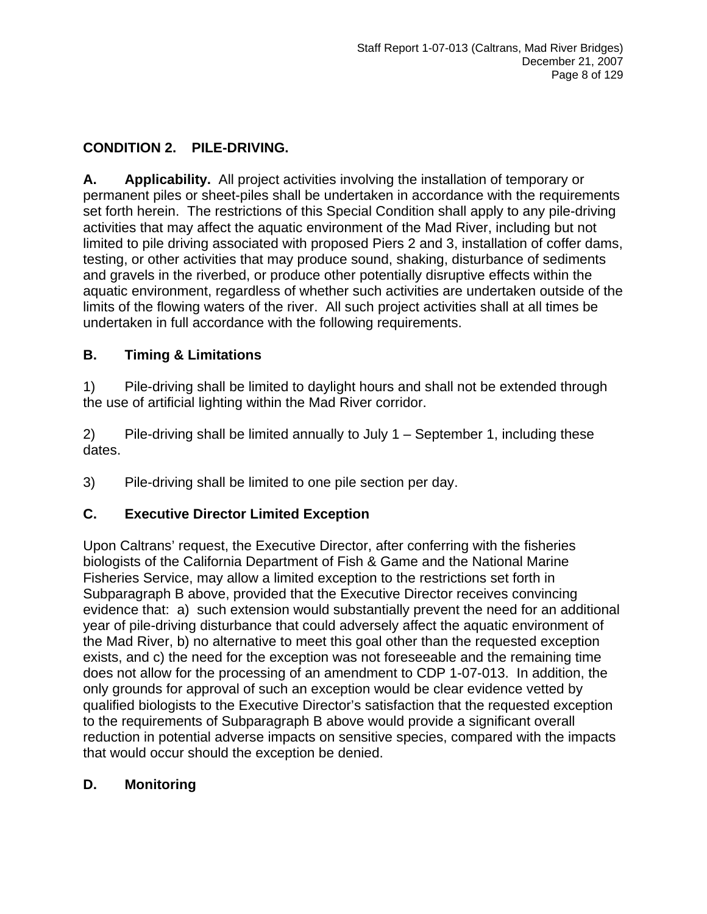## **CONDITION 2. PILE-DRIVING.**

**A. Applicability.** All project activities involving the installation of temporary or permanent piles or sheet-piles shall be undertaken in accordance with the requirements set forth herein. The restrictions of this Special Condition shall apply to any pile-driving activities that may affect the aquatic environment of the Mad River, including but not limited to pile driving associated with proposed Piers 2 and 3, installation of coffer dams, testing, or other activities that may produce sound, shaking, disturbance of sediments and gravels in the riverbed, or produce other potentially disruptive effects within the aquatic environment, regardless of whether such activities are undertaken outside of the limits of the flowing waters of the river. All such project activities shall at all times be undertaken in full accordance with the following requirements.

#### **B. Timing & Limitations**

1) Pile-driving shall be limited to daylight hours and shall not be extended through the use of artificial lighting within the Mad River corridor.

2) Pile-driving shall be limited annually to July 1 – September 1, including these dates.

3) Pile-driving shall be limited to one pile section per day.

#### **C. Executive Director Limited Exception**

Upon Caltrans' request, the Executive Director, after conferring with the fisheries biologists of the California Department of Fish & Game and the National Marine Fisheries Service, may allow a limited exception to the restrictions set forth in Subparagraph B above, provided that the Executive Director receives convincing evidence that: a) such extension would substantially prevent the need for an additional year of pile-driving disturbance that could adversely affect the aquatic environment of the Mad River, b) no alternative to meet this goal other than the requested exception exists, and c) the need for the exception was not foreseeable and the remaining time does not allow for the processing of an amendment to CDP 1-07-013. In addition, the only grounds for approval of such an exception would be clear evidence vetted by qualified biologists to the Executive Director's satisfaction that the requested exception to the requirements of Subparagraph B above would provide a significant overall reduction in potential adverse impacts on sensitive species, compared with the impacts that would occur should the exception be denied.

#### **D. Monitoring**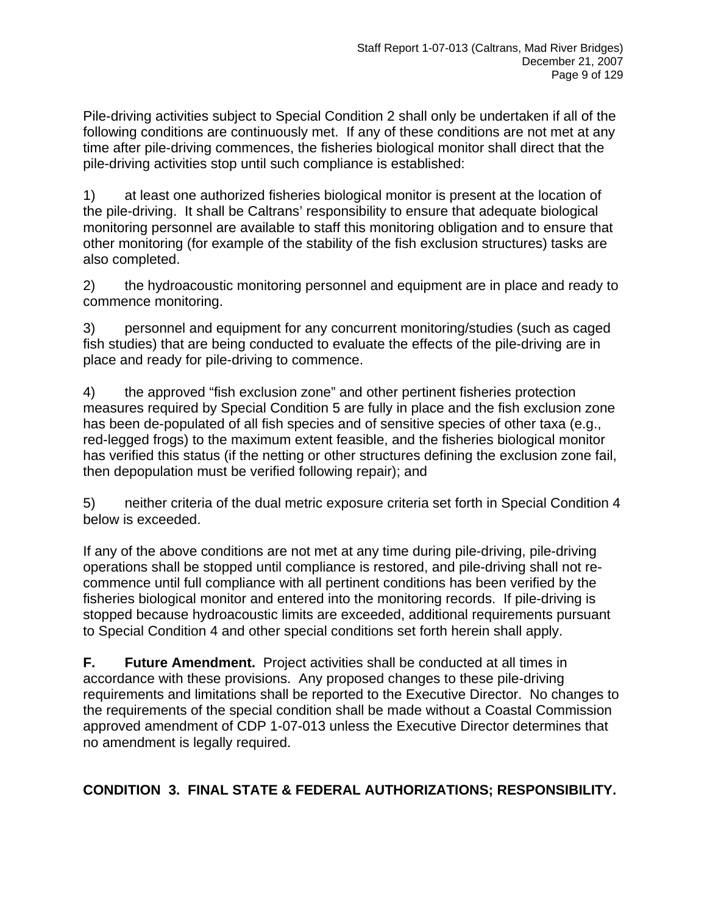Pile-driving activities subject to Special Condition 2 shall only be undertaken if all of the following conditions are continuously met. If any of these conditions are not met at any time after pile-driving commences, the fisheries biological monitor shall direct that the pile-driving activities stop until such compliance is established:

1) at least one authorized fisheries biological monitor is present at the location of the pile-driving. It shall be Caltrans' responsibility to ensure that adequate biological monitoring personnel are available to staff this monitoring obligation and to ensure that other monitoring (for example of the stability of the fish exclusion structures) tasks are also completed.

2) the hydroacoustic monitoring personnel and equipment are in place and ready to commence monitoring.

3) personnel and equipment for any concurrent monitoring/studies (such as caged fish studies) that are being conducted to evaluate the effects of the pile-driving are in place and ready for pile-driving to commence.

4) the approved "fish exclusion zone" and other pertinent fisheries protection measures required by Special Condition 5 are fully in place and the fish exclusion zone has been de-populated of all fish species and of sensitive species of other taxa (e.g., red-legged frogs) to the maximum extent feasible, and the fisheries biological monitor has verified this status (if the netting or other structures defining the exclusion zone fail, then depopulation must be verified following repair); and

5) neither criteria of the dual metric exposure criteria set forth in Special Condition 4 below is exceeded.

If any of the above conditions are not met at any time during pile-driving, pile-driving operations shall be stopped until compliance is restored, and pile-driving shall not recommence until full compliance with all pertinent conditions has been verified by the fisheries biological monitor and entered into the monitoring records. If pile-driving is stopped because hydroacoustic limits are exceeded, additional requirements pursuant to Special Condition 4 and other special conditions set forth herein shall apply.

**F. Future Amendment.** Project activities shall be conducted at all times in accordance with these provisions. Any proposed changes to these pile-driving requirements and limitations shall be reported to the Executive Director. No changes to the requirements of the special condition shall be made without a Coastal Commission approved amendment of CDP 1-07-013 unless the Executive Director determines that no amendment is legally required.

## **CONDITION 3. FINAL STATE & FEDERAL AUTHORIZATIONS; RESPONSIBILITY.**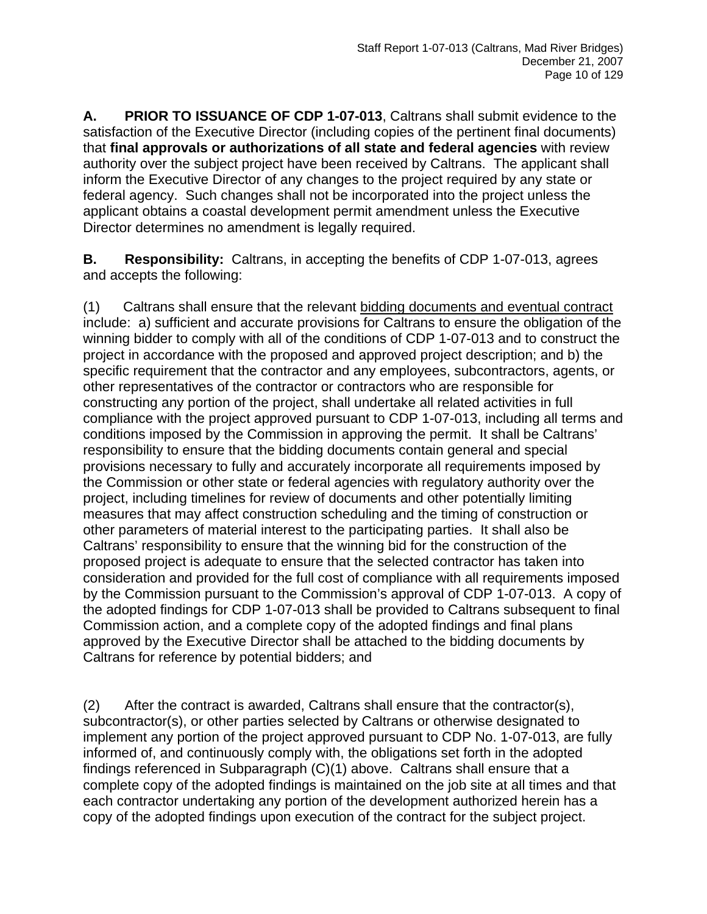**A. PRIOR TO ISSUANCE OF CDP 1-07-013**, Caltrans shall submit evidence to the satisfaction of the Executive Director (including copies of the pertinent final documents) that **final approvals or authorizations of all state and federal agencies** with review authority over the subject project have been received by Caltrans. The applicant shall inform the Executive Director of any changes to the project required by any state or federal agency. Such changes shall not be incorporated into the project unless the applicant obtains a coastal development permit amendment unless the Executive Director determines no amendment is legally required.

**B. Responsibility:** Caltrans, in accepting the benefits of CDP 1-07-013, agrees and accepts the following:

(1) Caltrans shall ensure that the relevant bidding documents and eventual contract include: a) sufficient and accurate provisions for Caltrans to ensure the obligation of the winning bidder to comply with all of the conditions of CDP 1-07-013 and to construct the project in accordance with the proposed and approved project description; and b) the specific requirement that the contractor and any employees, subcontractors, agents, or other representatives of the contractor or contractors who are responsible for constructing any portion of the project, shall undertake all related activities in full compliance with the project approved pursuant to CDP 1-07-013, including all terms and conditions imposed by the Commission in approving the permit. It shall be Caltrans' responsibility to ensure that the bidding documents contain general and special provisions necessary to fully and accurately incorporate all requirements imposed by the Commission or other state or federal agencies with regulatory authority over the project, including timelines for review of documents and other potentially limiting measures that may affect construction scheduling and the timing of construction or other parameters of material interest to the participating parties. It shall also be Caltrans' responsibility to ensure that the winning bid for the construction of the proposed project is adequate to ensure that the selected contractor has taken into consideration and provided for the full cost of compliance with all requirements imposed by the Commission pursuant to the Commission's approval of CDP 1-07-013. A copy of the adopted findings for CDP 1-07-013 shall be provided to Caltrans subsequent to final Commission action, and a complete copy of the adopted findings and final plans approved by the Executive Director shall be attached to the bidding documents by Caltrans for reference by potential bidders; and

(2) After the contract is awarded, Caltrans shall ensure that the contractor(s), subcontractor(s), or other parties selected by Caltrans or otherwise designated to implement any portion of the project approved pursuant to CDP No. 1-07-013, are fully informed of, and continuously comply with, the obligations set forth in the adopted findings referenced in Subparagraph (C)(1) above. Caltrans shall ensure that a complete copy of the adopted findings is maintained on the job site at all times and that each contractor undertaking any portion of the development authorized herein has a copy of the adopted findings upon execution of the contract for the subject project.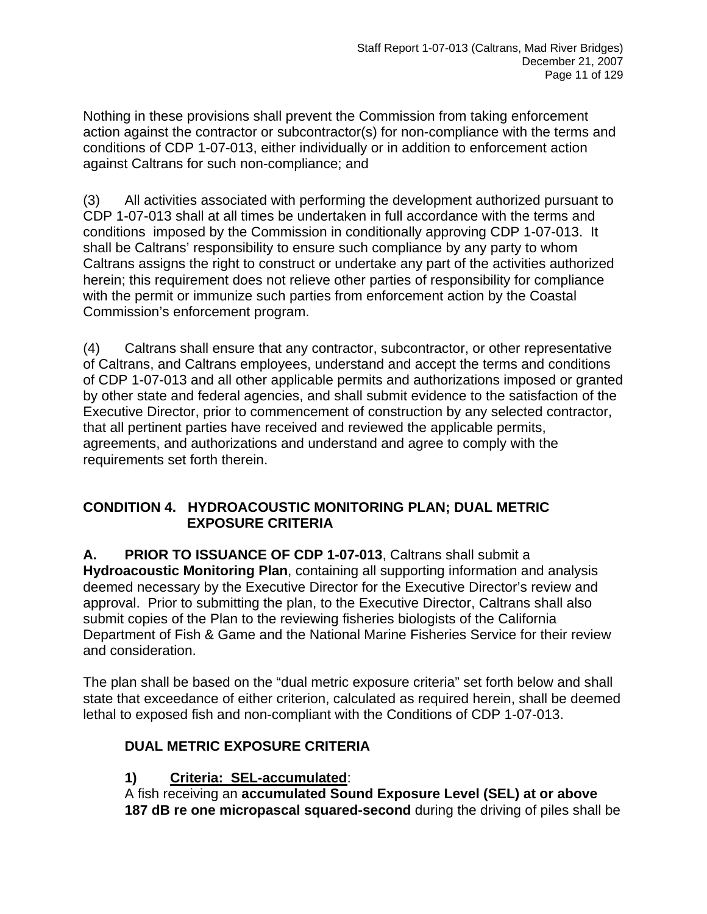Nothing in these provisions shall prevent the Commission from taking enforcement action against the contractor or subcontractor(s) for non-compliance with the terms and conditions of CDP 1-07-013, either individually or in addition to enforcement action against Caltrans for such non-compliance; and

(3) All activities associated with performing the development authorized pursuant to CDP 1-07-013 shall at all times be undertaken in full accordance with the terms and conditions imposed by the Commission in conditionally approving CDP 1-07-013. It shall be Caltrans' responsibility to ensure such compliance by any party to whom Caltrans assigns the right to construct or undertake any part of the activities authorized herein; this requirement does not relieve other parties of responsibility for compliance with the permit or immunize such parties from enforcement action by the Coastal Commission's enforcement program.

(4) Caltrans shall ensure that any contractor, subcontractor, or other representative of Caltrans, and Caltrans employees, understand and accept the terms and conditions of CDP 1-07-013 and all other applicable permits and authorizations imposed or granted by other state and federal agencies, and shall submit evidence to the satisfaction of the Executive Director, prior to commencement of construction by any selected contractor, that all pertinent parties have received and reviewed the applicable permits, agreements, and authorizations and understand and agree to comply with the requirements set forth therein.

#### **CONDITION 4. HYDROACOUSTIC MONITORING PLAN; DUAL METRIC EXPOSURE CRITERIA**

**A. PRIOR TO ISSUANCE OF CDP 1-07-013**, Caltrans shall submit a **Hydroacoustic Monitoring Plan**, containing all supporting information and analysis deemed necessary by the Executive Director for the Executive Director's review and approval. Prior to submitting the plan, to the Executive Director, Caltrans shall also submit copies of the Plan to the reviewing fisheries biologists of the California Department of Fish & Game and the National Marine Fisheries Service for their review and consideration.

The plan shall be based on the "dual metric exposure criteria" set forth below and shall state that exceedance of either criterion, calculated as required herein, shall be deemed lethal to exposed fish and non-compliant with the Conditions of CDP 1-07-013.

## **DUAL METRIC EXPOSURE CRITERIA**

#### **1) Criteria: SEL-accumulated**:

A fish receiving an **accumulated Sound Exposure Level (SEL) at or above 187 dB re one micropascal squared-second** during the driving of piles shall be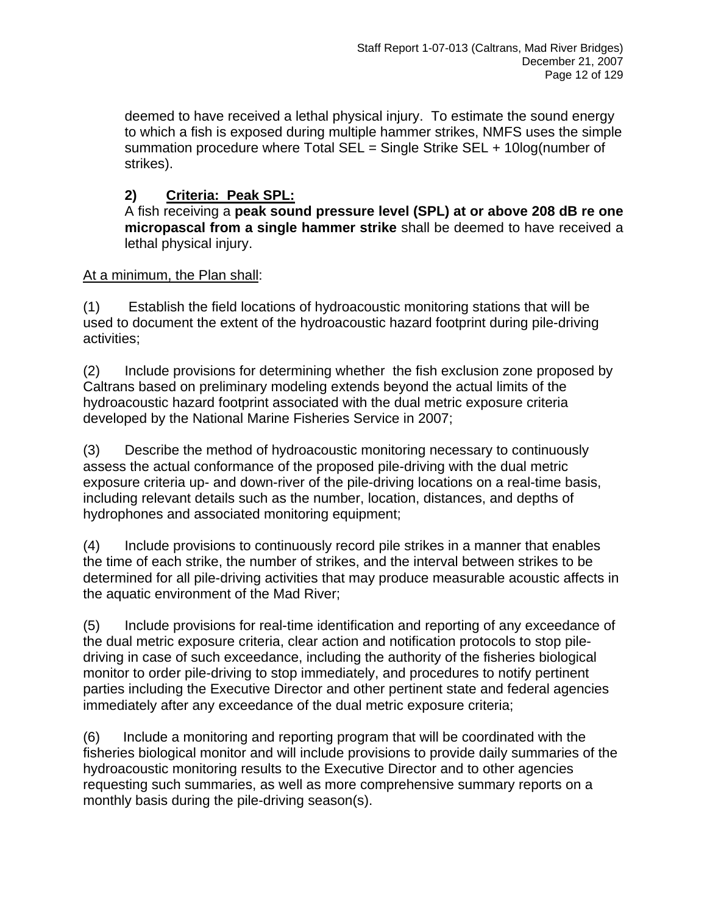deemed to have received a lethal physical injury. To estimate the sound energy to which a fish is exposed during multiple hammer strikes, NMFS uses the simple summation procedure where Total SEL = Single Strike SEL + 10log(number of strikes).

## **2) Criteria: Peak SPL:**

A fish receiving a **peak sound pressure level (SPL) at or above 208 dB re one micropascal from a single hammer strike** shall be deemed to have received a lethal physical injury.

#### At a minimum, the Plan shall:

(1) Establish the field locations of hydroacoustic monitoring stations that will be used to document the extent of the hydroacoustic hazard footprint during pile-driving activities;

(2) Include provisions for determining whether the fish exclusion zone proposed by Caltrans based on preliminary modeling extends beyond the actual limits of the hydroacoustic hazard footprint associated with the dual metric exposure criteria developed by the National Marine Fisheries Service in 2007;

(3) Describe the method of hydroacoustic monitoring necessary to continuously assess the actual conformance of the proposed pile-driving with the dual metric exposure criteria up- and down-river of the pile-driving locations on a real-time basis, including relevant details such as the number, location, distances, and depths of hydrophones and associated monitoring equipment;

(4) Include provisions to continuously record pile strikes in a manner that enables the time of each strike, the number of strikes, and the interval between strikes to be determined for all pile-driving activities that may produce measurable acoustic affects in the aquatic environment of the Mad River;

(5) Include provisions for real-time identification and reporting of any exceedance of the dual metric exposure criteria, clear action and notification protocols to stop piledriving in case of such exceedance, including the authority of the fisheries biological monitor to order pile-driving to stop immediately, and procedures to notify pertinent parties including the Executive Director and other pertinent state and federal agencies immediately after any exceedance of the dual metric exposure criteria;

(6) Include a monitoring and reporting program that will be coordinated with the fisheries biological monitor and will include provisions to provide daily summaries of the hydroacoustic monitoring results to the Executive Director and to other agencies requesting such summaries, as well as more comprehensive summary reports on a monthly basis during the pile-driving season(s).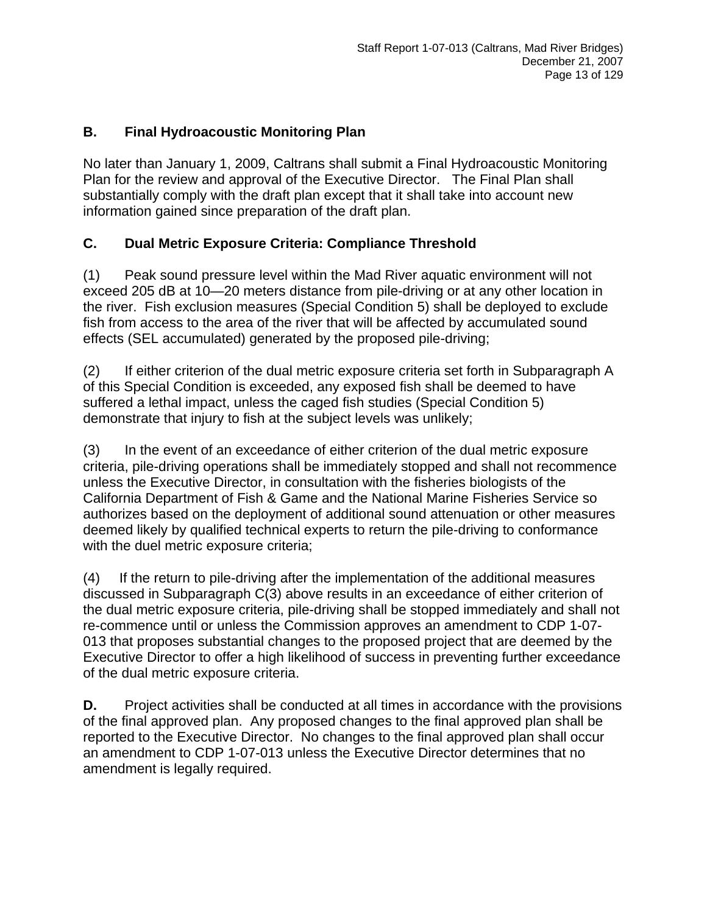#### **B. Final Hydroacoustic Monitoring Plan**

No later than January 1, 2009, Caltrans shall submit a Final Hydroacoustic Monitoring Plan for the review and approval of the Executive Director. The Final Plan shall substantially comply with the draft plan except that it shall take into account new information gained since preparation of the draft plan.

## **C. Dual Metric Exposure Criteria: Compliance Threshold**

(1) Peak sound pressure level within the Mad River aquatic environment will not exceed 205 dB at 10—20 meters distance from pile-driving or at any other location in the river. Fish exclusion measures (Special Condition 5) shall be deployed to exclude fish from access to the area of the river that will be affected by accumulated sound effects (SEL accumulated) generated by the proposed pile-driving;

(2) If either criterion of the dual metric exposure criteria set forth in Subparagraph A of this Special Condition is exceeded, any exposed fish shall be deemed to have suffered a lethal impact, unless the caged fish studies (Special Condition 5) demonstrate that injury to fish at the subject levels was unlikely;

(3) In the event of an exceedance of either criterion of the dual metric exposure criteria, pile-driving operations shall be immediately stopped and shall not recommence unless the Executive Director, in consultation with the fisheries biologists of the California Department of Fish & Game and the National Marine Fisheries Service so authorizes based on the deployment of additional sound attenuation or other measures deemed likely by qualified technical experts to return the pile-driving to conformance with the duel metric exposure criteria;

(4) If the return to pile-driving after the implementation of the additional measures discussed in Subparagraph C(3) above results in an exceedance of either criterion of the dual metric exposure criteria, pile-driving shall be stopped immediately and shall not re-commence until or unless the Commission approves an amendment to CDP 1-07- 013 that proposes substantial changes to the proposed project that are deemed by the Executive Director to offer a high likelihood of success in preventing further exceedance of the dual metric exposure criteria.

**D.** Project activities shall be conducted at all times in accordance with the provisions of the final approved plan. Any proposed changes to the final approved plan shall be reported to the Executive Director. No changes to the final approved plan shall occur an amendment to CDP 1-07-013 unless the Executive Director determines that no amendment is legally required.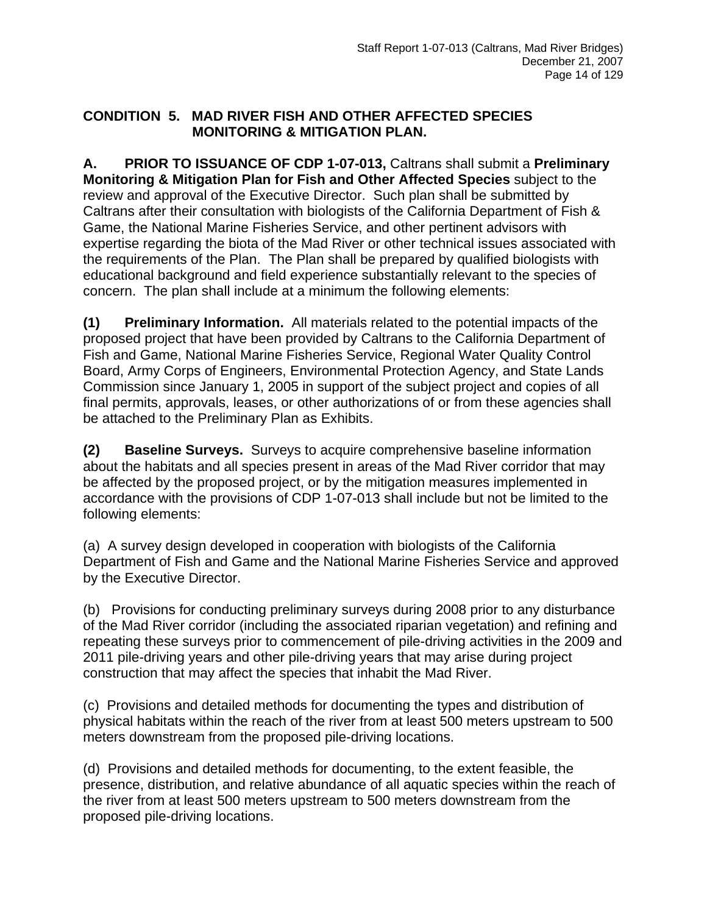#### **CONDITION 5. MAD RIVER FISH AND OTHER AFFECTED SPECIES MONITORING & MITIGATION PLAN.**

**A. PRIOR TO ISSUANCE OF CDP 1-07-013,** Caltrans shall submit a **Preliminary Monitoring & Mitigation Plan for Fish and Other Affected Species** subject to the review and approval of the Executive Director. Such plan shall be submitted by Caltrans after their consultation with biologists of the California Department of Fish & Game, the National Marine Fisheries Service, and other pertinent advisors with expertise regarding the biota of the Mad River or other technical issues associated with the requirements of the Plan. The Plan shall be prepared by qualified biologists with educational background and field experience substantially relevant to the species of concern. The plan shall include at a minimum the following elements:

**(1) Preliminary Information.** All materials related to the potential impacts of the proposed project that have been provided by Caltrans to the California Department of Fish and Game, National Marine Fisheries Service, Regional Water Quality Control Board, Army Corps of Engineers, Environmental Protection Agency, and State Lands Commission since January 1, 2005 in support of the subject project and copies of all final permits, approvals, leases, or other authorizations of or from these agencies shall be attached to the Preliminary Plan as Exhibits.

**(2) Baseline Surveys.** Surveys to acquire comprehensive baseline information about the habitats and all species present in areas of the Mad River corridor that may be affected by the proposed project, or by the mitigation measures implemented in accordance with the provisions of CDP 1-07-013 shall include but not be limited to the following elements:

(a) A survey design developed in cooperation with biologists of the California Department of Fish and Game and the National Marine Fisheries Service and approved by the Executive Director.

(b) Provisions for conducting preliminary surveys during 2008 prior to any disturbance of the Mad River corridor (including the associated riparian vegetation) and refining and repeating these surveys prior to commencement of pile-driving activities in the 2009 and 2011 pile-driving years and other pile-driving years that may arise during project construction that may affect the species that inhabit the Mad River.

(c) Provisions and detailed methods for documenting the types and distribution of physical habitats within the reach of the river from at least 500 meters upstream to 500 meters downstream from the proposed pile-driving locations.

(d) Provisions and detailed methods for documenting, to the extent feasible, the presence, distribution, and relative abundance of all aquatic species within the reach of the river from at least 500 meters upstream to 500 meters downstream from the proposed pile-driving locations.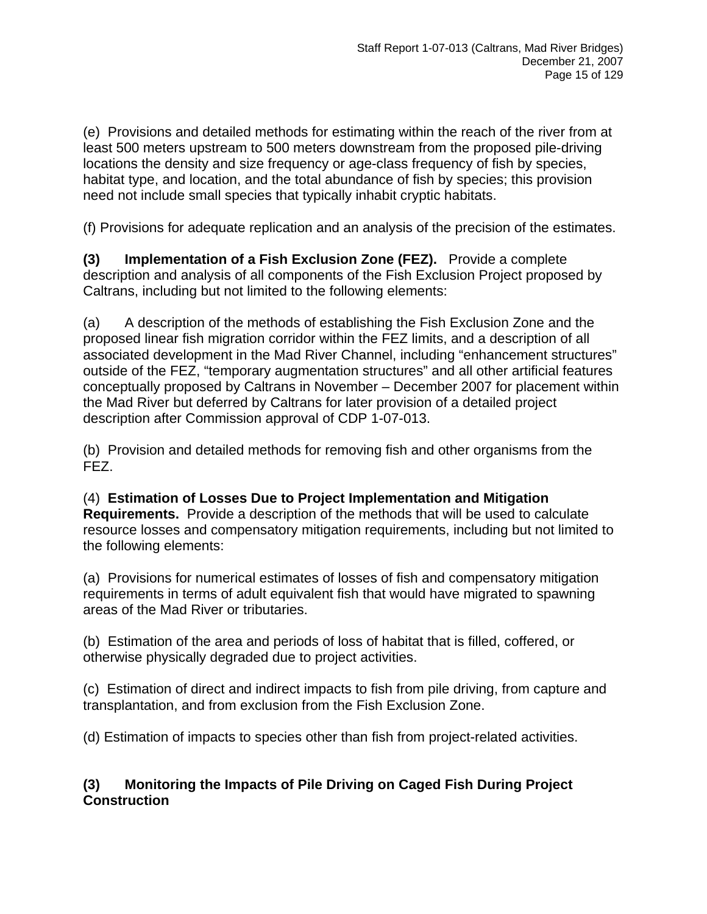(e) Provisions and detailed methods for estimating within the reach of the river from at least 500 meters upstream to 500 meters downstream from the proposed pile-driving locations the density and size frequency or age-class frequency of fish by species, habitat type, and location, and the total abundance of fish by species; this provision need not include small species that typically inhabit cryptic habitats.

(f) Provisions for adequate replication and an analysis of the precision of the estimates.

**(3) Implementation of a Fish Exclusion Zone (FEZ).** Provide a complete description and analysis of all components of the Fish Exclusion Project proposed by Caltrans, including but not limited to the following elements:

(a) A description of the methods of establishing the Fish Exclusion Zone and the proposed linear fish migration corridor within the FEZ limits, and a description of all associated development in the Mad River Channel, including "enhancement structures" outside of the FEZ, "temporary augmentation structures" and all other artificial features conceptually proposed by Caltrans in November – December 2007 for placement within the Mad River but deferred by Caltrans for later provision of a detailed project description after Commission approval of CDP 1-07-013.

(b) Provision and detailed methods for removing fish and other organisms from the FEZ.

(4) **Estimation of Losses Due to Project Implementation and Mitigation Requirements.** Provide a description of the methods that will be used to calculate resource losses and compensatory mitigation requirements, including but not limited to the following elements:

(a) Provisions for numerical estimates of losses of fish and compensatory mitigation requirements in terms of adult equivalent fish that would have migrated to spawning areas of the Mad River or tributaries.

(b) Estimation of the area and periods of loss of habitat that is filled, coffered, or otherwise physically degraded due to project activities.

(c) Estimation of direct and indirect impacts to fish from pile driving, from capture and transplantation, and from exclusion from the Fish Exclusion Zone.

(d) Estimation of impacts to species other than fish from project-related activities.

## **(3) Monitoring the Impacts of Pile Driving on Caged Fish During Project Construction**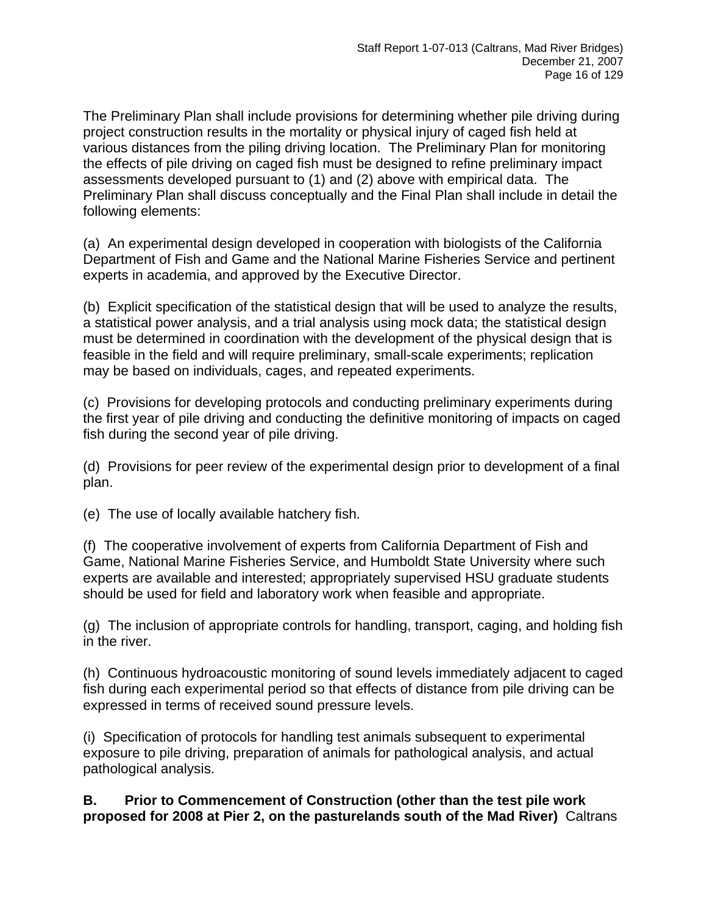The Preliminary Plan shall include provisions for determining whether pile driving during project construction results in the mortality or physical injury of caged fish held at various distances from the piling driving location. The Preliminary Plan for monitoring the effects of pile driving on caged fish must be designed to refine preliminary impact assessments developed pursuant to (1) and (2) above with empirical data. The Preliminary Plan shall discuss conceptually and the Final Plan shall include in detail the following elements:

(a) An experimental design developed in cooperation with biologists of the California Department of Fish and Game and the National Marine Fisheries Service and pertinent experts in academia, and approved by the Executive Director.

(b) Explicit specification of the statistical design that will be used to analyze the results, a statistical power analysis, and a trial analysis using mock data; the statistical design must be determined in coordination with the development of the physical design that is feasible in the field and will require preliminary, small-scale experiments; replication may be based on individuals, cages, and repeated experiments.

(c) Provisions for developing protocols and conducting preliminary experiments during the first year of pile driving and conducting the definitive monitoring of impacts on caged fish during the second year of pile driving.

(d) Provisions for peer review of the experimental design prior to development of a final plan.

(e) The use of locally available hatchery fish.

(f) The cooperative involvement of experts from California Department of Fish and Game, National Marine Fisheries Service, and Humboldt State University where such experts are available and interested; appropriately supervised HSU graduate students should be used for field and laboratory work when feasible and appropriate.

(g) The inclusion of appropriate controls for handling, transport, caging, and holding fish in the river.

(h) Continuous hydroacoustic monitoring of sound levels immediately adjacent to caged fish during each experimental period so that effects of distance from pile driving can be expressed in terms of received sound pressure levels.

(i) Specification of protocols for handling test animals subsequent to experimental exposure to pile driving, preparation of animals for pathological analysis, and actual pathological analysis.

**B. Prior to Commencement of Construction (other than the test pile work proposed for 2008 at Pier 2, on the pasturelands south of the Mad River)** Caltrans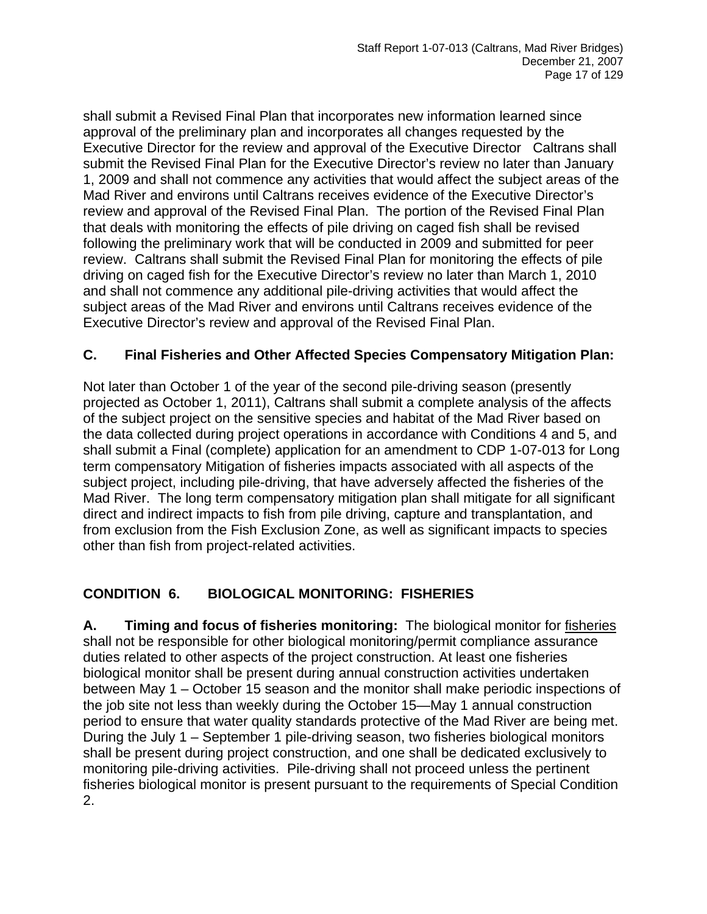shall submit a Revised Final Plan that incorporates new information learned since approval of the preliminary plan and incorporates all changes requested by the Executive Director for the review and approval of the Executive Director Caltrans shall submit the Revised Final Plan for the Executive Director's review no later than January 1, 2009 and shall not commence any activities that would affect the subject areas of the Mad River and environs until Caltrans receives evidence of the Executive Director's review and approval of the Revised Final Plan. The portion of the Revised Final Plan that deals with monitoring the effects of pile driving on caged fish shall be revised following the preliminary work that will be conducted in 2009 and submitted for peer review. Caltrans shall submit the Revised Final Plan for monitoring the effects of pile driving on caged fish for the Executive Director's review no later than March 1, 2010 and shall not commence any additional pile-driving activities that would affect the subject areas of the Mad River and environs until Caltrans receives evidence of the Executive Director's review and approval of the Revised Final Plan.

#### **C. Final Fisheries and Other Affected Species Compensatory Mitigation Plan:**

Not later than October 1 of the year of the second pile-driving season (presently projected as October 1, 2011), Caltrans shall submit a complete analysis of the affects of the subject project on the sensitive species and habitat of the Mad River based on the data collected during project operations in accordance with Conditions 4 and 5, and shall submit a Final (complete) application for an amendment to CDP 1-07-013 for Long term compensatory Mitigation of fisheries impacts associated with all aspects of the subject project, including pile-driving, that have adversely affected the fisheries of the Mad River. The long term compensatory mitigation plan shall mitigate for all significant direct and indirect impacts to fish from pile driving, capture and transplantation, and from exclusion from the Fish Exclusion Zone, as well as significant impacts to species other than fish from project-related activities.

#### **CONDITION 6. BIOLOGICAL MONITORING: FISHERIES**

**A. Timing and focus of fisheries monitoring:** The biological monitor for fisheries shall not be responsible for other biological monitoring/permit compliance assurance duties related to other aspects of the project construction. At least one fisheries biological monitor shall be present during annual construction activities undertaken between May 1 – October 15 season and the monitor shall make periodic inspections of the job site not less than weekly during the October 15—May 1 annual construction period to ensure that water quality standards protective of the Mad River are being met. During the July 1 – September 1 pile-driving season, two fisheries biological monitors shall be present during project construction, and one shall be dedicated exclusively to monitoring pile-driving activities. Pile-driving shall not proceed unless the pertinent fisheries biological monitor is present pursuant to the requirements of Special Condition 2.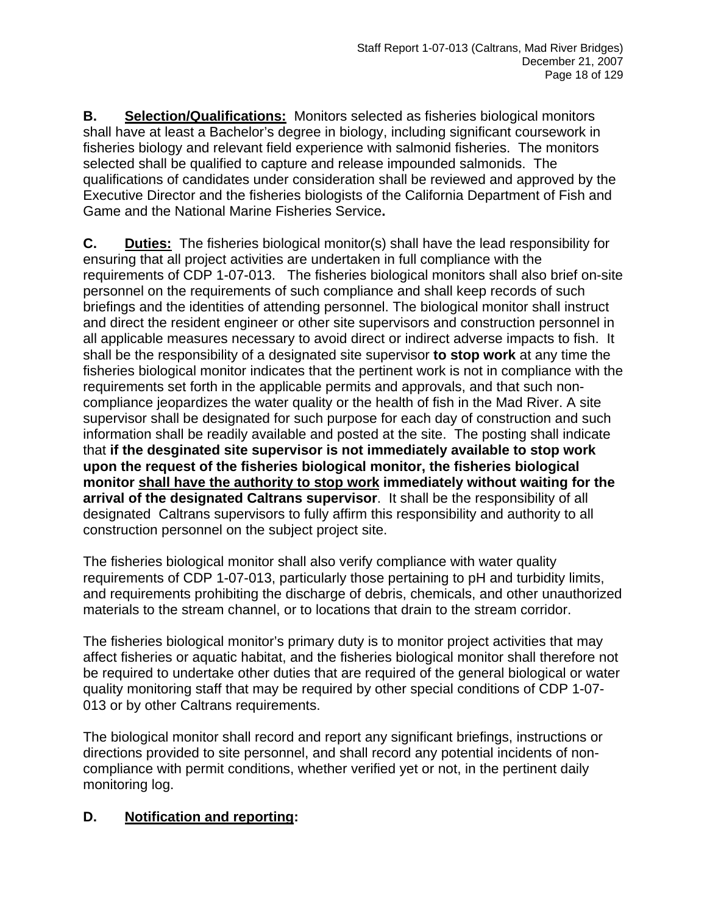**B. Selection/Qualifications:** Monitors selected as fisheries biological monitors shall have at least a Bachelor's degree in biology, including significant coursework in fisheries biology and relevant field experience with salmonid fisheries. The monitors selected shall be qualified to capture and release impounded salmonids. The qualifications of candidates under consideration shall be reviewed and approved by the Executive Director and the fisheries biologists of the California Department of Fish and Game and the National Marine Fisheries Service**.** 

**C. Duties:** The fisheries biological monitor(s) shall have the lead responsibility for ensuring that all project activities are undertaken in full compliance with the requirements of CDP 1-07-013. The fisheries biological monitors shall also brief on-site personnel on the requirements of such compliance and shall keep records of such briefings and the identities of attending personnel. The biological monitor shall instruct and direct the resident engineer or other site supervisors and construction personnel in all applicable measures necessary to avoid direct or indirect adverse impacts to fish. It shall be the responsibility of a designated site supervisor **to stop work** at any time the fisheries biological monitor indicates that the pertinent work is not in compliance with the requirements set forth in the applicable permits and approvals, and that such noncompliance jeopardizes the water quality or the health of fish in the Mad River. A site supervisor shall be designated for such purpose for each day of construction and such information shall be readily available and posted at the site. The posting shall indicate that **if the desginated site supervisor is not immediately available to stop work upon the request of the fisheries biological monitor, the fisheries biological monitor shall have the authority to stop work immediately without waiting for the arrival of the designated Caltrans supervisor**. It shall be the responsibility of all designated Caltrans supervisors to fully affirm this responsibility and authority to all construction personnel on the subject project site.

The fisheries biological monitor shall also verify compliance with water quality requirements of CDP 1-07-013, particularly those pertaining to pH and turbidity limits, and requirements prohibiting the discharge of debris, chemicals, and other unauthorized materials to the stream channel, or to locations that drain to the stream corridor.

The fisheries biological monitor's primary duty is to monitor project activities that may affect fisheries or aquatic habitat, and the fisheries biological monitor shall therefore not be required to undertake other duties that are required of the general biological or water quality monitoring staff that may be required by other special conditions of CDP 1-07- 013 or by other Caltrans requirements.

The biological monitor shall record and report any significant briefings, instructions or directions provided to site personnel, and shall record any potential incidents of noncompliance with permit conditions, whether verified yet or not, in the pertinent daily monitoring log.

## **D. Notification and reporting:**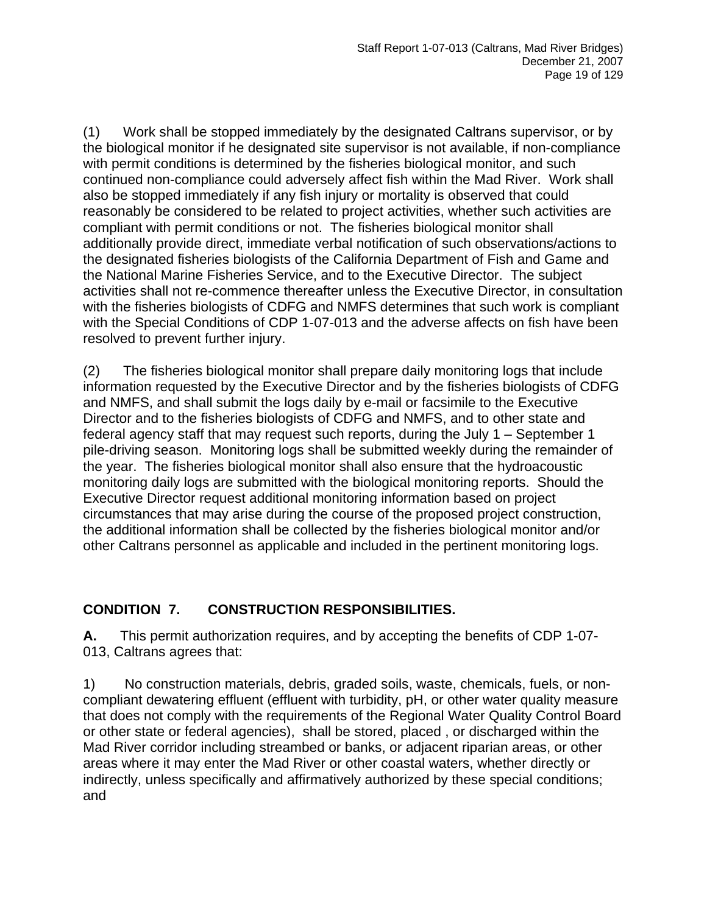(1) Work shall be stopped immediately by the designated Caltrans supervisor, or by the biological monitor if he designated site supervisor is not available, if non-compliance with permit conditions is determined by the fisheries biological monitor, and such continued non-compliance could adversely affect fish within the Mad River. Work shall also be stopped immediately if any fish injury or mortality is observed that could reasonably be considered to be related to project activities, whether such activities are compliant with permit conditions or not. The fisheries biological monitor shall additionally provide direct, immediate verbal notification of such observations/actions to the designated fisheries biologists of the California Department of Fish and Game and the National Marine Fisheries Service, and to the Executive Director. The subject activities shall not re-commence thereafter unless the Executive Director, in consultation with the fisheries biologists of CDFG and NMFS determines that such work is compliant with the Special Conditions of CDP 1-07-013 and the adverse affects on fish have been resolved to prevent further injury.

(2) The fisheries biological monitor shall prepare daily monitoring logs that include information requested by the Executive Director and by the fisheries biologists of CDFG and NMFS, and shall submit the logs daily by e-mail or facsimile to the Executive Director and to the fisheries biologists of CDFG and NMFS, and to other state and federal agency staff that may request such reports, during the July 1 – September 1 pile-driving season. Monitoring logs shall be submitted weekly during the remainder of the year. The fisheries biological monitor shall also ensure that the hydroacoustic monitoring daily logs are submitted with the biological monitoring reports. Should the Executive Director request additional monitoring information based on project circumstances that may arise during the course of the proposed project construction, the additional information shall be collected by the fisheries biological monitor and/or other Caltrans personnel as applicable and included in the pertinent monitoring logs.

## **CONDITION 7. CONSTRUCTION RESPONSIBILITIES.**

**A.** This permit authorization requires, and by accepting the benefits of CDP 1-07- 013, Caltrans agrees that:

1) No construction materials, debris, graded soils, waste, chemicals, fuels, or noncompliant dewatering effluent (effluent with turbidity, pH, or other water quality measure that does not comply with the requirements of the Regional Water Quality Control Board or other state or federal agencies), shall be stored, placed , or discharged within the Mad River corridor including streambed or banks, or adjacent riparian areas, or other areas where it may enter the Mad River or other coastal waters, whether directly or indirectly, unless specifically and affirmatively authorized by these special conditions; and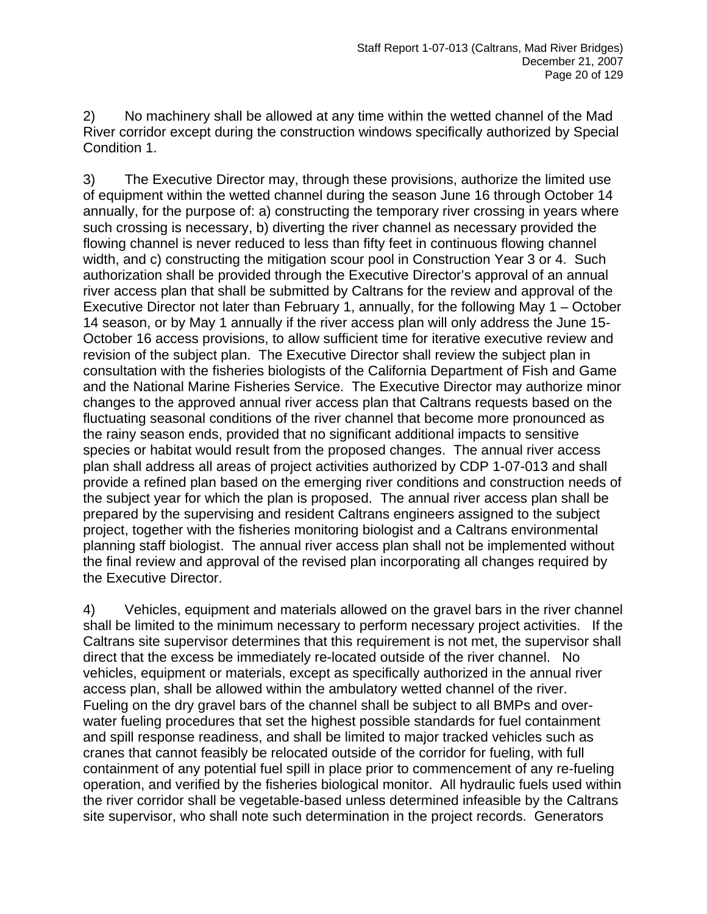2) No machinery shall be allowed at any time within the wetted channel of the Mad River corridor except during the construction windows specifically authorized by Special Condition 1.

3) The Executive Director may, through these provisions, authorize the limited use of equipment within the wetted channel during the season June 16 through October 14 annually, for the purpose of: a) constructing the temporary river crossing in years where such crossing is necessary, b) diverting the river channel as necessary provided the flowing channel is never reduced to less than fifty feet in continuous flowing channel width, and c) constructing the mitigation scour pool in Construction Year 3 or 4. Such authorization shall be provided through the Executive Director's approval of an annual river access plan that shall be submitted by Caltrans for the review and approval of the Executive Director not later than February 1, annually, for the following May 1 – October 14 season, or by May 1 annually if the river access plan will only address the June 15- October 16 access provisions, to allow sufficient time for iterative executive review and revision of the subject plan. The Executive Director shall review the subject plan in consultation with the fisheries biologists of the California Department of Fish and Game and the National Marine Fisheries Service. The Executive Director may authorize minor changes to the approved annual river access plan that Caltrans requests based on the fluctuating seasonal conditions of the river channel that become more pronounced as the rainy season ends, provided that no significant additional impacts to sensitive species or habitat would result from the proposed changes. The annual river access plan shall address all areas of project activities authorized by CDP 1-07-013 and shall provide a refined plan based on the emerging river conditions and construction needs of the subject year for which the plan is proposed. The annual river access plan shall be prepared by the supervising and resident Caltrans engineers assigned to the subject project, together with the fisheries monitoring biologist and a Caltrans environmental planning staff biologist. The annual river access plan shall not be implemented without the final review and approval of the revised plan incorporating all changes required by the Executive Director.

4) Vehicles, equipment and materials allowed on the gravel bars in the river channel shall be limited to the minimum necessary to perform necessary project activities. If the Caltrans site supervisor determines that this requirement is not met, the supervisor shall direct that the excess be immediately re-located outside of the river channel. No vehicles, equipment or materials, except as specifically authorized in the annual river access plan, shall be allowed within the ambulatory wetted channel of the river. Fueling on the dry gravel bars of the channel shall be subject to all BMPs and overwater fueling procedures that set the highest possible standards for fuel containment and spill response readiness, and shall be limited to major tracked vehicles such as cranes that cannot feasibly be relocated outside of the corridor for fueling, with full containment of any potential fuel spill in place prior to commencement of any re-fueling operation, and verified by the fisheries biological monitor. All hydraulic fuels used within the river corridor shall be vegetable-based unless determined infeasible by the Caltrans site supervisor, who shall note such determination in the project records. Generators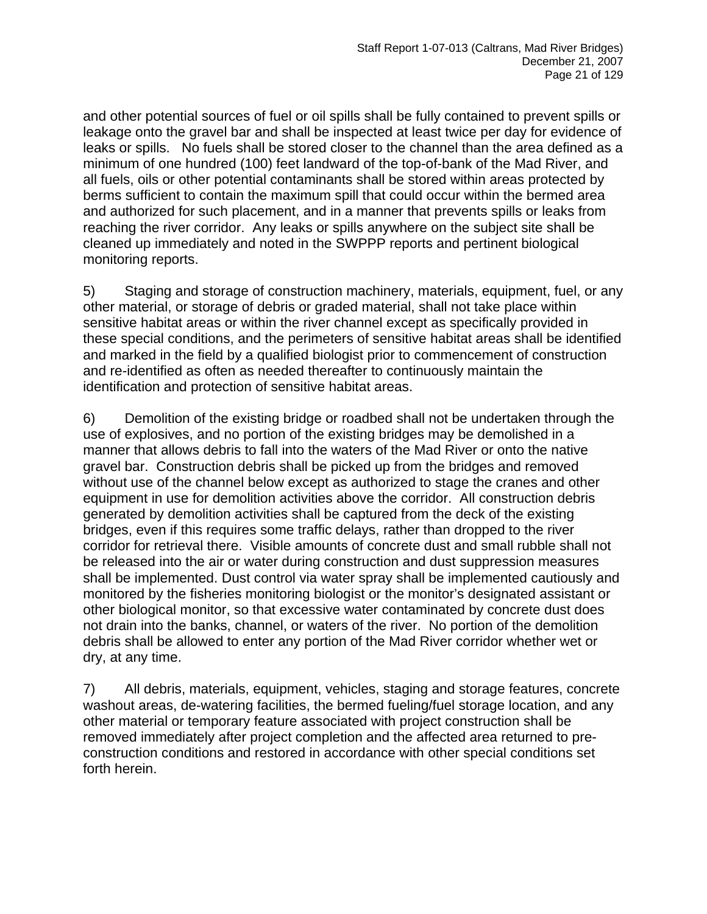and other potential sources of fuel or oil spills shall be fully contained to prevent spills or leakage onto the gravel bar and shall be inspected at least twice per day for evidence of leaks or spills. No fuels shall be stored closer to the channel than the area defined as a minimum of one hundred (100) feet landward of the top-of-bank of the Mad River, and all fuels, oils or other potential contaminants shall be stored within areas protected by berms sufficient to contain the maximum spill that could occur within the bermed area and authorized for such placement, and in a manner that prevents spills or leaks from reaching the river corridor. Any leaks or spills anywhere on the subject site shall be cleaned up immediately and noted in the SWPPP reports and pertinent biological monitoring reports.

5) Staging and storage of construction machinery, materials, equipment, fuel, or any other material, or storage of debris or graded material, shall not take place within sensitive habitat areas or within the river channel except as specifically provided in these special conditions, and the perimeters of sensitive habitat areas shall be identified and marked in the field by a qualified biologist prior to commencement of construction and re-identified as often as needed thereafter to continuously maintain the identification and protection of sensitive habitat areas.

6) Demolition of the existing bridge or roadbed shall not be undertaken through the use of explosives, and no portion of the existing bridges may be demolished in a manner that allows debris to fall into the waters of the Mad River or onto the native gravel bar. Construction debris shall be picked up from the bridges and removed without use of the channel below except as authorized to stage the cranes and other equipment in use for demolition activities above the corridor. All construction debris generated by demolition activities shall be captured from the deck of the existing bridges, even if this requires some traffic delays, rather than dropped to the river corridor for retrieval there. Visible amounts of concrete dust and small rubble shall not be released into the air or water during construction and dust suppression measures shall be implemented. Dust control via water spray shall be implemented cautiously and monitored by the fisheries monitoring biologist or the monitor's designated assistant or other biological monitor, so that excessive water contaminated by concrete dust does not drain into the banks, channel, or waters of the river. No portion of the demolition debris shall be allowed to enter any portion of the Mad River corridor whether wet or dry, at any time.

7) All debris, materials, equipment, vehicles, staging and storage features, concrete washout areas, de-watering facilities, the bermed fueling/fuel storage location, and any other material or temporary feature associated with project construction shall be removed immediately after project completion and the affected area returned to preconstruction conditions and restored in accordance with other special conditions set forth herein.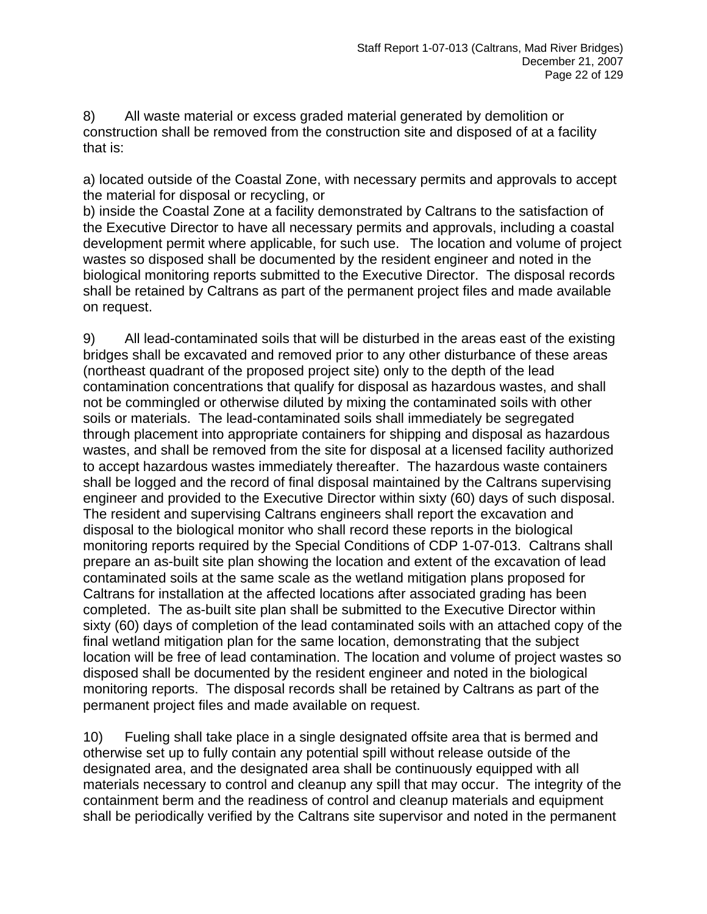8) All waste material or excess graded material generated by demolition or construction shall be removed from the construction site and disposed of at a facility that is:

a) located outside of the Coastal Zone, with necessary permits and approvals to accept the material for disposal or recycling, or

b) inside the Coastal Zone at a facility demonstrated by Caltrans to the satisfaction of the Executive Director to have all necessary permits and approvals, including a coastal development permit where applicable, for such use. The location and volume of project wastes so disposed shall be documented by the resident engineer and noted in the biological monitoring reports submitted to the Executive Director. The disposal records shall be retained by Caltrans as part of the permanent project files and made available on request.

9) All lead-contaminated soils that will be disturbed in the areas east of the existing bridges shall be excavated and removed prior to any other disturbance of these areas (northeast quadrant of the proposed project site) only to the depth of the lead contamination concentrations that qualify for disposal as hazardous wastes, and shall not be commingled or otherwise diluted by mixing the contaminated soils with other soils or materials. The lead-contaminated soils shall immediately be segregated through placement into appropriate containers for shipping and disposal as hazardous wastes, and shall be removed from the site for disposal at a licensed facility authorized to accept hazardous wastes immediately thereafter. The hazardous waste containers shall be logged and the record of final disposal maintained by the Caltrans supervising engineer and provided to the Executive Director within sixty (60) days of such disposal. The resident and supervising Caltrans engineers shall report the excavation and disposal to the biological monitor who shall record these reports in the biological monitoring reports required by the Special Conditions of CDP 1-07-013. Caltrans shall prepare an as-built site plan showing the location and extent of the excavation of lead contaminated soils at the same scale as the wetland mitigation plans proposed for Caltrans for installation at the affected locations after associated grading has been completed. The as-built site plan shall be submitted to the Executive Director within sixty (60) days of completion of the lead contaminated soils with an attached copy of the final wetland mitigation plan for the same location, demonstrating that the subject location will be free of lead contamination. The location and volume of project wastes so disposed shall be documented by the resident engineer and noted in the biological monitoring reports. The disposal records shall be retained by Caltrans as part of the permanent project files and made available on request.

10) Fueling shall take place in a single designated offsite area that is bermed and otherwise set up to fully contain any potential spill without release outside of the designated area, and the designated area shall be continuously equipped with all materials necessary to control and cleanup any spill that may occur. The integrity of the containment berm and the readiness of control and cleanup materials and equipment shall be periodically verified by the Caltrans site supervisor and noted in the permanent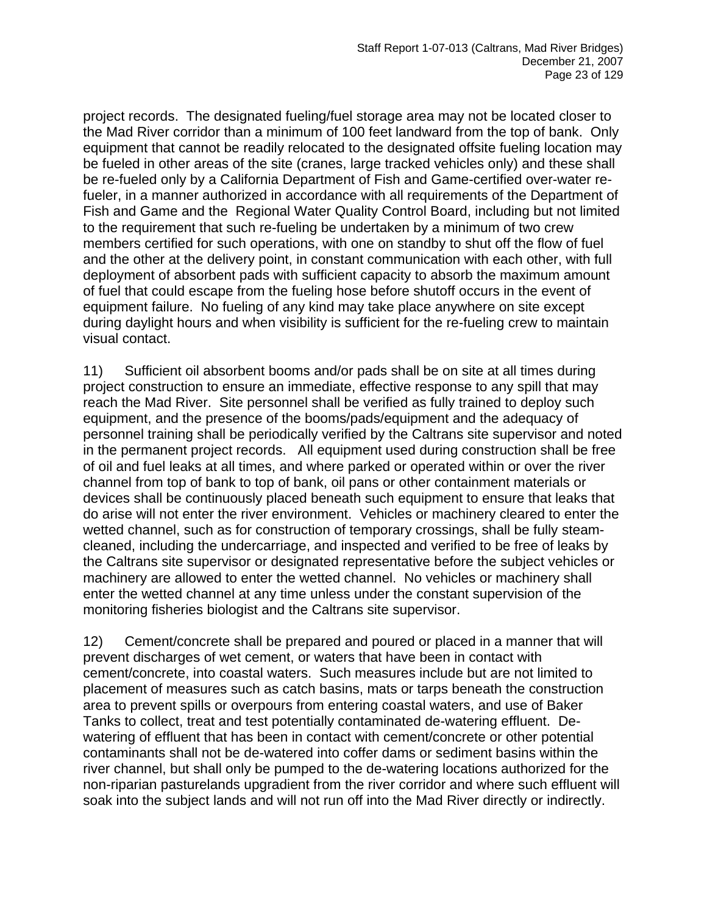project records. The designated fueling/fuel storage area may not be located closer to the Mad River corridor than a minimum of 100 feet landward from the top of bank. Only equipment that cannot be readily relocated to the designated offsite fueling location may be fueled in other areas of the site (cranes, large tracked vehicles only) and these shall be re-fueled only by a California Department of Fish and Game-certified over-water refueler, in a manner authorized in accordance with all requirements of the Department of Fish and Game and the Regional Water Quality Control Board, including but not limited to the requirement that such re-fueling be undertaken by a minimum of two crew members certified for such operations, with one on standby to shut off the flow of fuel and the other at the delivery point, in constant communication with each other, with full deployment of absorbent pads with sufficient capacity to absorb the maximum amount of fuel that could escape from the fueling hose before shutoff occurs in the event of equipment failure. No fueling of any kind may take place anywhere on site except during daylight hours and when visibility is sufficient for the re-fueling crew to maintain visual contact.

11) Sufficient oil absorbent booms and/or pads shall be on site at all times during project construction to ensure an immediate, effective response to any spill that may reach the Mad River. Site personnel shall be verified as fully trained to deploy such equipment, and the presence of the booms/pads/equipment and the adequacy of personnel training shall be periodically verified by the Caltrans site supervisor and noted in the permanent project records. All equipment used during construction shall be free of oil and fuel leaks at all times, and where parked or operated within or over the river channel from top of bank to top of bank, oil pans or other containment materials or devices shall be continuously placed beneath such equipment to ensure that leaks that do arise will not enter the river environment. Vehicles or machinery cleared to enter the wetted channel, such as for construction of temporary crossings, shall be fully steamcleaned, including the undercarriage, and inspected and verified to be free of leaks by the Caltrans site supervisor or designated representative before the subject vehicles or machinery are allowed to enter the wetted channel. No vehicles or machinery shall enter the wetted channel at any time unless under the constant supervision of the monitoring fisheries biologist and the Caltrans site supervisor.

12) Cement/concrete shall be prepared and poured or placed in a manner that will prevent discharges of wet cement, or waters that have been in contact with cement/concrete, into coastal waters. Such measures include but are not limited to placement of measures such as catch basins, mats or tarps beneath the construction area to prevent spills or overpours from entering coastal waters, and use of Baker Tanks to collect, treat and test potentially contaminated de-watering effluent. Dewatering of effluent that has been in contact with cement/concrete or other potential contaminants shall not be de-watered into coffer dams or sediment basins within the river channel, but shall only be pumped to the de-watering locations authorized for the non-riparian pasturelands upgradient from the river corridor and where such effluent will soak into the subject lands and will not run off into the Mad River directly or indirectly.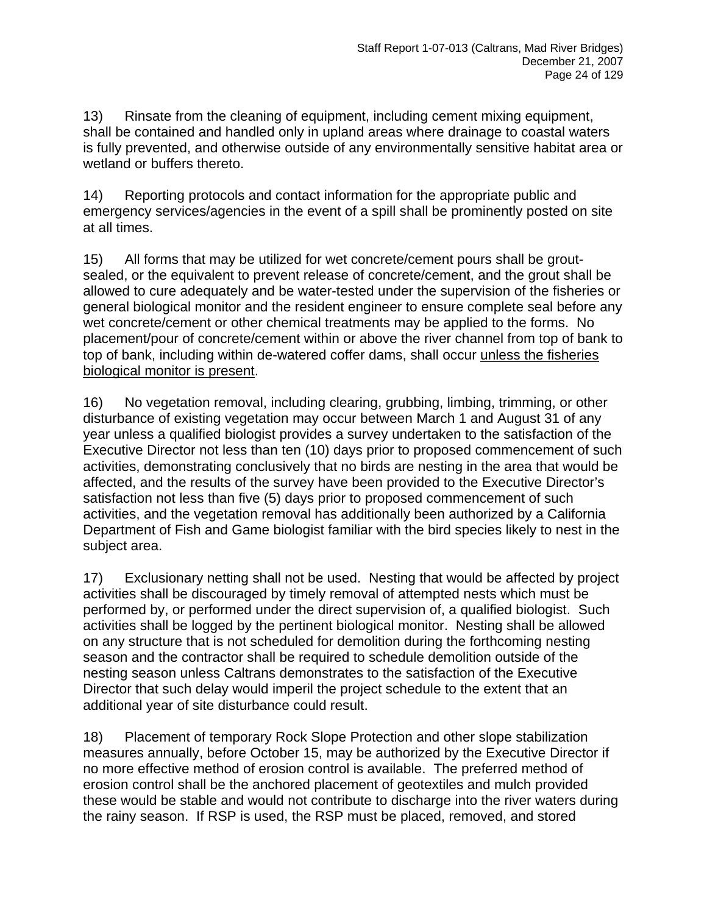13) Rinsate from the cleaning of equipment, including cement mixing equipment, shall be contained and handled only in upland areas where drainage to coastal waters is fully prevented, and otherwise outside of any environmentally sensitive habitat area or wetland or buffers thereto.

14) Reporting protocols and contact information for the appropriate public and emergency services/agencies in the event of a spill shall be prominently posted on site at all times.

15) All forms that may be utilized for wet concrete/cement pours shall be groutsealed, or the equivalent to prevent release of concrete/cement, and the grout shall be allowed to cure adequately and be water-tested under the supervision of the fisheries or general biological monitor and the resident engineer to ensure complete seal before any wet concrete/cement or other chemical treatments may be applied to the forms. No placement/pour of concrete/cement within or above the river channel from top of bank to top of bank, including within de-watered coffer dams, shall occur unless the fisheries biological monitor is present.

16) No vegetation removal, including clearing, grubbing, limbing, trimming, or other disturbance of existing vegetation may occur between March 1 and August 31 of any year unless a qualified biologist provides a survey undertaken to the satisfaction of the Executive Director not less than ten (10) days prior to proposed commencement of such activities, demonstrating conclusively that no birds are nesting in the area that would be affected, and the results of the survey have been provided to the Executive Director's satisfaction not less than five (5) days prior to proposed commencement of such activities, and the vegetation removal has additionally been authorized by a California Department of Fish and Game biologist familiar with the bird species likely to nest in the subject area.

17) Exclusionary netting shall not be used. Nesting that would be affected by project activities shall be discouraged by timely removal of attempted nests which must be performed by, or performed under the direct supervision of, a qualified biologist. Such activities shall be logged by the pertinent biological monitor. Nesting shall be allowed on any structure that is not scheduled for demolition during the forthcoming nesting season and the contractor shall be required to schedule demolition outside of the nesting season unless Caltrans demonstrates to the satisfaction of the Executive Director that such delay would imperil the project schedule to the extent that an additional year of site disturbance could result.

18) Placement of temporary Rock Slope Protection and other slope stabilization measures annually, before October 15, may be authorized by the Executive Director if no more effective method of erosion control is available. The preferred method of erosion control shall be the anchored placement of geotextiles and mulch provided these would be stable and would not contribute to discharge into the river waters during the rainy season. If RSP is used, the RSP must be placed, removed, and stored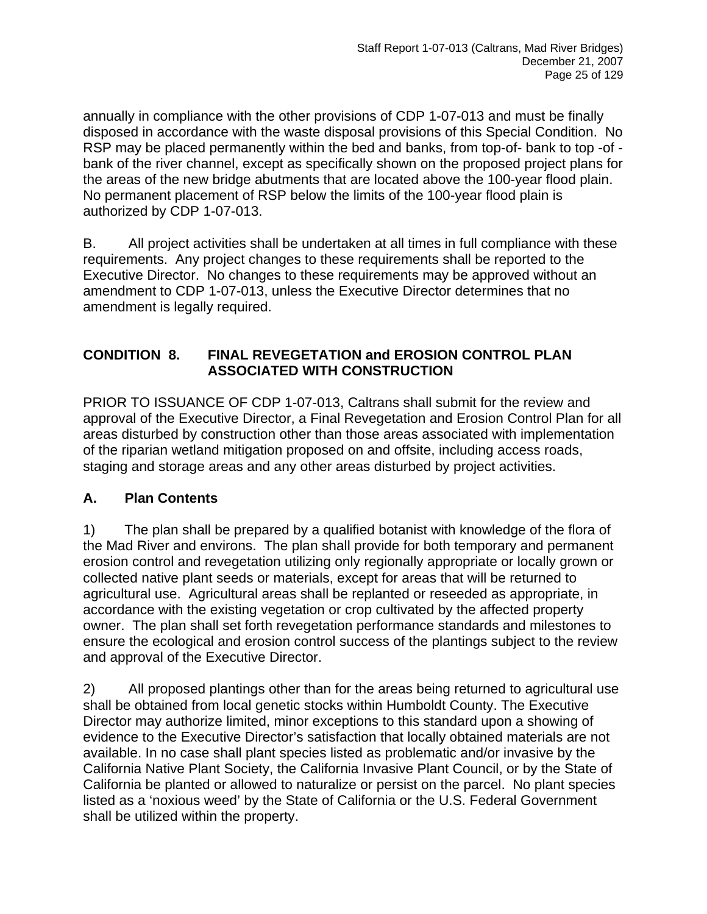annually in compliance with the other provisions of CDP 1-07-013 and must be finally disposed in accordance with the waste disposal provisions of this Special Condition. No RSP may be placed permanently within the bed and banks, from top-of- bank to top -of bank of the river channel, except as specifically shown on the proposed project plans for the areas of the new bridge abutments that are located above the 100-year flood plain. No permanent placement of RSP below the limits of the 100-year flood plain is authorized by CDP 1-07-013.

B. All project activities shall be undertaken at all times in full compliance with these requirements. Any project changes to these requirements shall be reported to the Executive Director. No changes to these requirements may be approved without an amendment to CDP 1-07-013, unless the Executive Director determines that no amendment is legally required.

#### **CONDITION 8. FINAL REVEGETATION and EROSION CONTROL PLAN ASSOCIATED WITH CONSTRUCTION**

PRIOR TO ISSUANCE OF CDP 1-07-013, Caltrans shall submit for the review and approval of the Executive Director, a Final Revegetation and Erosion Control Plan for all areas disturbed by construction other than those areas associated with implementation of the riparian wetland mitigation proposed on and offsite, including access roads, staging and storage areas and any other areas disturbed by project activities.

## **A. Plan Contents**

1) The plan shall be prepared by a qualified botanist with knowledge of the flora of the Mad River and environs. The plan shall provide for both temporary and permanent erosion control and revegetation utilizing only regionally appropriate or locally grown or collected native plant seeds or materials, except for areas that will be returned to agricultural use. Agricultural areas shall be replanted or reseeded as appropriate, in accordance with the existing vegetation or crop cultivated by the affected property owner. The plan shall set forth revegetation performance standards and milestones to ensure the ecological and erosion control success of the plantings subject to the review and approval of the Executive Director.

2) All proposed plantings other than for the areas being returned to agricultural use shall be obtained from local genetic stocks within Humboldt County. The Executive Director may authorize limited, minor exceptions to this standard upon a showing of evidence to the Executive Director's satisfaction that locally obtained materials are not available. In no case shall plant species listed as problematic and/or invasive by the California Native Plant Society, the California Invasive Plant Council, or by the State of California be planted or allowed to naturalize or persist on the parcel. No plant species listed as a 'noxious weed' by the State of California or the U.S. Federal Government shall be utilized within the property.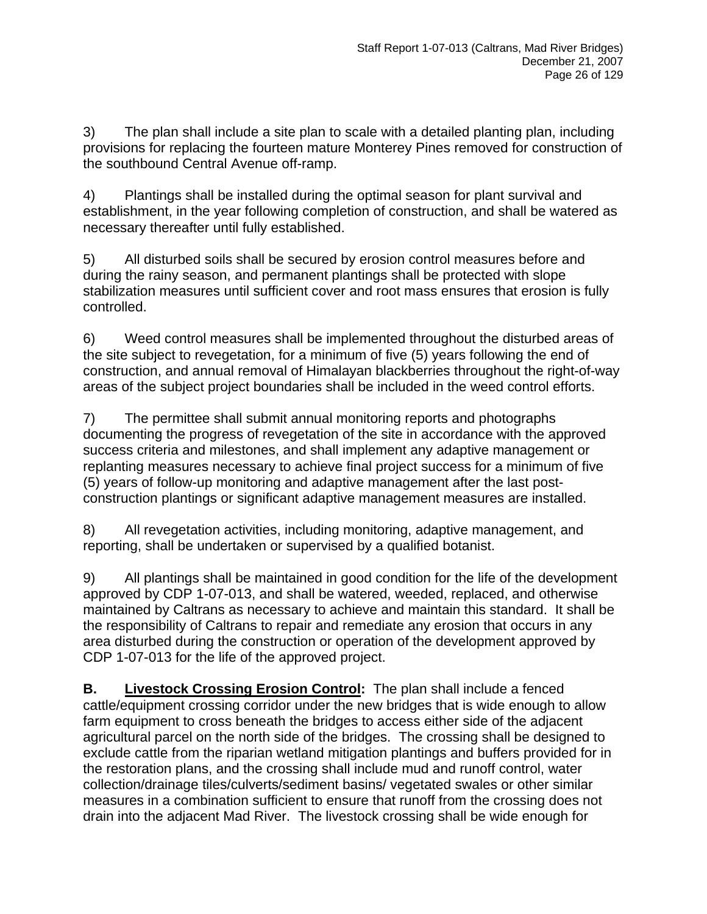3) The plan shall include a site plan to scale with a detailed planting plan, including provisions for replacing the fourteen mature Monterey Pines removed for construction of the southbound Central Avenue off-ramp.

4) Plantings shall be installed during the optimal season for plant survival and establishment, in the year following completion of construction, and shall be watered as necessary thereafter until fully established.

5) All disturbed soils shall be secured by erosion control measures before and during the rainy season, and permanent plantings shall be protected with slope stabilization measures until sufficient cover and root mass ensures that erosion is fully controlled.

6) Weed control measures shall be implemented throughout the disturbed areas of the site subject to revegetation, for a minimum of five (5) years following the end of construction, and annual removal of Himalayan blackberries throughout the right-of-way areas of the subject project boundaries shall be included in the weed control efforts.

7) The permittee shall submit annual monitoring reports and photographs documenting the progress of revegetation of the site in accordance with the approved success criteria and milestones, and shall implement any adaptive management or replanting measures necessary to achieve final project success for a minimum of five (5) years of follow-up monitoring and adaptive management after the last postconstruction plantings or significant adaptive management measures are installed.

8) All revegetation activities, including monitoring, adaptive management, and reporting, shall be undertaken or supervised by a qualified botanist.

9) All plantings shall be maintained in good condition for the life of the development approved by CDP 1-07-013, and shall be watered, weeded, replaced, and otherwise maintained by Caltrans as necessary to achieve and maintain this standard. It shall be the responsibility of Caltrans to repair and remediate any erosion that occurs in any area disturbed during the construction or operation of the development approved by CDP 1-07-013 for the life of the approved project.

**B.** Livestock Crossing Erosion Control: The plan shall include a fenced cattle/equipment crossing corridor under the new bridges that is wide enough to allow farm equipment to cross beneath the bridges to access either side of the adjacent agricultural parcel on the north side of the bridges. The crossing shall be designed to exclude cattle from the riparian wetland mitigation plantings and buffers provided for in the restoration plans, and the crossing shall include mud and runoff control, water collection/drainage tiles/culverts/sediment basins/ vegetated swales or other similar measures in a combination sufficient to ensure that runoff from the crossing does not drain into the adjacent Mad River. The livestock crossing shall be wide enough for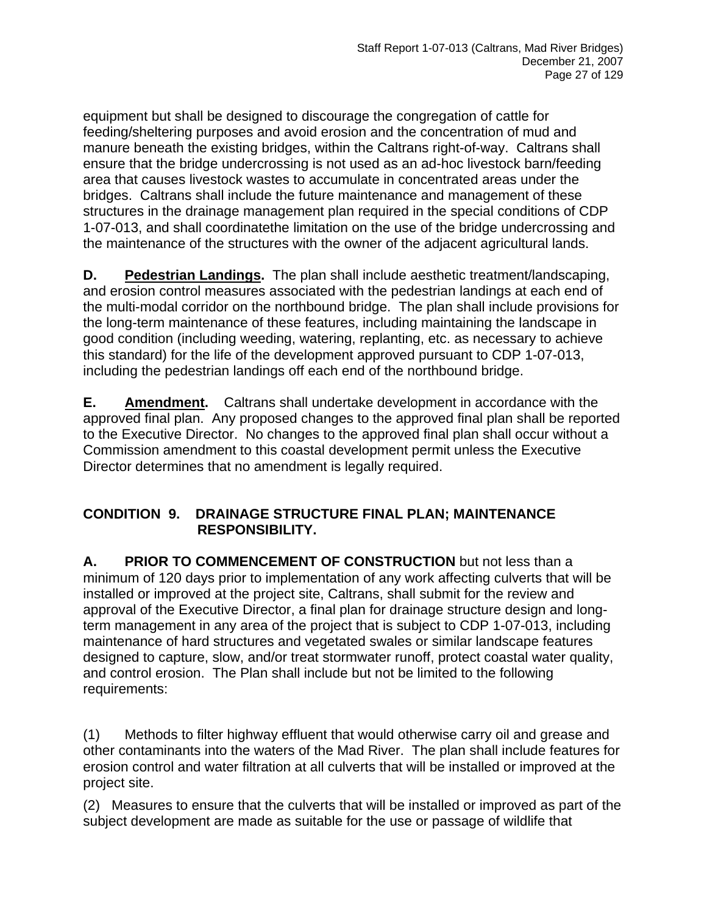equipment but shall be designed to discourage the congregation of cattle for feeding/sheltering purposes and avoid erosion and the concentration of mud and manure beneath the existing bridges, within the Caltrans right-of-way. Caltrans shall ensure that the bridge undercrossing is not used as an ad-hoc livestock barn/feeding area that causes livestock wastes to accumulate in concentrated areas under the bridges. Caltrans shall include the future maintenance and management of these structures in the drainage management plan required in the special conditions of CDP 1-07-013, and shall coordinatethe limitation on the use of the bridge undercrossing and the maintenance of the structures with the owner of the adjacent agricultural lands.

**D. Pedestrian Landings.** The plan shall include aesthetic treatment/landscaping, and erosion control measures associated with the pedestrian landings at each end of the multi-modal corridor on the northbound bridge. The plan shall include provisions for the long-term maintenance of these features, including maintaining the landscape in good condition (including weeding, watering, replanting, etc. as necessary to achieve this standard) for the life of the development approved pursuant to CDP 1-07-013, including the pedestrian landings off each end of the northbound bridge.

**E. Amendment.** Caltrans shall undertake development in accordance with the approved final plan. Any proposed changes to the approved final plan shall be reported to the Executive Director. No changes to the approved final plan shall occur without a Commission amendment to this coastal development permit unless the Executive Director determines that no amendment is legally required.

#### **CONDITION 9. DRAINAGE STRUCTURE FINAL PLAN; MAINTENANCE RESPONSIBILITY.**

**A. PRIOR TO COMMENCEMENT OF CONSTRUCTION** but not less than a minimum of 120 days prior to implementation of any work affecting culverts that will be installed or improved at the project site, Caltrans, shall submit for the review and approval of the Executive Director, a final plan for drainage structure design and longterm management in any area of the project that is subject to CDP 1-07-013, including maintenance of hard structures and vegetated swales or similar landscape features designed to capture, slow, and/or treat stormwater runoff, protect coastal water quality, and control erosion. The Plan shall include but not be limited to the following requirements:

(1) Methods to filter highway effluent that would otherwise carry oil and grease and other contaminants into the waters of the Mad River. The plan shall include features for erosion control and water filtration at all culverts that will be installed or improved at the project site.

(2) Measures to ensure that the culverts that will be installed or improved as part of the subject development are made as suitable for the use or passage of wildlife that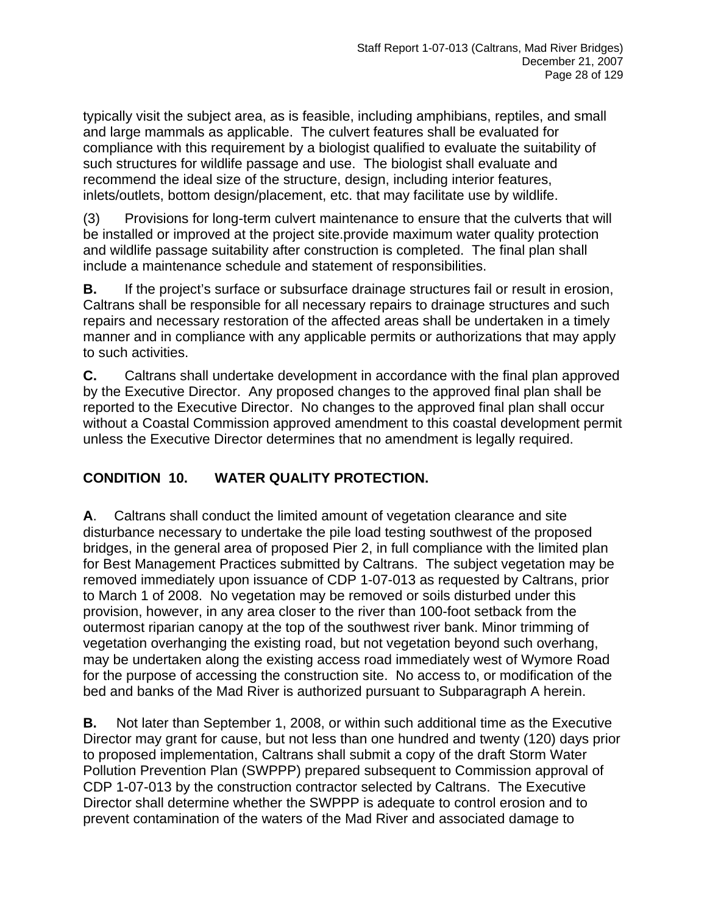typically visit the subject area, as is feasible, including amphibians, reptiles, and small and large mammals as applicable. The culvert features shall be evaluated for compliance with this requirement by a biologist qualified to evaluate the suitability of such structures for wildlife passage and use. The biologist shall evaluate and recommend the ideal size of the structure, design, including interior features, inlets/outlets, bottom design/placement, etc. that may facilitate use by wildlife.

(3) Provisions for long-term culvert maintenance to ensure that the culverts that will be installed or improved at the project site.provide maximum water quality protection and wildlife passage suitability after construction is completed. The final plan shall include a maintenance schedule and statement of responsibilities.

**B.** If the project's surface or subsurface drainage structures fail or result in erosion, Caltrans shall be responsible for all necessary repairs to drainage structures and such repairs and necessary restoration of the affected areas shall be undertaken in a timely manner and in compliance with any applicable permits or authorizations that may apply to such activities.

**C.** Caltrans shall undertake development in accordance with the final plan approved by the Executive Director. Any proposed changes to the approved final plan shall be reported to the Executive Director. No changes to the approved final plan shall occur without a Coastal Commission approved amendment to this coastal development permit unless the Executive Director determines that no amendment is legally required.

## **CONDITION 10. WATER QUALITY PROTECTION.**

**A**. Caltrans shall conduct the limited amount of vegetation clearance and site disturbance necessary to undertake the pile load testing southwest of the proposed bridges, in the general area of proposed Pier 2, in full compliance with the limited plan for Best Management Practices submitted by Caltrans. The subject vegetation may be removed immediately upon issuance of CDP 1-07-013 as requested by Caltrans, prior to March 1 of 2008. No vegetation may be removed or soils disturbed under this provision, however, in any area closer to the river than 100-foot setback from the outermost riparian canopy at the top of the southwest river bank. Minor trimming of vegetation overhanging the existing road, but not vegetation beyond such overhang, may be undertaken along the existing access road immediately west of Wymore Road for the purpose of accessing the construction site. No access to, or modification of the bed and banks of the Mad River is authorized pursuant to Subparagraph A herein.

**B.** Not later than September 1, 2008, or within such additional time as the Executive Director may grant for cause, but not less than one hundred and twenty (120) days prior to proposed implementation, Caltrans shall submit a copy of the draft Storm Water Pollution Prevention Plan (SWPPP) prepared subsequent to Commission approval of CDP 1-07-013 by the construction contractor selected by Caltrans. The Executive Director shall determine whether the SWPPP is adequate to control erosion and to prevent contamination of the waters of the Mad River and associated damage to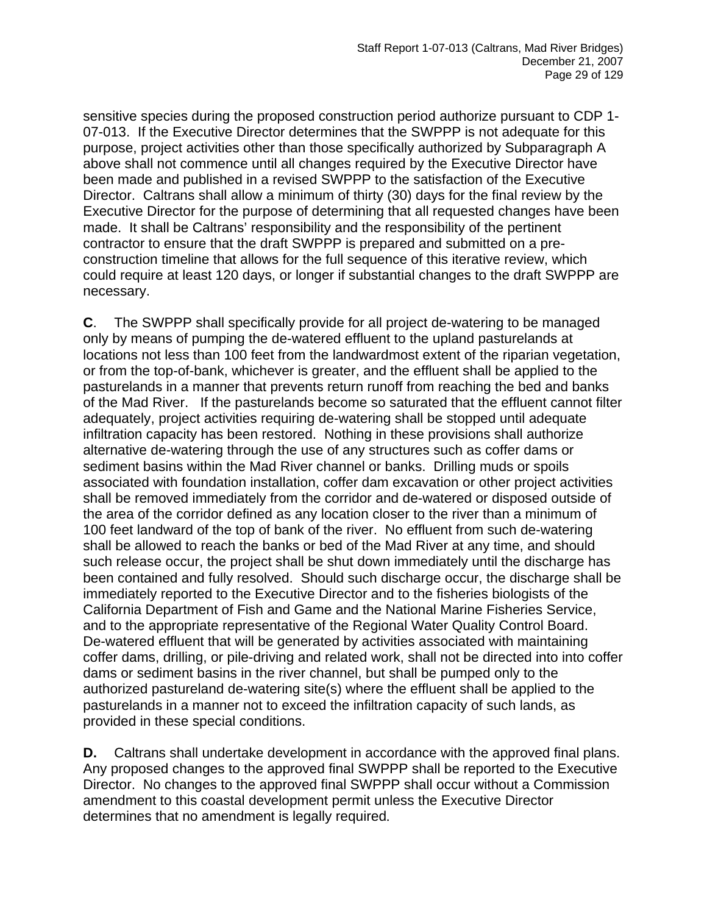sensitive species during the proposed construction period authorize pursuant to CDP 1- 07-013. If the Executive Director determines that the SWPPP is not adequate for this purpose, project activities other than those specifically authorized by Subparagraph A above shall not commence until all changes required by the Executive Director have been made and published in a revised SWPPP to the satisfaction of the Executive Director. Caltrans shall allow a minimum of thirty (30) days for the final review by the Executive Director for the purpose of determining that all requested changes have been made. It shall be Caltrans' responsibility and the responsibility of the pertinent contractor to ensure that the draft SWPPP is prepared and submitted on a preconstruction timeline that allows for the full sequence of this iterative review, which could require at least 120 days, or longer if substantial changes to the draft SWPPP are necessary.

**C**. The SWPPP shall specifically provide for all project de-watering to be managed only by means of pumping the de-watered effluent to the upland pasturelands at locations not less than 100 feet from the landwardmost extent of the riparian vegetation, or from the top-of-bank, whichever is greater, and the effluent shall be applied to the pasturelands in a manner that prevents return runoff from reaching the bed and banks of the Mad River. If the pasturelands become so saturated that the effluent cannot filter adequately, project activities requiring de-watering shall be stopped until adequate infiltration capacity has been restored. Nothing in these provisions shall authorize alternative de-watering through the use of any structures such as coffer dams or sediment basins within the Mad River channel or banks. Drilling muds or spoils associated with foundation installation, coffer dam excavation or other project activities shall be removed immediately from the corridor and de-watered or disposed outside of the area of the corridor defined as any location closer to the river than a minimum of 100 feet landward of the top of bank of the river. No effluent from such de-watering shall be allowed to reach the banks or bed of the Mad River at any time, and should such release occur, the project shall be shut down immediately until the discharge has been contained and fully resolved. Should such discharge occur, the discharge shall be immediately reported to the Executive Director and to the fisheries biologists of the California Department of Fish and Game and the National Marine Fisheries Service, and to the appropriate representative of the Regional Water Quality Control Board. De-watered effluent that will be generated by activities associated with maintaining coffer dams, drilling, or pile-driving and related work, shall not be directed into into coffer dams or sediment basins in the river channel, but shall be pumped only to the authorized pastureland de-watering site(s) where the effluent shall be applied to the pasturelands in a manner not to exceed the infiltration capacity of such lands, as provided in these special conditions.

**D.** Caltrans shall undertake development in accordance with the approved final plans. Any proposed changes to the approved final SWPPP shall be reported to the Executive Director. No changes to the approved final SWPPP shall occur without a Commission amendment to this coastal development permit unless the Executive Director determines that no amendment is legally required.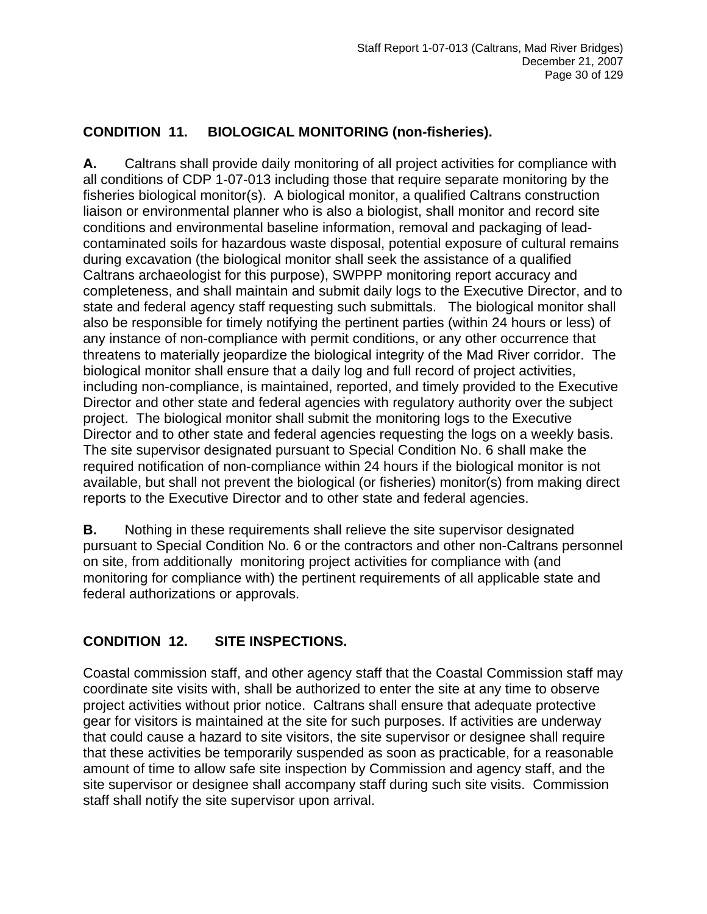## **CONDITION 11. BIOLOGICAL MONITORING (non-fisheries).**

**A.** Caltrans shall provide daily monitoring of all project activities for compliance with all conditions of CDP 1-07-013 including those that require separate monitoring by the fisheries biological monitor(s). A biological monitor, a qualified Caltrans construction liaison or environmental planner who is also a biologist, shall monitor and record site conditions and environmental baseline information, removal and packaging of leadcontaminated soils for hazardous waste disposal, potential exposure of cultural remains during excavation (the biological monitor shall seek the assistance of a qualified Caltrans archaeologist for this purpose), SWPPP monitoring report accuracy and completeness, and shall maintain and submit daily logs to the Executive Director, and to state and federal agency staff requesting such submittals. The biological monitor shall also be responsible for timely notifying the pertinent parties (within 24 hours or less) of any instance of non-compliance with permit conditions, or any other occurrence that threatens to materially jeopardize the biological integrity of the Mad River corridor. The biological monitor shall ensure that a daily log and full record of project activities, including non-compliance, is maintained, reported, and timely provided to the Executive Director and other state and federal agencies with regulatory authority over the subject project. The biological monitor shall submit the monitoring logs to the Executive Director and to other state and federal agencies requesting the logs on a weekly basis. The site supervisor designated pursuant to Special Condition No. 6 shall make the required notification of non-compliance within 24 hours if the biological monitor is not available, but shall not prevent the biological (or fisheries) monitor(s) from making direct reports to the Executive Director and to other state and federal agencies.

**B.** Nothing in these requirements shall relieve the site supervisor designated pursuant to Special Condition No. 6 or the contractors and other non-Caltrans personnel on site, from additionally monitoring project activities for compliance with (and monitoring for compliance with) the pertinent requirements of all applicable state and federal authorizations or approvals.

#### **CONDITION 12. SITE INSPECTIONS.**

Coastal commission staff, and other agency staff that the Coastal Commission staff may coordinate site visits with, shall be authorized to enter the site at any time to observe project activities without prior notice. Caltrans shall ensure that adequate protective gear for visitors is maintained at the site for such purposes. If activities are underway that could cause a hazard to site visitors, the site supervisor or designee shall require that these activities be temporarily suspended as soon as practicable, for a reasonable amount of time to allow safe site inspection by Commission and agency staff, and the site supervisor or designee shall accompany staff during such site visits. Commission staff shall notify the site supervisor upon arrival.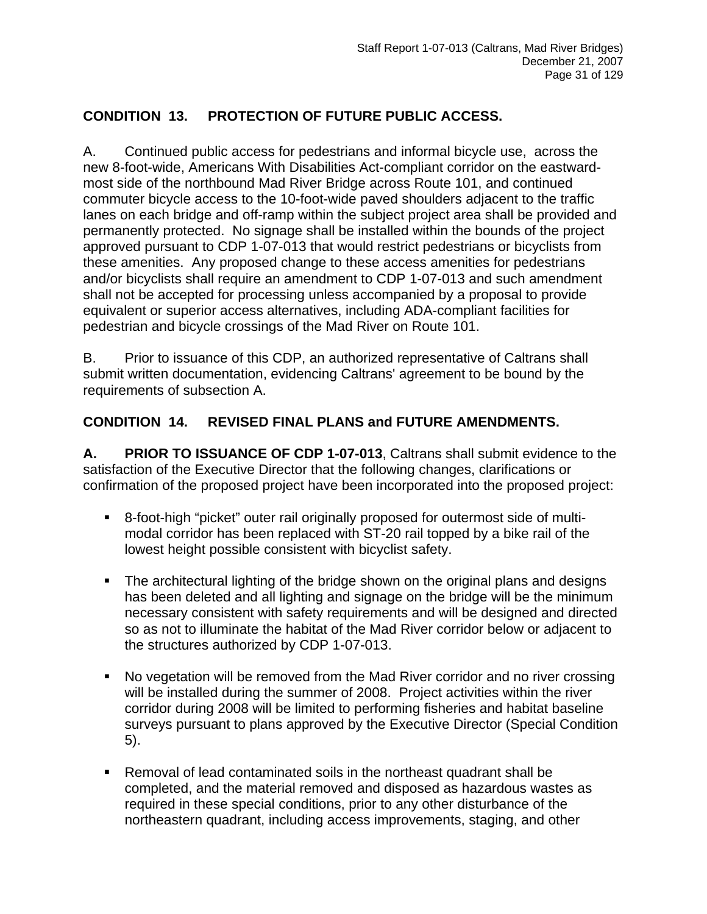## **CONDITION 13. PROTECTION OF FUTURE PUBLIC ACCESS.**

A. Continued public access for pedestrians and informal bicycle use, across the new 8-foot-wide, Americans With Disabilities Act-compliant corridor on the eastwardmost side of the northbound Mad River Bridge across Route 101, and continued commuter bicycle access to the 10-foot-wide paved shoulders adjacent to the traffic lanes on each bridge and off-ramp within the subject project area shall be provided and permanently protected. No signage shall be installed within the bounds of the project approved pursuant to CDP 1-07-013 that would restrict pedestrians or bicyclists from these amenities. Any proposed change to these access amenities for pedestrians and/or bicyclists shall require an amendment to CDP 1-07-013 and such amendment shall not be accepted for processing unless accompanied by a proposal to provide equivalent or superior access alternatives, including ADA-compliant facilities for pedestrian and bicycle crossings of the Mad River on Route 101.

B. Prior to issuance of this CDP, an authorized representative of Caltrans shall submit written documentation, evidencing Caltrans' agreement to be bound by the requirements of subsection A.

#### **CONDITION 14. REVISED FINAL PLANS and FUTURE AMENDMENTS.**

**A. PRIOR TO ISSUANCE OF CDP 1-07-013**, Caltrans shall submit evidence to the satisfaction of the Executive Director that the following changes, clarifications or confirmation of the proposed project have been incorporated into the proposed project:

- 8-foot-high "picket" outer rail originally proposed for outermost side of multimodal corridor has been replaced with ST-20 rail topped by a bike rail of the lowest height possible consistent with bicyclist safety.
- The architectural lighting of the bridge shown on the original plans and designs has been deleted and all lighting and signage on the bridge will be the minimum necessary consistent with safety requirements and will be designed and directed so as not to illuminate the habitat of the Mad River corridor below or adjacent to the structures authorized by CDP 1-07-013.
- No vegetation will be removed from the Mad River corridor and no river crossing will be installed during the summer of 2008. Project activities within the river corridor during 2008 will be limited to performing fisheries and habitat baseline surveys pursuant to plans approved by the Executive Director (Special Condition 5).
- Removal of lead contaminated soils in the northeast quadrant shall be completed, and the material removed and disposed as hazardous wastes as required in these special conditions, prior to any other disturbance of the northeastern quadrant, including access improvements, staging, and other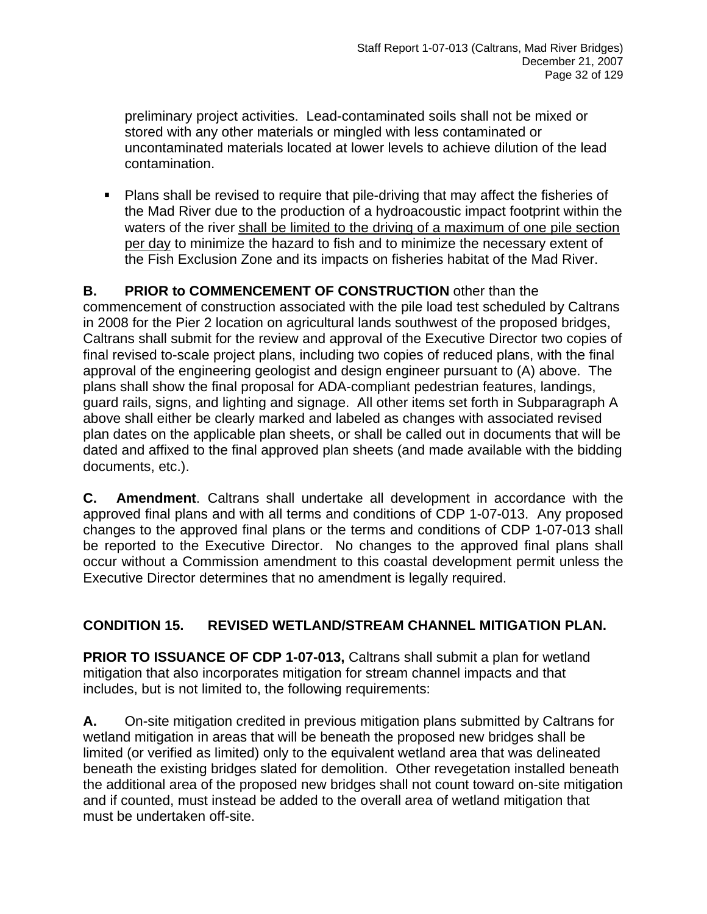preliminary project activities. Lead-contaminated soils shall not be mixed or stored with any other materials or mingled with less contaminated or uncontaminated materials located at lower levels to achieve dilution of the lead contamination.

• Plans shall be revised to require that pile-driving that may affect the fisheries of the Mad River due to the production of a hydroacoustic impact footprint within the waters of the river shall be limited to the driving of a maximum of one pile section per day to minimize the hazard to fish and to minimize the necessary extent of the Fish Exclusion Zone and its impacts on fisheries habitat of the Mad River.

## **B. PRIOR to COMMENCEMENT OF CONSTRUCTION** other than the

commencement of construction associated with the pile load test scheduled by Caltrans in 2008 for the Pier 2 location on agricultural lands southwest of the proposed bridges, Caltrans shall submit for the review and approval of the Executive Director two copies of final revised to-scale project plans, including two copies of reduced plans, with the final approval of the engineering geologist and design engineer pursuant to (A) above. The plans shall show the final proposal for ADA-compliant pedestrian features, landings, guard rails, signs, and lighting and signage. All other items set forth in Subparagraph A above shall either be clearly marked and labeled as changes with associated revised plan dates on the applicable plan sheets, or shall be called out in documents that will be dated and affixed to the final approved plan sheets (and made available with the bidding documents, etc.).

**C. Amendment**. Caltrans shall undertake all development in accordance with the approved final plans and with all terms and conditions of CDP 1-07-013. Any proposed changes to the approved final plans or the terms and conditions of CDP 1-07-013 shall be reported to the Executive Director. No changes to the approved final plans shall occur without a Commission amendment to this coastal development permit unless the Executive Director determines that no amendment is legally required.

#### **CONDITION 15. REVISED WETLAND/STREAM CHANNEL MITIGATION PLAN.**

**PRIOR TO ISSUANCE OF CDP 1-07-013, Caltrans shall submit a plan for wetland** mitigation that also incorporates mitigation for stream channel impacts and that includes, but is not limited to, the following requirements:

**A.** On-site mitigation credited in previous mitigation plans submitted by Caltrans for wetland mitigation in areas that will be beneath the proposed new bridges shall be limited (or verified as limited) only to the equivalent wetland area that was delineated beneath the existing bridges slated for demolition. Other revegetation installed beneath the additional area of the proposed new bridges shall not count toward on-site mitigation and if counted, must instead be added to the overall area of wetland mitigation that must be undertaken off-site.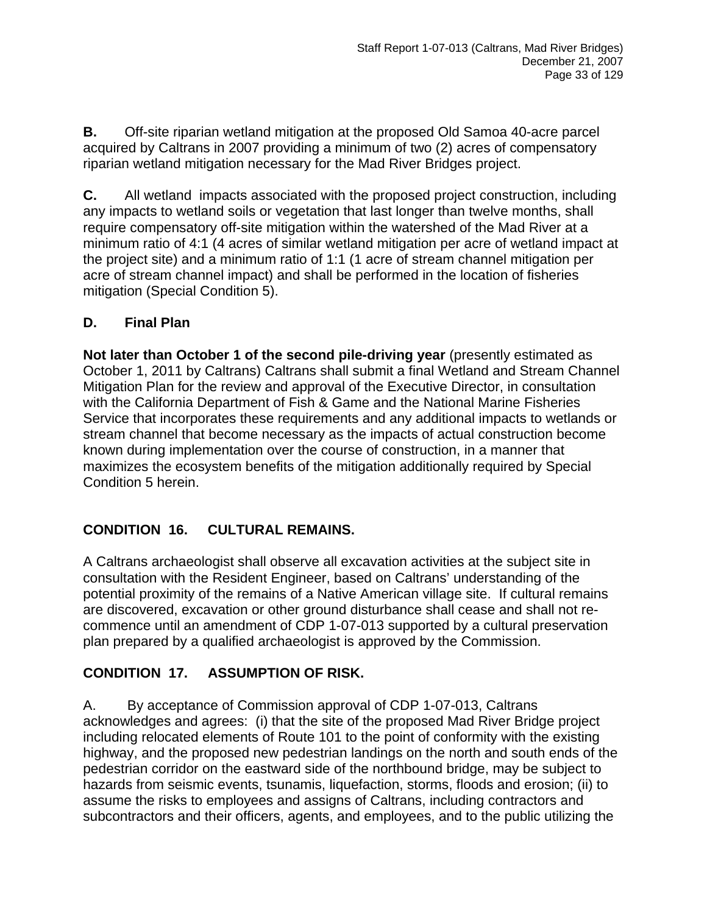**B.** Off-site riparian wetland mitigation at the proposed Old Samoa 40-acre parcel acquired by Caltrans in 2007 providing a minimum of two (2) acres of compensatory riparian wetland mitigation necessary for the Mad River Bridges project.

**C.** All wetland impacts associated with the proposed project construction, including any impacts to wetland soils or vegetation that last longer than twelve months, shall require compensatory off-site mitigation within the watershed of the Mad River at a minimum ratio of 4:1 (4 acres of similar wetland mitigation per acre of wetland impact at the project site) and a minimum ratio of 1:1 (1 acre of stream channel mitigation per acre of stream channel impact) and shall be performed in the location of fisheries mitigation (Special Condition 5).

#### **D. Final Plan**

**Not later than October 1 of the second pile-driving year** (presently estimated as October 1, 2011 by Caltrans) Caltrans shall submit a final Wetland and Stream Channel Mitigation Plan for the review and approval of the Executive Director, in consultation with the California Department of Fish & Game and the National Marine Fisheries Service that incorporates these requirements and any additional impacts to wetlands or stream channel that become necessary as the impacts of actual construction become known during implementation over the course of construction, in a manner that maximizes the ecosystem benefits of the mitigation additionally required by Special Condition 5 herein.

#### **CONDITION 16. CULTURAL REMAINS.**

A Caltrans archaeologist shall observe all excavation activities at the subject site in consultation with the Resident Engineer, based on Caltrans' understanding of the potential proximity of the remains of a Native American village site. If cultural remains are discovered, excavation or other ground disturbance shall cease and shall not recommence until an amendment of CDP 1-07-013 supported by a cultural preservation plan prepared by a qualified archaeologist is approved by the Commission.

## **CONDITION 17. ASSUMPTION OF RISK.**

A. By acceptance of Commission approval of CDP 1-07-013, Caltrans acknowledges and agrees: (i) that the site of the proposed Mad River Bridge project including relocated elements of Route 101 to the point of conformity with the existing highway, and the proposed new pedestrian landings on the north and south ends of the pedestrian corridor on the eastward side of the northbound bridge, may be subject to hazards from seismic events, tsunamis, liquefaction, storms, floods and erosion; (ii) to assume the risks to employees and assigns of Caltrans, including contractors and subcontractors and their officers, agents, and employees, and to the public utilizing the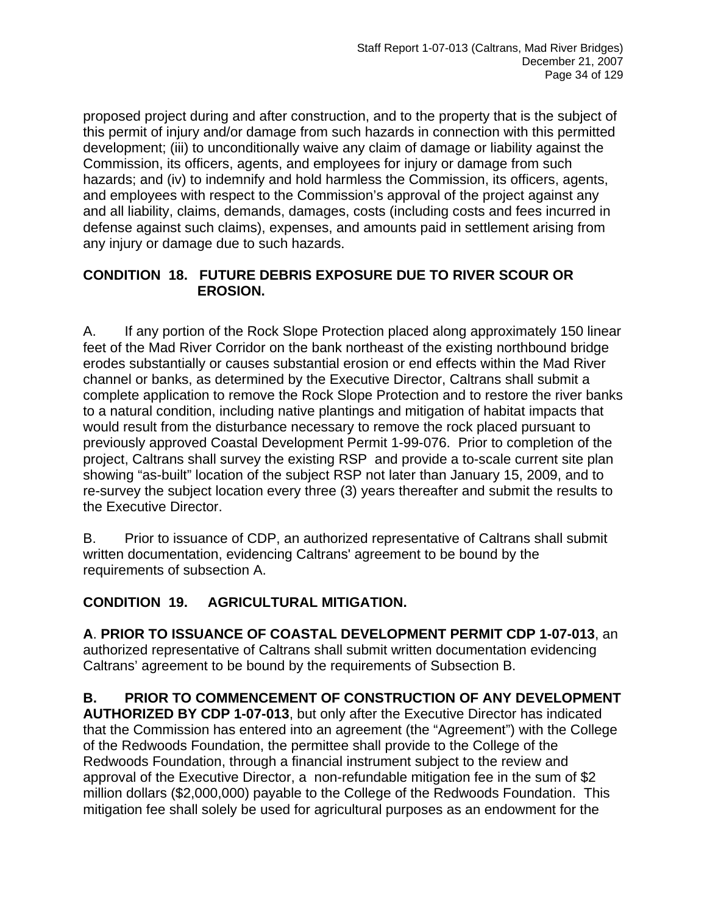proposed project during and after construction, and to the property that is the subject of this permit of injury and/or damage from such hazards in connection with this permitted development; (iii) to unconditionally waive any claim of damage or liability against the Commission, its officers, agents, and employees for injury or damage from such hazards; and (iv) to indemnify and hold harmless the Commission, its officers, agents, and employees with respect to the Commission's approval of the project against any and all liability, claims, demands, damages, costs (including costs and fees incurred in defense against such claims), expenses, and amounts paid in settlement arising from any injury or damage due to such hazards.

#### **CONDITION 18. FUTURE DEBRIS EXPOSURE DUE TO RIVER SCOUR OR EROSION.**

A. If any portion of the Rock Slope Protection placed along approximately 150 linear feet of the Mad River Corridor on the bank northeast of the existing northbound bridge erodes substantially or causes substantial erosion or end effects within the Mad River channel or banks, as determined by the Executive Director, Caltrans shall submit a complete application to remove the Rock Slope Protection and to restore the river banks to a natural condition, including native plantings and mitigation of habitat impacts that would result from the disturbance necessary to remove the rock placed pursuant to previously approved Coastal Development Permit 1-99-076. Prior to completion of the project, Caltrans shall survey the existing RSP and provide a to-scale current site plan showing "as-built" location of the subject RSP not later than January 15, 2009, and to re-survey the subject location every three (3) years thereafter and submit the results to the Executive Director.

B. Prior to issuance of CDP, an authorized representative of Caltrans shall submit written documentation, evidencing Caltrans' agreement to be bound by the requirements of subsection A.

#### **CONDITION 19. AGRICULTURAL MITIGATION.**

**A**. **PRIOR TO ISSUANCE OF COASTAL DEVELOPMENT PERMIT CDP 1-07-013**, an authorized representative of Caltrans shall submit written documentation evidencing Caltrans' agreement to be bound by the requirements of Subsection B.

**B. PRIOR TO COMMENCEMENT OF CONSTRUCTION OF ANY DEVELOPMENT** 

**AUTHORIZED BY CDP 1-07-013**, but only after the Executive Director has indicated that the Commission has entered into an agreement (the "Agreement") with the College of the Redwoods Foundation, the permittee shall provide to the College of the Redwoods Foundation, through a financial instrument subject to the review and approval of the Executive Director, a non-refundable mitigation fee in the sum of \$2 million dollars (\$2,000,000) payable to the College of the Redwoods Foundation. This mitigation fee shall solely be used for agricultural purposes as an endowment for the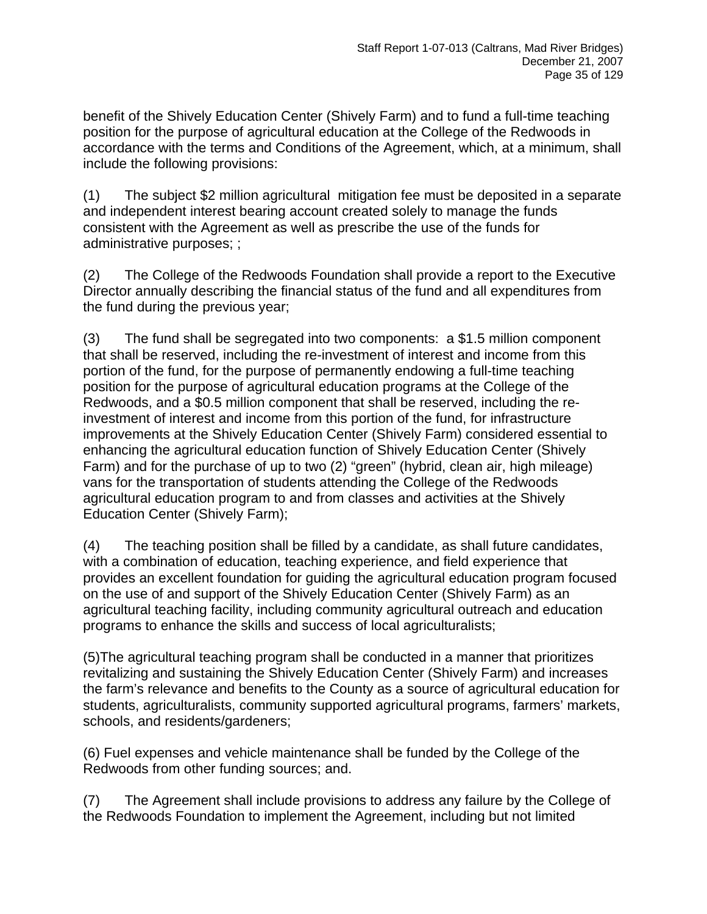benefit of the Shively Education Center (Shively Farm) and to fund a full-time teaching position for the purpose of agricultural education at the College of the Redwoods in accordance with the terms and Conditions of the Agreement, which, at a minimum, shall include the following provisions:

(1) The subject \$2 million agricultural mitigation fee must be deposited in a separate and independent interest bearing account created solely to manage the funds consistent with the Agreement as well as prescribe the use of the funds for administrative purposes; ;

(2) The College of the Redwoods Foundation shall provide a report to the Executive Director annually describing the financial status of the fund and all expenditures from the fund during the previous year;

(3) The fund shall be segregated into two components: a \$1.5 million component that shall be reserved, including the re-investment of interest and income from this portion of the fund, for the purpose of permanently endowing a full-time teaching position for the purpose of agricultural education programs at the College of the Redwoods, and a \$0.5 million component that shall be reserved, including the reinvestment of interest and income from this portion of the fund, for infrastructure improvements at the Shively Education Center (Shively Farm) considered essential to enhancing the agricultural education function of Shively Education Center (Shively Farm) and for the purchase of up to two (2) "green" (hybrid, clean air, high mileage) vans for the transportation of students attending the College of the Redwoods agricultural education program to and from classes and activities at the Shively Education Center (Shively Farm);

(4) The teaching position shall be filled by a candidate, as shall future candidates, with a combination of education, teaching experience, and field experience that provides an excellent foundation for guiding the agricultural education program focused on the use of and support of the Shively Education Center (Shively Farm) as an agricultural teaching facility, including community agricultural outreach and education programs to enhance the skills and success of local agriculturalists;

(5)The agricultural teaching program shall be conducted in a manner that prioritizes revitalizing and sustaining the Shively Education Center (Shively Farm) and increases the farm's relevance and benefits to the County as a source of agricultural education for students, agriculturalists, community supported agricultural programs, farmers' markets, schools, and residents/gardeners;

(6) Fuel expenses and vehicle maintenance shall be funded by the College of the Redwoods from other funding sources; and.

(7) The Agreement shall include provisions to address any failure by the College of the Redwoods Foundation to implement the Agreement, including but not limited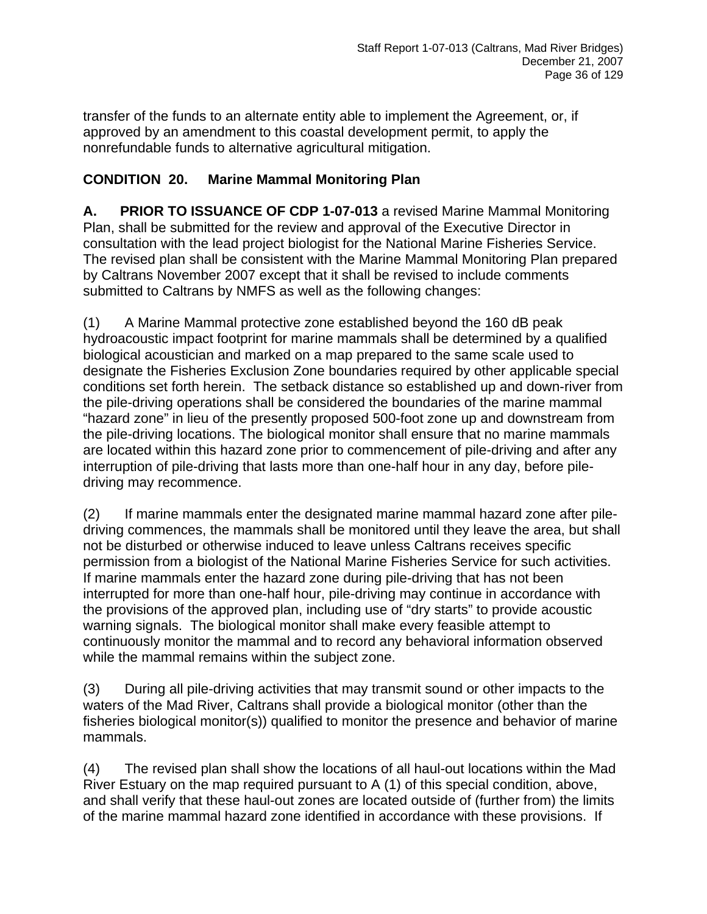transfer of the funds to an alternate entity able to implement the Agreement, or, if approved by an amendment to this coastal development permit, to apply the nonrefundable funds to alternative agricultural mitigation.

## **CONDITION 20. Marine Mammal Monitoring Plan**

**A. PRIOR TO ISSUANCE OF CDP 1-07-013** a revised Marine Mammal Monitoring Plan, shall be submitted for the review and approval of the Executive Director in consultation with the lead project biologist for the National Marine Fisheries Service. The revised plan shall be consistent with the Marine Mammal Monitoring Plan prepared by Caltrans November 2007 except that it shall be revised to include comments submitted to Caltrans by NMFS as well as the following changes:

(1) A Marine Mammal protective zone established beyond the 160 dB peak hydroacoustic impact footprint for marine mammals shall be determined by a qualified biological acoustician and marked on a map prepared to the same scale used to designate the Fisheries Exclusion Zone boundaries required by other applicable special conditions set forth herein. The setback distance so established up and down-river from the pile-driving operations shall be considered the boundaries of the marine mammal "hazard zone" in lieu of the presently proposed 500-foot zone up and downstream from the pile-driving locations. The biological monitor shall ensure that no marine mammals are located within this hazard zone prior to commencement of pile-driving and after any interruption of pile-driving that lasts more than one-half hour in any day, before piledriving may recommence.

(2) If marine mammals enter the designated marine mammal hazard zone after piledriving commences, the mammals shall be monitored until they leave the area, but shall not be disturbed or otherwise induced to leave unless Caltrans receives specific permission from a biologist of the National Marine Fisheries Service for such activities. If marine mammals enter the hazard zone during pile-driving that has not been interrupted for more than one-half hour, pile-driving may continue in accordance with the provisions of the approved plan, including use of "dry starts" to provide acoustic warning signals. The biological monitor shall make every feasible attempt to continuously monitor the mammal and to record any behavioral information observed while the mammal remains within the subject zone.

(3) During all pile-driving activities that may transmit sound or other impacts to the waters of the Mad River, Caltrans shall provide a biological monitor (other than the fisheries biological monitor(s)) qualified to monitor the presence and behavior of marine mammals.

(4) The revised plan shall show the locations of all haul-out locations within the Mad River Estuary on the map required pursuant to A (1) of this special condition, above, and shall verify that these haul-out zones are located outside of (further from) the limits of the marine mammal hazard zone identified in accordance with these provisions. If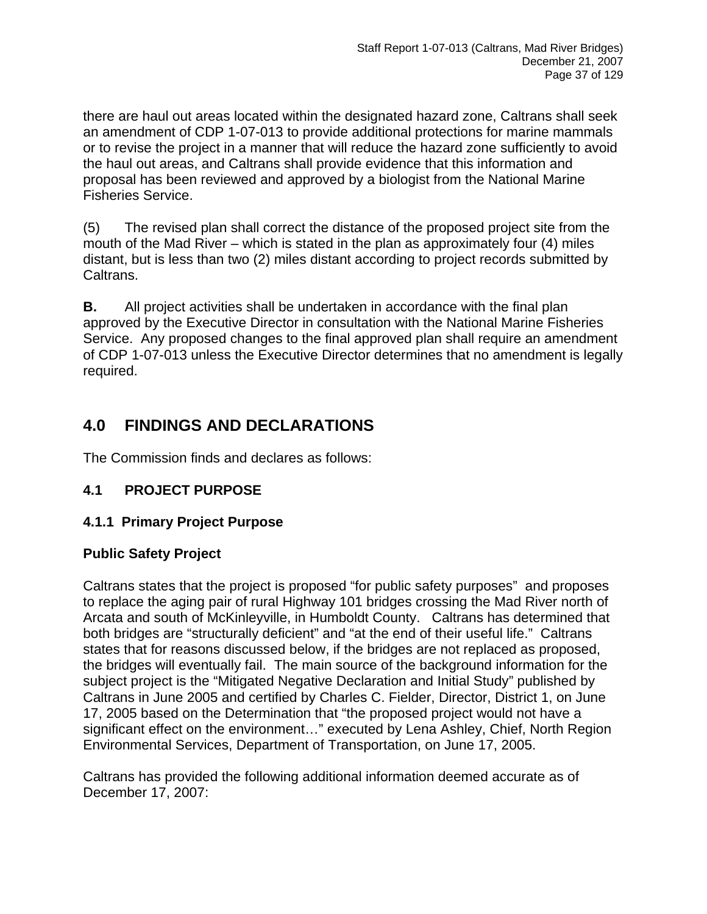there are haul out areas located within the designated hazard zone, Caltrans shall seek an amendment of CDP 1-07-013 to provide additional protections for marine mammals or to revise the project in a manner that will reduce the hazard zone sufficiently to avoid the haul out areas, and Caltrans shall provide evidence that this information and proposal has been reviewed and approved by a biologist from the National Marine Fisheries Service.

(5) The revised plan shall correct the distance of the proposed project site from the mouth of the Mad River – which is stated in the plan as approximately four (4) miles distant, but is less than two (2) miles distant according to project records submitted by Caltrans.

**B.** All project activities shall be undertaken in accordance with the final plan approved by the Executive Director in consultation with the National Marine Fisheries Service. Any proposed changes to the final approved plan shall require an amendment of CDP 1-07-013 unless the Executive Director determines that no amendment is legally required.

# **4.0 FINDINGS AND DECLARATIONS**

The Commission finds and declares as follows:

## **4.1 PROJECT PURPOSE**

## **4.1.1 Primary Project Purpose**

### **Public Safety Project**

Caltrans states that the project is proposed "for public safety purposes" and proposes to replace the aging pair of rural Highway 101 bridges crossing the Mad River north of Arcata and south of McKinleyville, in Humboldt County. Caltrans has determined that both bridges are "structurally deficient" and "at the end of their useful life." Caltrans states that for reasons discussed below, if the bridges are not replaced as proposed, the bridges will eventually fail. The main source of the background information for the subject project is the "Mitigated Negative Declaration and Initial Study" published by Caltrans in June 2005 and certified by Charles C. Fielder, Director, District 1, on June 17, 2005 based on the Determination that "the proposed project would not have a significant effect on the environment…" executed by Lena Ashley, Chief, North Region Environmental Services, Department of Transportation, on June 17, 2005.

Caltrans has provided the following additional information deemed accurate as of December 17, 2007: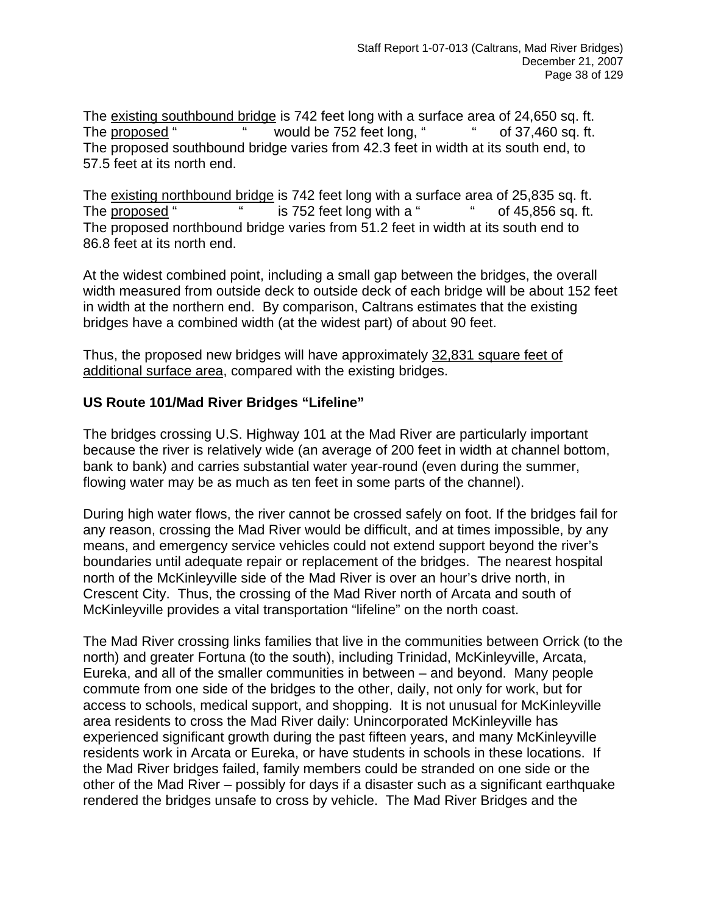The existing southbound bridge is 742 feet long with a surface area of 24,650 sq. ft. The proposed " " would be 752 feet long, " " of 37,460 sq. ft. The proposed southbound bridge varies from 42.3 feet in width at its south end, to 57.5 feet at its north end.

The existing northbound bridge is 742 feet long with a surface area of 25,835 sq. ft. The proposed " " is 752 feet long with a " " of 45,856 sq. ft. The proposed northbound bridge varies from 51.2 feet in width at its south end to 86.8 feet at its north end.

At the widest combined point, including a small gap between the bridges, the overall width measured from outside deck to outside deck of each bridge will be about 152 feet in width at the northern end. By comparison, Caltrans estimates that the existing bridges have a combined width (at the widest part) of about 90 feet.

Thus, the proposed new bridges will have approximately 32,831 square feet of additional surface area, compared with the existing bridges.

### **US Route 101/Mad River Bridges "Lifeline"**

The bridges crossing U.S. Highway 101 at the Mad River are particularly important because the river is relatively wide (an average of 200 feet in width at channel bottom, bank to bank) and carries substantial water year-round (even during the summer, flowing water may be as much as ten feet in some parts of the channel).

During high water flows, the river cannot be crossed safely on foot. If the bridges fail for any reason, crossing the Mad River would be difficult, and at times impossible, by any means, and emergency service vehicles could not extend support beyond the river's boundaries until adequate repair or replacement of the bridges. The nearest hospital north of the McKinleyville side of the Mad River is over an hour's drive north, in Crescent City. Thus, the crossing of the Mad River north of Arcata and south of McKinleyville provides a vital transportation "lifeline" on the north coast.

The Mad River crossing links families that live in the communities between Orrick (to the north) and greater Fortuna (to the south), including Trinidad, McKinleyville, Arcata, Eureka, and all of the smaller communities in between – and beyond. Many people commute from one side of the bridges to the other, daily, not only for work, but for access to schools, medical support, and shopping. It is not unusual for McKinleyville area residents to cross the Mad River daily: Unincorporated McKinleyville has experienced significant growth during the past fifteen years, and many McKinleyville residents work in Arcata or Eureka, or have students in schools in these locations. If the Mad River bridges failed, family members could be stranded on one side or the other of the Mad River – possibly for days if a disaster such as a significant earthquake rendered the bridges unsafe to cross by vehicle. The Mad River Bridges and the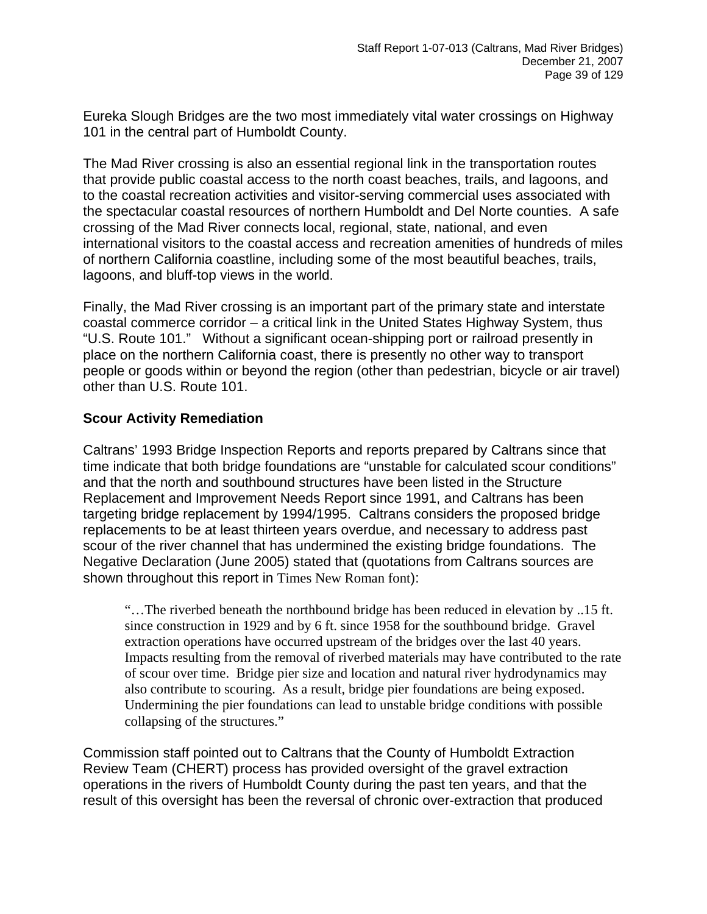Eureka Slough Bridges are the two most immediately vital water crossings on Highway 101 in the central part of Humboldt County.

The Mad River crossing is also an essential regional link in the transportation routes that provide public coastal access to the north coast beaches, trails, and lagoons, and to the coastal recreation activities and visitor-serving commercial uses associated with the spectacular coastal resources of northern Humboldt and Del Norte counties. A safe crossing of the Mad River connects local, regional, state, national, and even international visitors to the coastal access and recreation amenities of hundreds of miles of northern California coastline, including some of the most beautiful beaches, trails, lagoons, and bluff-top views in the world.

Finally, the Mad River crossing is an important part of the primary state and interstate coastal commerce corridor – a critical link in the United States Highway System, thus "U.S. Route 101." Without a significant ocean-shipping port or railroad presently in place on the northern California coast, there is presently no other way to transport people or goods within or beyond the region (other than pedestrian, bicycle or air travel) other than U.S. Route 101.

### **Scour Activity Remediation**

Caltrans' 1993 Bridge Inspection Reports and reports prepared by Caltrans since that time indicate that both bridge foundations are "unstable for calculated scour conditions" and that the north and southbound structures have been listed in the Structure Replacement and Improvement Needs Report since 1991, and Caltrans has been targeting bridge replacement by 1994/1995. Caltrans considers the proposed bridge replacements to be at least thirteen years overdue, and necessary to address past scour of the river channel that has undermined the existing bridge foundations. The Negative Declaration (June 2005) stated that (quotations from Caltrans sources are shown throughout this report in Times New Roman font):

"…The riverbed beneath the northbound bridge has been reduced in elevation by ..15 ft. since construction in 1929 and by 6 ft. since 1958 for the southbound bridge. Gravel extraction operations have occurred upstream of the bridges over the last 40 years. Impacts resulting from the removal of riverbed materials may have contributed to the rate of scour over time. Bridge pier size and location and natural river hydrodynamics may also contribute to scouring. As a result, bridge pier foundations are being exposed. Undermining the pier foundations can lead to unstable bridge conditions with possible collapsing of the structures."

Commission staff pointed out to Caltrans that the County of Humboldt Extraction Review Team (CHERT) process has provided oversight of the gravel extraction operations in the rivers of Humboldt County during the past ten years, and that the result of this oversight has been the reversal of chronic over-extraction that produced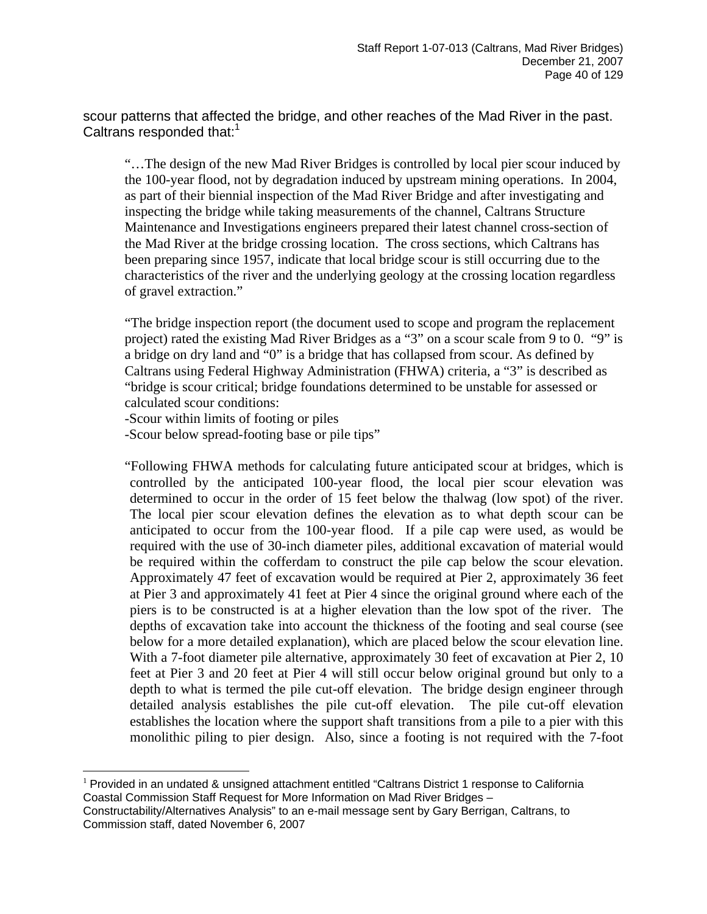scour patterns that affected the bridge, and other reaches of the Mad River in the past. Caltrans responded that:<sup>1</sup>

"…The design of the new Mad River Bridges is controlled by local pier scour induced by the 100-year flood, not by degradation induced by upstream mining operations. In 2004, as part of their biennial inspection of the Mad River Bridge and after investigating and inspecting the bridge while taking measurements of the channel, Caltrans Structure Maintenance and Investigations engineers prepared their latest channel cross-section of the Mad River at the bridge crossing location. The cross sections, which Caltrans has been preparing since 1957, indicate that local bridge scour is still occurring due to the characteristics of the river and the underlying geology at the crossing location regardless of gravel extraction."

"The bridge inspection report (the document used to scope and program the replacement project) rated the existing Mad River Bridges as a "3" on a scour scale from 9 to 0. "9" is a bridge on dry land and "0" is a bridge that has collapsed from scour. As defined by Caltrans using Federal Highway Administration (FHWA) criteria, a "3" is described as "bridge is scour critical; bridge foundations determined to be unstable for assessed or calculated scour conditions:

-Scour within limits of footing or piles

<u>.</u>

-Scour below spread-footing base or pile tips"

"Following FHWA methods for calculating future anticipated scour at bridges, which is controlled by the anticipated 100-year flood, the local pier scour elevation was determined to occur in the order of 15 feet below the thalwag (low spot) of the river. The local pier scour elevation defines the elevation as to what depth scour can be anticipated to occur from the 100-year flood. If a pile cap were used, as would be required with the use of 30-inch diameter piles, additional excavation of material would be required within the cofferdam to construct the pile cap below the scour elevation. Approximately 47 feet of excavation would be required at Pier 2, approximately 36 feet at Pier 3 and approximately 41 feet at Pier 4 since the original ground where each of the piers is to be constructed is at a higher elevation than the low spot of the river. The depths of excavation take into account the thickness of the footing and seal course (see below for a more detailed explanation), which are placed below the scour elevation line. With a 7-foot diameter pile alternative, approximately 30 feet of excavation at Pier 2, 10 feet at Pier 3 and 20 feet at Pier 4 will still occur below original ground but only to a depth to what is termed the pile cut-off elevation. The bridge design engineer through detailed analysis establishes the pile cut-off elevation. The pile cut-off elevation establishes the location where the support shaft transitions from a pile to a pier with this monolithic piling to pier design. Also, since a footing is not required with the 7-foot

<span id="page-39-0"></span> $1$  Provided in an undated & unsigned attachment entitled "Caltrans District 1 response to California Coastal Commission Staff Request for More Information on Mad River Bridges –

Constructability/Alternatives Analysis" to an e-mail message sent by Gary Berrigan, Caltrans, to Commission staff, dated November 6, 2007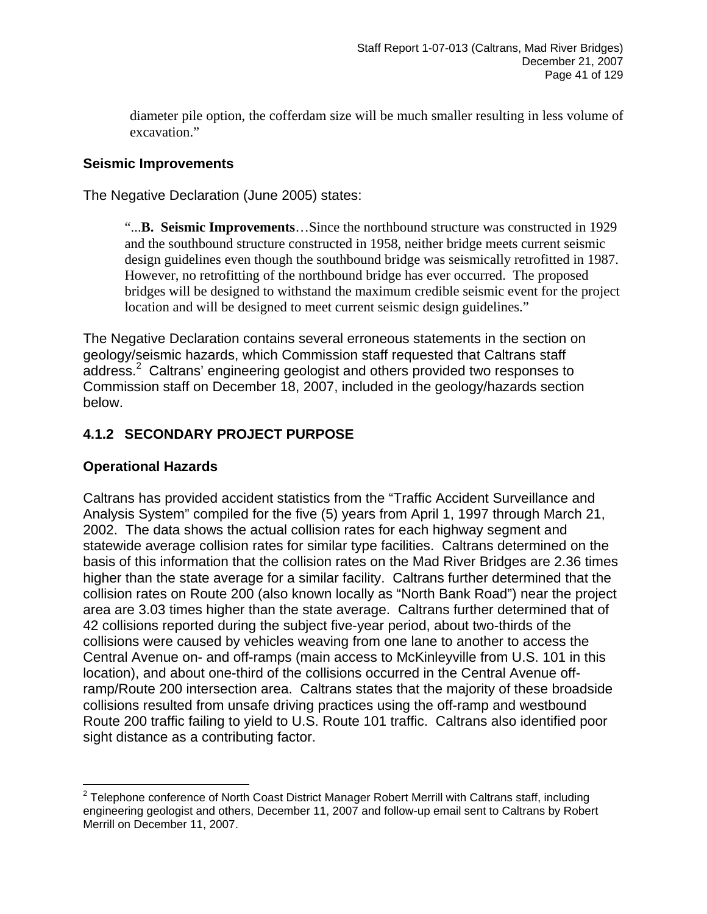diameter pile option, the cofferdam size will be much smaller resulting in less volume of excavation."

### **Seismic Improvements**

The Negative Declaration (June 2005) states:

"...**B. Seismic Improvements**…Since the northbound structure was constructed in 1929 and the southbound structure constructed in 1958, neither bridge meets current seismic design guidelines even though the southbound bridge was seismically retrofitted in 1987. However, no retrofitting of the northbound bridge has ever occurred. The proposed bridges will be designed to withstand the maximum credible seismic event for the project location and will be designed to meet current seismic design guidelines."

The Negative Declaration contains several erroneous statements in the section on geology/seismic hazards, which Commission staff requested that Caltrans staff address.<sup>[2](#page-40-0)</sup> Caltrans' engineering geologist and others provided two responses to Commission staff on December 18, 2007, included in the geology/hazards section below.

## **4.1.2 SECONDARY PROJECT PURPOSE**

### **Operational Hazards**

Caltrans has provided accident statistics from the "Traffic Accident Surveillance and Analysis System" compiled for the five (5) years from April 1, 1997 through March 21, 2002. The data shows the actual collision rates for each highway segment and statewide average collision rates for similar type facilities. Caltrans determined on the basis of this information that the collision rates on the Mad River Bridges are 2.36 times higher than the state average for a similar facility. Caltrans further determined that the collision rates on Route 200 (also known locally as "North Bank Road") near the project area are 3.03 times higher than the state average. Caltrans further determined that of 42 collisions reported during the subject five-year period, about two-thirds of the collisions were caused by vehicles weaving from one lane to another to access the Central Avenue on- and off-ramps (main access to McKinleyville from U.S. 101 in this location), and about one-third of the collisions occurred in the Central Avenue offramp/Route 200 intersection area. Caltrans states that the majority of these broadside collisions resulted from unsafe driving practices using the off-ramp and westbound Route 200 traffic failing to yield to U.S. Route 101 traffic. Caltrans also identified poor sight distance as a contributing factor.

<span id="page-40-0"></span> $\overline{a}$  $2$  Telephone conference of North Coast District Manager Robert Merrill with Caltrans staff, including engineering geologist and others, December 11, 2007 and follow-up email sent to Caltrans by Robert Merrill on December 11, 2007.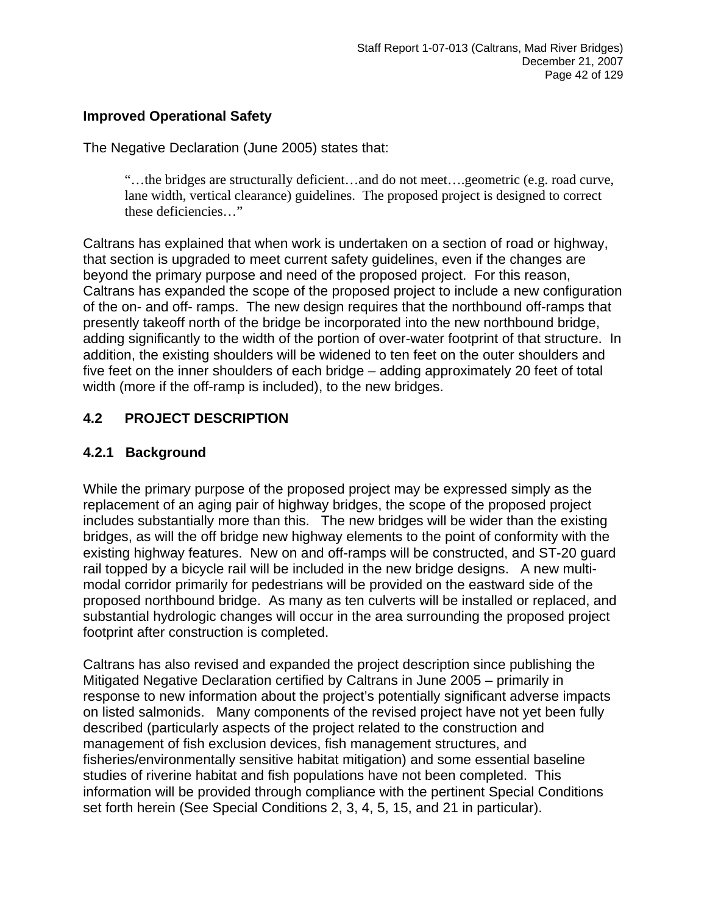### **Improved Operational Safety**

The Negative Declaration (June 2005) states that:

"…the bridges are structurally deficient…and do not meet….geometric (e.g. road curve, lane width, vertical clearance) guidelines. The proposed project is designed to correct these deficiencies…"

Caltrans has explained that when work is undertaken on a section of road or highway, that section is upgraded to meet current safety guidelines, even if the changes are beyond the primary purpose and need of the proposed project. For this reason, Caltrans has expanded the scope of the proposed project to include a new configuration of the on- and off- ramps. The new design requires that the northbound off-ramps that presently takeoff north of the bridge be incorporated into the new northbound bridge, adding significantly to the width of the portion of over-water footprint of that structure. In addition, the existing shoulders will be widened to ten feet on the outer shoulders and five feet on the inner shoulders of each bridge – adding approximately 20 feet of total width (more if the off-ramp is included), to the new bridges.

## **4.2 PROJECT DESCRIPTION**

### **4.2.1 Background**

While the primary purpose of the proposed project may be expressed simply as the replacement of an aging pair of highway bridges, the scope of the proposed project includes substantially more than this. The new bridges will be wider than the existing bridges, as will the off bridge new highway elements to the point of conformity with the existing highway features. New on and off-ramps will be constructed, and ST-20 guard rail topped by a bicycle rail will be included in the new bridge designs. A new multimodal corridor primarily for pedestrians will be provided on the eastward side of the proposed northbound bridge. As many as ten culverts will be installed or replaced, and substantial hydrologic changes will occur in the area surrounding the proposed project footprint after construction is completed.

Caltrans has also revised and expanded the project description since publishing the Mitigated Negative Declaration certified by Caltrans in June 2005 – primarily in response to new information about the project's potentially significant adverse impacts on listed salmonids. Many components of the revised project have not yet been fully described (particularly aspects of the project related to the construction and management of fish exclusion devices, fish management structures, and fisheries/environmentally sensitive habitat mitigation) and some essential baseline studies of riverine habitat and fish populations have not been completed. This information will be provided through compliance with the pertinent Special Conditions set forth herein (See Special Conditions 2, 3, 4, 5, 15, and 21 in particular).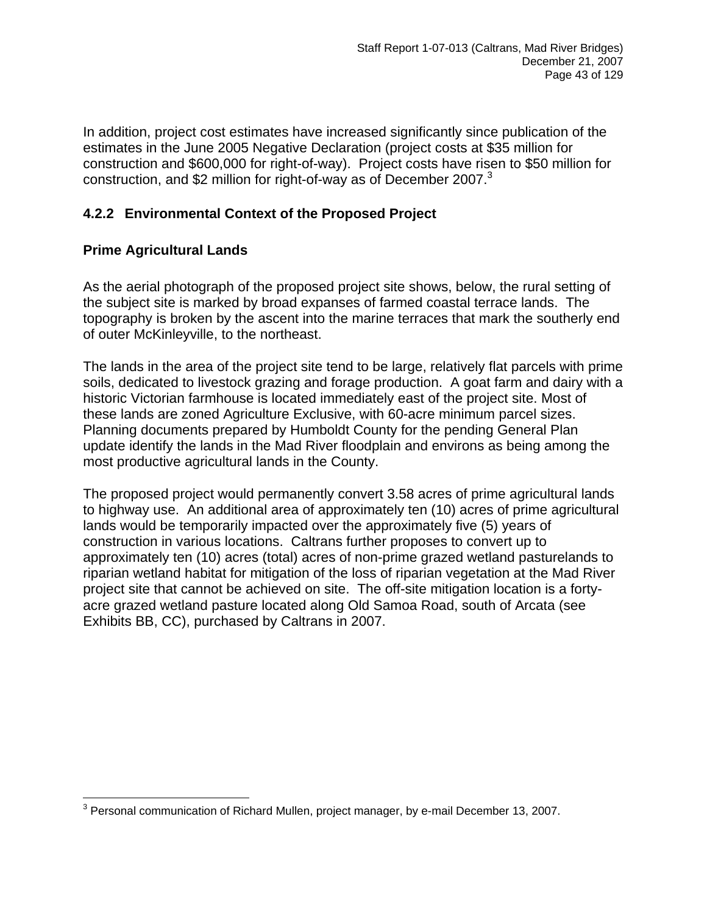In addition, project cost estimates have increased significantly since publication of the estimates in the June 2005 Negative Declaration (project costs at \$35 million for construction and \$600,000 for right-of-way). Project costs have risen to \$50 million for construction, and \$2 million for right-of-way as of December 2007.<sup>3</sup>

## **4.2.2 Environmental Context of the Proposed Project**

### **Prime Agricultural Lands**

As the aerial photograph of the proposed project site shows, below, the rural setting of the subject site is marked by broad expanses of farmed coastal terrace lands. The topography is broken by the ascent into the marine terraces that mark the southerly end of outer McKinleyville, to the northeast.

The lands in the area of the project site tend to be large, relatively flat parcels with prime soils, dedicated to livestock grazing and forage production. A goat farm and dairy with a historic Victorian farmhouse is located immediately east of the project site. Most of these lands are zoned Agriculture Exclusive, with 60-acre minimum parcel sizes. Planning documents prepared by Humboldt County for the pending General Plan update identify the lands in the Mad River floodplain and environs as being among the most productive agricultural lands in the County.

The proposed project would permanently convert 3.58 acres of prime agricultural lands to highway use. An additional area of approximately ten (10) acres of prime agricultural lands would be temporarily impacted over the approximately five (5) years of construction in various locations. Caltrans further proposes to convert up to approximately ten (10) acres (total) acres of non-prime grazed wetland pasturelands to riparian wetland habitat for mitigation of the loss of riparian vegetation at the Mad River project site that cannot be achieved on site. The off-site mitigation location is a fortyacre grazed wetland pasture located along Old Samoa Road, south of Arcata (see Exhibits BB, CC), purchased by Caltrans in 2007.

<span id="page-42-0"></span> 3 Personal communication of Richard Mullen, project manager, by e-mail December 13, 2007.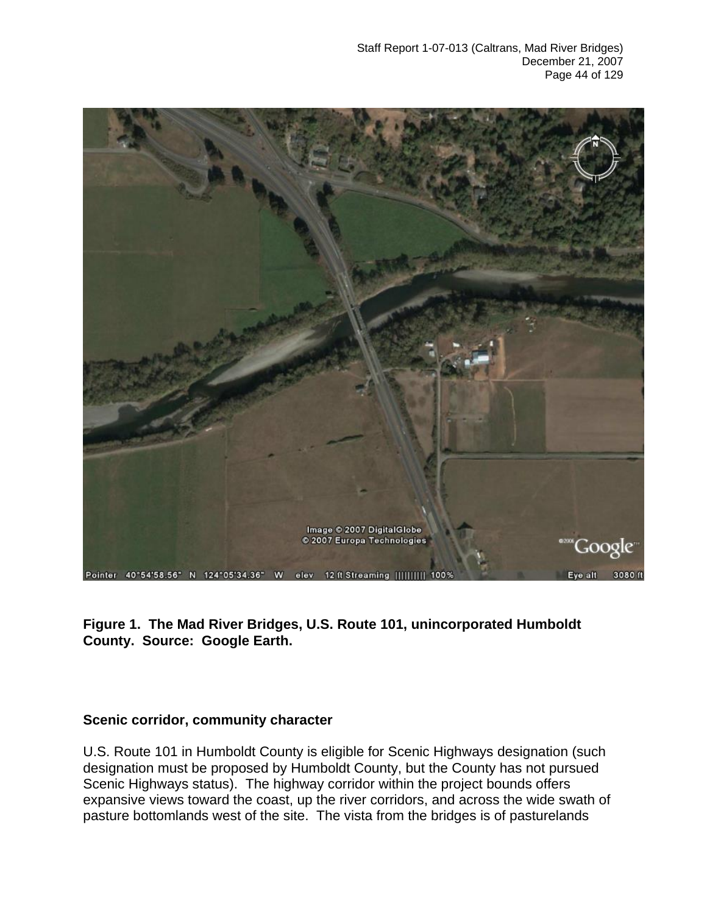

### **Figure 1. The Mad River Bridges, U.S. Route 101, unincorporated Humboldt County. Source: Google Earth.**

#### **Scenic corridor, community character**

U.S. Route 101 in Humboldt County is eligible for Scenic Highways designation (such designation must be proposed by Humboldt County, but the County has not pursued Scenic Highways status). The highway corridor within the project bounds offers expansive views toward the coast, up the river corridors, and across the wide swath of pasture bottomlands west of the site. The vista from the bridges is of pasturelands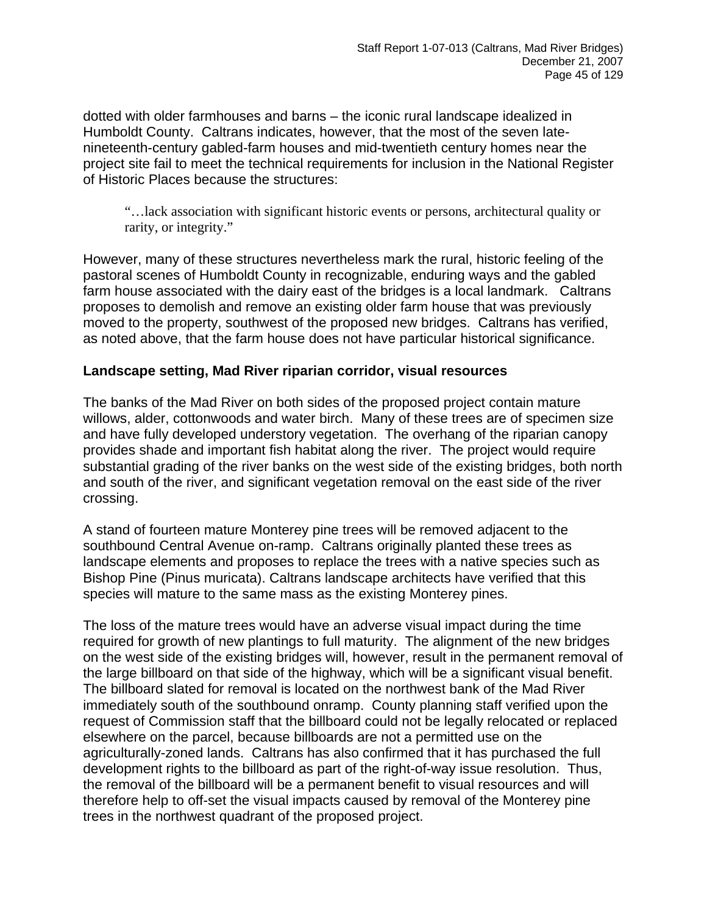dotted with older farmhouses and barns – the iconic rural landscape idealized in Humboldt County. Caltrans indicates, however, that the most of the seven latenineteenth-century gabled-farm houses and mid-twentieth century homes near the project site fail to meet the technical requirements for inclusion in the National Register of Historic Places because the structures:

"…lack association with significant historic events or persons, architectural quality or rarity, or integrity."

However, many of these structures nevertheless mark the rural, historic feeling of the pastoral scenes of Humboldt County in recognizable, enduring ways and the gabled farm house associated with the dairy east of the bridges is a local landmark. Caltrans proposes to demolish and remove an existing older farm house that was previously moved to the property, southwest of the proposed new bridges. Caltrans has verified, as noted above, that the farm house does not have particular historical significance.

#### **Landscape setting, Mad River riparian corridor, visual resources**

The banks of the Mad River on both sides of the proposed project contain mature willows, alder, cottonwoods and water birch. Many of these trees are of specimen size and have fully developed understory vegetation. The overhang of the riparian canopy provides shade and important fish habitat along the river. The project would require substantial grading of the river banks on the west side of the existing bridges, both north and south of the river, and significant vegetation removal on the east side of the river crossing.

A stand of fourteen mature Monterey pine trees will be removed adjacent to the southbound Central Avenue on-ramp. Caltrans originally planted these trees as landscape elements and proposes to replace the trees with a native species such as Bishop Pine (Pinus muricata). Caltrans landscape architects have verified that this species will mature to the same mass as the existing Monterey pines.

The loss of the mature trees would have an adverse visual impact during the time required for growth of new plantings to full maturity. The alignment of the new bridges on the west side of the existing bridges will, however, result in the permanent removal of the large billboard on that side of the highway, which will be a significant visual benefit. The billboard slated for removal is located on the northwest bank of the Mad River immediately south of the southbound onramp. County planning staff verified upon the request of Commission staff that the billboard could not be legally relocated or replaced elsewhere on the parcel, because billboards are not a permitted use on the agriculturally-zoned lands. Caltrans has also confirmed that it has purchased the full development rights to the billboard as part of the right-of-way issue resolution. Thus, the removal of the billboard will be a permanent benefit to visual resources and will therefore help to off-set the visual impacts caused by removal of the Monterey pine trees in the northwest quadrant of the proposed project.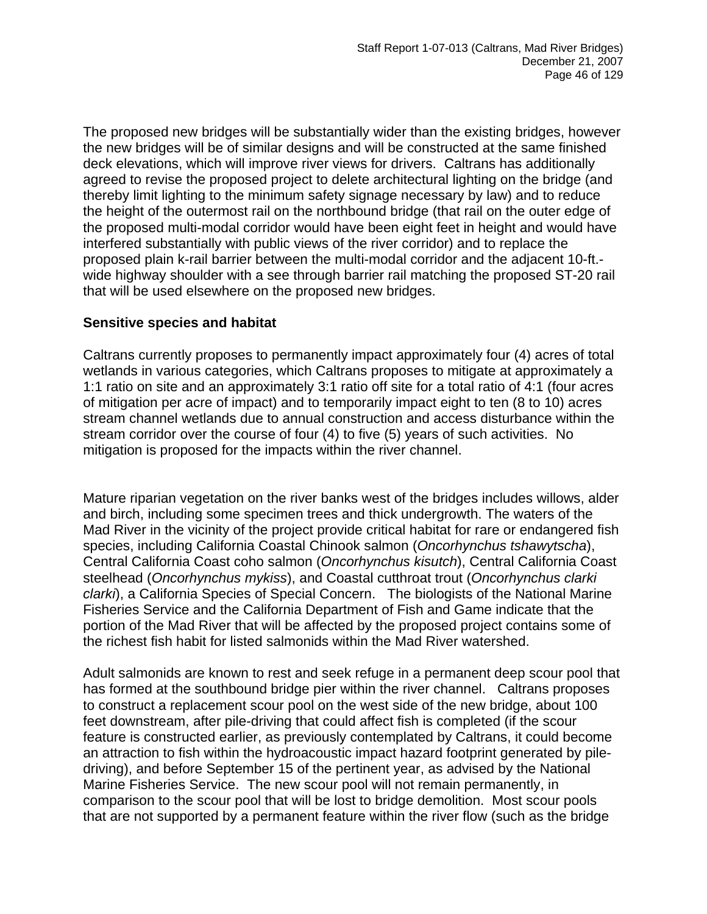The proposed new bridges will be substantially wider than the existing bridges, however the new bridges will be of similar designs and will be constructed at the same finished deck elevations, which will improve river views for drivers. Caltrans has additionally agreed to revise the proposed project to delete architectural lighting on the bridge (and thereby limit lighting to the minimum safety signage necessary by law) and to reduce the height of the outermost rail on the northbound bridge (that rail on the outer edge of the proposed multi-modal corridor would have been eight feet in height and would have interfered substantially with public views of the river corridor) and to replace the proposed plain k-rail barrier between the multi-modal corridor and the adjacent 10-ft. wide highway shoulder with a see through barrier rail matching the proposed ST-20 rail that will be used elsewhere on the proposed new bridges.

#### **Sensitive species and habitat**

Caltrans currently proposes to permanently impact approximately four (4) acres of total wetlands in various categories, which Caltrans proposes to mitigate at approximately a 1:1 ratio on site and an approximately 3:1 ratio off site for a total ratio of 4:1 (four acres of mitigation per acre of impact) and to temporarily impact eight to ten (8 to 10) acres stream channel wetlands due to annual construction and access disturbance within the stream corridor over the course of four (4) to five (5) years of such activities. No mitigation is proposed for the impacts within the river channel.

Mature riparian vegetation on the river banks west of the bridges includes willows, alder and birch, including some specimen trees and thick undergrowth. The waters of the Mad River in the vicinity of the project provide critical habitat for rare or endangered fish species, including California Coastal Chinook salmon (*Oncorhynchus tshawytscha*), Central California Coast coho salmon (*Oncorhynchus kisutch*), Central California Coast steelhead (*Oncorhynchus mykiss*), and Coastal cutthroat trout (*Oncorhynchus clarki clarki*), a California Species of Special Concern. The biologists of the National Marine Fisheries Service and the California Department of Fish and Game indicate that the portion of the Mad River that will be affected by the proposed project contains some of the richest fish habit for listed salmonids within the Mad River watershed.

Adult salmonids are known to rest and seek refuge in a permanent deep scour pool that has formed at the southbound bridge pier within the river channel. Caltrans proposes to construct a replacement scour pool on the west side of the new bridge, about 100 feet downstream, after pile-driving that could affect fish is completed (if the scour feature is constructed earlier, as previously contemplated by Caltrans, it could become an attraction to fish within the hydroacoustic impact hazard footprint generated by piledriving), and before September 15 of the pertinent year, as advised by the National Marine Fisheries Service. The new scour pool will not remain permanently, in comparison to the scour pool that will be lost to bridge demolition. Most scour pools that are not supported by a permanent feature within the river flow (such as the bridge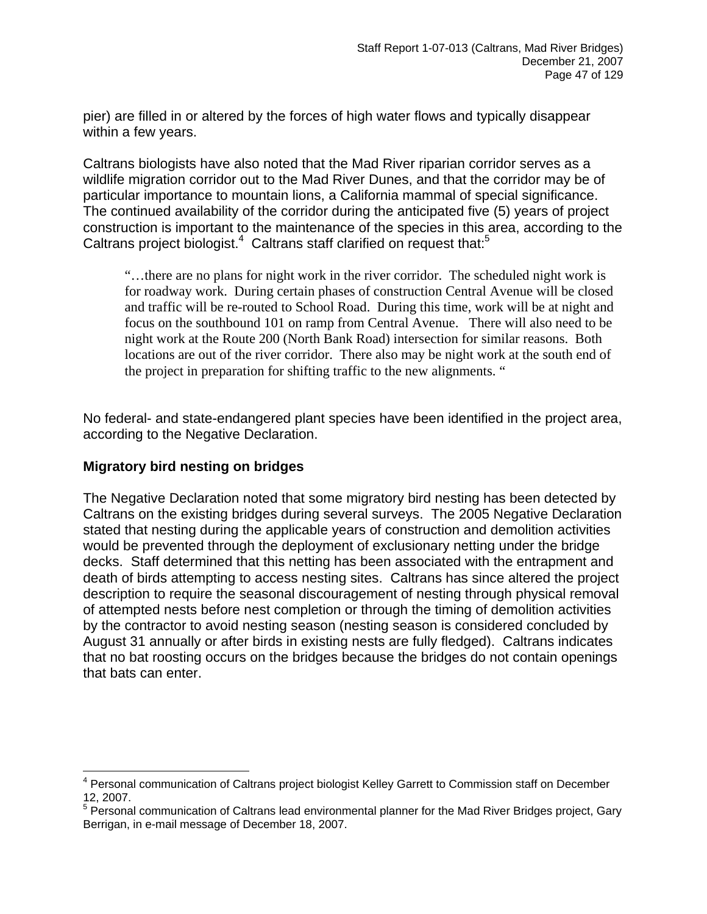pier) are filled in or altered by the forces of high water flows and typically disappear within a few years.

Caltrans biologists have also noted that the Mad River riparian corridor serves as a wildlife migration corridor out to the Mad River Dunes, and that the corridor may be of particular importance to mountain lions, a California mammal of special significance. The continued availability of the corridor during the anticipated five (5) years of project construction is important to the maintenance of the species in this area, according to the Caltrans project biologist. $4$  Caltrans staff clarified on request that: $5$ 

"…there are no plans for night work in the river corridor. The scheduled night work is for roadway work. During certain phases of construction Central Avenue will be closed and traffic will be re-routed to School Road. During this time, work will be at night and focus on the southbound 101 on ramp from Central Avenue. There will also need to be night work at the Route 200 (North Bank Road) intersection for similar reasons. Both locations are out of the river corridor. There also may be night work at the south end of the project in preparation for shifting traffic to the new alignments. "

No federal- and state-endangered plant species have been identified in the project area, according to the Negative Declaration.

### **Migratory bird nesting on bridges**

<u>.</u>

The Negative Declaration noted that some migratory bird nesting has been detected by Caltrans on the existing bridges during several surveys. The 2005 Negative Declaration stated that nesting during the applicable years of construction and demolition activities would be prevented through the deployment of exclusionary netting under the bridge decks. Staff determined that this netting has been associated with the entrapment and death of birds attempting to access nesting sites. Caltrans has since altered the project description to require the seasonal discouragement of nesting through physical removal of attempted nests before nest completion or through the timing of demolition activities by the contractor to avoid nesting season (nesting season is considered concluded by August 31 annually or after birds in existing nests are fully fledged). Caltrans indicates that no bat roosting occurs on the bridges because the bridges do not contain openings that bats can enter.

<span id="page-46-0"></span><sup>&</sup>lt;sup>4</sup> Personal communication of Caltrans project biologist Kelley Garrett to Commission staff on December 12, 2007.

<span id="page-46-1"></span><sup>&</sup>lt;sup>5</sup> Personal communication of Caltrans lead environmental planner for the Mad River Bridges project, Gary Berrigan, in e-mail message of December 18, 2007.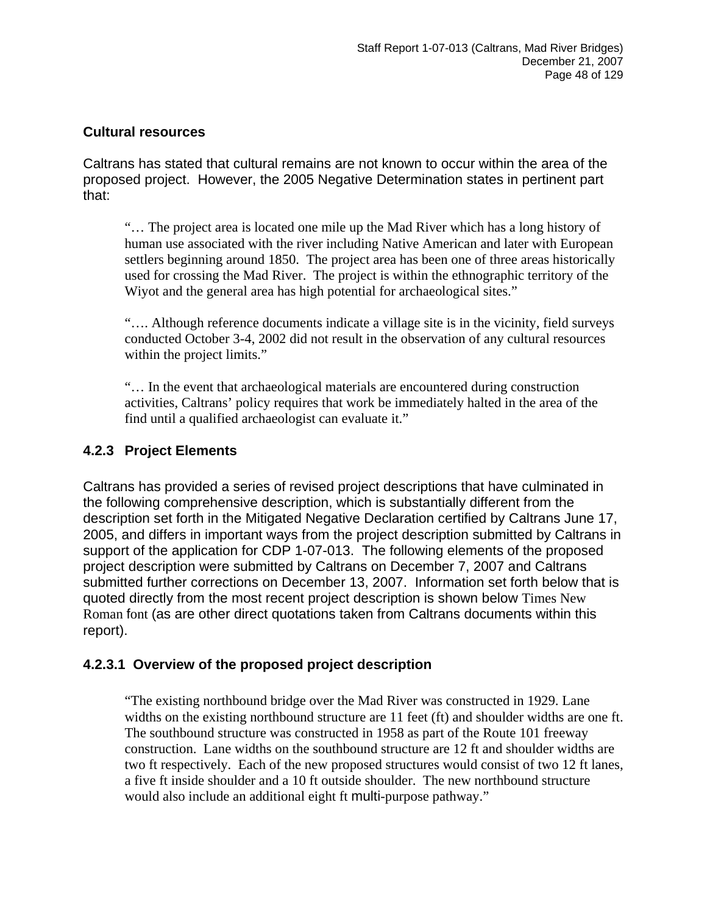#### **Cultural resources**

Caltrans has stated that cultural remains are not known to occur within the area of the proposed project. However, the 2005 Negative Determination states in pertinent part that:

"… The project area is located one mile up the Mad River which has a long history of human use associated with the river including Native American and later with European settlers beginning around 1850. The project area has been one of three areas historically used for crossing the Mad River. The project is within the ethnographic territory of the Wiyot and the general area has high potential for archaeological sites."

"…. Although reference documents indicate a village site is in the vicinity, field surveys conducted October 3-4, 2002 did not result in the observation of any cultural resources within the project limits."

"… In the event that archaeological materials are encountered during construction activities, Caltrans' policy requires that work be immediately halted in the area of the find until a qualified archaeologist can evaluate it."

### **4.2.3 Project Elements**

Caltrans has provided a series of revised project descriptions that have culminated in the following comprehensive description, which is substantially different from the description set forth in the Mitigated Negative Declaration certified by Caltrans June 17, 2005, and differs in important ways from the project description submitted by Caltrans in support of the application for CDP 1-07-013. The following elements of the proposed project description were submitted by Caltrans on December 7, 2007 and Caltrans submitted further corrections on December 13, 2007. Information set forth below that is quoted directly from the most recent project description is shown below Times New Roman font (as are other direct quotations taken from Caltrans documents within this report).

### **4.2.3.1 Overview of the proposed project description**

"The existing northbound bridge over the Mad River was constructed in 1929. Lane widths on the existing northbound structure are 11 feet (ft) and shoulder widths are one ft. The southbound structure was constructed in 1958 as part of the Route 101 freeway construction. Lane widths on the southbound structure are 12 ft and shoulder widths are two ft respectively. Each of the new proposed structures would consist of two 12 ft lanes, a five ft inside shoulder and a 10 ft outside shoulder. The new northbound structure would also include an additional eight ft multi-purpose pathway."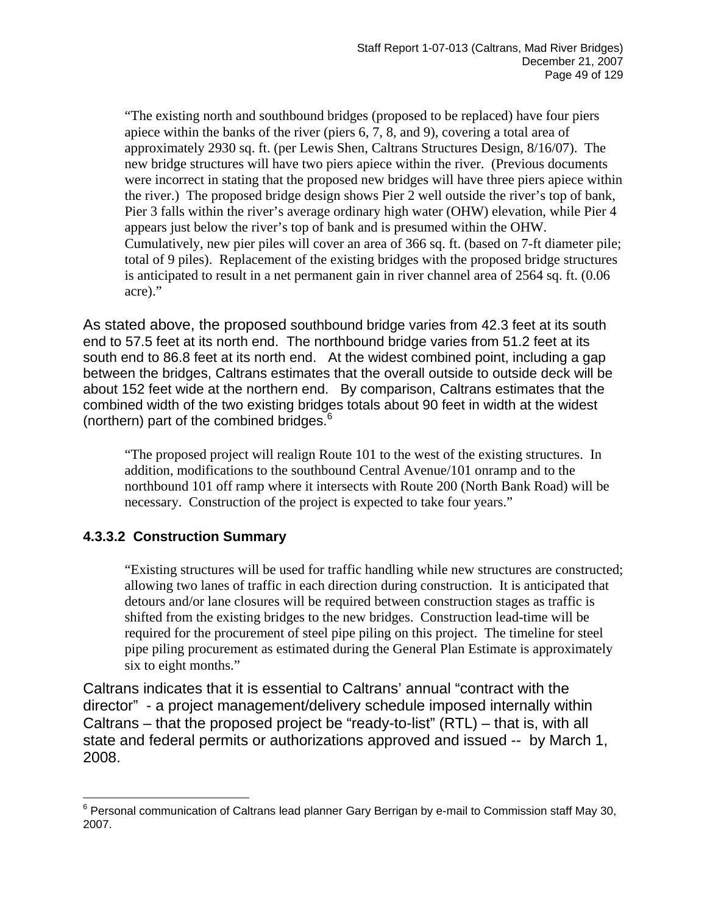"The existing north and southbound bridges (proposed to be replaced) have four piers apiece within the banks of the river (piers 6, 7, 8, and 9), covering a total area of approximately 2930 sq. ft. (per Lewis Shen, Caltrans Structures Design, 8/16/07). The new bridge structures will have two piers apiece within the river. (Previous documents were incorrect in stating that the proposed new bridges will have three piers apiece within the river.) The proposed bridge design shows Pier 2 well outside the river's top of bank, Pier 3 falls within the river's average ordinary high water (OHW) elevation, while Pier 4 appears just below the river's top of bank and is presumed within the OHW. Cumulatively, new pier piles will cover an area of 366 sq. ft. (based on 7-ft diameter pile; total of 9 piles). Replacement of the existing bridges with the proposed bridge structures is anticipated to result in a net permanent gain in river channel area of 2564 sq. ft. (0.06 acre)."

As stated above, the proposed southbound bridge varies from 42.3 feet at its south end to 57.5 feet at its north end. The northbound bridge varies from 51.2 feet at its south end to 86.8 feet at its north end. At the widest combined point, including a gap between the bridges, Caltrans estimates that the overall outside to outside deck will be about 152 feet wide at the northern end. By comparison, Caltrans estimates that the combined width of the two existing bridges totals about 90 feet in width at the widest (northern) part of the combined bridges.<sup>[6](#page-48-0)</sup>

"The proposed project will realign Route 101 to the west of the existing structures. In addition, modifications to the southbound Central Avenue/101 onramp and to the northbound 101 off ramp where it intersects with Route 200 (North Bank Road) will be necessary. Construction of the project is expected to take four years."

## **4.3.3.2 Construction Summary**

"Existing structures will be used for traffic handling while new structures are constructed; allowing two lanes of traffic in each direction during construction. It is anticipated that detours and/or lane closures will be required between construction stages as traffic is shifted from the existing bridges to the new bridges. Construction lead-time will be required for the procurement of steel pipe piling on this project. The timeline for steel pipe piling procurement as estimated during the General Plan Estimate is approximately six to eight months."

Caltrans indicates that it is essential to Caltrans' annual "contract with the director" - a project management/delivery schedule imposed internally within Caltrans – that the proposed project be "ready-to-list" (RTL) – that is, with all state and federal permits or authorizations approved and issued -- by March 1, 2008.

<span id="page-48-0"></span> 6 Personal communication of Caltrans lead planner Gary Berrigan by e-mail to Commission staff May 30, 2007.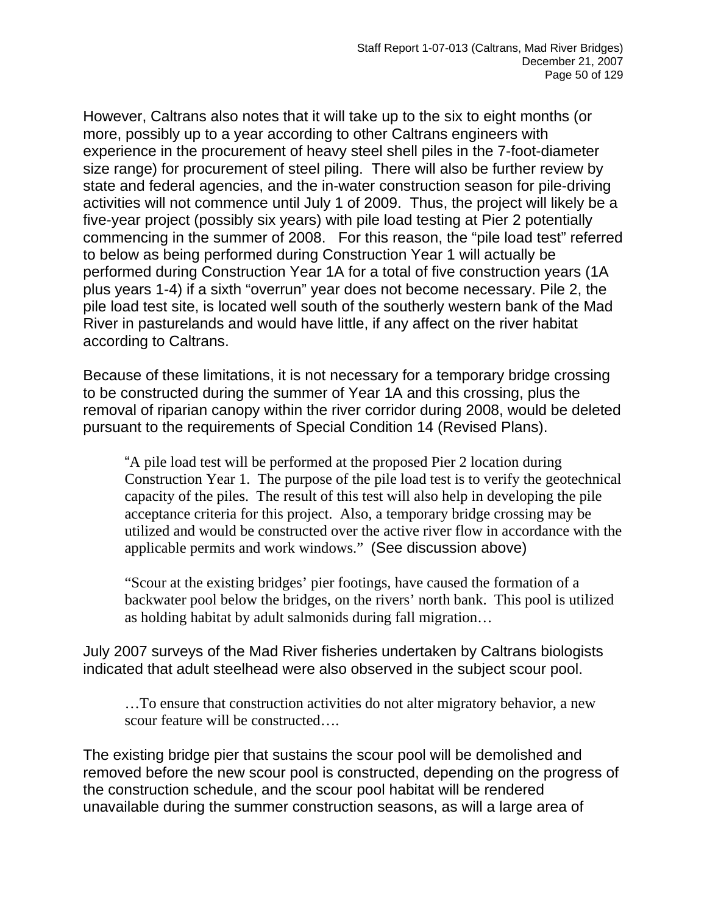However, Caltrans also notes that it will take up to the six to eight months (or more, possibly up to a year according to other Caltrans engineers with experience in the procurement of heavy steel shell piles in the 7-foot-diameter size range) for procurement of steel piling. There will also be further review by state and federal agencies, and the in-water construction season for pile-driving activities will not commence until July 1 of 2009. Thus, the project will likely be a five-year project (possibly six years) with pile load testing at Pier 2 potentially commencing in the summer of 2008. For this reason, the "pile load test" referred to below as being performed during Construction Year 1 will actually be performed during Construction Year 1A for a total of five construction years (1A plus years 1-4) if a sixth "overrun" year does not become necessary. Pile 2, the pile load test site, is located well south of the southerly western bank of the Mad River in pasturelands and would have little, if any affect on the river habitat according to Caltrans.

Because of these limitations, it is not necessary for a temporary bridge crossing to be constructed during the summer of Year 1A and this crossing, plus the removal of riparian canopy within the river corridor during 2008, would be deleted pursuant to the requirements of Special Condition 14 (Revised Plans).

"A pile load test will be performed at the proposed Pier 2 location during Construction Year 1. The purpose of the pile load test is to verify the geotechnical capacity of the piles. The result of this test will also help in developing the pile acceptance criteria for this project. Also, a temporary bridge crossing may be utilized and would be constructed over the active river flow in accordance with the applicable permits and work windows." (See discussion above)

"Scour at the existing bridges' pier footings, have caused the formation of a backwater pool below the bridges, on the rivers' north bank. This pool is utilized as holding habitat by adult salmonids during fall migration…

July 2007 surveys of the Mad River fisheries undertaken by Caltrans biologists indicated that adult steelhead were also observed in the subject scour pool.

…To ensure that construction activities do not alter migratory behavior, a new scour feature will be constructed….

The existing bridge pier that sustains the scour pool will be demolished and removed before the new scour pool is constructed, depending on the progress of the construction schedule, and the scour pool habitat will be rendered unavailable during the summer construction seasons, as will a large area of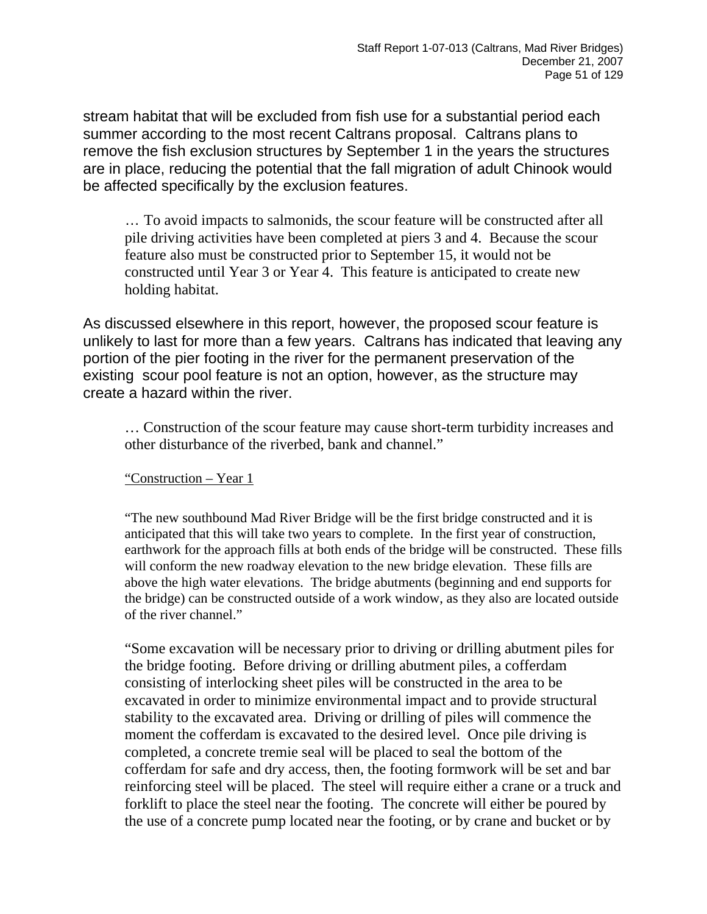stream habitat that will be excluded from fish use for a substantial period each summer according to the most recent Caltrans proposal. Caltrans plans to remove the fish exclusion structures by September 1 in the years the structures are in place, reducing the potential that the fall migration of adult Chinook would be affected specifically by the exclusion features.

… To avoid impacts to salmonids, the scour feature will be constructed after all pile driving activities have been completed at piers 3 and 4. Because the scour feature also must be constructed prior to September 15, it would not be constructed until Year 3 or Year 4. This feature is anticipated to create new holding habitat.

As discussed elsewhere in this report, however, the proposed scour feature is unlikely to last for more than a few years. Caltrans has indicated that leaving any portion of the pier footing in the river for the permanent preservation of the existing scour pool feature is not an option, however, as the structure may create a hazard within the river.

… Construction of the scour feature may cause short-term turbidity increases and other disturbance of the riverbed, bank and channel."

"Construction – Year 1

"The new southbound Mad River Bridge will be the first bridge constructed and it is anticipated that this will take two years to complete. In the first year of construction, earthwork for the approach fills at both ends of the bridge will be constructed. These fills will conform the new roadway elevation to the new bridge elevation. These fills are above the high water elevations. The bridge abutments (beginning and end supports for the bridge) can be constructed outside of a work window, as they also are located outside of the river channel."

"Some excavation will be necessary prior to driving or drilling abutment piles for the bridge footing. Before driving or drilling abutment piles, a cofferdam consisting of interlocking sheet piles will be constructed in the area to be excavated in order to minimize environmental impact and to provide structural stability to the excavated area. Driving or drilling of piles will commence the moment the cofferdam is excavated to the desired level. Once pile driving is completed, a concrete tremie seal will be placed to seal the bottom of the cofferdam for safe and dry access, then, the footing formwork will be set and bar reinforcing steel will be placed. The steel will require either a crane or a truck and forklift to place the steel near the footing. The concrete will either be poured by the use of a concrete pump located near the footing, or by crane and bucket or by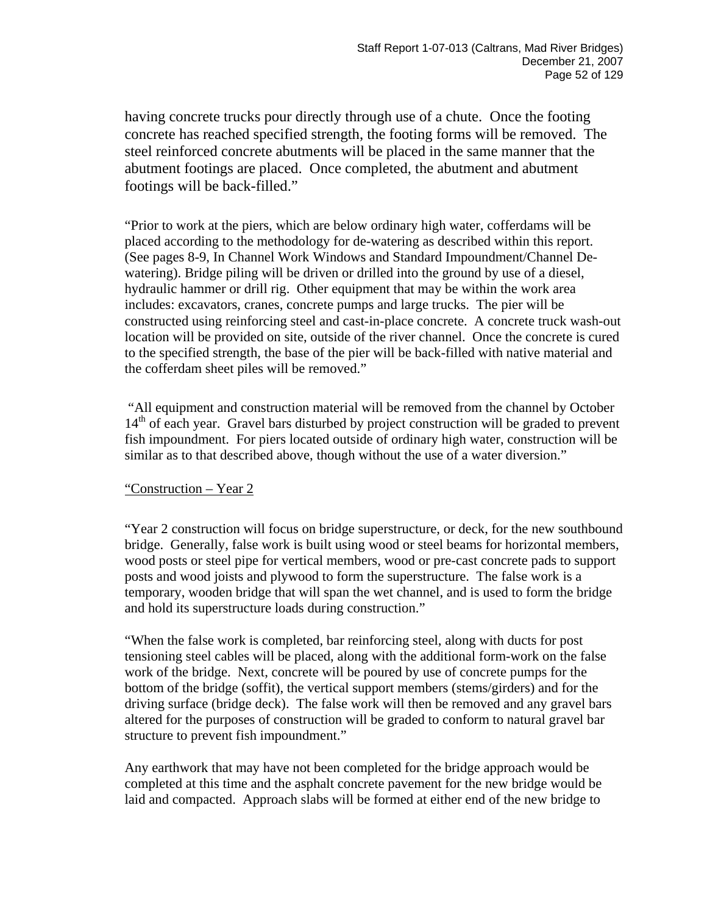having concrete trucks pour directly through use of a chute. Once the footing concrete has reached specified strength, the footing forms will be removed. The steel reinforced concrete abutments will be placed in the same manner that the abutment footings are placed. Once completed, the abutment and abutment footings will be back-filled."

"Prior to work at the piers, which are below ordinary high water, cofferdams will be placed according to the methodology for de-watering as described within this report. (See pages 8-9, In Channel Work Windows and Standard Impoundment/Channel Dewatering). Bridge piling will be driven or drilled into the ground by use of a diesel, hydraulic hammer or drill rig. Other equipment that may be within the work area includes: excavators, cranes, concrete pumps and large trucks. The pier will be constructed using reinforcing steel and cast-in-place concrete. A concrete truck wash-out location will be provided on site, outside of the river channel. Once the concrete is cured to the specified strength, the base of the pier will be back-filled with native material and the cofferdam sheet piles will be removed."

 "All equipment and construction material will be removed from the channel by October 14<sup>th</sup> of each year. Gravel bars disturbed by project construction will be graded to prevent fish impoundment. For piers located outside of ordinary high water, construction will be similar as to that described above, though without the use of a water diversion."

#### "Construction – Year 2

"Year 2 construction will focus on bridge superstructure, or deck, for the new southbound bridge. Generally, false work is built using wood or steel beams for horizontal members, wood posts or steel pipe for vertical members, wood or pre-cast concrete pads to support posts and wood joists and plywood to form the superstructure. The false work is a temporary, wooden bridge that will span the wet channel, and is used to form the bridge and hold its superstructure loads during construction."

"When the false work is completed, bar reinforcing steel, along with ducts for post tensioning steel cables will be placed, along with the additional form-work on the false work of the bridge. Next, concrete will be poured by use of concrete pumps for the bottom of the bridge (soffit), the vertical support members (stems/girders) and for the driving surface (bridge deck). The false work will then be removed and any gravel bars altered for the purposes of construction will be graded to conform to natural gravel bar structure to prevent fish impoundment."

Any earthwork that may have not been completed for the bridge approach would be completed at this time and the asphalt concrete pavement for the new bridge would be laid and compacted. Approach slabs will be formed at either end of the new bridge to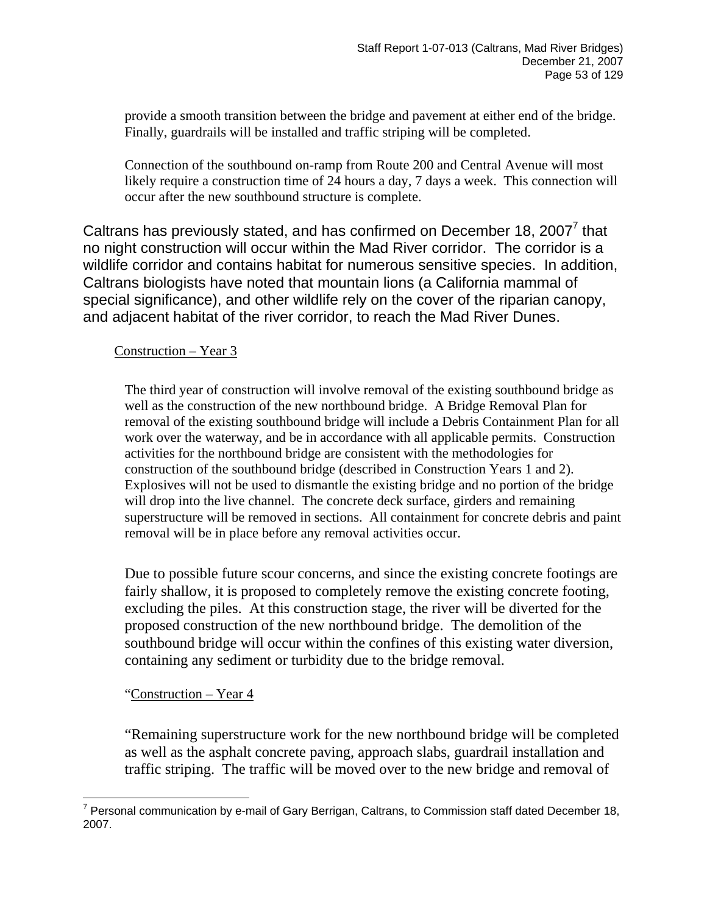provide a smooth transition between the bridge and pavement at either end of the bridge. Finally, guardrails will be installed and traffic striping will be completed.

Connection of the southbound on-ramp from Route 200 and Central Avenue will most likely require a construction time of 24 hours a day, 7 days a week. This connection will occur after the new southbound structure is complete.

Caltrans has previously stated, and has confirmed on December 18, 200[7](#page-52-0) $^7$  that no night construction will occur within the Mad River corridor. The corridor is a wildlife corridor and contains habitat for numerous sensitive species. In addition, Caltrans biologists have noted that mountain lions (a California mammal of special significance), and other wildlife rely on the cover of the riparian canopy, and adjacent habitat of the river corridor, to reach the Mad River Dunes.

#### Construction – Year 3

The third year of construction will involve removal of the existing southbound bridge as well as the construction of the new northbound bridge. A Bridge Removal Plan for removal of the existing southbound bridge will include a Debris Containment Plan for all work over the waterway, and be in accordance with all applicable permits. Construction activities for the northbound bridge are consistent with the methodologies for construction of the southbound bridge (described in Construction Years 1 and 2). Explosives will not be used to dismantle the existing bridge and no portion of the bridge will drop into the live channel. The concrete deck surface, girders and remaining superstructure will be removed in sections. All containment for concrete debris and paint removal will be in place before any removal activities occur.

Due to possible future scour concerns, and since the existing concrete footings are fairly shallow, it is proposed to completely remove the existing concrete footing, excluding the piles. At this construction stage, the river will be diverted for the proposed construction of the new northbound bridge. The demolition of the southbound bridge will occur within the confines of this existing water diversion, containing any sediment or turbidity due to the bridge removal.

#### "Construction – Year 4

"Remaining superstructure work for the new northbound bridge will be completed as well as the asphalt concrete paving, approach slabs, guardrail installation and traffic striping. The traffic will be moved over to the new bridge and removal of

<span id="page-52-0"></span><sup>————————————————————&</sup>lt;br><sup>7</sup> Personal communication by e-mail of Gary Berrigan, Caltrans, to Commission staff dated December 18, 2007.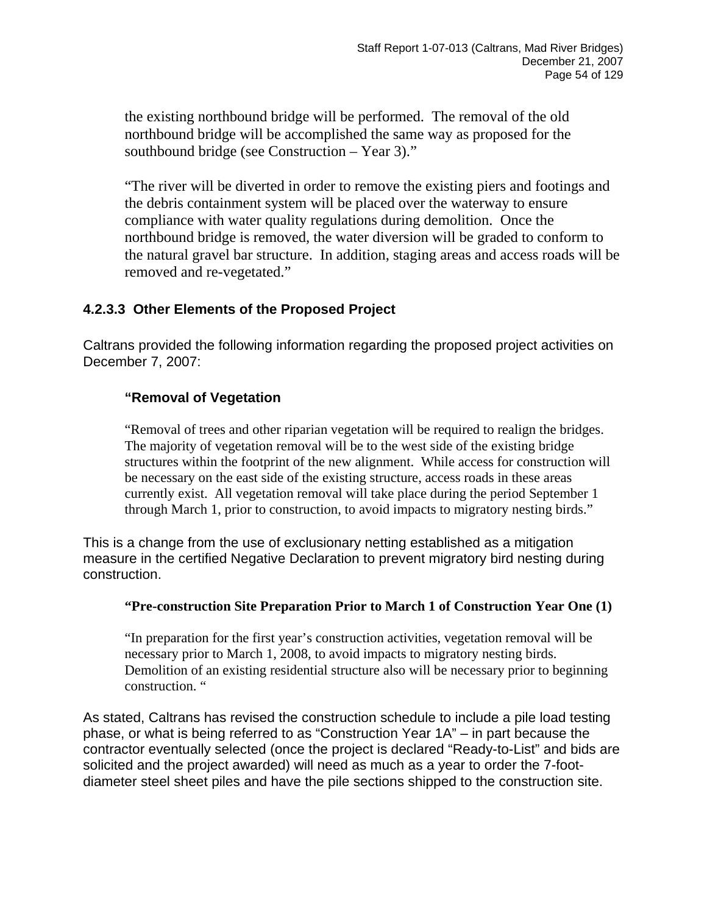the existing northbound bridge will be performed. The removal of the old northbound bridge will be accomplished the same way as proposed for the southbound bridge (see Construction – Year 3)."

"The river will be diverted in order to remove the existing piers and footings and the debris containment system will be placed over the waterway to ensure compliance with water quality regulations during demolition. Once the northbound bridge is removed, the water diversion will be graded to conform to the natural gravel bar structure. In addition, staging areas and access roads will be removed and re-vegetated."

### **4.2.3.3 Other Elements of the Proposed Project**

Caltrans provided the following information regarding the proposed project activities on December 7, 2007:

#### **"Removal of Vegetation**

"Removal of trees and other riparian vegetation will be required to realign the bridges. The majority of vegetation removal will be to the west side of the existing bridge structures within the footprint of the new alignment. While access for construction will be necessary on the east side of the existing structure, access roads in these areas currently exist. All vegetation removal will take place during the period September 1 through March 1, prior to construction, to avoid impacts to migratory nesting birds."

This is a change from the use of exclusionary netting established as a mitigation measure in the certified Negative Declaration to prevent migratory bird nesting during construction.

#### **"Pre-construction Site Preparation Prior to March 1 of Construction Year One (1)**

"In preparation for the first year's construction activities, vegetation removal will be necessary prior to March 1, 2008, to avoid impacts to migratory nesting birds. Demolition of an existing residential structure also will be necessary prior to beginning construction. "

As stated, Caltrans has revised the construction schedule to include a pile load testing phase, or what is being referred to as "Construction Year 1A" – in part because the contractor eventually selected (once the project is declared "Ready-to-List" and bids are solicited and the project awarded) will need as much as a year to order the 7-footdiameter steel sheet piles and have the pile sections shipped to the construction site.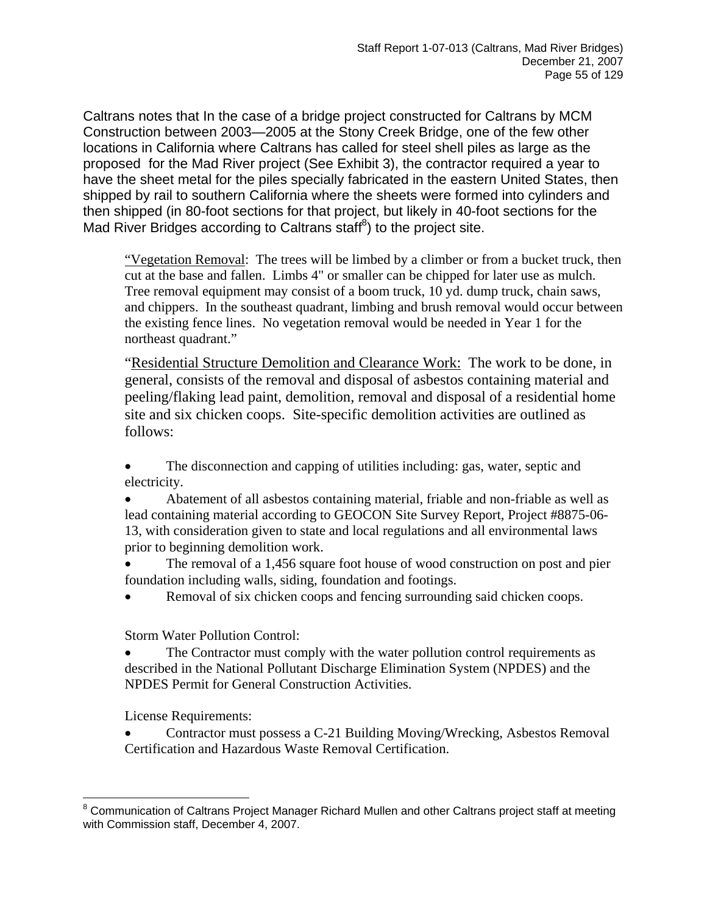Caltrans notes that In the case of a bridge project constructed for Caltrans by MCM Construction between 2003—2005 at the Stony Creek Bridge, one of the few other locations in California where Caltrans has called for steel shell piles as large as the proposed for the Mad River project (See Exhibit 3), the contractor required a year to have the sheet metal for the piles specially fabricated in the eastern United States, then shipped by rail to southern California where the sheets were formed into cylinders and then shipped (in 80-foot sections for that project, but likely in 40-foot sections for the Mad River Bridges according to Caltrans staff ${}^{8}$  ${}^{8}$  ${}^{8}$ ) to the project site.

"Vegetation Removal: The trees will be limbed by a climber or from a bucket truck, then cut at the base and fallen. Limbs 4" or smaller can be chipped for later use as mulch. Tree removal equipment may consist of a boom truck, 10 yd. dump truck, chain saws, and chippers. In the southeast quadrant, limbing and brush removal would occur between the existing fence lines. No vegetation removal would be needed in Year 1 for the northeast quadrant."

"Residential Structure Demolition and Clearance Work: The work to be done, in general, consists of the removal and disposal of asbestos containing material and peeling/flaking lead paint, demolition, removal and disposal of a residential home site and six chicken coops. Site-specific demolition activities are outlined as follows:

• The disconnection and capping of utilities including: gas, water, septic and electricity.

• Abatement of all asbestos containing material, friable and non-friable as well as lead containing material according to GEOCON Site Survey Report, Project #8875-06- 13, with consideration given to state and local regulations and all environmental laws prior to beginning demolition work.

• The removal of a 1,456 square foot house of wood construction on post and pier foundation including walls, siding, foundation and footings.

Removal of six chicken coops and fencing surrounding said chicken coops.

Storm Water Pollution Control:

The Contractor must comply with the water pollution control requirements as described in the National Pollutant Discharge Elimination System (NPDES) and the NPDES Permit for General Construction Activities.

License Requirements:

• Contractor must possess a C-21 Building Moving/Wrecking, Asbestos Removal Certification and Hazardous Waste Removal Certification.

<span id="page-54-0"></span>\_\_\_\_\_\_\_\_\_\_\_\_\_\_\_\_\_\_\_\_\_\_\_\_\_\_\_\_\_\_\_\_\_\_\_\_\_<br><sup>8</sup> Communication of Caltrans Project Manager Richard Mullen and other Caltrans project staff at meeting with Commission staff, December 4, 2007.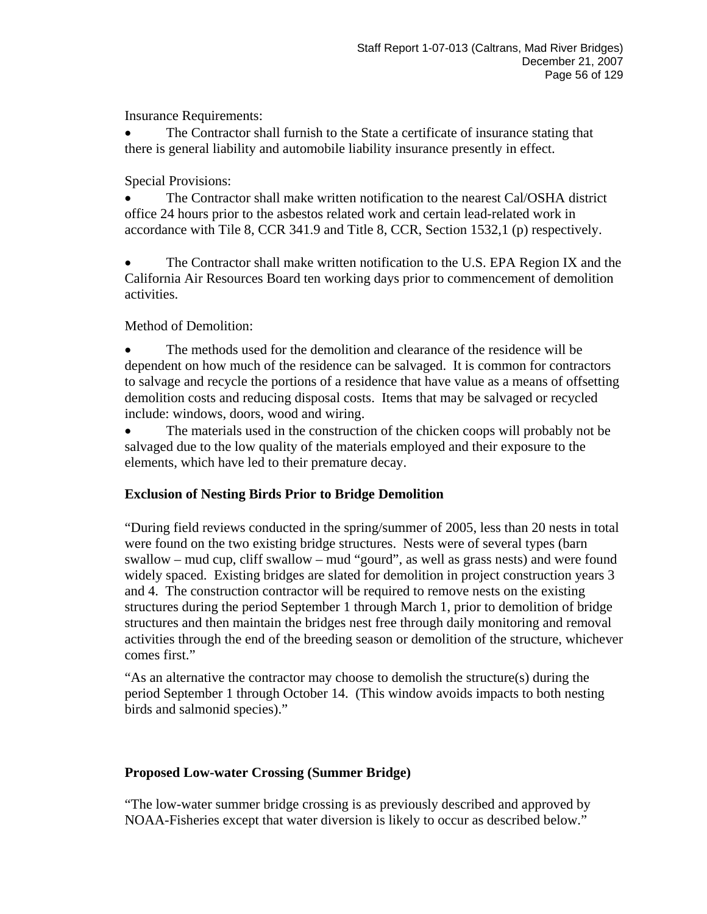Insurance Requirements:

• The Contractor shall furnish to the State a certificate of insurance stating that there is general liability and automobile liability insurance presently in effect.

Special Provisions:

• The Contractor shall make written notification to the nearest Cal/OSHA district office 24 hours prior to the asbestos related work and certain lead-related work in accordance with Tile 8, CCR 341.9 and Title 8, CCR, Section 1532,1 (p) respectively.

• The Contractor shall make written notification to the U.S. EPA Region IX and the California Air Resources Board ten working days prior to commencement of demolition activities.

Method of Demolition:

• The methods used for the demolition and clearance of the residence will be dependent on how much of the residence can be salvaged. It is common for contractors to salvage and recycle the portions of a residence that have value as a means of offsetting demolition costs and reducing disposal costs. Items that may be salvaged or recycled include: windows, doors, wood and wiring.

The materials used in the construction of the chicken coops will probably not be salvaged due to the low quality of the materials employed and their exposure to the elements, which have led to their premature decay.

#### **Exclusion of Nesting Birds Prior to Bridge Demolition**

"During field reviews conducted in the spring/summer of 2005, less than 20 nests in total were found on the two existing bridge structures. Nests were of several types (barn swallow – mud cup, cliff swallow – mud "gourd", as well as grass nests) and were found widely spaced. Existing bridges are slated for demolition in project construction years 3 and 4. The construction contractor will be required to remove nests on the existing structures during the period September 1 through March 1, prior to demolition of bridge structures and then maintain the bridges nest free through daily monitoring and removal activities through the end of the breeding season or demolition of the structure, whichever comes first."

"As an alternative the contractor may choose to demolish the structure(s) during the period September 1 through October 14. (This window avoids impacts to both nesting birds and salmonid species)."

### **Proposed Low-water Crossing (Summer Bridge)**

"The low-water summer bridge crossing is as previously described and approved by NOAA-Fisheries except that water diversion is likely to occur as described below."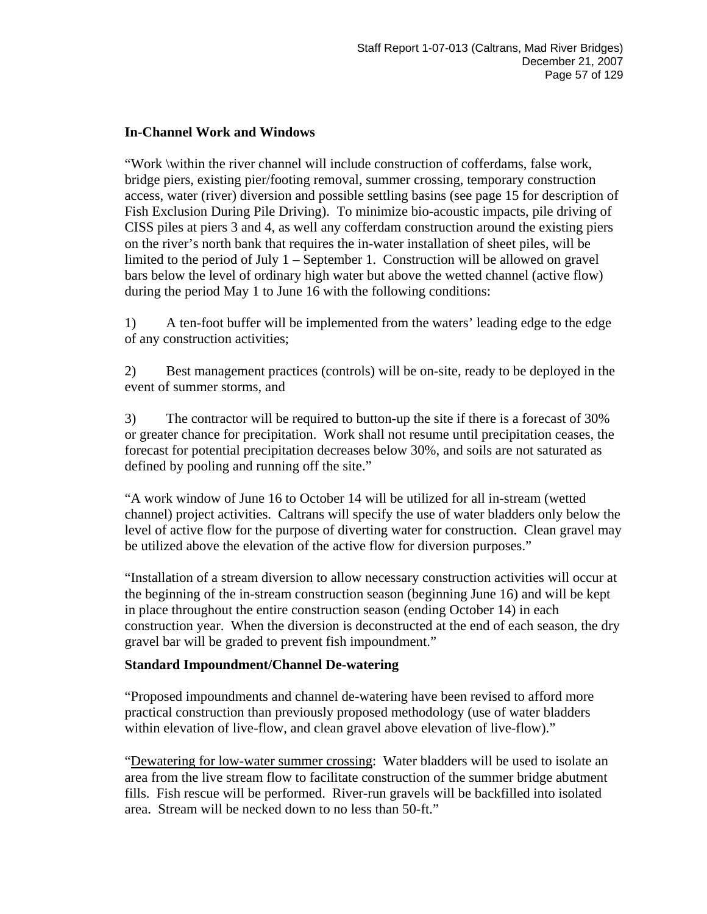#### **In-Channel Work and Windows**

"Work \within the river channel will include construction of cofferdams, false work, bridge piers, existing pier/footing removal, summer crossing, temporary construction access, water (river) diversion and possible settling basins (see page 15 for description of Fish Exclusion During Pile Driving). To minimize bio-acoustic impacts, pile driving of CISS piles at piers 3 and 4, as well any cofferdam construction around the existing piers on the river's north bank that requires the in-water installation of sheet piles, will be limited to the period of July 1 – September 1. Construction will be allowed on gravel bars below the level of ordinary high water but above the wetted channel (active flow) during the period May 1 to June 16 with the following conditions:

1) A ten-foot buffer will be implemented from the waters' leading edge to the edge of any construction activities;

2) Best management practices (controls) will be on-site, ready to be deployed in the event of summer storms, and

3) The contractor will be required to button-up the site if there is a forecast of 30% or greater chance for precipitation. Work shall not resume until precipitation ceases, the forecast for potential precipitation decreases below 30%, and soils are not saturated as defined by pooling and running off the site."

"A work window of June 16 to October 14 will be utilized for all in-stream (wetted channel) project activities. Caltrans will specify the use of water bladders only below the level of active flow for the purpose of diverting water for construction. Clean gravel may be utilized above the elevation of the active flow for diversion purposes."

"Installation of a stream diversion to allow necessary construction activities will occur at the beginning of the in-stream construction season (beginning June 16) and will be kept in place throughout the entire construction season (ending October 14) in each construction year. When the diversion is deconstructed at the end of each season, the dry gravel bar will be graded to prevent fish impoundment."

#### **Standard Impoundment/Channel De-watering**

"Proposed impoundments and channel de-watering have been revised to afford more practical construction than previously proposed methodology (use of water bladders within elevation of live-flow, and clean gravel above elevation of live-flow)."

"Dewatering for low-water summer crossing: Water bladders will be used to isolate an area from the live stream flow to facilitate construction of the summer bridge abutment fills. Fish rescue will be performed. River-run gravels will be backfilled into isolated area. Stream will be necked down to no less than 50-ft."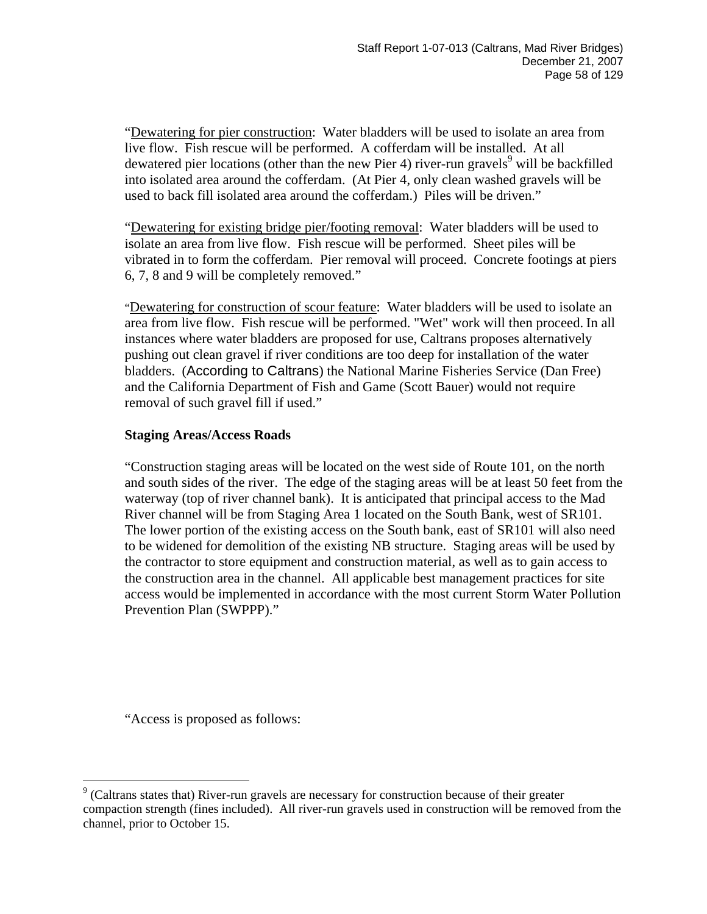"Dewatering for pier construction: Water bladders will be used to isolate an area from live flow. Fish rescue will be performed. A cofferdam will be installed. At all dewatered pier locations (other than the new Pier 4) river-run gravels<sup>[9](#page-57-0)</sup> will be backfilled into isolated area around the cofferdam. (At Pier 4, only clean washed gravels will be used to back fill isolated area around the cofferdam.) Piles will be driven."

"Dewatering for existing bridge pier/footing removal: Water bladders will be used to isolate an area from live flow. Fish rescue will be performed. Sheet piles will be vibrated in to form the cofferdam. Pier removal will proceed. Concrete footings at piers 6, 7, 8 and 9 will be completely removed."

"Dewatering for construction of scour feature: Water bladders will be used to isolate an area from live flow. Fish rescue will be performed. "Wet" work will then proceed. In all instances where water bladders are proposed for use, Caltrans proposes alternatively pushing out clean gravel if river conditions are too deep for installation of the water bladders. (According to Caltrans) the National Marine Fisheries Service (Dan Free) and the California Department of Fish and Game (Scott Bauer) would not require removal of such gravel fill if used."

#### **Staging Areas/Access Roads**

"Construction staging areas will be located on the west side of Route 101, on the north and south sides of the river. The edge of the staging areas will be at least 50 feet from the waterway (top of river channel bank). It is anticipated that principal access to the Mad River channel will be from Staging Area 1 located on the South Bank, west of SR101. The lower portion of the existing access on the South bank, east of SR101 will also need to be widened for demolition of the existing NB structure. Staging areas will be used by the contractor to store equipment and construction material, as well as to gain access to the construction area in the channel. All applicable best management practices for site access would be implemented in accordance with the most current Storm Water Pollution Prevention Plan (SWPPP)."

"Access is proposed as follows:

<span id="page-57-0"></span> $\overline{a}$  $9$  (Caltrans states that) River-run gravels are necessary for construction because of their greater compaction strength (fines included). All river-run gravels used in construction will be removed from the channel, prior to October 15.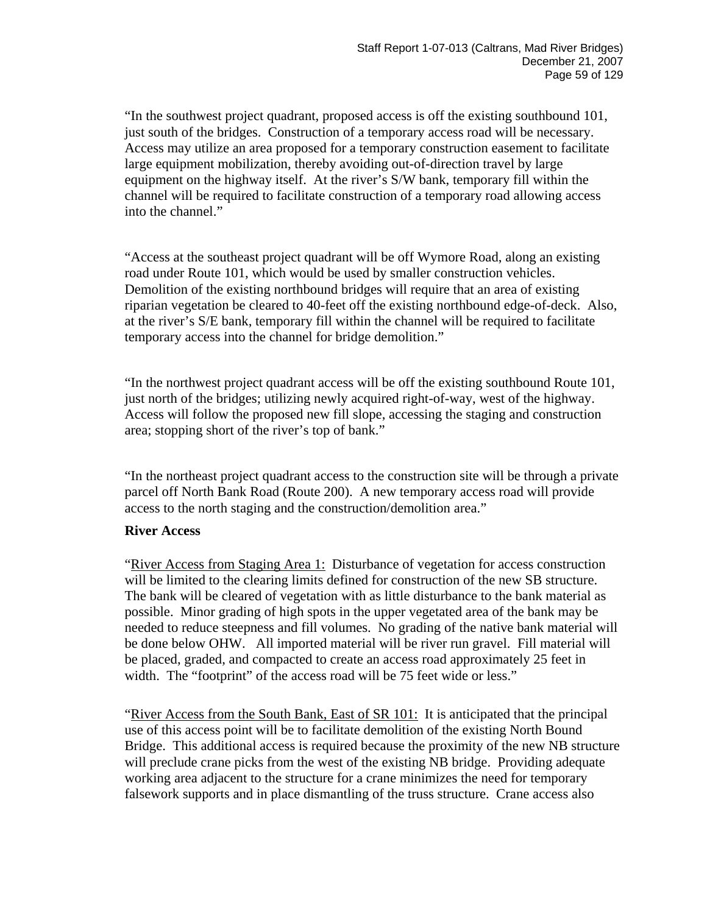"In the southwest project quadrant, proposed access is off the existing southbound 101, just south of the bridges. Construction of a temporary access road will be necessary. Access may utilize an area proposed for a temporary construction easement to facilitate large equipment mobilization, thereby avoiding out-of-direction travel by large equipment on the highway itself. At the river's S/W bank, temporary fill within the channel will be required to facilitate construction of a temporary road allowing access into the channel."

"Access at the southeast project quadrant will be off Wymore Road, along an existing road under Route 101, which would be used by smaller construction vehicles. Demolition of the existing northbound bridges will require that an area of existing riparian vegetation be cleared to 40-feet off the existing northbound edge-of-deck. Also, at the river's S/E bank, temporary fill within the channel will be required to facilitate temporary access into the channel for bridge demolition."

"In the northwest project quadrant access will be off the existing southbound Route 101, just north of the bridges; utilizing newly acquired right-of-way, west of the highway. Access will follow the proposed new fill slope, accessing the staging and construction area; stopping short of the river's top of bank."

"In the northeast project quadrant access to the construction site will be through a private parcel off North Bank Road (Route 200). A new temporary access road will provide access to the north staging and the construction/demolition area."

#### **River Access**

"River Access from Staging Area 1: Disturbance of vegetation for access construction will be limited to the clearing limits defined for construction of the new SB structure. The bank will be cleared of vegetation with as little disturbance to the bank material as possible. Minor grading of high spots in the upper vegetated area of the bank may be needed to reduce steepness and fill volumes. No grading of the native bank material will be done below OHW. All imported material will be river run gravel. Fill material will be placed, graded, and compacted to create an access road approximately 25 feet in width. The "footprint" of the access road will be 75 feet wide or less."

"River Access from the South Bank, East of SR 101: It is anticipated that the principal use of this access point will be to facilitate demolition of the existing North Bound Bridge. This additional access is required because the proximity of the new NB structure will preclude crane picks from the west of the existing NB bridge. Providing adequate working area adjacent to the structure for a crane minimizes the need for temporary falsework supports and in place dismantling of the truss structure. Crane access also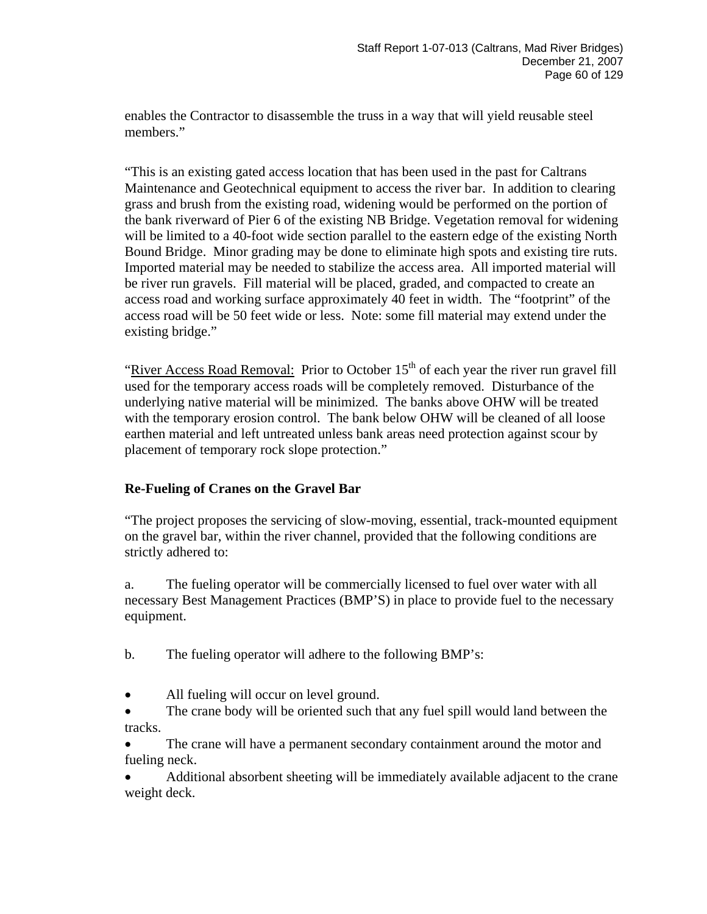enables the Contractor to disassemble the truss in a way that will yield reusable steel members."

"This is an existing gated access location that has been used in the past for Caltrans Maintenance and Geotechnical equipment to access the river bar. In addition to clearing grass and brush from the existing road, widening would be performed on the portion of the bank riverward of Pier 6 of the existing NB Bridge. Vegetation removal for widening will be limited to a 40-foot wide section parallel to the eastern edge of the existing North Bound Bridge. Minor grading may be done to eliminate high spots and existing tire ruts. Imported material may be needed to stabilize the access area. All imported material will be river run gravels. Fill material will be placed, graded, and compacted to create an access road and working surface approximately 40 feet in width. The "footprint" of the access road will be 50 feet wide or less. Note: some fill material may extend under the existing bridge."

"River Access Road Removal: Prior to October  $15<sup>th</sup>$  of each year the river run gravel fill used for the temporary access roads will be completely removed. Disturbance of the underlying native material will be minimized. The banks above OHW will be treated with the temporary erosion control. The bank below OHW will be cleaned of all loose earthen material and left untreated unless bank areas need protection against scour by placement of temporary rock slope protection."

#### **Re-Fueling of Cranes on the Gravel Bar**

"The project proposes the servicing of slow-moving, essential, track-mounted equipment on the gravel bar, within the river channel, provided that the following conditions are strictly adhered to:

a. The fueling operator will be commercially licensed to fuel over water with all necessary Best Management Practices (BMP'S) in place to provide fuel to the necessary equipment.

- b. The fueling operator will adhere to the following BMP's:
- All fueling will occur on level ground.
- The crane body will be oriented such that any fuel spill would land between the tracks.

The crane will have a permanent secondary containment around the motor and fueling neck.

• Additional absorbent sheeting will be immediately available adjacent to the crane weight deck.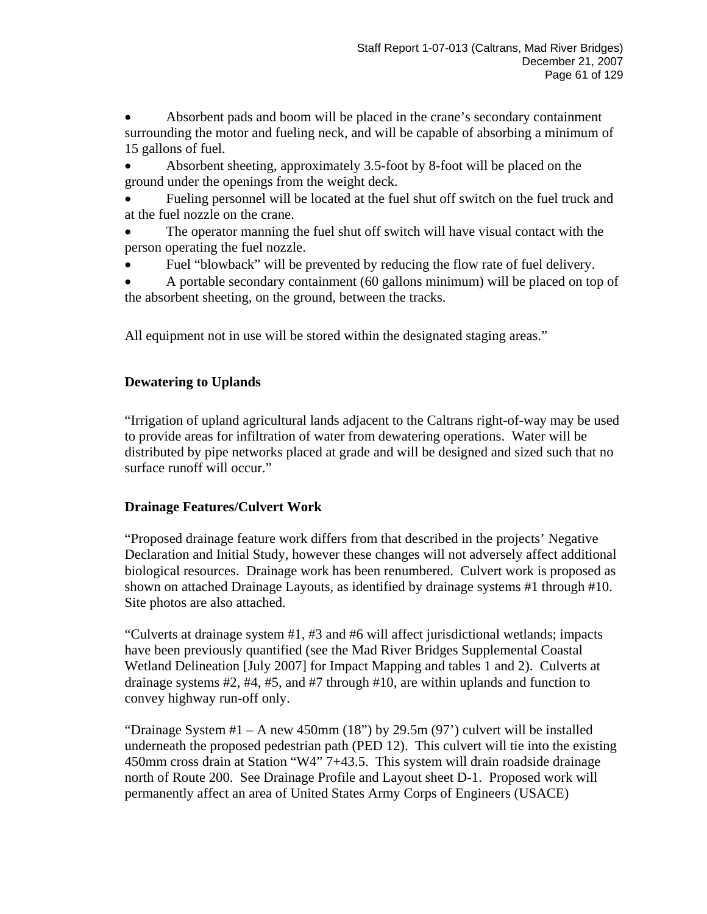• Absorbent pads and boom will be placed in the crane's secondary containment surrounding the motor and fueling neck, and will be capable of absorbing a minimum of 15 gallons of fuel.

• Absorbent sheeting, approximately 3.5-foot by 8-foot will be placed on the ground under the openings from the weight deck.

• Fueling personnel will be located at the fuel shut off switch on the fuel truck and at the fuel nozzle on the crane.

• The operator manning the fuel shut off switch will have visual contact with the person operating the fuel nozzle.

• Fuel "blowback" will be prevented by reducing the flow rate of fuel delivery.

• A portable secondary containment (60 gallons minimum) will be placed on top of the absorbent sheeting, on the ground, between the tracks.

All equipment not in use will be stored within the designated staging areas."

### **Dewatering to Uplands**

"Irrigation of upland agricultural lands adjacent to the Caltrans right-of-way may be used to provide areas for infiltration of water from dewatering operations. Water will be distributed by pipe networks placed at grade and will be designed and sized such that no surface runoff will occur."

### **Drainage Features/Culvert Work**

"Proposed drainage feature work differs from that described in the projects' Negative Declaration and Initial Study, however these changes will not adversely affect additional biological resources. Drainage work has been renumbered. Culvert work is proposed as shown on attached Drainage Layouts, as identified by drainage systems #1 through #10. Site photos are also attached.

"Culverts at drainage system #1, #3 and #6 will affect jurisdictional wetlands; impacts have been previously quantified (see the Mad River Bridges Supplemental Coastal Wetland Delineation [July 2007] for Impact Mapping and tables 1 and 2). Culverts at drainage systems #2, #4, #5, and #7 through #10, are within uplands and function to convey highway run-off only.

"Drainage System  $#1 - A$  new 450mm (18") by 29.5m (97") culvert will be installed underneath the proposed pedestrian path (PED 12). This culvert will tie into the existing 450mm cross drain at Station "W4" 7+43.5. This system will drain roadside drainage north of Route 200. See Drainage Profile and Layout sheet D-1. Proposed work will permanently affect an area of United States Army Corps of Engineers (USACE)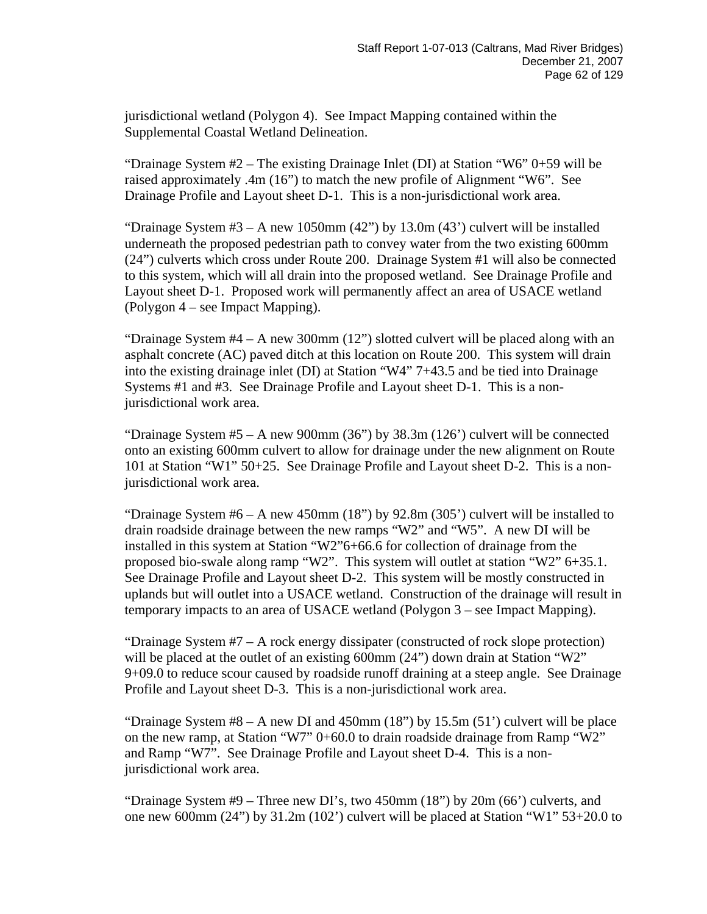jurisdictional wetland (Polygon 4). See Impact Mapping contained within the Supplemental Coastal Wetland Delineation.

"Drainage System  $#2$  – The existing Drainage Inlet (DI) at Station "W6"  $0+59$  will be raised approximately .4m (16") to match the new profile of Alignment "W6". See Drainage Profile and Layout sheet D-1. This is a non-jurisdictional work area.

"Drainage System  $#3 - A$  new 1050mm  $(42")$  by 13.0m  $(43')$  culvert will be installed underneath the proposed pedestrian path to convey water from the two existing 600mm (24") culverts which cross under Route 200. Drainage System #1 will also be connected to this system, which will all drain into the proposed wetland. See Drainage Profile and Layout sheet D-1. Proposed work will permanently affect an area of USACE wetland (Polygon 4 – see Impact Mapping).

"Drainage System  $#4 - A$  new 300mm  $(12)$ " slotted culvert will be placed along with an asphalt concrete (AC) paved ditch at this location on Route 200. This system will drain into the existing drainage inlet (DI) at Station "W4" 7+43.5 and be tied into Drainage Systems #1 and #3. See Drainage Profile and Layout sheet D-1. This is a nonjurisdictional work area.

"Drainage System  $#5 - A$  new 900mm  $(36)$ " by  $38.3$ m  $(126)$ " culvert will be connected onto an existing 600mm culvert to allow for drainage under the new alignment on Route 101 at Station "W1" 50+25. See Drainage Profile and Layout sheet D-2. This is a nonjurisdictional work area.

"Drainage System  $#6 - A$  new 450mm  $(18")$  by 92.8m  $(305")$  culvert will be installed to drain roadside drainage between the new ramps "W2" and "W5". A new DI will be installed in this system at Station "W2"6+66.6 for collection of drainage from the proposed bio-swale along ramp "W2". This system will outlet at station "W2" 6+35.1. See Drainage Profile and Layout sheet D-2. This system will be mostly constructed in uplands but will outlet into a USACE wetland. Construction of the drainage will result in temporary impacts to an area of USACE wetland (Polygon 3 – see Impact Mapping).

"Drainage System #7 – A rock energy dissipater (constructed of rock slope protection) will be placed at the outlet of an existing 600mm (24") down drain at Station "W2" 9+09.0 to reduce scour caused by roadside runoff draining at a steep angle. See Drainage Profile and Layout sheet D-3. This is a non-jurisdictional work area.

"Drainage System  $#8 - A$  new DI and 450mm  $(18")$  by 15.5m  $(51')$  culvert will be place on the new ramp, at Station "W7" 0+60.0 to drain roadside drainage from Ramp "W2" and Ramp "W7". See Drainage Profile and Layout sheet D-4. This is a nonjurisdictional work area.

"Drainage System  $#9$  – Three new DI's, two 450mm  $(18")$  by  $20m (66')$  culverts, and one new 600mm (24") by 31.2m (102') culvert will be placed at Station "W1" 53+20.0 to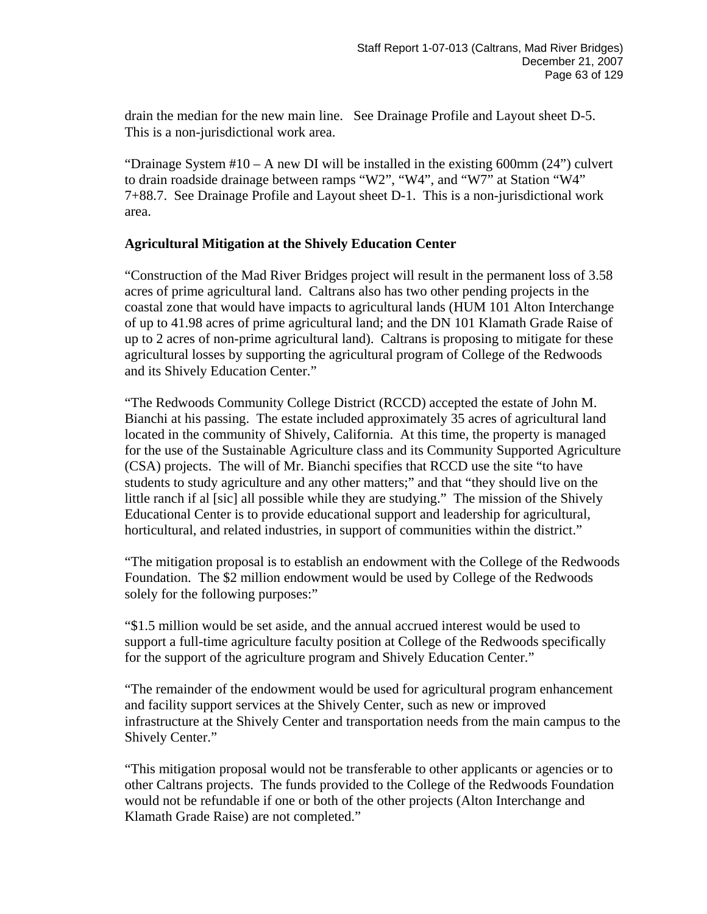drain the median for the new main line. See Drainage Profile and Layout sheet D-5. This is a non-jurisdictional work area.

"Drainage System  $#10 - A$  new DI will be installed in the existing 600mm (24") culvert to drain roadside drainage between ramps "W2", "W4", and "W7" at Station "W4" 7+88.7. See Drainage Profile and Layout sheet D-1. This is a non-jurisdictional work area.

#### **Agricultural Mitigation at the Shively Education Center**

"Construction of the Mad River Bridges project will result in the permanent loss of 3.58 acres of prime agricultural land. Caltrans also has two other pending projects in the coastal zone that would have impacts to agricultural lands (HUM 101 Alton Interchange of up to 41.98 acres of prime agricultural land; and the DN 101 Klamath Grade Raise of up to 2 acres of non-prime agricultural land). Caltrans is proposing to mitigate for these agricultural losses by supporting the agricultural program of College of the Redwoods and its Shively Education Center."

"The Redwoods Community College District (RCCD) accepted the estate of John M. Bianchi at his passing. The estate included approximately 35 acres of agricultural land located in the community of Shively, California. At this time, the property is managed for the use of the Sustainable Agriculture class and its Community Supported Agriculture (CSA) projects. The will of Mr. Bianchi specifies that RCCD use the site "to have students to study agriculture and any other matters;" and that "they should live on the little ranch if al [sic] all possible while they are studying." The mission of the Shively Educational Center is to provide educational support and leadership for agricultural, horticultural, and related industries, in support of communities within the district."

"The mitigation proposal is to establish an endowment with the College of the Redwoods Foundation. The \$2 million endowment would be used by College of the Redwoods solely for the following purposes:"

"\$1.5 million would be set aside, and the annual accrued interest would be used to support a full-time agriculture faculty position at College of the Redwoods specifically for the support of the agriculture program and Shively Education Center."

"The remainder of the endowment would be used for agricultural program enhancement and facility support services at the Shively Center, such as new or improved infrastructure at the Shively Center and transportation needs from the main campus to the Shively Center."

"This mitigation proposal would not be transferable to other applicants or agencies or to other Caltrans projects. The funds provided to the College of the Redwoods Foundation would not be refundable if one or both of the other projects (Alton Interchange and Klamath Grade Raise) are not completed."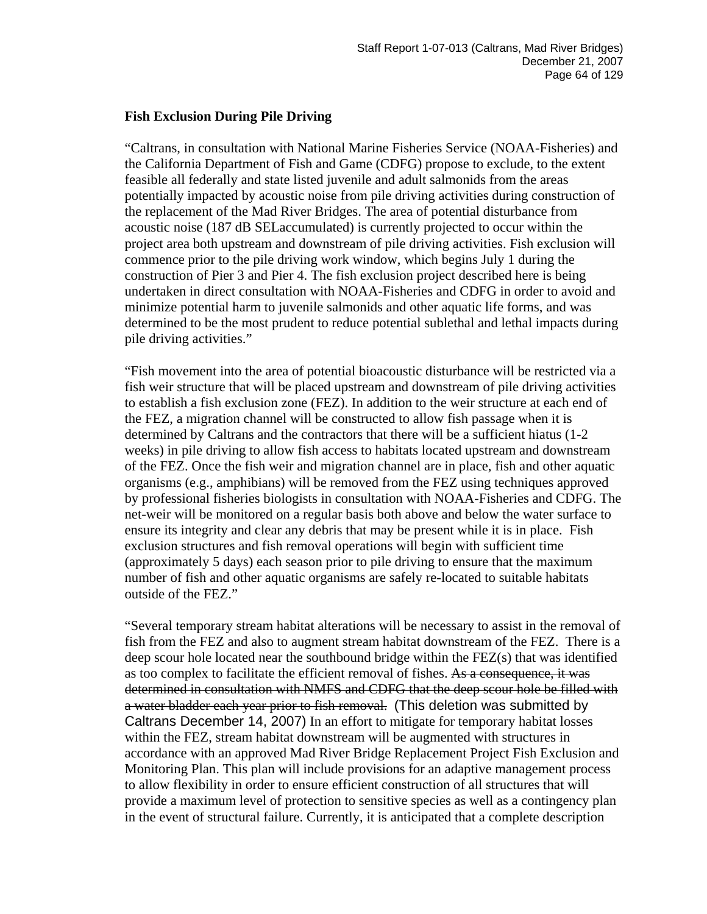#### **Fish Exclusion During Pile Driving**

"Caltrans, in consultation with National Marine Fisheries Service (NOAA-Fisheries) and the California Department of Fish and Game (CDFG) propose to exclude, to the extent feasible all federally and state listed juvenile and adult salmonids from the areas potentially impacted by acoustic noise from pile driving activities during construction of the replacement of the Mad River Bridges. The area of potential disturbance from acoustic noise (187 dB SELaccumulated) is currently projected to occur within the project area both upstream and downstream of pile driving activities. Fish exclusion will commence prior to the pile driving work window, which begins July 1 during the construction of Pier 3 and Pier 4. The fish exclusion project described here is being undertaken in direct consultation with NOAA-Fisheries and CDFG in order to avoid and minimize potential harm to juvenile salmonids and other aquatic life forms, and was determined to be the most prudent to reduce potential sublethal and lethal impacts during pile driving activities."

"Fish movement into the area of potential bioacoustic disturbance will be restricted via a fish weir structure that will be placed upstream and downstream of pile driving activities to establish a fish exclusion zone (FEZ). In addition to the weir structure at each end of the FEZ, a migration channel will be constructed to allow fish passage when it is determined by Caltrans and the contractors that there will be a sufficient hiatus (1-2 weeks) in pile driving to allow fish access to habitats located upstream and downstream of the FEZ. Once the fish weir and migration channel are in place, fish and other aquatic organisms (e.g., amphibians) will be removed from the FEZ using techniques approved by professional fisheries biologists in consultation with NOAA-Fisheries and CDFG. The net-weir will be monitored on a regular basis both above and below the water surface to ensure its integrity and clear any debris that may be present while it is in place. Fish exclusion structures and fish removal operations will begin with sufficient time (approximately 5 days) each season prior to pile driving to ensure that the maximum number of fish and other aquatic organisms are safely re-located to suitable habitats outside of the FEZ."

"Several temporary stream habitat alterations will be necessary to assist in the removal of fish from the FEZ and also to augment stream habitat downstream of the FEZ. There is a deep scour hole located near the southbound bridge within the FEZ(s) that was identified as too complex to facilitate the efficient removal of fishes. As a consequence, it was determined in consultation with NMFS and CDFG that the deep scour hole be filled with a water bladder each year prior to fish removal. (This deletion was submitted by Caltrans December 14, 2007) In an effort to mitigate for temporary habitat losses within the FEZ, stream habitat downstream will be augmented with structures in accordance with an approved Mad River Bridge Replacement Project Fish Exclusion and Monitoring Plan. This plan will include provisions for an adaptive management process to allow flexibility in order to ensure efficient construction of all structures that will provide a maximum level of protection to sensitive species as well as a contingency plan in the event of structural failure. Currently, it is anticipated that a complete description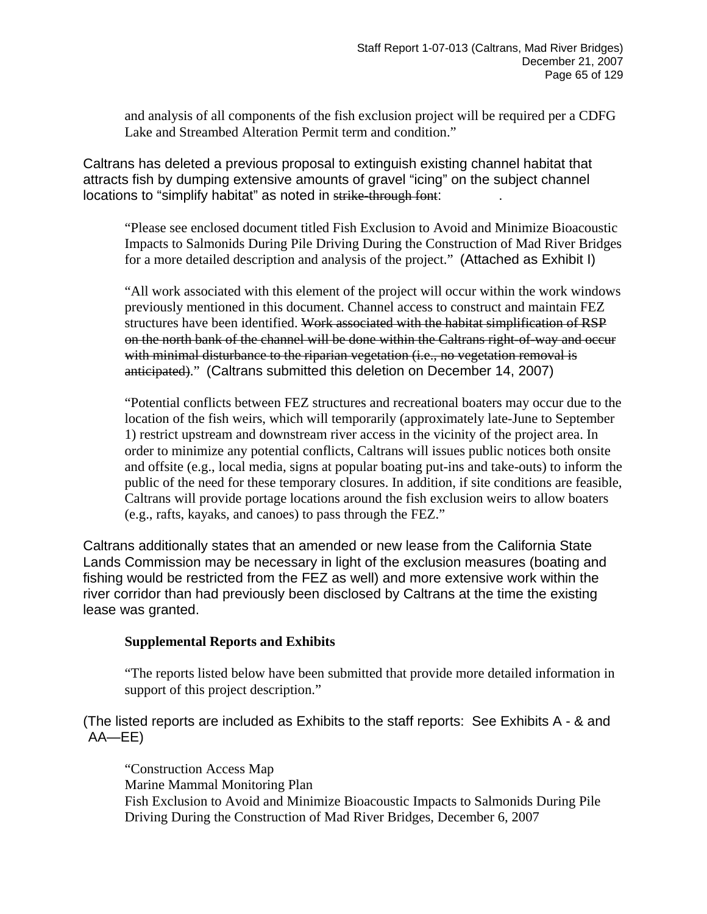and analysis of all components of the fish exclusion project will be required per a CDFG Lake and Streambed Alteration Permit term and condition."

Caltrans has deleted a previous proposal to extinguish existing channel habitat that attracts fish by dumping extensive amounts of gravel "icing" on the subject channel locations to "simplify habitat" as noted in strike-through font:

"Please see enclosed document titled Fish Exclusion to Avoid and Minimize Bioacoustic Impacts to Salmonids During Pile Driving During the Construction of Mad River Bridges for a more detailed description and analysis of the project." (Attached as Exhibit I)

"All work associated with this element of the project will occur within the work windows previously mentioned in this document. Channel access to construct and maintain FEZ structures have been identified. Work associated with the habitat simplification of RSP on the north bank of the channel will be done within the Caltrans right-of-way and occur with minimal disturbance to the riparian vegetation (i.e., no vegetation removal is anticipated)." (Caltrans submitted this deletion on December 14, 2007)

"Potential conflicts between FEZ structures and recreational boaters may occur due to the location of the fish weirs, which will temporarily (approximately late-June to September 1) restrict upstream and downstream river access in the vicinity of the project area. In order to minimize any potential conflicts, Caltrans will issues public notices both onsite and offsite (e.g., local media, signs at popular boating put-ins and take-outs) to inform the public of the need for these temporary closures. In addition, if site conditions are feasible, Caltrans will provide portage locations around the fish exclusion weirs to allow boaters (e.g., rafts, kayaks, and canoes) to pass through the FEZ."

Caltrans additionally states that an amended or new lease from the California State Lands Commission may be necessary in light of the exclusion measures (boating and fishing would be restricted from the FEZ as well) and more extensive work within the river corridor than had previously been disclosed by Caltrans at the time the existing lease was granted.

#### **Supplemental Reports and Exhibits**

"The reports listed below have been submitted that provide more detailed information in support of this project description."

(The listed reports are included as Exhibits to the staff reports: See Exhibits A - & and AA—EE)

"Construction Access Map Marine Mammal Monitoring Plan Fish Exclusion to Avoid and Minimize Bioacoustic Impacts to Salmonids During Pile Driving During the Construction of Mad River Bridges, December 6, 2007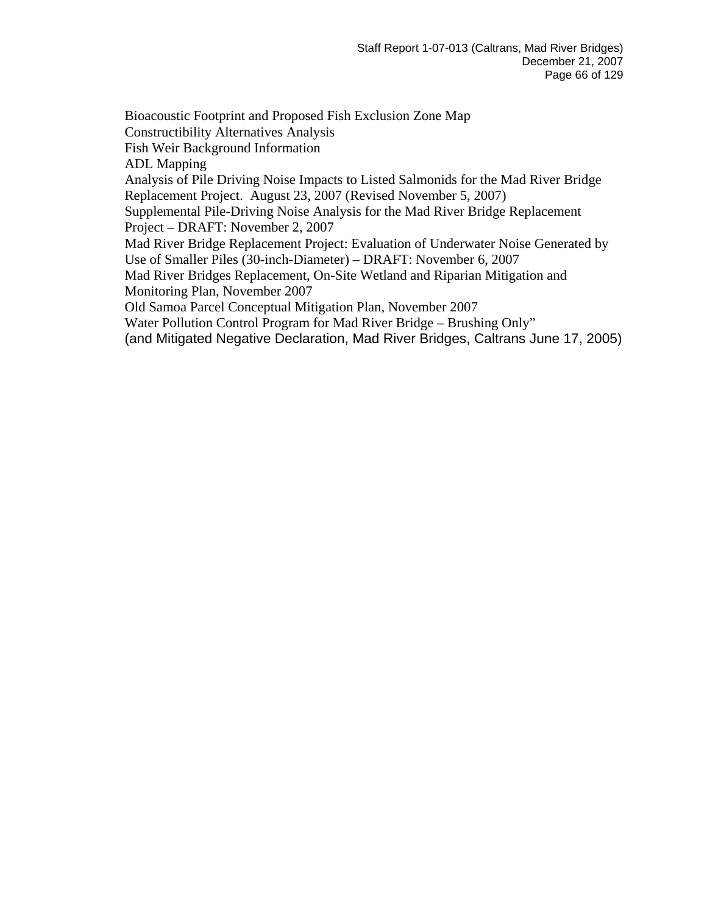Bioacoustic Footprint and Proposed Fish Exclusion Zone Map Constructibility Alternatives Analysis Fish Weir Background Information ADL Mapping Analysis of Pile Driving Noise Impacts to Listed Salmonids for the Mad River Bridge Replacement Project. August 23, 2007 (Revised November 5, 2007) Supplemental Pile-Driving Noise Analysis for the Mad River Bridge Replacement Project – DRAFT: November 2, 2007 Mad River Bridge Replacement Project: Evaluation of Underwater Noise Generated by Use of Smaller Piles (30-inch-Diameter) – DRAFT: November 6, 2007 Mad River Bridges Replacement, On-Site Wetland and Riparian Mitigation and Monitoring Plan, November 2007 Old Samoa Parcel Conceptual Mitigation Plan, November 2007 Water Pollution Control Program for Mad River Bridge – Brushing Only" (and Mitigated Negative Declaration, Mad River Bridges, Caltrans June 17, 2005)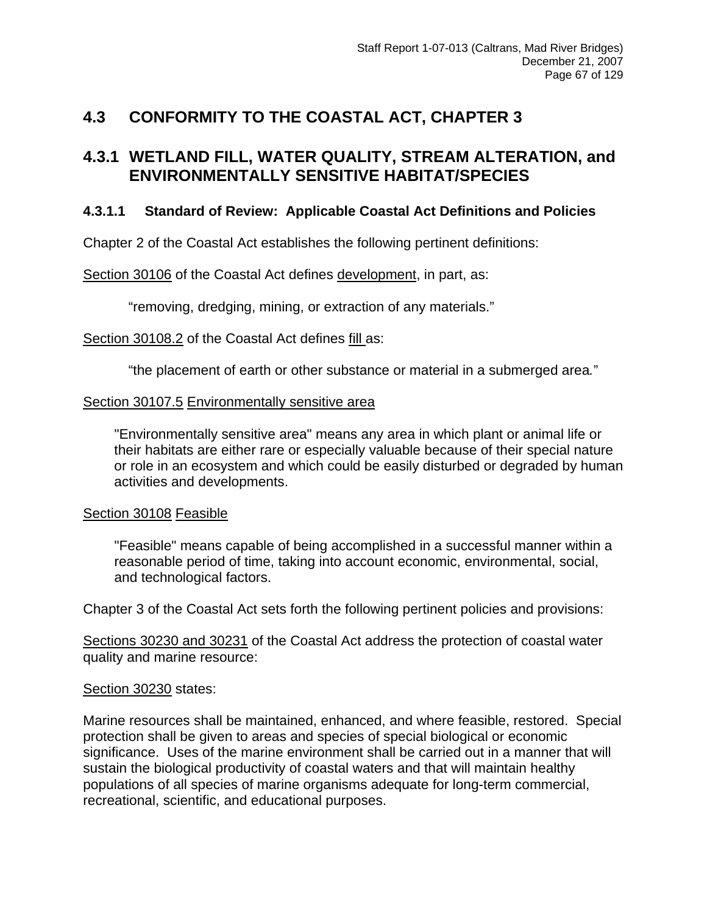# **4.3 CONFORMITY TO THE COASTAL ACT, CHAPTER 3**

## **4.3.1 WETLAND FILL, WATER QUALITY, STREAM ALTERATION, and ENVIRONMENTALLY SENSITIVE HABITAT/SPECIES**

### **4.3.1.1 Standard of Review: Applicable Coastal Act Definitions and Policies**

Chapter 2 of the Coastal Act establishes the following pertinent definitions:

Section 30106 of the Coastal Act defines development, in part, as:

"removing, dredging, mining, or extraction of any materials."

Section 30108.2 of the Coastal Act defines fill as:

"the placement of earth or other substance or material in a submerged area*.*"

#### Section 30107.5 Environmentally sensitive area

 "Environmentally sensitive area" means any area in which plant or animal life or their habitats are either rare or especially valuable because of their special nature or role in an ecosystem and which could be easily disturbed or degraded by human activities and developments.

#### Section 30108 Feasible

 "Feasible" means capable of being accomplished in a successful manner within a reasonable period of time, taking into account economic, environmental, social, and technological factors.

Chapter 3 of the Coastal Act sets forth the following pertinent policies and provisions:

Sections 30230 and 30231 of the Coastal Act address the protection of coastal water quality and marine resource:

#### Section 30230 states:

Marine resources shall be maintained, enhanced, and where feasible, restored. Special protection shall be given to areas and species of special biological or economic significance. Uses of the marine environment shall be carried out in a manner that will sustain the biological productivity of coastal waters and that will maintain healthy populations of all species of marine organisms adequate for long-term commercial, recreational, scientific, and educational purposes.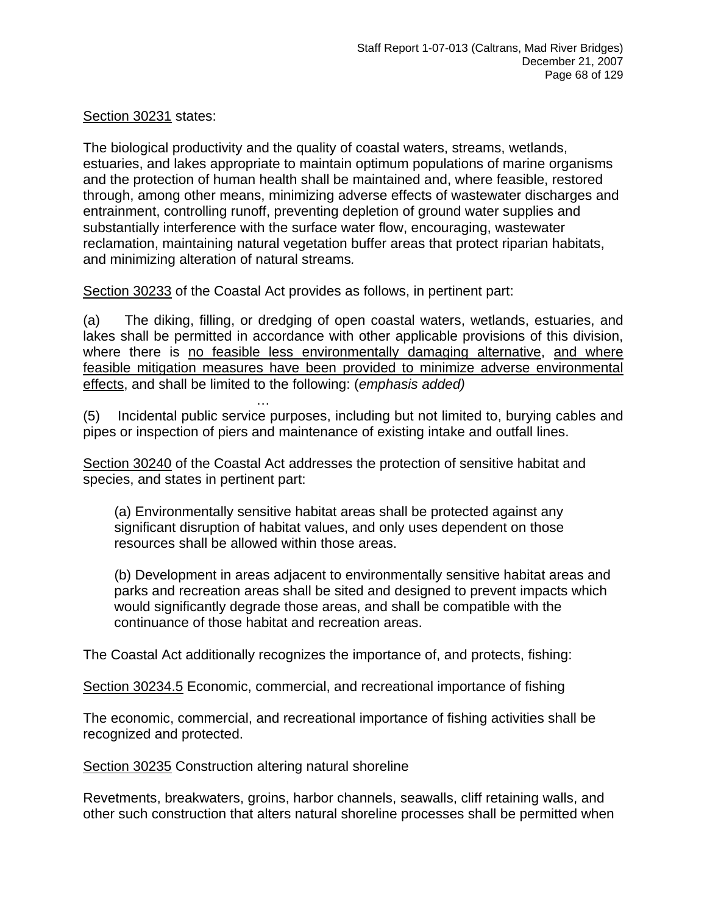Section 30231 states:

The biological productivity and the quality of coastal waters, streams, wetlands, estuaries, and lakes appropriate to maintain optimum populations of marine organisms and the protection of human health shall be maintained and, where feasible, restored through, among other means, minimizing adverse effects of wastewater discharges and entrainment, controlling runoff, preventing depletion of ground water supplies and substantially interference with the surface water flow, encouraging, wastewater reclamation, maintaining natural vegetation buffer areas that protect riparian habitats, and minimizing alteration of natural streams*.* 

Section 30233 of the Coastal Act provides as follows, in pertinent part:

(a) The diking, filling, or dredging of open coastal waters, wetlands, estuaries, and lakes shall be permitted in accordance with other applicable provisions of this division, where there is no feasible less environmentally damaging alternative, and where feasible mitigation measures have been provided to minimize adverse environmental effects, and shall be limited to the following: (*emphasis added)*

**Market Additional Contract Additional Contract** (5) Incidental public service purposes, including but not limited to, burying cables and pipes or inspection of piers and maintenance of existing intake and outfall lines.

Section 30240 of the Coastal Act addresses the protection of sensitive habitat and species, and states in pertinent part:

 (a) Environmentally sensitive habitat areas shall be protected against any significant disruption of habitat values, and only uses dependent on those resources shall be allowed within those areas.

(b) Development in areas adjacent to environmentally sensitive habitat areas and parks and recreation areas shall be sited and designed to prevent impacts which would significantly degrade those areas, and shall be compatible with the continuance of those habitat and recreation areas.

The Coastal Act additionally recognizes the importance of, and protects, fishing:

Section 30234.5 Economic, commercial, and recreational importance of fishing

The economic, commercial, and recreational importance of fishing activities shall be recognized and protected.

Section 30235 Construction altering natural shoreline

Revetments, breakwaters, groins, harbor channels, seawalls, cliff retaining walls, and other such construction that alters natural shoreline processes shall be permitted when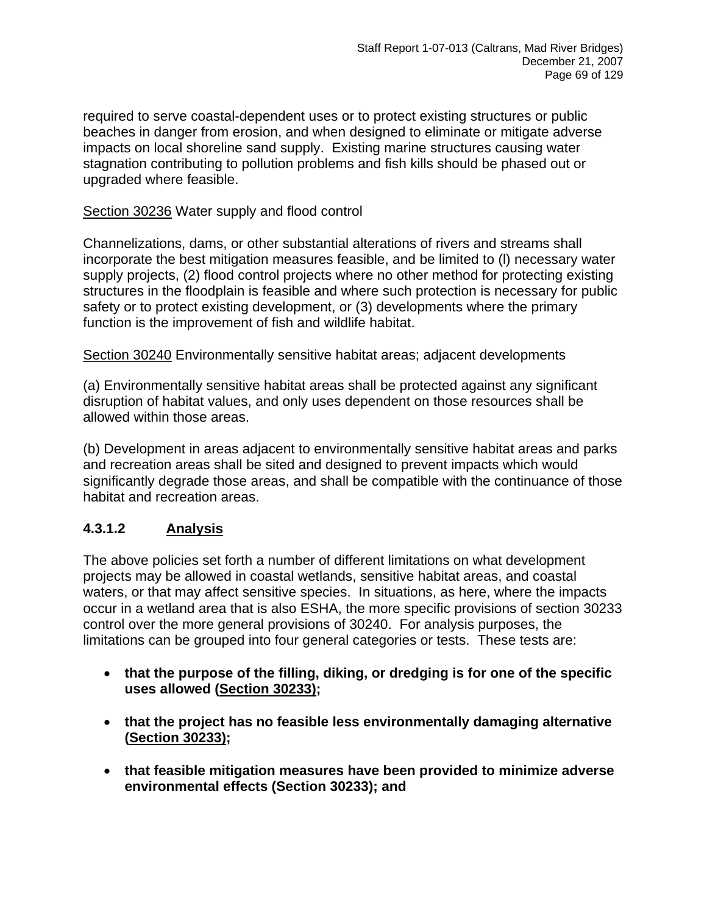required to serve coastal-dependent uses or to protect existing structures or public beaches in danger from erosion, and when designed to eliminate or mitigate adverse impacts on local shoreline sand supply. Existing marine structures causing water stagnation contributing to pollution problems and fish kills should be phased out or upgraded where feasible.

### Section 30236 Water supply and flood control

Channelizations, dams, or other substantial alterations of rivers and streams shall incorporate the best mitigation measures feasible, and be limited to (l) necessary water supply projects, (2) flood control projects where no other method for protecting existing structures in the floodplain is feasible and where such protection is necessary for public safety or to protect existing development, or (3) developments where the primary function is the improvement of fish and wildlife habitat.

Section 30240 Environmentally sensitive habitat areas; adjacent developments

(a) Environmentally sensitive habitat areas shall be protected against any significant disruption of habitat values, and only uses dependent on those resources shall be allowed within those areas.

(b) Development in areas adjacent to environmentally sensitive habitat areas and parks and recreation areas shall be sited and designed to prevent impacts which would significantly degrade those areas, and shall be compatible with the continuance of those habitat and recreation areas.

### **4.3.1.2 Analysis**

The above policies set forth a number of different limitations on what development projects may be allowed in coastal wetlands, sensitive habitat areas, and coastal waters, or that may affect sensitive species. In situations, as here, where the impacts occur in a wetland area that is also ESHA, the more specific provisions of section 30233 control over the more general provisions of 30240. For analysis purposes, the limitations can be grouped into four general categories or tests. These tests are:

- **that the purpose of the filling, diking, or dredging is for one of the specific uses allowed (Section 30233);**
- **that the project has no feasible less environmentally damaging alternative (Section 30233);**
- **that feasible mitigation measures have been provided to minimize adverse environmental effects (Section 30233); and**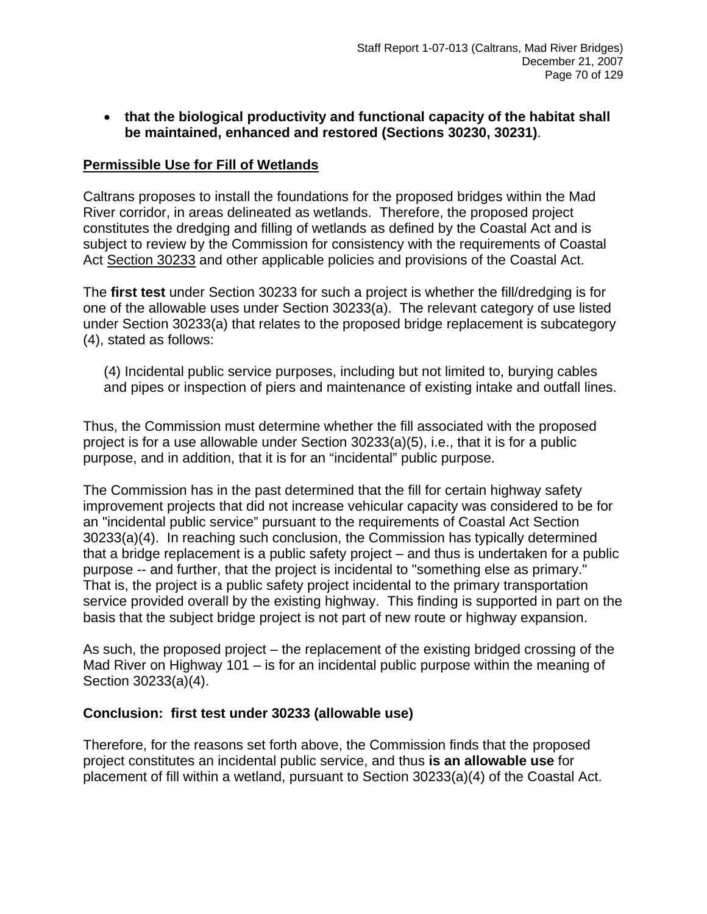• **that the biological productivity and functional capacity of the habitat shall be maintained, enhanced and restored (Sections 30230, 30231)**.

#### **Permissible Use for Fill of Wetlands**

Caltrans proposes to install the foundations for the proposed bridges within the Mad River corridor, in areas delineated as wetlands. Therefore, the proposed project constitutes the dredging and filling of wetlands as defined by the Coastal Act and is subject to review by the Commission for consistency with the requirements of Coastal Act Section 30233 and other applicable policies and provisions of the Coastal Act.

The **first test** under Section 30233 for such a project is whether the fill/dredging is for one of the allowable uses under Section 30233(a). The relevant category of use listed under Section 30233(a) that relates to the proposed bridge replacement is subcategory (4), stated as follows:

(4) Incidental public service purposes, including but not limited to, burying cables and pipes or inspection of piers and maintenance of existing intake and outfall lines.

Thus, the Commission must determine whether the fill associated with the proposed project is for a use allowable under Section 30233(a)(5), i.e., that it is for a public purpose, and in addition, that it is for an "incidental" public purpose.

The Commission has in the past determined that the fill for certain highway safety improvement projects that did not increase vehicular capacity was considered to be for an "incidental public service" pursuant to the requirements of Coastal Act Section 30233(a)(4). In reaching such conclusion, the Commission has typically determined that a bridge replacement is a public safety project – and thus is undertaken for a public purpose -- and further, that the project is incidental to "something else as primary." That is, the project is a public safety project incidental to the primary transportation service provided overall by the existing highway. This finding is supported in part on the basis that the subject bridge project is not part of new route or highway expansion.

As such, the proposed project – the replacement of the existing bridged crossing of the Mad River on Highway 101 – is for an incidental public purpose within the meaning of Section 30233(a)(4).

#### **Conclusion: first test under 30233 (allowable use)**

Therefore, for the reasons set forth above, the Commission finds that the proposed project constitutes an incidental public service, and thus **is an allowable use** for placement of fill within a wetland, pursuant to Section 30233(a)(4) of the Coastal Act.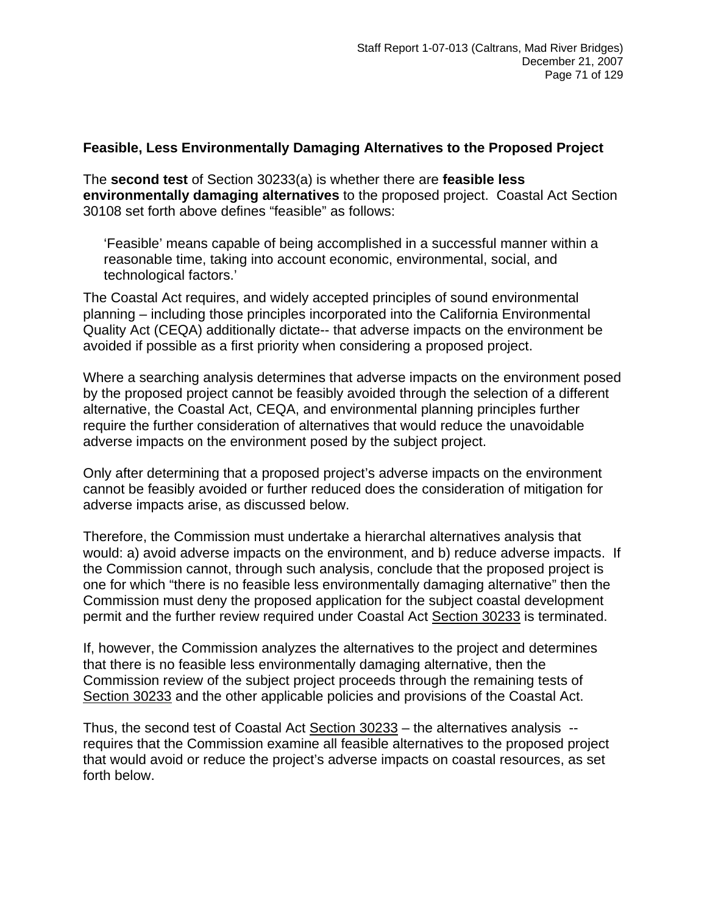#### **Feasible, Less Environmentally Damaging Alternatives to the Proposed Project**

The **second test** of Section 30233(a) is whether there are **feasible less environmentally damaging alternatives** to the proposed project. Coastal Act Section 30108 set forth above defines "feasible" as follows:

'Feasible' means capable of being accomplished in a successful manner within a reasonable time, taking into account economic, environmental, social, and technological factors.'

The Coastal Act requires, and widely accepted principles of sound environmental planning – including those principles incorporated into the California Environmental Quality Act (CEQA) additionally dictate-- that adverse impacts on the environment be avoided if possible as a first priority when considering a proposed project.

Where a searching analysis determines that adverse impacts on the environment posed by the proposed project cannot be feasibly avoided through the selection of a different alternative, the Coastal Act, CEQA, and environmental planning principles further require the further consideration of alternatives that would reduce the unavoidable adverse impacts on the environment posed by the subject project.

Only after determining that a proposed project's adverse impacts on the environment cannot be feasibly avoided or further reduced does the consideration of mitigation for adverse impacts arise, as discussed below.

Therefore, the Commission must undertake a hierarchal alternatives analysis that would: a) avoid adverse impacts on the environment, and b) reduce adverse impacts. If the Commission cannot, through such analysis, conclude that the proposed project is one for which "there is no feasible less environmentally damaging alternative" then the Commission must deny the proposed application for the subject coastal development permit and the further review required under Coastal Act Section 30233 is terminated.

If, however, the Commission analyzes the alternatives to the project and determines that there is no feasible less environmentally damaging alternative, then the Commission review of the subject project proceeds through the remaining tests of Section 30233 and the other applicable policies and provisions of the Coastal Act.

Thus, the second test of Coastal Act Section 30233 - the alternatives analysis -requires that the Commission examine all feasible alternatives to the proposed project that would avoid or reduce the project's adverse impacts on coastal resources, as set forth below.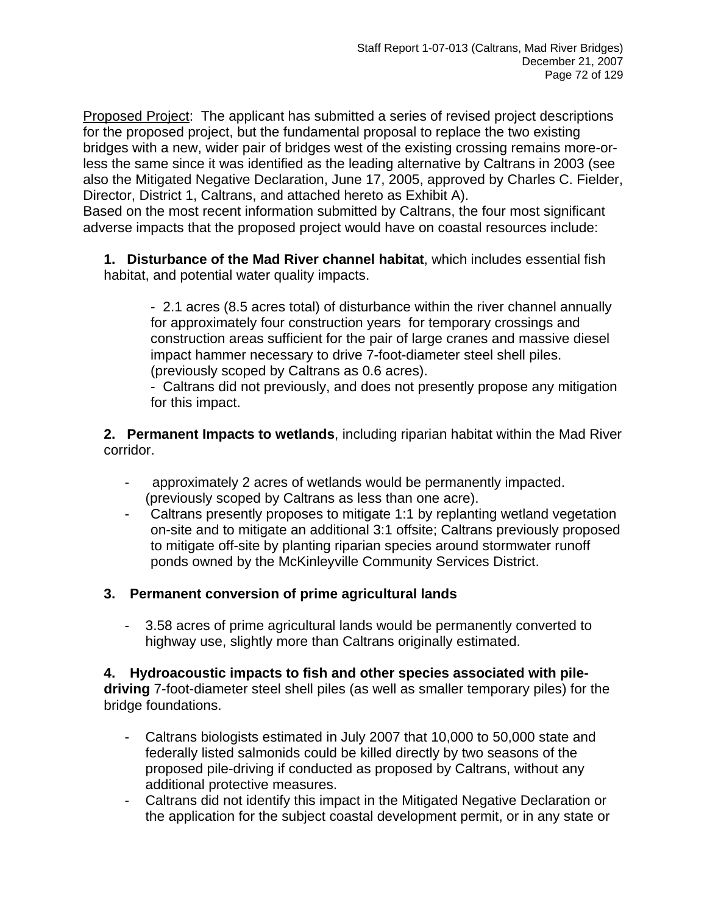Proposed Project: The applicant has submitted a series of revised project descriptions for the proposed project, but the fundamental proposal to replace the two existing bridges with a new, wider pair of bridges west of the existing crossing remains more-orless the same since it was identified as the leading alternative by Caltrans in 2003 (see also the Mitigated Negative Declaration, June 17, 2005, approved by Charles C. Fielder, Director, District 1, Caltrans, and attached hereto as Exhibit A).

Based on the most recent information submitted by Caltrans, the four most significant adverse impacts that the proposed project would have on coastal resources include:

**1. Disturbance of the Mad River channel habitat**, which includes essential fish habitat, and potential water quality impacts.

 - 2.1 acres (8.5 acres total) of disturbance within the river channel annually for approximately four construction years for temporary crossings and construction areas sufficient for the pair of large cranes and massive diesel impact hammer necessary to drive 7-foot-diameter steel shell piles. (previously scoped by Caltrans as 0.6 acres).

 - Caltrans did not previously, and does not presently propose any mitigation for this impact.

**2. Permanent Impacts to wetlands**, including riparian habitat within the Mad River corridor.

- approximately 2 acres of wetlands would be permanently impacted. (previously scoped by Caltrans as less than one acre).
- Caltrans presently proposes to mitigate 1:1 by replanting wetland vegetation on-site and to mitigate an additional 3:1 offsite; Caltrans previously proposed to mitigate off-site by planting riparian species around stormwater runoff ponds owned by the McKinleyville Community Services District.

## **3. Permanent conversion of prime agricultural lands**

- 3.58 acres of prime agricultural lands would be permanently converted to highway use, slightly more than Caltrans originally estimated.

**4. Hydroacoustic impacts to fish and other species associated with piledriving** 7-foot-diameter steel shell piles (as well as smaller temporary piles) for the bridge foundations.

- Caltrans biologists estimated in July 2007 that 10,000 to 50,000 state and federally listed salmonids could be killed directly by two seasons of the proposed pile-driving if conducted as proposed by Caltrans, without any additional protective measures.
- Caltrans did not identify this impact in the Mitigated Negative Declaration or the application for the subject coastal development permit, or in any state or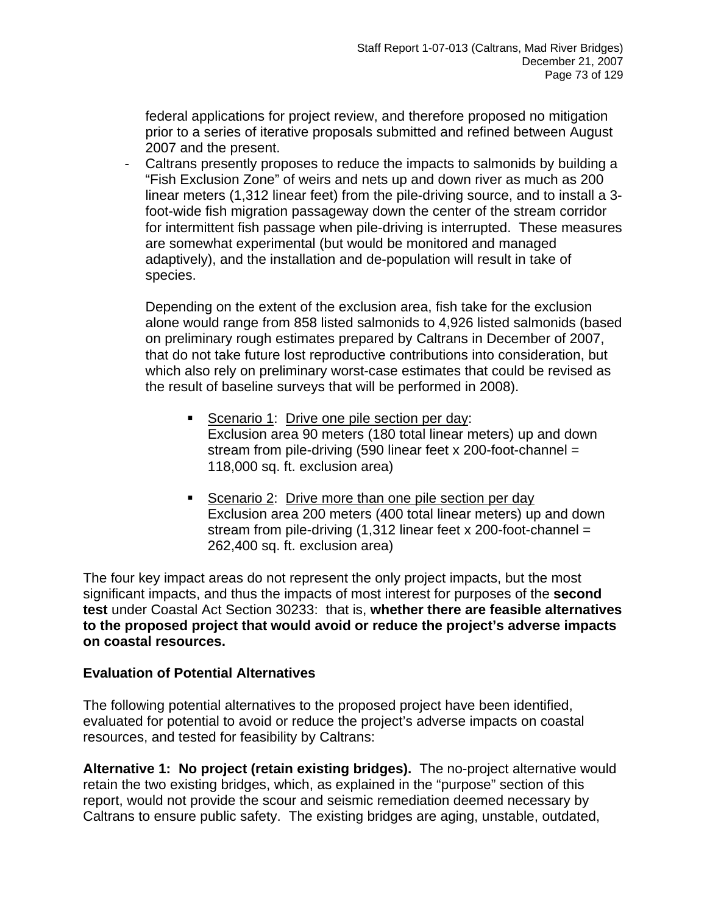federal applications for project review, and therefore proposed no mitigation prior to a series of iterative proposals submitted and refined between August 2007 and the present.

- Caltrans presently proposes to reduce the impacts to salmonids by building a "Fish Exclusion Zone" of weirs and nets up and down river as much as 200 linear meters (1,312 linear feet) from the pile-driving source, and to install a 3 foot-wide fish migration passageway down the center of the stream corridor for intermittent fish passage when pile-driving is interrupted. These measures are somewhat experimental (but would be monitored and managed adaptively), and the installation and de-population will result in take of species.

Depending on the extent of the exclusion area, fish take for the exclusion alone would range from 858 listed salmonids to 4,926 listed salmonids (based on preliminary rough estimates prepared by Caltrans in December of 2007, that do not take future lost reproductive contributions into consideration, but which also rely on preliminary worst-case estimates that could be revised as the result of baseline surveys that will be performed in 2008).

- Scenario 1: Drive one pile section per day: Exclusion area 90 meters (180 total linear meters) up and down stream from pile-driving (590 linear feet x 200-foot-channel = 118,000 sq. ft. exclusion area)
- Scenario 2: Drive more than one pile section per day Exclusion area 200 meters (400 total linear meters) up and down stream from pile-driving (1,312 linear feet x 200-foot-channel = 262,400 sq. ft. exclusion area)

The four key impact areas do not represent the only project impacts, but the most significant impacts, and thus the impacts of most interest for purposes of the **second test** under Coastal Act Section 30233: that is, **whether there are feasible alternatives to the proposed project that would avoid or reduce the project's adverse impacts on coastal resources.** 

## **Evaluation of Potential Alternatives**

The following potential alternatives to the proposed project have been identified, evaluated for potential to avoid or reduce the project's adverse impacts on coastal resources, and tested for feasibility by Caltrans:

**Alternative 1: No project (retain existing bridges).** The no-project alternative would retain the two existing bridges, which, as explained in the "purpose" section of this report, would not provide the scour and seismic remediation deemed necessary by Caltrans to ensure public safety. The existing bridges are aging, unstable, outdated,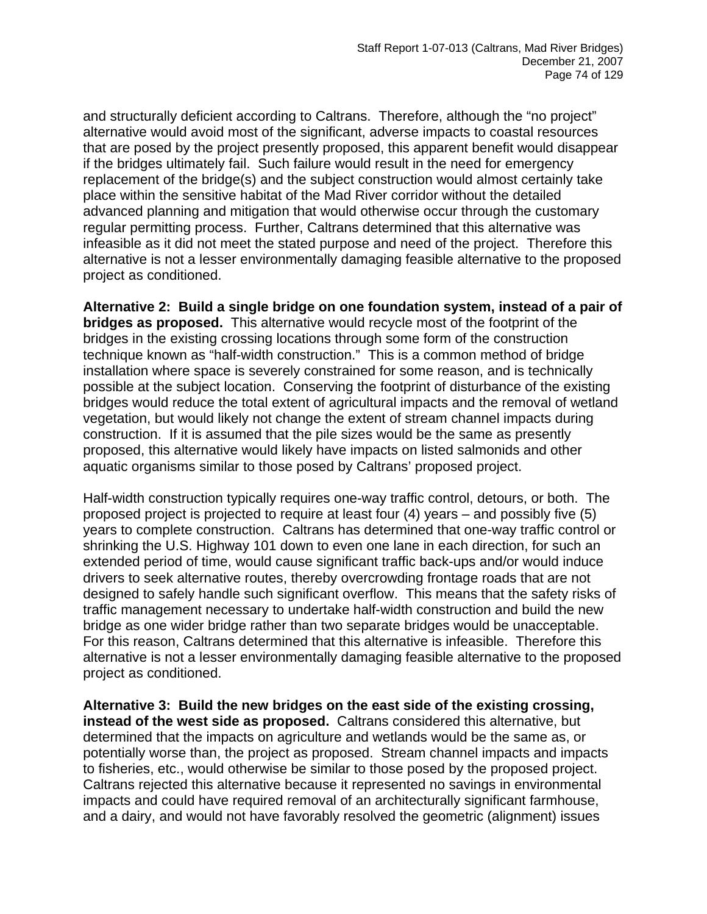and structurally deficient according to Caltrans. Therefore, although the "no project" alternative would avoid most of the significant, adverse impacts to coastal resources that are posed by the project presently proposed, this apparent benefit would disappear if the bridges ultimately fail. Such failure would result in the need for emergency replacement of the bridge(s) and the subject construction would almost certainly take place within the sensitive habitat of the Mad River corridor without the detailed advanced planning and mitigation that would otherwise occur through the customary regular permitting process. Further, Caltrans determined that this alternative was infeasible as it did not meet the stated purpose and need of the project. Therefore this alternative is not a lesser environmentally damaging feasible alternative to the proposed project as conditioned.

**Alternative 2: Build a single bridge on one foundation system, instead of a pair of bridges as proposed.** This alternative would recycle most of the footprint of the bridges in the existing crossing locations through some form of the construction technique known as "half-width construction." This is a common method of bridge installation where space is severely constrained for some reason, and is technically possible at the subject location. Conserving the footprint of disturbance of the existing bridges would reduce the total extent of agricultural impacts and the removal of wetland vegetation, but would likely not change the extent of stream channel impacts during construction. If it is assumed that the pile sizes would be the same as presently proposed, this alternative would likely have impacts on listed salmonids and other aquatic organisms similar to those posed by Caltrans' proposed project.

Half-width construction typically requires one-way traffic control, detours, or both. The proposed project is projected to require at least four (4) years – and possibly five (5) years to complete construction. Caltrans has determined that one-way traffic control or shrinking the U.S. Highway 101 down to even one lane in each direction, for such an extended period of time, would cause significant traffic back-ups and/or would induce drivers to seek alternative routes, thereby overcrowding frontage roads that are not designed to safely handle such significant overflow. This means that the safety risks of traffic management necessary to undertake half-width construction and build the new bridge as one wider bridge rather than two separate bridges would be unacceptable. For this reason, Caltrans determined that this alternative is infeasible. Therefore this alternative is not a lesser environmentally damaging feasible alternative to the proposed project as conditioned.

**Alternative 3: Build the new bridges on the east side of the existing crossing, instead of the west side as proposed.** Caltrans considered this alternative, but determined that the impacts on agriculture and wetlands would be the same as, or potentially worse than, the project as proposed. Stream channel impacts and impacts to fisheries, etc., would otherwise be similar to those posed by the proposed project. Caltrans rejected this alternative because it represented no savings in environmental impacts and could have required removal of an architecturally significant farmhouse, and a dairy, and would not have favorably resolved the geometric (alignment) issues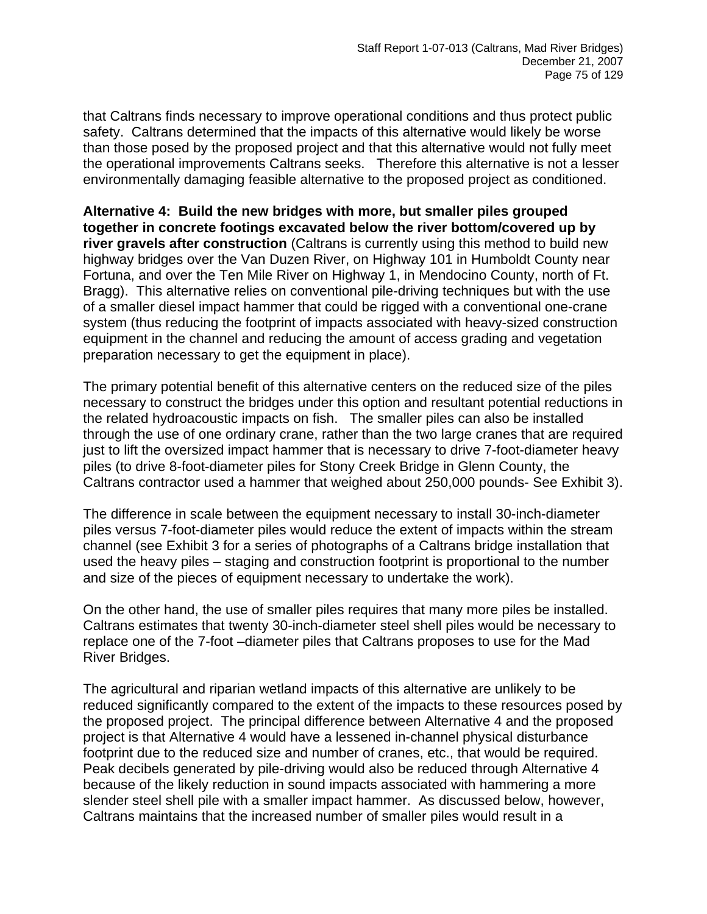that Caltrans finds necessary to improve operational conditions and thus protect public safety. Caltrans determined that the impacts of this alternative would likely be worse than those posed by the proposed project and that this alternative would not fully meet the operational improvements Caltrans seeks. Therefore this alternative is not a lesser environmentally damaging feasible alternative to the proposed project as conditioned.

**Alternative 4: Build the new bridges with more, but smaller piles grouped together in concrete footings excavated below the river bottom/covered up by river gravels after construction** (Caltrans is currently using this method to build new highway bridges over the Van Duzen River, on Highway 101 in Humboldt County near Fortuna, and over the Ten Mile River on Highway 1, in Mendocino County, north of Ft. Bragg). This alternative relies on conventional pile-driving techniques but with the use of a smaller diesel impact hammer that could be rigged with a conventional one-crane system (thus reducing the footprint of impacts associated with heavy-sized construction equipment in the channel and reducing the amount of access grading and vegetation preparation necessary to get the equipment in place).

The primary potential benefit of this alternative centers on the reduced size of the piles necessary to construct the bridges under this option and resultant potential reductions in the related hydroacoustic impacts on fish. The smaller piles can also be installed through the use of one ordinary crane, rather than the two large cranes that are required just to lift the oversized impact hammer that is necessary to drive 7-foot-diameter heavy piles (to drive 8-foot-diameter piles for Stony Creek Bridge in Glenn County, the Caltrans contractor used a hammer that weighed about 250,000 pounds- See Exhibit 3).

The difference in scale between the equipment necessary to install 30-inch-diameter piles versus 7-foot-diameter piles would reduce the extent of impacts within the stream channel (see Exhibit 3 for a series of photographs of a Caltrans bridge installation that used the heavy piles – staging and construction footprint is proportional to the number and size of the pieces of equipment necessary to undertake the work).

On the other hand, the use of smaller piles requires that many more piles be installed. Caltrans estimates that twenty 30-inch-diameter steel shell piles would be necessary to replace one of the 7-foot –diameter piles that Caltrans proposes to use for the Mad River Bridges.

The agricultural and riparian wetland impacts of this alternative are unlikely to be reduced significantly compared to the extent of the impacts to these resources posed by the proposed project. The principal difference between Alternative 4 and the proposed project is that Alternative 4 would have a lessened in-channel physical disturbance footprint due to the reduced size and number of cranes, etc., that would be required. Peak decibels generated by pile-driving would also be reduced through Alternative 4 because of the likely reduction in sound impacts associated with hammering a more slender steel shell pile with a smaller impact hammer. As discussed below, however, Caltrans maintains that the increased number of smaller piles would result in a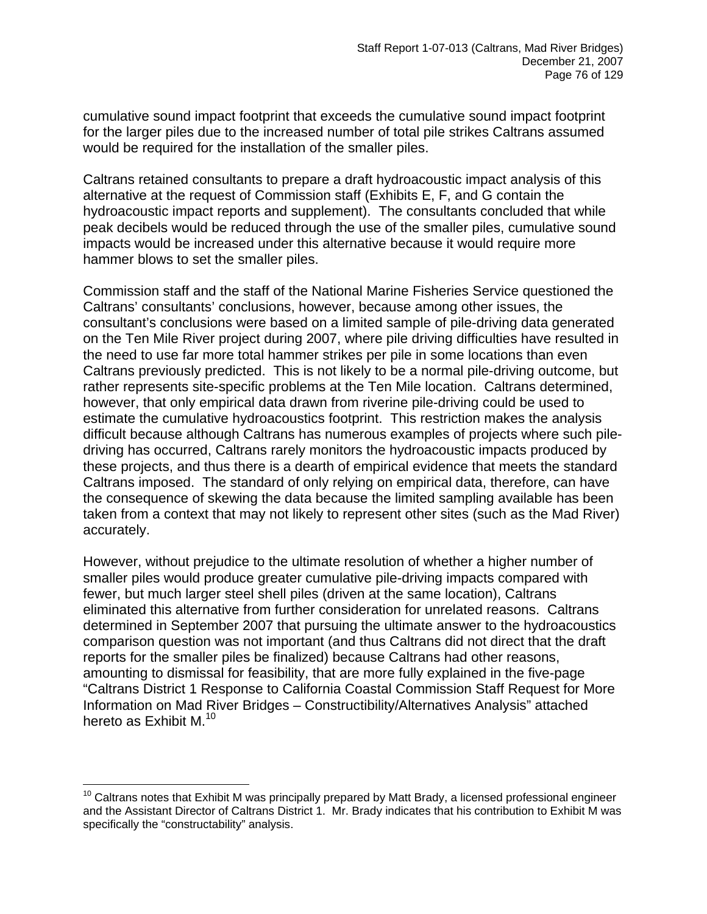cumulative sound impact footprint that exceeds the cumulative sound impact footprint for the larger piles due to the increased number of total pile strikes Caltrans assumed would be required for the installation of the smaller piles.

Caltrans retained consultants to prepare a draft hydroacoustic impact analysis of this alternative at the request of Commission staff (Exhibits E, F, and G contain the hydroacoustic impact reports and supplement). The consultants concluded that while peak decibels would be reduced through the use of the smaller piles, cumulative sound impacts would be increased under this alternative because it would require more hammer blows to set the smaller piles.

Commission staff and the staff of the National Marine Fisheries Service questioned the Caltrans' consultants' conclusions, however, because among other issues, the consultant's conclusions were based on a limited sample of pile-driving data generated on the Ten Mile River project during 2007, where pile driving difficulties have resulted in the need to use far more total hammer strikes per pile in some locations than even Caltrans previously predicted. This is not likely to be a normal pile-driving outcome, but rather represents site-specific problems at the Ten Mile location. Caltrans determined, however, that only empirical data drawn from riverine pile-driving could be used to estimate the cumulative hydroacoustics footprint. This restriction makes the analysis difficult because although Caltrans has numerous examples of projects where such piledriving has occurred, Caltrans rarely monitors the hydroacoustic impacts produced by these projects, and thus there is a dearth of empirical evidence that meets the standard Caltrans imposed. The standard of only relying on empirical data, therefore, can have the consequence of skewing the data because the limited sampling available has been taken from a context that may not likely to represent other sites (such as the Mad River) accurately.

However, without prejudice to the ultimate resolution of whether a higher number of smaller piles would produce greater cumulative pile-driving impacts compared with fewer, but much larger steel shell piles (driven at the same location), Caltrans eliminated this alternative from further consideration for unrelated reasons. Caltrans determined in September 2007 that pursuing the ultimate answer to the hydroacoustics comparison question was not important (and thus Caltrans did not direct that the draft reports for the smaller piles be finalized) because Caltrans had other reasons, amounting to dismissal for feasibility, that are more fully explained in the five-page "Caltrans District 1 Response to California Coastal Commission Staff Request for More Information on Mad River Bridges – Constructibility/Alternatives Analysis" attached hereto as Exhibit M.<sup>10</sup>

 $\overline{a}$ 

<span id="page-75-0"></span> $10$  Caltrans notes that Exhibit M was principally prepared by Matt Brady, a licensed professional engineer and the Assistant Director of Caltrans District 1. Mr. Brady indicates that his contribution to Exhibit M was specifically the "constructability" analysis.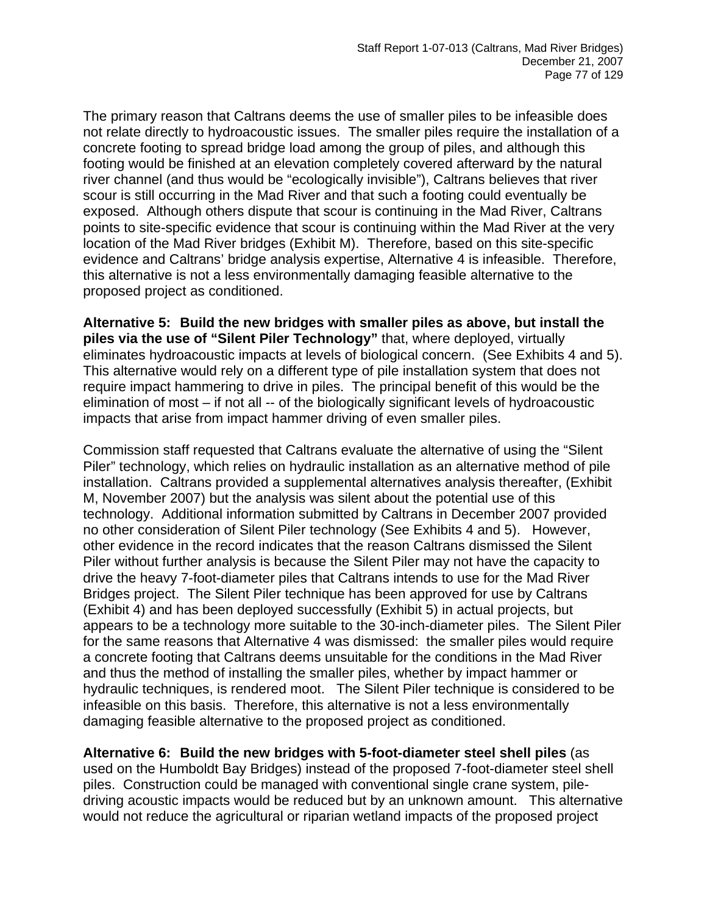The primary reason that Caltrans deems the use of smaller piles to be infeasible does not relate directly to hydroacoustic issues. The smaller piles require the installation of a concrete footing to spread bridge load among the group of piles, and although this footing would be finished at an elevation completely covered afterward by the natural river channel (and thus would be "ecologically invisible"), Caltrans believes that river scour is still occurring in the Mad River and that such a footing could eventually be exposed. Although others dispute that scour is continuing in the Mad River, Caltrans points to site-specific evidence that scour is continuing within the Mad River at the very location of the Mad River bridges (Exhibit M). Therefore, based on this site-specific evidence and Caltrans' bridge analysis expertise, Alternative 4 is infeasible. Therefore, this alternative is not a less environmentally damaging feasible alternative to the proposed project as conditioned.

**Alternative 5: Build the new bridges with smaller piles as above, but install the piles via the use of "Silent Piler Technology"** that, where deployed, virtually eliminates hydroacoustic impacts at levels of biological concern. (See Exhibits 4 and 5). This alternative would rely on a different type of pile installation system that does not require impact hammering to drive in piles. The principal benefit of this would be the elimination of most – if not all -- of the biologically significant levels of hydroacoustic impacts that arise from impact hammer driving of even smaller piles.

Commission staff requested that Caltrans evaluate the alternative of using the "Silent Piler" technology, which relies on hydraulic installation as an alternative method of pile installation. Caltrans provided a supplemental alternatives analysis thereafter, (Exhibit M, November 2007) but the analysis was silent about the potential use of this technology. Additional information submitted by Caltrans in December 2007 provided no other consideration of Silent Piler technology (See Exhibits 4 and 5). However, other evidence in the record indicates that the reason Caltrans dismissed the Silent Piler without further analysis is because the Silent Piler may not have the capacity to drive the heavy 7-foot-diameter piles that Caltrans intends to use for the Mad River Bridges project. The Silent Piler technique has been approved for use by Caltrans (Exhibit 4) and has been deployed successfully (Exhibit 5) in actual projects, but appears to be a technology more suitable to the 30-inch-diameter piles. The Silent Piler for the same reasons that Alternative 4 was dismissed: the smaller piles would require a concrete footing that Caltrans deems unsuitable for the conditions in the Mad River and thus the method of installing the smaller piles, whether by impact hammer or hydraulic techniques, is rendered moot. The Silent Piler technique is considered to be infeasible on this basis. Therefore, this alternative is not a less environmentally damaging feasible alternative to the proposed project as conditioned.

**Alternative 6: Build the new bridges with 5-foot-diameter steel shell piles** (as used on the Humboldt Bay Bridges) instead of the proposed 7-foot-diameter steel shell piles. Construction could be managed with conventional single crane system, piledriving acoustic impacts would be reduced but by an unknown amount. This alternative would not reduce the agricultural or riparian wetland impacts of the proposed project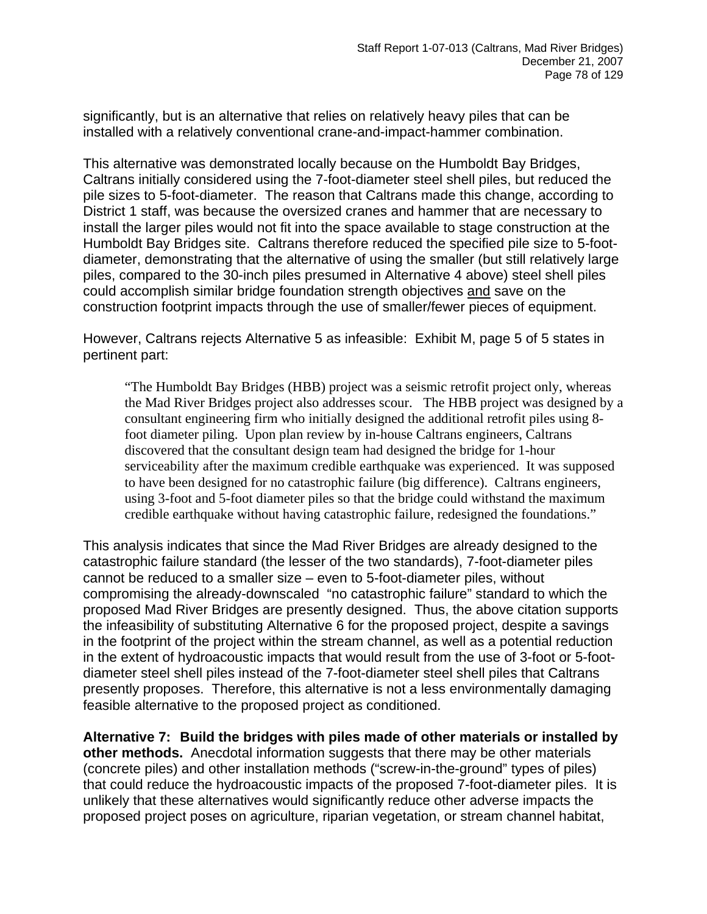significantly, but is an alternative that relies on relatively heavy piles that can be installed with a relatively conventional crane-and-impact-hammer combination.

This alternative was demonstrated locally because on the Humboldt Bay Bridges, Caltrans initially considered using the 7-foot-diameter steel shell piles, but reduced the pile sizes to 5-foot-diameter. The reason that Caltrans made this change, according to District 1 staff, was because the oversized cranes and hammer that are necessary to install the larger piles would not fit into the space available to stage construction at the Humboldt Bay Bridges site. Caltrans therefore reduced the specified pile size to 5-footdiameter, demonstrating that the alternative of using the smaller (but still relatively large piles, compared to the 30-inch piles presumed in Alternative 4 above) steel shell piles could accomplish similar bridge foundation strength objectives and save on the construction footprint impacts through the use of smaller/fewer pieces of equipment.

However, Caltrans rejects Alternative 5 as infeasible: Exhibit M, page 5 of 5 states in pertinent part:

"The Humboldt Bay Bridges (HBB) project was a seismic retrofit project only, whereas the Mad River Bridges project also addresses scour. The HBB project was designed by a consultant engineering firm who initially designed the additional retrofit piles using 8 foot diameter piling. Upon plan review by in-house Caltrans engineers, Caltrans discovered that the consultant design team had designed the bridge for 1-hour serviceability after the maximum credible earthquake was experienced. It was supposed to have been designed for no catastrophic failure (big difference). Caltrans engineers, using 3-foot and 5-foot diameter piles so that the bridge could withstand the maximum credible earthquake without having catastrophic failure, redesigned the foundations."

This analysis indicates that since the Mad River Bridges are already designed to the catastrophic failure standard (the lesser of the two standards), 7-foot-diameter piles cannot be reduced to a smaller size – even to 5-foot-diameter piles, without compromising the already-downscaled "no catastrophic failure" standard to which the proposed Mad River Bridges are presently designed. Thus, the above citation supports the infeasibility of substituting Alternative 6 for the proposed project, despite a savings in the footprint of the project within the stream channel, as well as a potential reduction in the extent of hydroacoustic impacts that would result from the use of 3-foot or 5-footdiameter steel shell piles instead of the 7-foot-diameter steel shell piles that Caltrans presently proposes. Therefore, this alternative is not a less environmentally damaging feasible alternative to the proposed project as conditioned.

**Alternative 7: Build the bridges with piles made of other materials or installed by other methods.** Anecdotal information suggests that there may be other materials (concrete piles) and other installation methods ("screw-in-the-ground" types of piles) that could reduce the hydroacoustic impacts of the proposed 7-foot-diameter piles. It is unlikely that these alternatives would significantly reduce other adverse impacts the proposed project poses on agriculture, riparian vegetation, or stream channel habitat,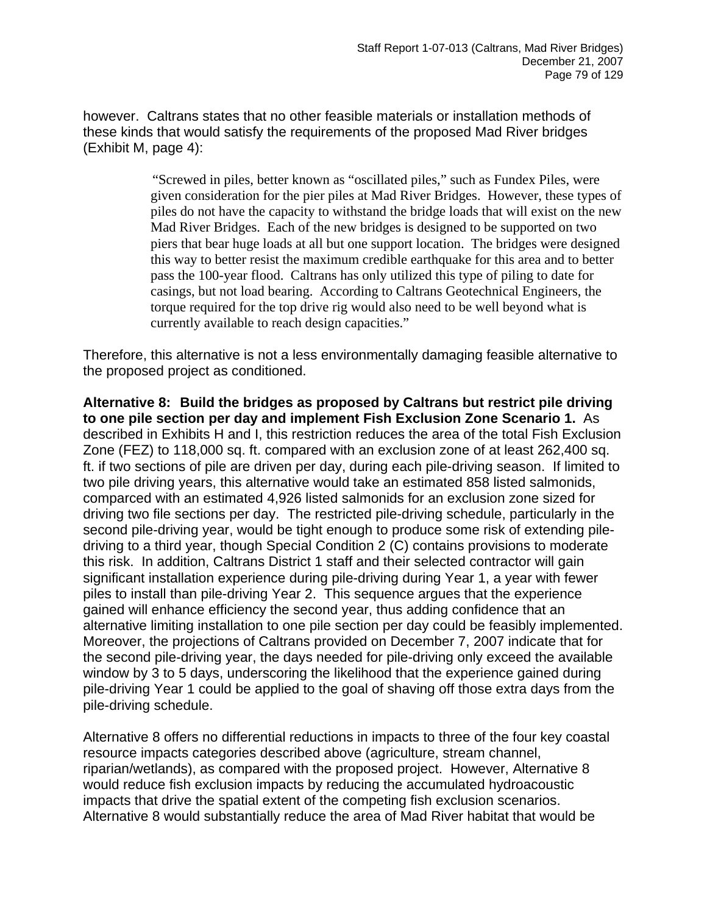however. Caltrans states that no other feasible materials or installation methods of these kinds that would satisfy the requirements of the proposed Mad River bridges (Exhibit M, page 4):

> "Screwed in piles, better known as "oscillated piles," such as Fundex Piles, were given consideration for the pier piles at Mad River Bridges. However, these types of piles do not have the capacity to withstand the bridge loads that will exist on the new Mad River Bridges. Each of the new bridges is designed to be supported on two piers that bear huge loads at all but one support location. The bridges were designed this way to better resist the maximum credible earthquake for this area and to better pass the 100-year flood. Caltrans has only utilized this type of piling to date for casings, but not load bearing. According to Caltrans Geotechnical Engineers, the torque required for the top drive rig would also need to be well beyond what is currently available to reach design capacities."

Therefore, this alternative is not a less environmentally damaging feasible alternative to the proposed project as conditioned.

**Alternative 8: Build the bridges as proposed by Caltrans but restrict pile driving to one pile section per day and implement Fish Exclusion Zone Scenario 1.** As described in Exhibits H and I, this restriction reduces the area of the total Fish Exclusion Zone (FEZ) to 118,000 sq. ft. compared with an exclusion zone of at least 262,400 sq. ft. if two sections of pile are driven per day, during each pile-driving season. If limited to two pile driving years, this alternative would take an estimated 858 listed salmonids, comparced with an estimated 4,926 listed salmonids for an exclusion zone sized for driving two file sections per day. The restricted pile-driving schedule, particularly in the second pile-driving year, would be tight enough to produce some risk of extending piledriving to a third year, though Special Condition 2 (C) contains provisions to moderate this risk. In addition, Caltrans District 1 staff and their selected contractor will gain significant installation experience during pile-driving during Year 1, a year with fewer piles to install than pile-driving Year 2. This sequence argues that the experience gained will enhance efficiency the second year, thus adding confidence that an alternative limiting installation to one pile section per day could be feasibly implemented. Moreover, the projections of Caltrans provided on December 7, 2007 indicate that for the second pile-driving year, the days needed for pile-driving only exceed the available window by 3 to 5 days, underscoring the likelihood that the experience gained during pile-driving Year 1 could be applied to the goal of shaving off those extra days from the pile-driving schedule.

Alternative 8 offers no differential reductions in impacts to three of the four key coastal resource impacts categories described above (agriculture, stream channel, riparian/wetlands), as compared with the proposed project. However, Alternative 8 would reduce fish exclusion impacts by reducing the accumulated hydroacoustic impacts that drive the spatial extent of the competing fish exclusion scenarios. Alternative 8 would substantially reduce the area of Mad River habitat that would be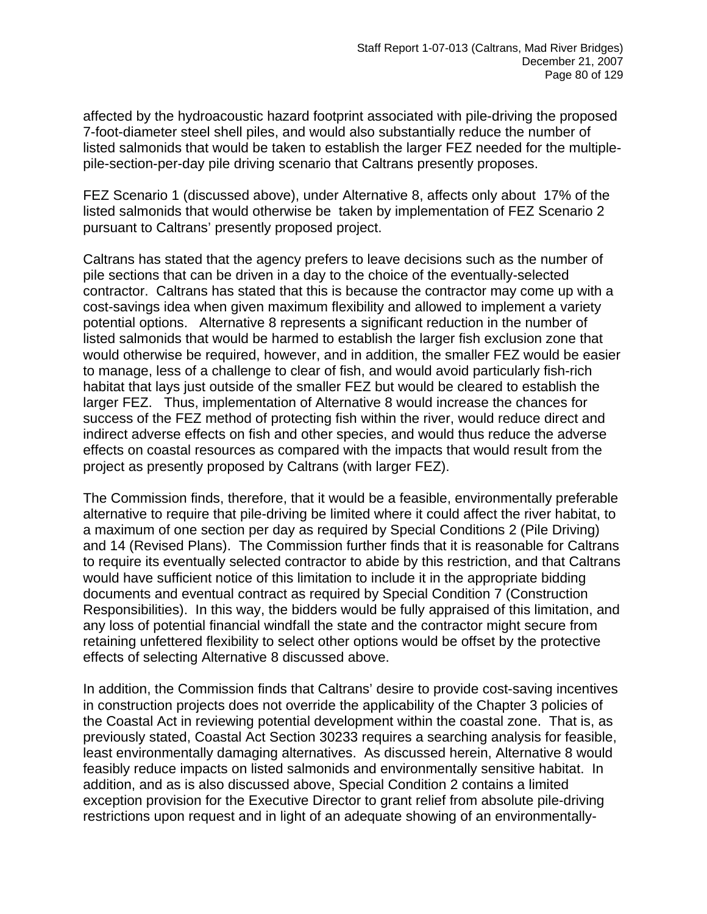affected by the hydroacoustic hazard footprint associated with pile-driving the proposed 7-foot-diameter steel shell piles, and would also substantially reduce the number of listed salmonids that would be taken to establish the larger FEZ needed for the multiplepile-section-per-day pile driving scenario that Caltrans presently proposes.

FEZ Scenario 1 (discussed above), under Alternative 8, affects only about 17% of the listed salmonids that would otherwise be taken by implementation of FEZ Scenario 2 pursuant to Caltrans' presently proposed project.

Caltrans has stated that the agency prefers to leave decisions such as the number of pile sections that can be driven in a day to the choice of the eventually-selected contractor. Caltrans has stated that this is because the contractor may come up with a cost-savings idea when given maximum flexibility and allowed to implement a variety potential options. Alternative 8 represents a significant reduction in the number of listed salmonids that would be harmed to establish the larger fish exclusion zone that would otherwise be required, however, and in addition, the smaller FEZ would be easier to manage, less of a challenge to clear of fish, and would avoid particularly fish-rich habitat that lays just outside of the smaller FEZ but would be cleared to establish the larger FEZ. Thus, implementation of Alternative 8 would increase the chances for success of the FEZ method of protecting fish within the river, would reduce direct and indirect adverse effects on fish and other species, and would thus reduce the adverse effects on coastal resources as compared with the impacts that would result from the project as presently proposed by Caltrans (with larger FEZ).

The Commission finds, therefore, that it would be a feasible, environmentally preferable alternative to require that pile-driving be limited where it could affect the river habitat, to a maximum of one section per day as required by Special Conditions 2 (Pile Driving) and 14 (Revised Plans). The Commission further finds that it is reasonable for Caltrans to require its eventually selected contractor to abide by this restriction, and that Caltrans would have sufficient notice of this limitation to include it in the appropriate bidding documents and eventual contract as required by Special Condition 7 (Construction Responsibilities). In this way, the bidders would be fully appraised of this limitation, and any loss of potential financial windfall the state and the contractor might secure from retaining unfettered flexibility to select other options would be offset by the protective effects of selecting Alternative 8 discussed above.

In addition, the Commission finds that Caltrans' desire to provide cost-saving incentives in construction projects does not override the applicability of the Chapter 3 policies of the Coastal Act in reviewing potential development within the coastal zone. That is, as previously stated, Coastal Act Section 30233 requires a searching analysis for feasible, least environmentally damaging alternatives. As discussed herein, Alternative 8 would feasibly reduce impacts on listed salmonids and environmentally sensitive habitat. In addition, and as is also discussed above, Special Condition 2 contains a limited exception provision for the Executive Director to grant relief from absolute pile-driving restrictions upon request and in light of an adequate showing of an environmentally-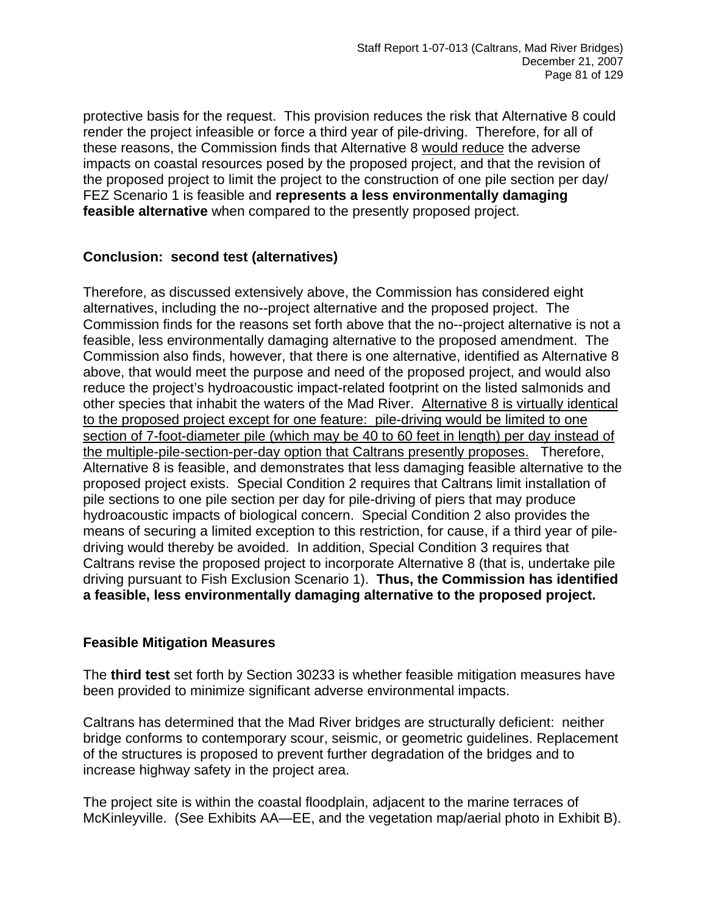protective basis for the request. This provision reduces the risk that Alternative 8 could render the project infeasible or force a third year of pile-driving. Therefore, for all of these reasons, the Commission finds that Alternative 8 would reduce the adverse impacts on coastal resources posed by the proposed project, and that the revision of the proposed project to limit the project to the construction of one pile section per day/ FEZ Scenario 1 is feasible and **represents a less environmentally damaging feasible alternative** when compared to the presently proposed project.

## **Conclusion: second test (alternatives)**

Therefore, as discussed extensively above, the Commission has considered eight alternatives, including the no--project alternative and the proposed project. The Commission finds for the reasons set forth above that the no--project alternative is not a feasible, less environmentally damaging alternative to the proposed amendment. The Commission also finds, however, that there is one alternative, identified as Alternative 8 above, that would meet the purpose and need of the proposed project, and would also reduce the project's hydroacoustic impact-related footprint on the listed salmonids and other species that inhabit the waters of the Mad River. Alternative 8 is virtually identical to the proposed project except for one feature: pile-driving would be limited to one section of 7-foot-diameter pile (which may be 40 to 60 feet in length) per day instead of the multiple-pile-section-per-day option that Caltrans presently proposes. Therefore, Alternative 8 is feasible, and demonstrates that less damaging feasible alternative to the proposed project exists. Special Condition 2 requires that Caltrans limit installation of pile sections to one pile section per day for pile-driving of piers that may produce hydroacoustic impacts of biological concern. Special Condition 2 also provides the means of securing a limited exception to this restriction, for cause, if a third year of piledriving would thereby be avoided. In addition, Special Condition 3 requires that Caltrans revise the proposed project to incorporate Alternative 8 (that is, undertake pile driving pursuant to Fish Exclusion Scenario 1). **Thus, the Commission has identified a feasible, less environmentally damaging alternative to the proposed project.** 

#### **Feasible Mitigation Measures**

The **third test** set forth by Section 30233 is whether feasible mitigation measures have been provided to minimize significant adverse environmental impacts.

Caltrans has determined that the Mad River bridges are structurally deficient: neither bridge conforms to contemporary scour, seismic, or geometric guidelines. Replacement of the structures is proposed to prevent further degradation of the bridges and to increase highway safety in the project area.

The project site is within the coastal floodplain, adjacent to the marine terraces of McKinleyville. (See Exhibits AA—EE, and the vegetation map/aerial photo in Exhibit B).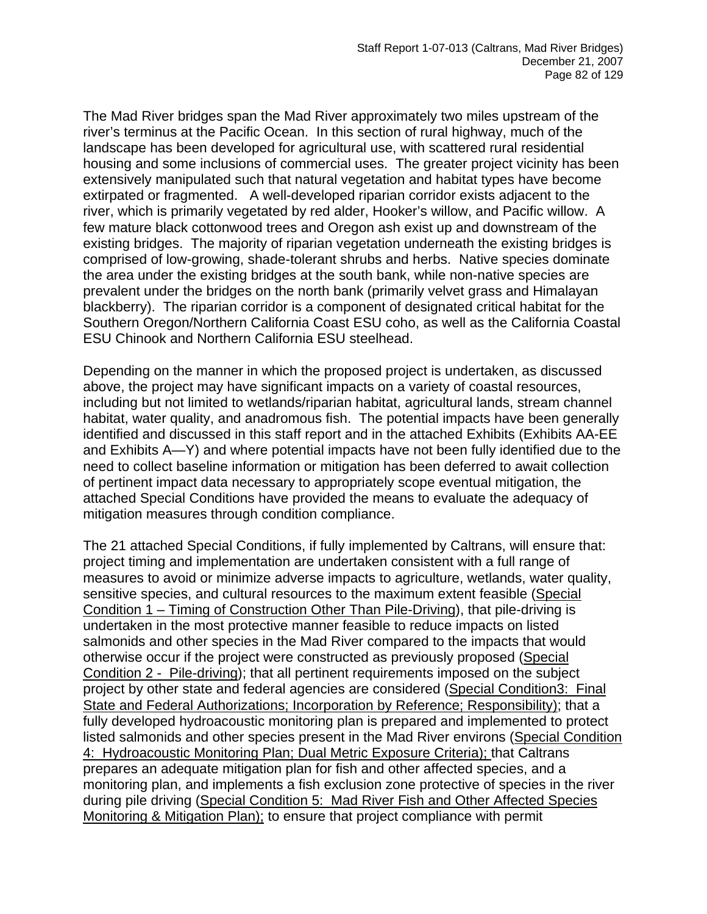The Mad River bridges span the Mad River approximately two miles upstream of the river's terminus at the Pacific Ocean. In this section of rural highway, much of the landscape has been developed for agricultural use, with scattered rural residential housing and some inclusions of commercial uses. The greater project vicinity has been extensively manipulated such that natural vegetation and habitat types have become extirpated or fragmented. A well-developed riparian corridor exists adjacent to the river, which is primarily vegetated by red alder, Hooker's willow, and Pacific willow. A few mature black cottonwood trees and Oregon ash exist up and downstream of the existing bridges. The majority of riparian vegetation underneath the existing bridges is comprised of low-growing, shade-tolerant shrubs and herbs. Native species dominate the area under the existing bridges at the south bank, while non-native species are prevalent under the bridges on the north bank (primarily velvet grass and Himalayan blackberry). The riparian corridor is a component of designated critical habitat for the Southern Oregon/Northern California Coast ESU coho, as well as the California Coastal ESU Chinook and Northern California ESU steelhead.

Depending on the manner in which the proposed project is undertaken, as discussed above, the project may have significant impacts on a variety of coastal resources, including but not limited to wetlands/riparian habitat, agricultural lands, stream channel habitat, water quality, and anadromous fish. The potential impacts have been generally identified and discussed in this staff report and in the attached Exhibits (Exhibits AA-EE and Exhibits A—Y) and where potential impacts have not been fully identified due to the need to collect baseline information or mitigation has been deferred to await collection of pertinent impact data necessary to appropriately scope eventual mitigation, the attached Special Conditions have provided the means to evaluate the adequacy of mitigation measures through condition compliance.

The 21 attached Special Conditions, if fully implemented by Caltrans, will ensure that: project timing and implementation are undertaken consistent with a full range of measures to avoid or minimize adverse impacts to agriculture, wetlands, water quality, sensitive species, and cultural resources to the maximum extent feasible (Special Condition 1 – Timing of Construction Other Than Pile-Driving), that pile-driving is undertaken in the most protective manner feasible to reduce impacts on listed salmonids and other species in the Mad River compared to the impacts that would otherwise occur if the project were constructed as previously proposed (Special Condition 2 - Pile-driving); that all pertinent requirements imposed on the subject project by other state and federal agencies are considered (Special Condition3: Final State and Federal Authorizations; Incorporation by Reference; Responsibility); that a fully developed hydroacoustic monitoring plan is prepared and implemented to protect listed salmonids and other species present in the Mad River environs (Special Condition 4: Hydroacoustic Monitoring Plan; Dual Metric Exposure Criteria); that Caltrans prepares an adequate mitigation plan for fish and other affected species, and a monitoring plan, and implements a fish exclusion zone protective of species in the river during pile driving (Special Condition 5: Mad River Fish and Other Affected Species Monitoring & Mitigation Plan); to ensure that project compliance with permit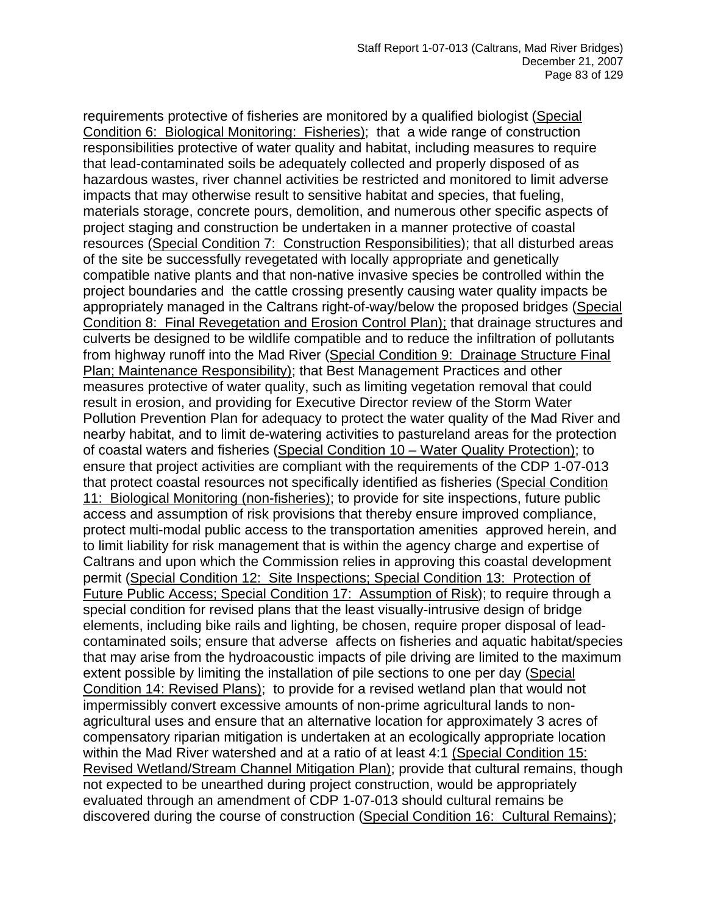requirements protective of fisheries are monitored by a qualified biologist (Special Condition 6: Biological Monitoring: Fisheries); that a wide range of construction responsibilities protective of water quality and habitat, including measures to require that lead-contaminated soils be adequately collected and properly disposed of as hazardous wastes, river channel activities be restricted and monitored to limit adverse impacts that may otherwise result to sensitive habitat and species, that fueling, materials storage, concrete pours, demolition, and numerous other specific aspects of project staging and construction be undertaken in a manner protective of coastal resources (Special Condition 7: Construction Responsibilities); that all disturbed areas of the site be successfully revegetated with locally appropriate and genetically compatible native plants and that non-native invasive species be controlled within the project boundaries and the cattle crossing presently causing water quality impacts be appropriately managed in the Caltrans right-of-way/below the proposed bridges (Special Condition 8: Final Revegetation and Erosion Control Plan); that drainage structures and culverts be designed to be wildlife compatible and to reduce the infiltration of pollutants from highway runoff into the Mad River (Special Condition 9: Drainage Structure Final Plan; Maintenance Responsibility); that Best Management Practices and other measures protective of water quality, such as limiting vegetation removal that could result in erosion, and providing for Executive Director review of the Storm Water Pollution Prevention Plan for adequacy to protect the water quality of the Mad River and nearby habitat, and to limit de-watering activities to pastureland areas for the protection of coastal waters and fisheries (Special Condition 10 – Water Quality Protection); to ensure that project activities are compliant with the requirements of the CDP 1-07-013 that protect coastal resources not specifically identified as fisheries (Special Condition 11: Biological Monitoring (non-fisheries); to provide for site inspections, future public access and assumption of risk provisions that thereby ensure improved compliance, protect multi-modal public access to the transportation amenities approved herein, and to limit liability for risk management that is within the agency charge and expertise of Caltrans and upon which the Commission relies in approving this coastal development permit (Special Condition 12: Site Inspections; Special Condition 13: Protection of Future Public Access; Special Condition 17: Assumption of Risk); to require through a special condition for revised plans that the least visually-intrusive design of bridge elements, including bike rails and lighting, be chosen, require proper disposal of leadcontaminated soils; ensure that adverse affects on fisheries and aquatic habitat/species that may arise from the hydroacoustic impacts of pile driving are limited to the maximum extent possible by limiting the installation of pile sections to one per day (Special Condition 14: Revised Plans); to provide for a revised wetland plan that would not impermissibly convert excessive amounts of non-prime agricultural lands to nonagricultural uses and ensure that an alternative location for approximately 3 acres of compensatory riparian mitigation is undertaken at an ecologically appropriate location within the Mad River watershed and at a ratio of at least 4:1 (Special Condition 15: Revised Wetland/Stream Channel Mitigation Plan); provide that cultural remains, though not expected to be unearthed during project construction, would be appropriately evaluated through an amendment of CDP 1-07-013 should cultural remains be discovered during the course of construction (Special Condition 16: Cultural Remains);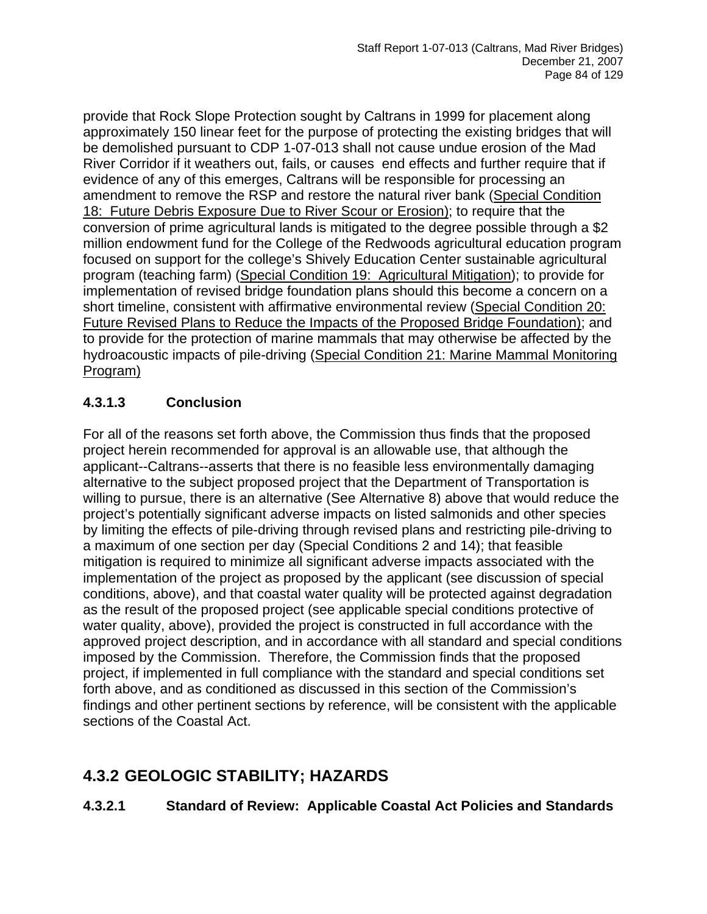provide that Rock Slope Protection sought by Caltrans in 1999 for placement along approximately 150 linear feet for the purpose of protecting the existing bridges that will be demolished pursuant to CDP 1-07-013 shall not cause undue erosion of the Mad River Corridor if it weathers out, fails, or causes end effects and further require that if evidence of any of this emerges, Caltrans will be responsible for processing an amendment to remove the RSP and restore the natural river bank (Special Condition 18: Future Debris Exposure Due to River Scour or Erosion); to require that the conversion of prime agricultural lands is mitigated to the degree possible through a \$2 million endowment fund for the College of the Redwoods agricultural education program focused on support for the college's Shively Education Center sustainable agricultural program (teaching farm) (Special Condition 19: Agricultural Mitigation); to provide for implementation of revised bridge foundation plans should this become a concern on a short timeline, consistent with affirmative environmental review (Special Condition 20: Future Revised Plans to Reduce the Impacts of the Proposed Bridge Foundation); and to provide for the protection of marine mammals that may otherwise be affected by the hydroacoustic impacts of pile-driving (Special Condition 21: Marine Mammal Monitoring Program)

## **4.3.1.3 Conclusion**

For all of the reasons set forth above, the Commission thus finds that the proposed project herein recommended for approval is an allowable use, that although the applicant--Caltrans--asserts that there is no feasible less environmentally damaging alternative to the subject proposed project that the Department of Transportation is willing to pursue, there is an alternative (See Alternative 8) above that would reduce the project's potentially significant adverse impacts on listed salmonids and other species by limiting the effects of pile-driving through revised plans and restricting pile-driving to a maximum of one section per day (Special Conditions 2 and 14); that feasible mitigation is required to minimize all significant adverse impacts associated with the implementation of the project as proposed by the applicant (see discussion of special conditions, above), and that coastal water quality will be protected against degradation as the result of the proposed project (see applicable special conditions protective of water quality, above), provided the project is constructed in full accordance with the approved project description, and in accordance with all standard and special conditions imposed by the Commission. Therefore, the Commission finds that the proposed project, if implemented in full compliance with the standard and special conditions set forth above, and as conditioned as discussed in this section of the Commission's findings and other pertinent sections by reference, will be consistent with the applicable sections of the Coastal Act.

# **4.3.2 GEOLOGIC STABILITY; HAZARDS**

**4.3.2.1 Standard of Review: Applicable Coastal Act Policies and Standards**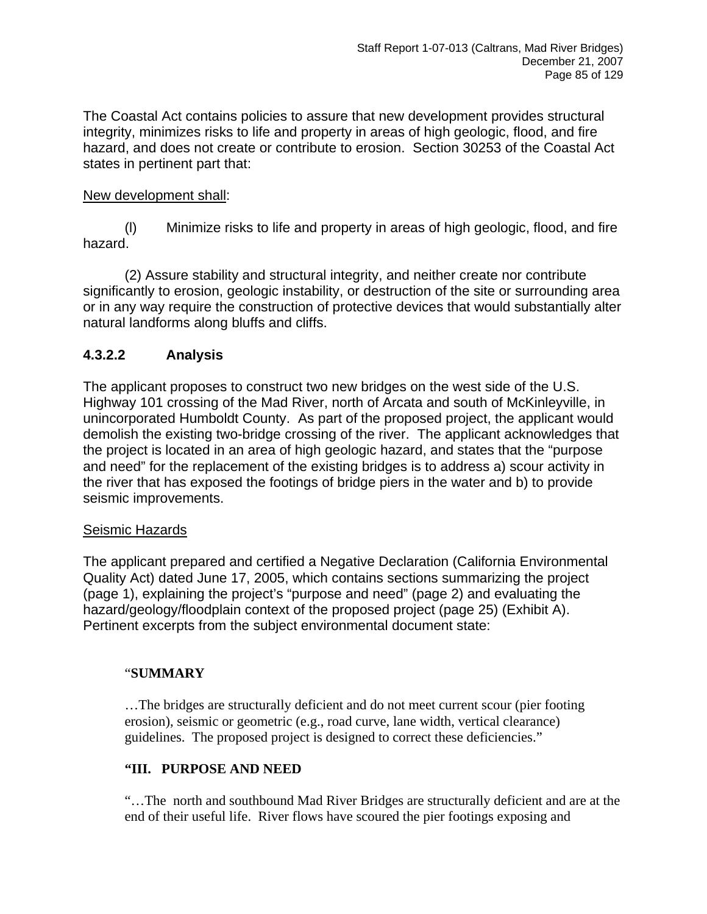The Coastal Act contains policies to assure that new development provides structural integrity, minimizes risks to life and property in areas of high geologic, flood, and fire hazard, and does not create or contribute to erosion. Section 30253 of the Coastal Act states in pertinent part that:

## New development shall:

 (l) Minimize risks to life and property in areas of high geologic, flood, and fire hazard.

 (2) Assure stability and structural integrity, and neither create nor contribute significantly to erosion, geologic instability, or destruction of the site or surrounding area or in any way require the construction of protective devices that would substantially alter natural landforms along bluffs and cliffs.

## **4.3.2.2 Analysis**

The applicant proposes to construct two new bridges on the west side of the U.S. Highway 101 crossing of the Mad River, north of Arcata and south of McKinleyville, in unincorporated Humboldt County. As part of the proposed project, the applicant would demolish the existing two-bridge crossing of the river. The applicant acknowledges that the project is located in an area of high geologic hazard, and states that the "purpose and need" for the replacement of the existing bridges is to address a) scour activity in the river that has exposed the footings of bridge piers in the water and b) to provide seismic improvements.

#### Seismic Hazards

The applicant prepared and certified a Negative Declaration (California Environmental Quality Act) dated June 17, 2005, which contains sections summarizing the project (page 1), explaining the project's "purpose and need" (page 2) and evaluating the hazard/geology/floodplain context of the proposed project (page 25) (Exhibit A). Pertinent excerpts from the subject environmental document state:

## "**SUMMARY**

 …The bridges are structurally deficient and do not meet current scour (pier footing erosion), seismic or geometric (e.g., road curve, lane width, vertical clearance) guidelines. The proposed project is designed to correct these deficiencies."

## **"III. PURPOSE AND NEED**

 "…The north and southbound Mad River Bridges are structurally deficient and are at the end of their useful life. River flows have scoured the pier footings exposing and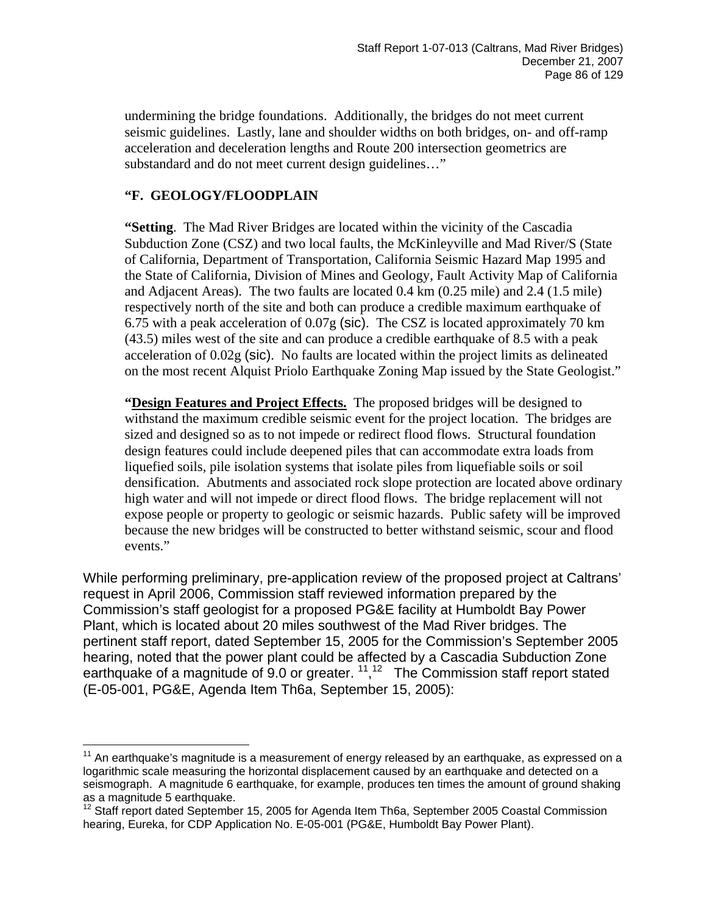undermining the bridge foundations. Additionally, the bridges do not meet current seismic guidelines. Lastly, lane and shoulder widths on both bridges, on- and off-ramp acceleration and deceleration lengths and Route 200 intersection geometrics are substandard and do not meet current design guidelines…"

### **"F. GEOLOGY/FLOODPLAIN**

 $\overline{a}$ 

**"Setting**. The Mad River Bridges are located within the vicinity of the Cascadia Subduction Zone (CSZ) and two local faults, the McKinleyville and Mad River/S (State of California, Department of Transportation, California Seismic Hazard Map 1995 and the State of California, Division of Mines and Geology, Fault Activity Map of California and Adjacent Areas). The two faults are located 0.4 km (0.25 mile) and 2.4 (1.5 mile) respectively north of the site and both can produce a credible maximum earthquake of 6.75 with a peak acceleration of 0.07g (sic). The CSZ is located approximately 70 km (43.5) miles west of the site and can produce a credible earthquake of 8.5 with a peak acceleration of 0.02g (sic). No faults are located within the project limits as delineated on the most recent Alquist Priolo Earthquake Zoning Map issued by the State Geologist."

**"Design Features and Project Effects.** The proposed bridges will be designed to withstand the maximum credible seismic event for the project location. The bridges are sized and designed so as to not impede or redirect flood flows. Structural foundation design features could include deepened piles that can accommodate extra loads from liquefied soils, pile isolation systems that isolate piles from liquefiable soils or soil densification. Abutments and associated rock slope protection are located above ordinary high water and will not impede or direct flood flows. The bridge replacement will not expose people or property to geologic or seismic hazards. Public safety will be improved because the new bridges will be constructed to better withstand seismic, scour and flood events."

While performing preliminary, pre-application review of the proposed project at Caltrans' request in April 2006, Commission staff reviewed information prepared by the Commission's staff geologist for a proposed PG&E facility at Humboldt Bay Power Plant, which is located about 20 miles southwest of the Mad River bridges. The pertinent staff report, dated September 15, 2005 for the Commission's September 2005 hearing, noted that the power plant could be affected by a Cascadia Subduction Zone earthquake of a magnitude of 9.0 or greater.  $11,12$  $11,12$  The Commission staff report stated (E-05-001, PG&E, Agenda Item Th6a, September 15, 2005):

<span id="page-85-0"></span> $11$  An earthquake's magnitude is a measurement of energy released by an earthquake, as expressed on a logarithmic scale measuring the horizontal displacement caused by an earthquake and detected on a seismograph. A magnitude 6 earthquake, for example, produces ten times the amount of ground shaking as a magnitude 5 earthquake.

<span id="page-85-1"></span><sup>12</sup> Staff report dated September 15, 2005 for Agenda Item Th6a, September 2005 Coastal Commission hearing, Eureka, for CDP Application No. E-05-001 (PG&E, Humboldt Bay Power Plant).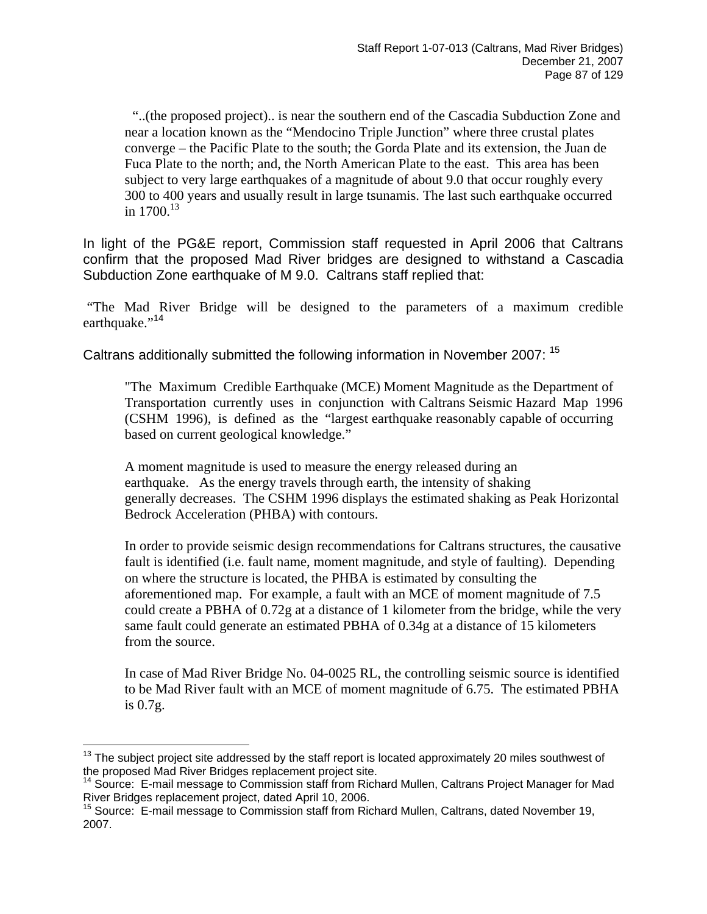"..(the proposed project).. is near the southern end of the Cascadia Subduction Zone and near a location known as the "Mendocino Triple Junction" where three crustal plates converge – the Pacific Plate to the south; the Gorda Plate and its extension, the Juan de Fuca Plate to the north; and, the North American Plate to the east. This area has been subject to very large earthquakes of a magnitude of about 9.0 that occur roughly every 300 to 400 years and usually result in large tsunamis. The last such earthquake occurred in  $1700^{13}$  $1700^{13}$  $1700^{13}$ 

In light of the PG&E report, Commission staff requested in April 2006 that Caltrans confirm that the proposed Mad River bridges are designed to withstand a Cascadia Subduction Zone earthquake of M 9.0. Caltrans staff replied that:

"The Mad River Bridge will be designed to the parameters of a maximum credible earthquake."<sup>14</sup>

Caltrans additionally submitted the following information in November 2007: [15](#page-86-2) 

"The Maximum Credible Earthquake (MCE) Moment Magnitude as the Department of Transportation currently uses in conjunction with Caltrans Seismic Hazard Map 1996 (CSHM 1996), is defined as the "largest earthquake reasonably capable of occurring based on current geological knowledge."

A moment magnitude is used to measure the energy released during an earthquake. As the energy travels through earth, the intensity of shaking generally decreases. The CSHM 1996 displays the estimated shaking as Peak Horizontal Bedrock Acceleration (PHBA) with contours.

In order to provide seismic design recommendations for Caltrans structures, the causative fault is identified (i.e. fault name, moment magnitude, and style of faulting). Depending on where the structure is located, the PHBA is estimated by consulting the aforementioned map. For example, a fault with an MCE of moment magnitude of 7.5 could create a PBHA of 0.72g at a distance of 1 kilometer from the bridge, while the very same fault could generate an estimated PBHA of 0.34g at a distance of 15 kilometers from the source.

In case of Mad River Bridge No. 04-0025 RL, the controlling seismic source is identified to be Mad River fault with an MCE of moment magnitude of 6.75. The estimated PBHA is 0.7g.

<span id="page-86-0"></span> $\overline{a}$  $13$  The subject project site addressed by the staff report is located approximately 20 miles southwest of the proposed Mad River Bridges replacement project site.

<span id="page-86-1"></span><sup>&</sup>lt;sup>14</sup> Source: E-mail message to Commission staff from Richard Mullen, Caltrans Project Manager for Mad River Bridges replacement project, dated April 10, 2006.

<span id="page-86-2"></span><sup>&</sup>lt;sup>15</sup> Source: E-mail message to Commission staff from Richard Mullen, Caltrans, dated November 19, 2007.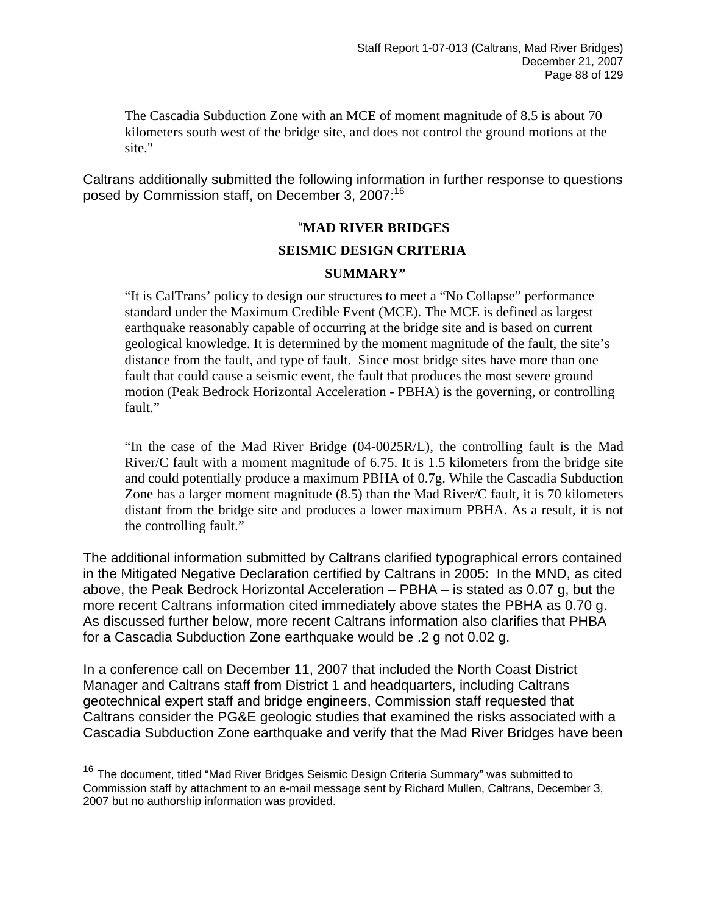The Cascadia Subduction Zone with an MCE of moment magnitude of 8.5 is about 70 kilometers south west of the bridge site, and does not control the ground motions at the site."

Caltrans additionally submitted the following information in further response to questions posed by Commission staff, on December 3, 2007:<sup>[16](#page-87-0)</sup>

#### "**MAD RIVER BRIDGES**

#### **SEISMIC DESIGN CRITERIA**

#### **SUMMARY"**

"It is CalTrans' policy to design our structures to meet a "No Collapse" performance standard under the Maximum Credible Event (MCE). The MCE is defined as largest earthquake reasonably capable of occurring at the bridge site and is based on current geological knowledge. It is determined by the moment magnitude of the fault, the site's distance from the fault, and type of fault. Since most bridge sites have more than one fault that could cause a seismic event, the fault that produces the most severe ground motion (Peak Bedrock Horizontal Acceleration - PBHA) is the governing, or controlling fault."

"In the case of the Mad River Bridge (04-0025R/L), the controlling fault is the Mad River/C fault with a moment magnitude of 6.75. It is 1.5 kilometers from the bridge site and could potentially produce a maximum PBHA of 0.7g. While the Cascadia Subduction Zone has a larger moment magnitude (8.5) than the Mad River/C fault, it is 70 kilometers distant from the bridge site and produces a lower maximum PBHA. As a result, it is not the controlling fault."

The additional information submitted by Caltrans clarified typographical errors contained in the Mitigated Negative Declaration certified by Caltrans in 2005: In the MND, as cited above, the Peak Bedrock Horizontal Acceleration – PBHA – is stated as 0.07 g, but the more recent Caltrans information cited immediately above states the PBHA as 0.70 g. As discussed further below, more recent Caltrans information also clarifies that PHBA for a Cascadia Subduction Zone earthquake would be .2 g not 0.02 g.

In a conference call on December 11, 2007 that included the North Coast District Manager and Caltrans staff from District 1 and headquarters, including Caltrans geotechnical expert staff and bridge engineers, Commission staff requested that Caltrans consider the PG&E geologic studies that examined the risks associated with a Cascadia Subduction Zone earthquake and verify that the Mad River Bridges have been

1

<span id="page-87-0"></span><sup>&</sup>lt;sup>16</sup> The document, titled "Mad River Bridges Seismic Design Criteria Summary" was submitted to Commission staff by attachment to an e-mail message sent by Richard Mullen, Caltrans, December 3, 2007 but no authorship information was provided.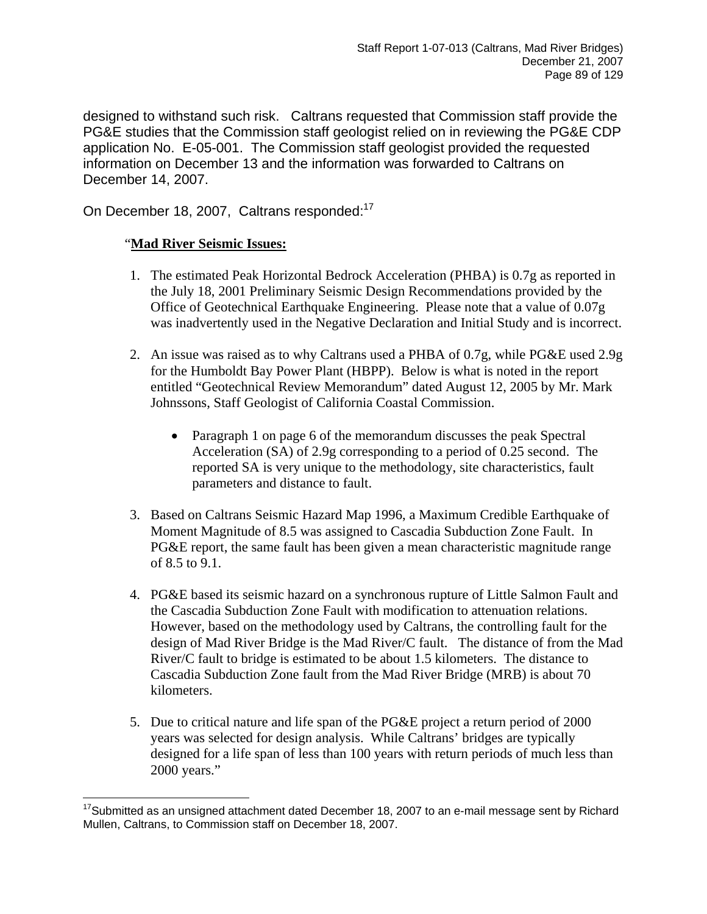designed to withstand such risk. Caltrans requested that Commission staff provide the PG&E studies that the Commission staff geologist relied on in reviewing the PG&E CDP application No. E-05-001. The Commission staff geologist provided the requested information on December 13 and the information was forwarded to Caltrans on December 14, 2007.

On December 18, 2007, Caltrans responded:<sup>[17](#page-88-0)</sup>

#### "**Mad River Seismic Issues:**

- 1. The estimated Peak Horizontal Bedrock Acceleration (PHBA) is 0.7g as reported in the July 18, 2001 Preliminary Seismic Design Recommendations provided by the Office of Geotechnical Earthquake Engineering. Please note that a value of 0.07g was inadvertently used in the Negative Declaration and Initial Study and is incorrect.
- 2. An issue was raised as to why Caltrans used a PHBA of 0.7g, while PG&E used 2.9g for the Humboldt Bay Power Plant (HBPP). Below is what is noted in the report entitled "Geotechnical Review Memorandum" dated August 12, 2005 by Mr. Mark Johnssons, Staff Geologist of California Coastal Commission.
	- Paragraph 1 on page 6 of the memorandum discusses the peak Spectral Acceleration (SA) of 2.9g corresponding to a period of 0.25 second. The reported SA is very unique to the methodology, site characteristics, fault parameters and distance to fault.
- 3. Based on Caltrans Seismic Hazard Map 1996, a Maximum Credible Earthquake of Moment Magnitude of 8.5 was assigned to Cascadia Subduction Zone Fault. In PG&E report, the same fault has been given a mean characteristic magnitude range of 8.5 to 9.1.
- 4. PG&E based its seismic hazard on a synchronous rupture of Little Salmon Fault and the Cascadia Subduction Zone Fault with modification to attenuation relations. However, based on the methodology used by Caltrans, the controlling fault for the design of Mad River Bridge is the Mad River/C fault. The distance of from the Mad River/C fault to bridge is estimated to be about 1.5 kilometers. The distance to Cascadia Subduction Zone fault from the Mad River Bridge (MRB) is about 70 kilometers.
- 5. Due to critical nature and life span of the PG&E project a return period of 2000 years was selected for design analysis. While Caltrans' bridges are typically designed for a life span of less than 100 years with return periods of much less than 2000 years."

<span id="page-88-0"></span> $\overline{a}$  $17$ Submitted as an unsigned attachment dated December 18, 2007 to an e-mail message sent by Richard Mullen, Caltrans, to Commission staff on December 18, 2007.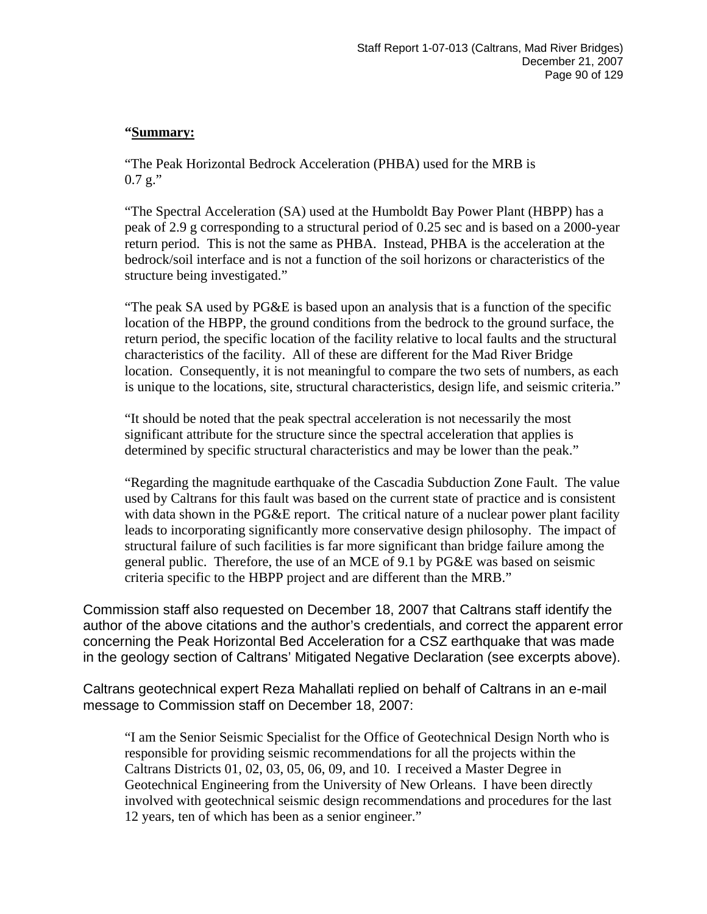#### **"Summary:**

"The Peak Horizontal Bedrock Acceleration (PHBA) used for the MRB is  $0.7 g$ ."

"The Spectral Acceleration (SA) used at the Humboldt Bay Power Plant (HBPP) has a peak of 2.9 g corresponding to a structural period of 0.25 sec and is based on a 2000-year return period. This is not the same as PHBA. Instead, PHBA is the acceleration at the bedrock/soil interface and is not a function of the soil horizons or characteristics of the structure being investigated."

"The peak SA used by PG&E is based upon an analysis that is a function of the specific location of the HBPP, the ground conditions from the bedrock to the ground surface, the return period, the specific location of the facility relative to local faults and the structural characteristics of the facility. All of these are different for the Mad River Bridge location. Consequently, it is not meaningful to compare the two sets of numbers, as each is unique to the locations, site, structural characteristics, design life, and seismic criteria."

"It should be noted that the peak spectral acceleration is not necessarily the most significant attribute for the structure since the spectral acceleration that applies is determined by specific structural characteristics and may be lower than the peak."

"Regarding the magnitude earthquake of the Cascadia Subduction Zone Fault. The value used by Caltrans for this fault was based on the current state of practice and is consistent with data shown in the PG&E report. The critical nature of a nuclear power plant facility leads to incorporating significantly more conservative design philosophy. The impact of structural failure of such facilities is far more significant than bridge failure among the general public. Therefore, the use of an MCE of 9.1 by PG&E was based on seismic criteria specific to the HBPP project and are different than the MRB."

Commission staff also requested on December 18, 2007 that Caltrans staff identify the author of the above citations and the author's credentials, and correct the apparent error concerning the Peak Horizontal Bed Acceleration for a CSZ earthquake that was made in the geology section of Caltrans' Mitigated Negative Declaration (see excerpts above).

Caltrans geotechnical expert Reza Mahallati replied on behalf of Caltrans in an e-mail message to Commission staff on December 18, 2007:

"I am the Senior Seismic Specialist for the Office of Geotechnical Design North who is responsible for providing seismic recommendations for all the projects within the Caltrans Districts 01, 02, 03, 05, 06, 09, and 10. I received a Master Degree in Geotechnical Engineering from the University of New Orleans. I have been directly involved with geotechnical seismic design recommendations and procedures for the last 12 years, ten of which has been as a senior engineer."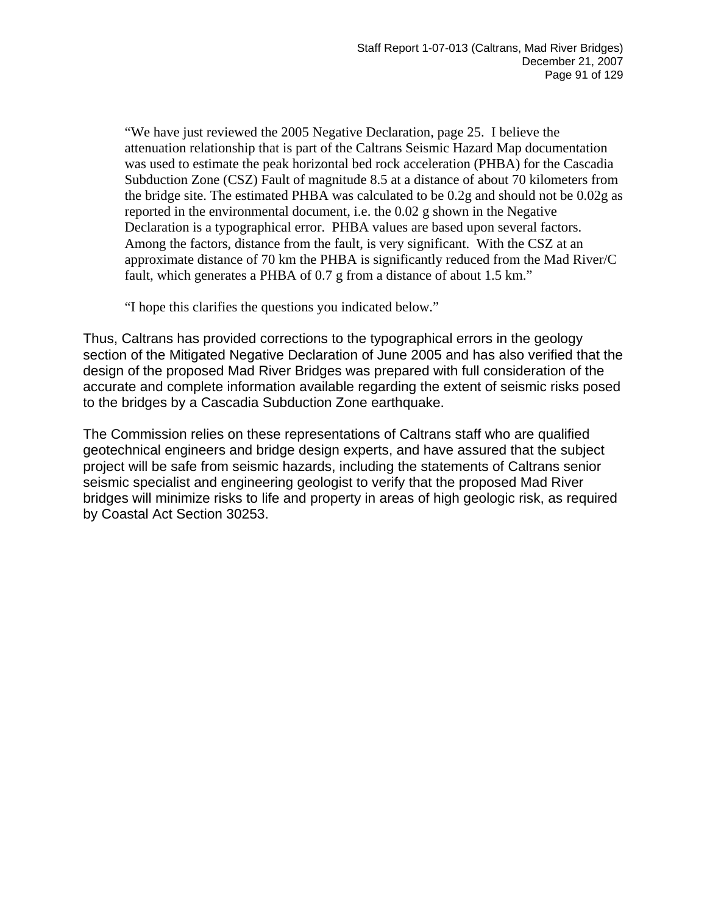"We have just reviewed the 2005 Negative Declaration, page 25. I believe the attenuation relationship that is part of the Caltrans Seismic Hazard Map documentation was used to estimate the peak horizontal bed rock acceleration (PHBA) for the Cascadia Subduction Zone (CSZ) Fault of magnitude 8.5 at a distance of about 70 kilometers from the bridge site. The estimated PHBA was calculated to be 0.2g and should not be 0.02g as reported in the environmental document, i.e. the 0.02 g shown in the Negative Declaration is a typographical error. PHBA values are based upon several factors. Among the factors, distance from the fault, is very significant. With the CSZ at an approximate distance of 70 km the PHBA is significantly reduced from the Mad River/C fault, which generates a PHBA of 0.7 g from a distance of about 1.5 km."

"I hope this clarifies the questions you indicated below."

Thus, Caltrans has provided corrections to the typographical errors in the geology section of the Mitigated Negative Declaration of June 2005 and has also verified that the design of the proposed Mad River Bridges was prepared with full consideration of the accurate and complete information available regarding the extent of seismic risks posed to the bridges by a Cascadia Subduction Zone earthquake.

The Commission relies on these representations of Caltrans staff who are qualified geotechnical engineers and bridge design experts, and have assured that the subject project will be safe from seismic hazards, including the statements of Caltrans senior seismic specialist and engineering geologist to verify that the proposed Mad River bridges will minimize risks to life and property in areas of high geologic risk, as required by Coastal Act Section 30253.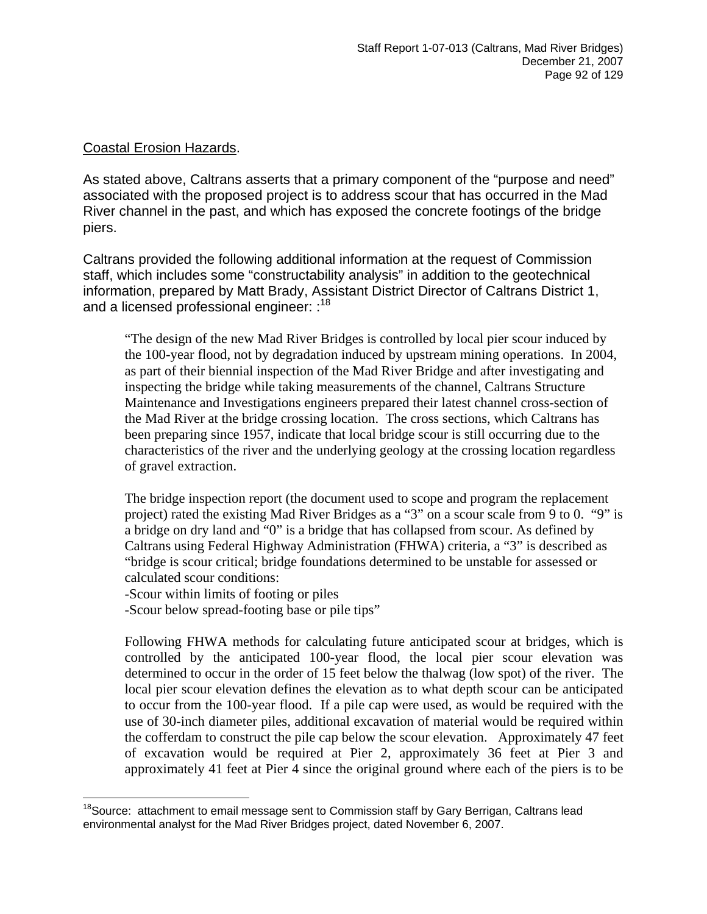### Coastal Erosion Hazards.

As stated above, Caltrans asserts that a primary component of the "purpose and need" associated with the proposed project is to address scour that has occurred in the Mad River channel in the past, and which has exposed the concrete footings of the bridge piers.

Caltrans provided the following additional information at the request of Commission staff, which includes some "constructability analysis" in addition to the geotechnical information, prepared by Matt Brady, Assistant District Director of Caltrans District 1, and a licensed professional engineer: :<sup>[18](#page-91-0)</sup>

"The design of the new Mad River Bridges is controlled by local pier scour induced by the 100-year flood, not by degradation induced by upstream mining operations. In 2004, as part of their biennial inspection of the Mad River Bridge and after investigating and inspecting the bridge while taking measurements of the channel, Caltrans Structure Maintenance and Investigations engineers prepared their latest channel cross-section of the Mad River at the bridge crossing location. The cross sections, which Caltrans has been preparing since 1957, indicate that local bridge scour is still occurring due to the characteristics of the river and the underlying geology at the crossing location regardless of gravel extraction.

The bridge inspection report (the document used to scope and program the replacement project) rated the existing Mad River Bridges as a "3" on a scour scale from 9 to 0. "9" is a bridge on dry land and "0" is a bridge that has collapsed from scour. As defined by Caltrans using Federal Highway Administration (FHWA) criteria, a "3" is described as "bridge is scour critical; bridge foundations determined to be unstable for assessed or calculated scour conditions:

-Scour within limits of footing or piles

-Scour below spread-footing base or pile tips"

Following FHWA methods for calculating future anticipated scour at bridges, which is controlled by the anticipated 100-year flood, the local pier scour elevation was determined to occur in the order of 15 feet below the thalwag (low spot) of the river. The local pier scour elevation defines the elevation as to what depth scour can be anticipated to occur from the 100-year flood. If a pile cap were used, as would be required with the use of 30-inch diameter piles, additional excavation of material would be required within the cofferdam to construct the pile cap below the scour elevation. Approximately 47 feet of excavation would be required at Pier 2, approximately 36 feet at Pier 3 and approximately 41 feet at Pier 4 since the original ground where each of the piers is to be

<span id="page-91-0"></span><sup>1</sup> <sup>18</sup> Source: attachment to email message sent to Commission staff by Gary Berrigan, Caltrans lead environmental analyst for the Mad River Bridges project, dated November 6, 2007.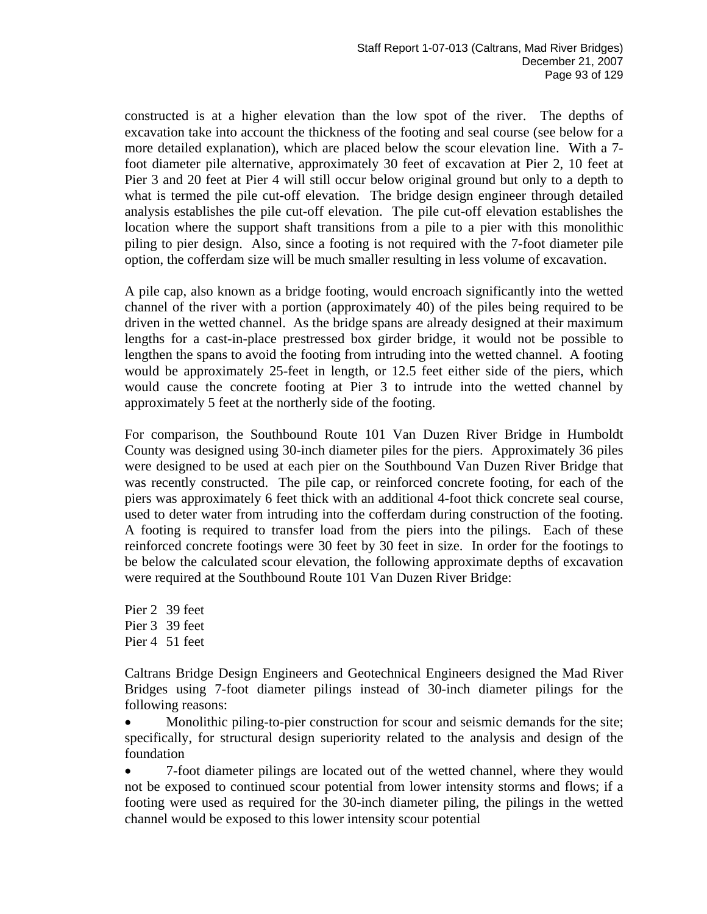constructed is at a higher elevation than the low spot of the river. The depths of excavation take into account the thickness of the footing and seal course (see below for a more detailed explanation), which are placed below the scour elevation line. With a 7 foot diameter pile alternative, approximately 30 feet of excavation at Pier 2, 10 feet at Pier 3 and 20 feet at Pier 4 will still occur below original ground but only to a depth to what is termed the pile cut-off elevation. The bridge design engineer through detailed analysis establishes the pile cut-off elevation. The pile cut-off elevation establishes the location where the support shaft transitions from a pile to a pier with this monolithic piling to pier design. Also, since a footing is not required with the 7-foot diameter pile option, the cofferdam size will be much smaller resulting in less volume of excavation.

A pile cap, also known as a bridge footing, would encroach significantly into the wetted channel of the river with a portion (approximately 40) of the piles being required to be driven in the wetted channel. As the bridge spans are already designed at their maximum lengths for a cast-in-place prestressed box girder bridge, it would not be possible to lengthen the spans to avoid the footing from intruding into the wetted channel. A footing would be approximately 25-feet in length, or 12.5 feet either side of the piers, which would cause the concrete footing at Pier 3 to intrude into the wetted channel by approximately 5 feet at the northerly side of the footing.

For comparison, the Southbound Route 101 Van Duzen River Bridge in Humboldt County was designed using 30-inch diameter piles for the piers. Approximately 36 piles were designed to be used at each pier on the Southbound Van Duzen River Bridge that was recently constructed. The pile cap, or reinforced concrete footing, for each of the piers was approximately 6 feet thick with an additional 4-foot thick concrete seal course, used to deter water from intruding into the cofferdam during construction of the footing. A footing is required to transfer load from the piers into the pilings. Each of these reinforced concrete footings were 30 feet by 30 feet in size. In order for the footings to be below the calculated scour elevation, the following approximate depths of excavation were required at the Southbound Route 101 Van Duzen River Bridge:

Pier 2 39 feet Pier 3 39 feet Pier 4 51 feet

Caltrans Bridge Design Engineers and Geotechnical Engineers designed the Mad River Bridges using 7-foot diameter pilings instead of 30-inch diameter pilings for the following reasons:

• Monolithic piling-to-pier construction for scour and seismic demands for the site; specifically, for structural design superiority related to the analysis and design of the foundation

• 7-foot diameter pilings are located out of the wetted channel, where they would not be exposed to continued scour potential from lower intensity storms and flows; if a footing were used as required for the 30-inch diameter piling, the pilings in the wetted channel would be exposed to this lower intensity scour potential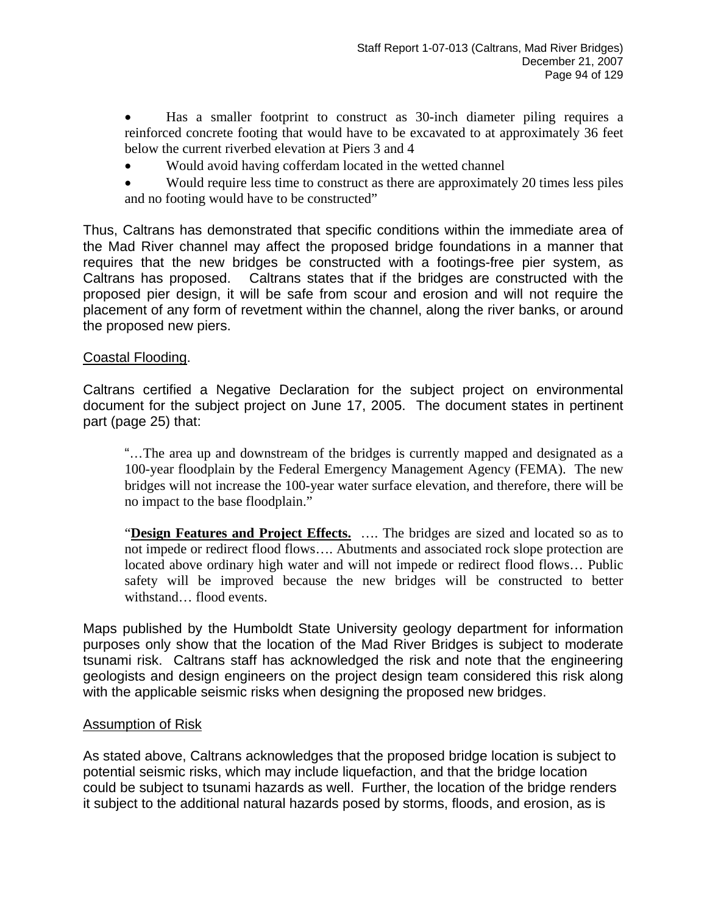• Has a smaller footprint to construct as 30-inch diameter piling requires a reinforced concrete footing that would have to be excavated to at approximately 36 feet below the current riverbed elevation at Piers 3 and 4

- Would avoid having cofferdam located in the wetted channel
- Would require less time to construct as there are approximately 20 times less piles and no footing would have to be constructed"

Thus, Caltrans has demonstrated that specific conditions within the immediate area of the Mad River channel may affect the proposed bridge foundations in a manner that requires that the new bridges be constructed with a footings-free pier system, as Caltrans has proposed. Caltrans states that if the bridges are constructed with the proposed pier design, it will be safe from scour and erosion and will not require the placement of any form of revetment within the channel, along the river banks, or around the proposed new piers.

## Coastal Flooding.

Caltrans certified a Negative Declaration for the subject project on environmental document for the subject project on June 17, 2005. The document states in pertinent part (page 25) that:

 "…The area up and downstream of the bridges is currently mapped and designated as a 100-year floodplain by the Federal Emergency Management Agency (FEMA). The new bridges will not increase the 100-year water surface elevation, and therefore, there will be no impact to the base floodplain."

 "**Design Features and Project Effects.** …. The bridges are sized and located so as to not impede or redirect flood flows…. Abutments and associated rock slope protection are located above ordinary high water and will not impede or redirect flood flows… Public safety will be improved because the new bridges will be constructed to better withstand… flood events.

Maps published by the Humboldt State University geology department for information purposes only show that the location of the Mad River Bridges is subject to moderate tsunami risk. Caltrans staff has acknowledged the risk and note that the engineering geologists and design engineers on the project design team considered this risk along with the applicable seismic risks when designing the proposed new bridges.

#### Assumption of Risk

As stated above, Caltrans acknowledges that the proposed bridge location is subject to potential seismic risks, which may include liquefaction, and that the bridge location could be subject to tsunami hazards as well. Further, the location of the bridge renders it subject to the additional natural hazards posed by storms, floods, and erosion, as is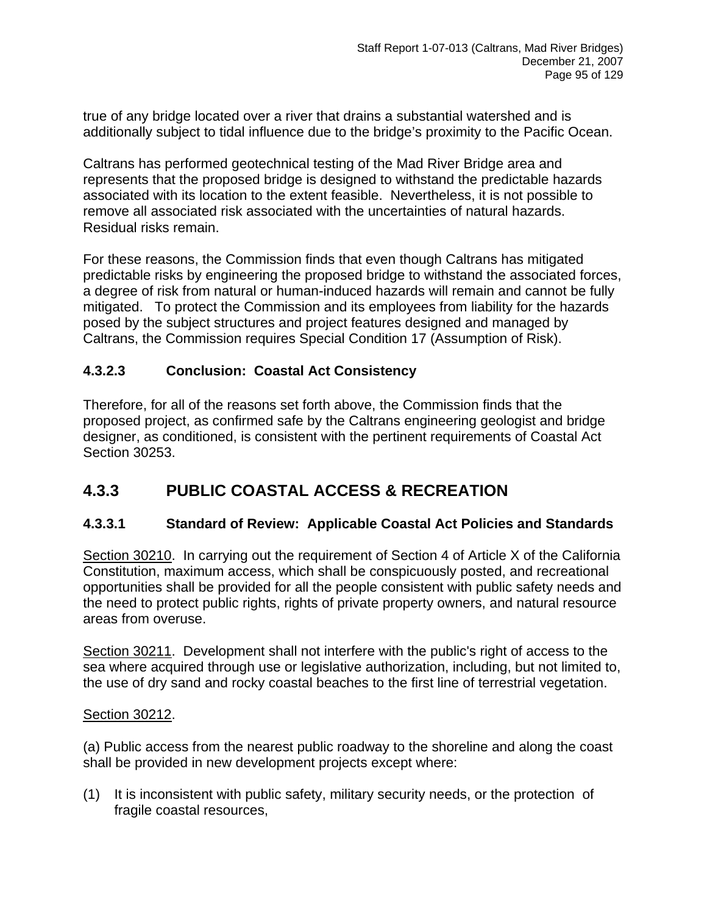true of any bridge located over a river that drains a substantial watershed and is additionally subject to tidal influence due to the bridge's proximity to the Pacific Ocean.

Caltrans has performed geotechnical testing of the Mad River Bridge area and represents that the proposed bridge is designed to withstand the predictable hazards associated with its location to the extent feasible. Nevertheless, it is not possible to remove all associated risk associated with the uncertainties of natural hazards. Residual risks remain.

For these reasons, the Commission finds that even though Caltrans has mitigated predictable risks by engineering the proposed bridge to withstand the associated forces, a degree of risk from natural or human-induced hazards will remain and cannot be fully mitigated. To protect the Commission and its employees from liability for the hazards posed by the subject structures and project features designed and managed by Caltrans, the Commission requires Special Condition 17 (Assumption of Risk).

## **4.3.2.3 Conclusion: Coastal Act Consistency**

Therefore, for all of the reasons set forth above, the Commission finds that the proposed project, as confirmed safe by the Caltrans engineering geologist and bridge designer, as conditioned, is consistent with the pertinent requirements of Coastal Act Section 30253.

# **4.3.3 PUBLIC COASTAL ACCESS & RECREATION**

## **4.3.3.1 Standard of Review: Applicable Coastal Act Policies and Standards**

Section 30210. In carrying out the requirement of Section 4 of Article X of the California Constitution, maximum access, which shall be conspicuously posted, and recreational opportunities shall be provided for all the people consistent with public safety needs and the need to protect public rights, rights of private property owners, and natural resource areas from overuse.

Section 30211. Development shall not interfere with the public's right of access to the sea where acquired through use or legislative authorization, including, but not limited to, the use of dry sand and rocky coastal beaches to the first line of terrestrial vegetation.

#### Section 30212.

(a) Public access from the nearest public roadway to the shoreline and along the coast shall be provided in new development projects except where:

(1) It is inconsistent with public safety, military security needs, or the protection of fragile coastal resources,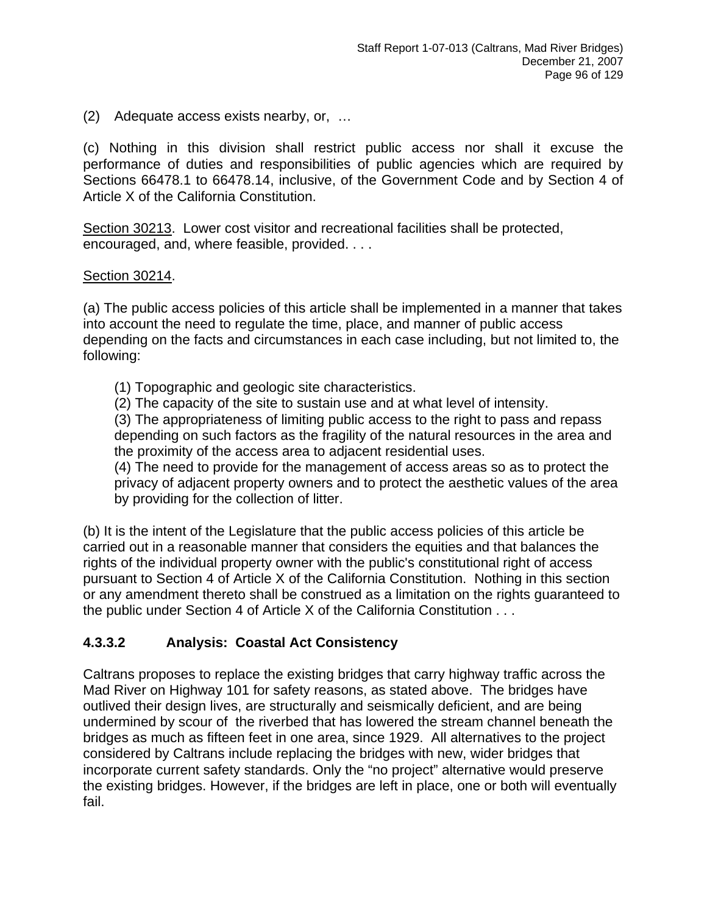(2) Adequate access exists nearby, or, …

(c) Nothing in this division shall restrict public access nor shall it excuse the performance of duties and responsibilities of public agencies which are required by Sections 66478.1 to 66478.14, inclusive, of the Government Code and by Section 4 of Article X of the California Constitution.

Section 30213. Lower cost visitor and recreational facilities shall be protected, encouraged, and, where feasible, provided. . . .

## Section 30214.

(a) The public access policies of this article shall be implemented in a manner that takes into account the need to regulate the time, place, and manner of public access depending on the facts and circumstances in each case including, but not limited to, the following:

- (1) Topographic and geologic site characteristics.
- (2) The capacity of the site to sustain use and at what level of intensity.

(3) The appropriateness of limiting public access to the right to pass and repass depending on such factors as the fragility of the natural resources in the area and the proximity of the access area to adjacent residential uses.

(4) The need to provide for the management of access areas so as to protect the privacy of adjacent property owners and to protect the aesthetic values of the area by providing for the collection of litter.

(b) It is the intent of the Legislature that the public access policies of this article be carried out in a reasonable manner that considers the equities and that balances the rights of the individual property owner with the public's constitutional right of access pursuant to Section 4 of Article X of the California Constitution. Nothing in this section or any amendment thereto shall be construed as a limitation on the rights guaranteed to the public under Section 4 of Article X of the California Constitution . . .

## **4.3.3.2 Analysis: Coastal Act Consistency**

Caltrans proposes to replace the existing bridges that carry highway traffic across the Mad River on Highway 101 for safety reasons, as stated above. The bridges have outlived their design lives, are structurally and seismically deficient, and are being undermined by scour of the riverbed that has lowered the stream channel beneath the bridges as much as fifteen feet in one area, since 1929. All alternatives to the project considered by Caltrans include replacing the bridges with new, wider bridges that incorporate current safety standards. Only the "no project" alternative would preserve the existing bridges. However, if the bridges are left in place, one or both will eventually fail.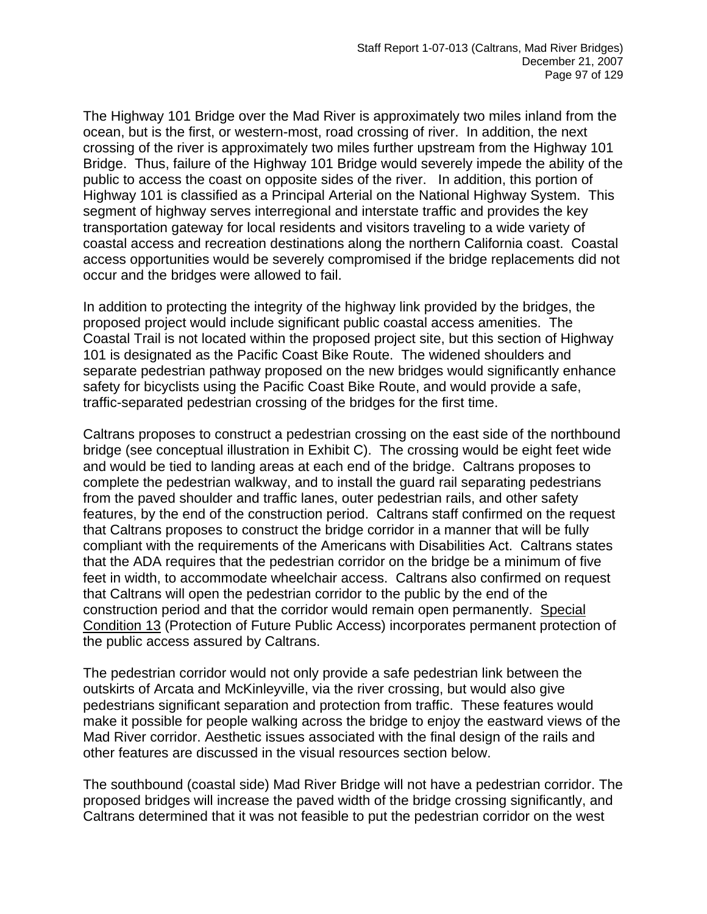The Highway 101 Bridge over the Mad River is approximately two miles inland from the ocean, but is the first, or western-most, road crossing of river. In addition, the next crossing of the river is approximately two miles further upstream from the Highway 101 Bridge. Thus, failure of the Highway 101 Bridge would severely impede the ability of the public to access the coast on opposite sides of the river. In addition, this portion of Highway 101 is classified as a Principal Arterial on the National Highway System. This segment of highway serves interregional and interstate traffic and provides the key transportation gateway for local residents and visitors traveling to a wide variety of coastal access and recreation destinations along the northern California coast. Coastal access opportunities would be severely compromised if the bridge replacements did not occur and the bridges were allowed to fail.

In addition to protecting the integrity of the highway link provided by the bridges, the proposed project would include significant public coastal access amenities. The Coastal Trail is not located within the proposed project site, but this section of Highway 101 is designated as the Pacific Coast Bike Route. The widened shoulders and separate pedestrian pathway proposed on the new bridges would significantly enhance safety for bicyclists using the Pacific Coast Bike Route, and would provide a safe, traffic-separated pedestrian crossing of the bridges for the first time.

Caltrans proposes to construct a pedestrian crossing on the east side of the northbound bridge (see conceptual illustration in Exhibit C). The crossing would be eight feet wide and would be tied to landing areas at each end of the bridge. Caltrans proposes to complete the pedestrian walkway, and to install the guard rail separating pedestrians from the paved shoulder and traffic lanes, outer pedestrian rails, and other safety features, by the end of the construction period. Caltrans staff confirmed on the request that Caltrans proposes to construct the bridge corridor in a manner that will be fully compliant with the requirements of the Americans with Disabilities Act. Caltrans states that the ADA requires that the pedestrian corridor on the bridge be a minimum of five feet in width, to accommodate wheelchair access. Caltrans also confirmed on request that Caltrans will open the pedestrian corridor to the public by the end of the construction period and that the corridor would remain open permanently. Special Condition 13 (Protection of Future Public Access) incorporates permanent protection of the public access assured by Caltrans.

The pedestrian corridor would not only provide a safe pedestrian link between the outskirts of Arcata and McKinleyville, via the river crossing, but would also give pedestrians significant separation and protection from traffic. These features would make it possible for people walking across the bridge to enjoy the eastward views of the Mad River corridor. Aesthetic issues associated with the final design of the rails and other features are discussed in the visual resources section below.

The southbound (coastal side) Mad River Bridge will not have a pedestrian corridor. The proposed bridges will increase the paved width of the bridge crossing significantly, and Caltrans determined that it was not feasible to put the pedestrian corridor on the west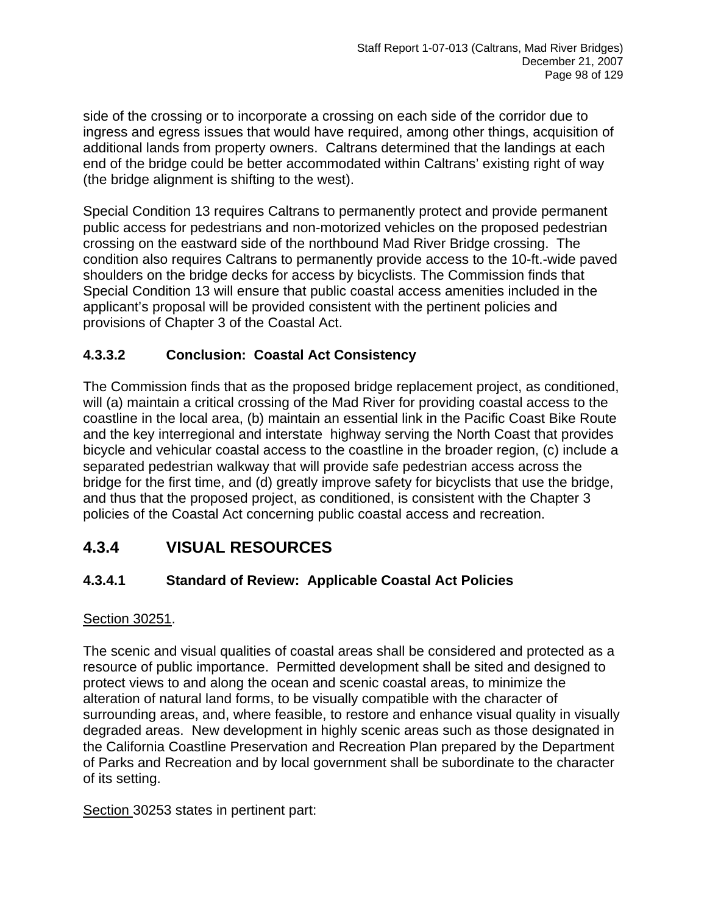side of the crossing or to incorporate a crossing on each side of the corridor due to ingress and egress issues that would have required, among other things, acquisition of additional lands from property owners. Caltrans determined that the landings at each end of the bridge could be better accommodated within Caltrans' existing right of way (the bridge alignment is shifting to the west).

Special Condition 13 requires Caltrans to permanently protect and provide permanent public access for pedestrians and non-motorized vehicles on the proposed pedestrian crossing on the eastward side of the northbound Mad River Bridge crossing. The condition also requires Caltrans to permanently provide access to the 10-ft.-wide paved shoulders on the bridge decks for access by bicyclists. The Commission finds that Special Condition 13 will ensure that public coastal access amenities included in the applicant's proposal will be provided consistent with the pertinent policies and provisions of Chapter 3 of the Coastal Act.

## **4.3.3.2 Conclusion: Coastal Act Consistency**

The Commission finds that as the proposed bridge replacement project, as conditioned, will (a) maintain a critical crossing of the Mad River for providing coastal access to the coastline in the local area, (b) maintain an essential link in the Pacific Coast Bike Route and the key interregional and interstate highway serving the North Coast that provides bicycle and vehicular coastal access to the coastline in the broader region, (c) include a separated pedestrian walkway that will provide safe pedestrian access across the bridge for the first time, and (d) greatly improve safety for bicyclists that use the bridge, and thus that the proposed project, as conditioned, is consistent with the Chapter 3 policies of the Coastal Act concerning public coastal access and recreation.

# **4.3.4 VISUAL RESOURCES**

## **4.3.4.1 Standard of Review: Applicable Coastal Act Policies**

#### Section 30251.

The scenic and visual qualities of coastal areas shall be considered and protected as a resource of public importance. Permitted development shall be sited and designed to protect views to and along the ocean and scenic coastal areas, to minimize the alteration of natural land forms, to be visually compatible with the character of surrounding areas, and, where feasible, to restore and enhance visual quality in visually degraded areas. New development in highly scenic areas such as those designated in the California Coastline Preservation and Recreation Plan prepared by the Department of Parks and Recreation and by local government shall be subordinate to the character of its setting.

Section 30253 states in pertinent part: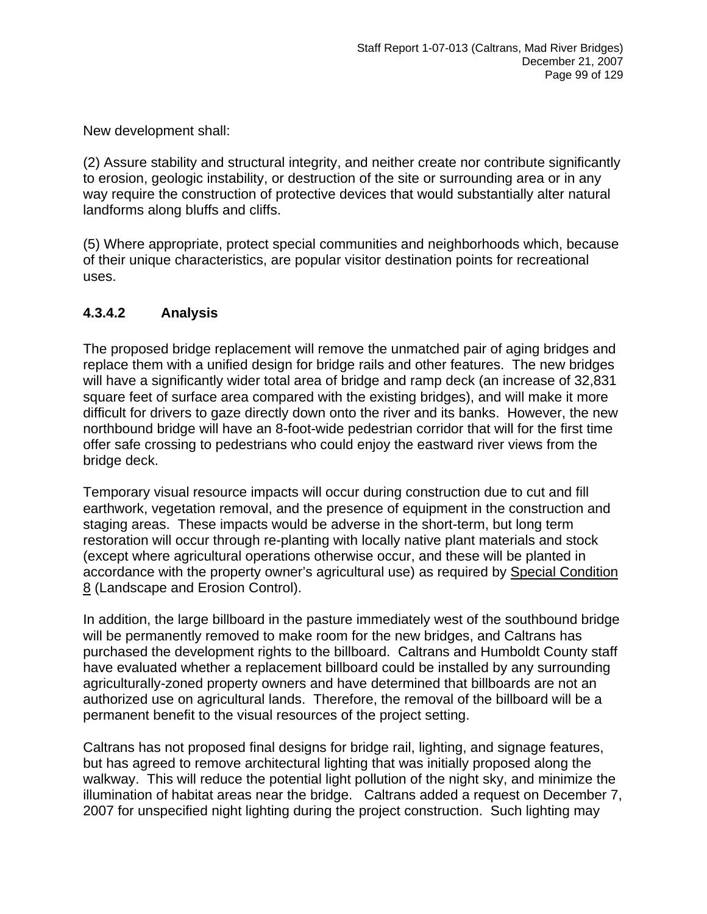New development shall:

(2) Assure stability and structural integrity, and neither create nor contribute significantly to erosion, geologic instability, or destruction of the site or surrounding area or in any way require the construction of protective devices that would substantially alter natural landforms along bluffs and cliffs.

(5) Where appropriate, protect special communities and neighborhoods which, because of their unique characteristics, are popular visitor destination points for recreational uses.

## **4.3.4.2 Analysis**

The proposed bridge replacement will remove the unmatched pair of aging bridges and replace them with a unified design for bridge rails and other features. The new bridges will have a significantly wider total area of bridge and ramp deck (an increase of 32,831 square feet of surface area compared with the existing bridges), and will make it more difficult for drivers to gaze directly down onto the river and its banks. However, the new northbound bridge will have an 8-foot-wide pedestrian corridor that will for the first time offer safe crossing to pedestrians who could enjoy the eastward river views from the bridge deck.

Temporary visual resource impacts will occur during construction due to cut and fill earthwork, vegetation removal, and the presence of equipment in the construction and staging areas. These impacts would be adverse in the short-term, but long term restoration will occur through re-planting with locally native plant materials and stock (except where agricultural operations otherwise occur, and these will be planted in accordance with the property owner's agricultural use) as required by Special Condition 8 (Landscape and Erosion Control).

In addition, the large billboard in the pasture immediately west of the southbound bridge will be permanently removed to make room for the new bridges, and Caltrans has purchased the development rights to the billboard. Caltrans and Humboldt County staff have evaluated whether a replacement billboard could be installed by any surrounding agriculturally-zoned property owners and have determined that billboards are not an authorized use on agricultural lands. Therefore, the removal of the billboard will be a permanent benefit to the visual resources of the project setting.

Caltrans has not proposed final designs for bridge rail, lighting, and signage features, but has agreed to remove architectural lighting that was initially proposed along the walkway. This will reduce the potential light pollution of the night sky, and minimize the illumination of habitat areas near the bridge. Caltrans added a request on December 7, 2007 for unspecified night lighting during the project construction. Such lighting may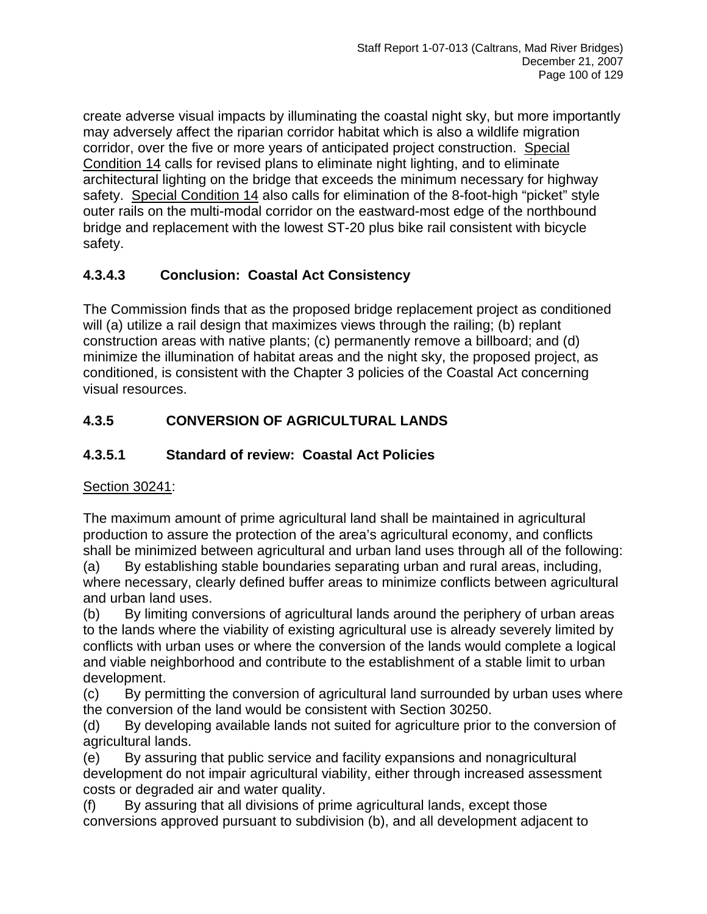create adverse visual impacts by illuminating the coastal night sky, but more importantly may adversely affect the riparian corridor habitat which is also a wildlife migration corridor, over the five or more years of anticipated project construction. Special Condition 14 calls for revised plans to eliminate night lighting, and to eliminate architectural lighting on the bridge that exceeds the minimum necessary for highway safety. Special Condition 14 also calls for elimination of the 8-foot-high "picket" style outer rails on the multi-modal corridor on the eastward-most edge of the northbound bridge and replacement with the lowest ST-20 plus bike rail consistent with bicycle safety.

# **4.3.4.3 Conclusion: Coastal Act Consistency**

The Commission finds that as the proposed bridge replacement project as conditioned will (a) utilize a rail design that maximizes views through the railing; (b) replant construction areas with native plants; (c) permanently remove a billboard; and (d) minimize the illumination of habitat areas and the night sky, the proposed project, as conditioned, is consistent with the Chapter 3 policies of the Coastal Act concerning visual resources.

# **4.3.5 CONVERSION OF AGRICULTURAL LANDS**

# **4.3.5.1 Standard of review: Coastal Act Policies**

## Section 30241:

The maximum amount of prime agricultural land shall be maintained in agricultural production to assure the protection of the area's agricultural economy, and conflicts shall be minimized between agricultural and urban land uses through all of the following:

(a) By establishing stable boundaries separating urban and rural areas, including, where necessary, clearly defined buffer areas to minimize conflicts between agricultural and urban land uses.

(b) By limiting conversions of agricultural lands around the periphery of urban areas to the lands where the viability of existing agricultural use is already severely limited by conflicts with urban uses or where the conversion of the lands would complete a logical and viable neighborhood and contribute to the establishment of a stable limit to urban development.

(c) By permitting the conversion of agricultural land surrounded by urban uses where the conversion of the land would be consistent with Section 30250.

(d) By developing available lands not suited for agriculture prior to the conversion of agricultural lands.

(e) By assuring that public service and facility expansions and nonagricultural development do not impair agricultural viability, either through increased assessment costs or degraded air and water quality.

(f) By assuring that all divisions of prime agricultural lands, except those conversions approved pursuant to subdivision (b), and all development adjacent to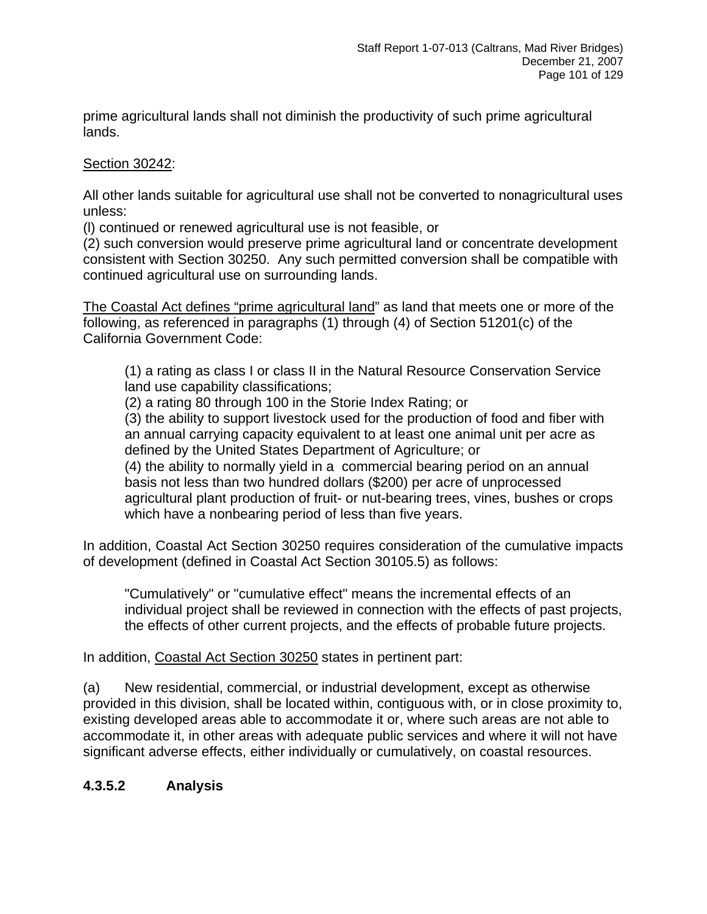prime agricultural lands shall not diminish the productivity of such prime agricultural lands.

Section 30242:

All other lands suitable for agricultural use shall not be converted to nonagricultural uses unless:

(l) continued or renewed agricultural use is not feasible, or

(2) such conversion would preserve prime agricultural land or concentrate development consistent with Section 30250. Any such permitted conversion shall be compatible with continued agricultural use on surrounding lands.

The Coastal Act defines "prime agricultural land" as land that meets one or more of the following, as referenced in paragraphs (1) through (4) of Section 51201(c) of the California Government Code:

(1) a rating as class I or class II in the Natural Resource Conservation Service land use capability classifications;

(2) a rating 80 through 100 in the Storie Index Rating; or

(3) the ability to support livestock used for the production of food and fiber with an annual carrying capacity equivalent to at least one animal unit per acre as defined by the United States Department of Agriculture; or

(4) the ability to normally yield in a commercial bearing period on an annual basis not less than two hundred dollars (\$200) per acre of unprocessed agricultural plant production of fruit- or nut-bearing trees, vines, bushes or crops which have a nonbearing period of less than five years.

In addition, Coastal Act Section 30250 requires consideration of the cumulative impacts of development (defined in Coastal Act Section 30105.5) as follows:

"Cumulatively" or "cumulative effect" means the incremental effects of an individual project shall be reviewed in connection with the effects of past projects, the effects of other current projects, and the effects of probable future projects.

In addition, Coastal Act Section 30250 states in pertinent part:

(a) New residential, commercial, or industrial development, except as otherwise provided in this division, shall be located within, contiguous with, or in close proximity to, existing developed areas able to accommodate it or, where such areas are not able to accommodate it, in other areas with adequate public services and where it will not have significant adverse effects, either individually or cumulatively, on coastal resources.

## **4.3.5.2 Analysis**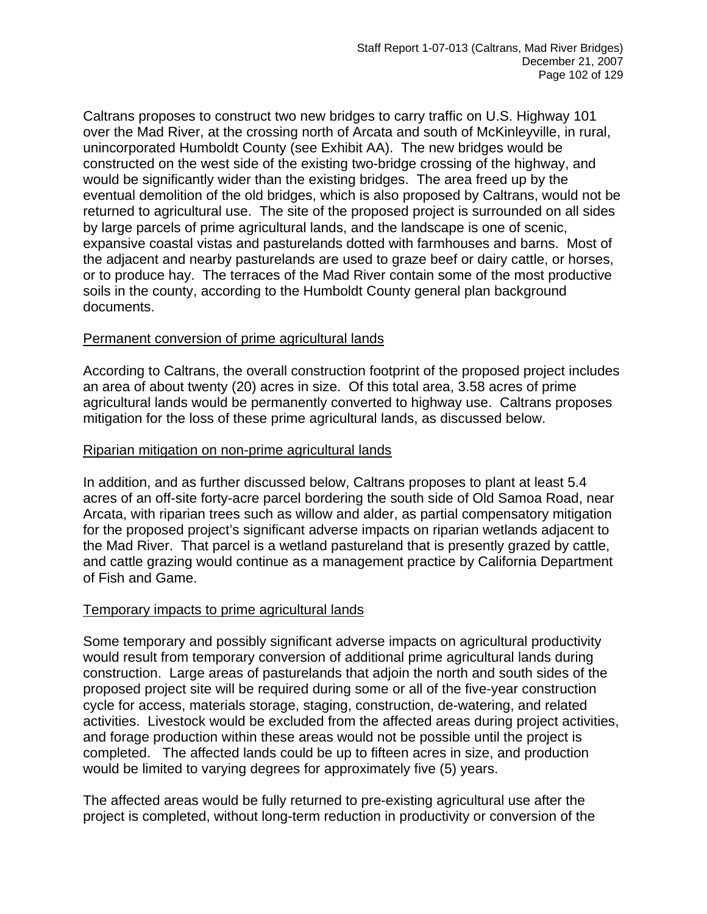Caltrans proposes to construct two new bridges to carry traffic on U.S. Highway 101 over the Mad River, at the crossing north of Arcata and south of McKinleyville, in rural, unincorporated Humboldt County (see Exhibit AA). The new bridges would be constructed on the west side of the existing two-bridge crossing of the highway, and would be significantly wider than the existing bridges. The area freed up by the eventual demolition of the old bridges, which is also proposed by Caltrans, would not be returned to agricultural use. The site of the proposed project is surrounded on all sides by large parcels of prime agricultural lands, and the landscape is one of scenic, expansive coastal vistas and pasturelands dotted with farmhouses and barns. Most of the adjacent and nearby pasturelands are used to graze beef or dairy cattle, or horses, or to produce hay. The terraces of the Mad River contain some of the most productive soils in the county, according to the Humboldt County general plan background documents.

## Permanent conversion of prime agricultural lands

According to Caltrans, the overall construction footprint of the proposed project includes an area of about twenty (20) acres in size. Of this total area, 3.58 acres of prime agricultural lands would be permanently converted to highway use. Caltrans proposes mitigation for the loss of these prime agricultural lands, as discussed below.

#### Riparian mitigation on non-prime agricultural lands

In addition, and as further discussed below, Caltrans proposes to plant at least 5.4 acres of an off-site forty-acre parcel bordering the south side of Old Samoa Road, near Arcata, with riparian trees such as willow and alder, as partial compensatory mitigation for the proposed project's significant adverse impacts on riparian wetlands adjacent to the Mad River. That parcel is a wetland pastureland that is presently grazed by cattle, and cattle grazing would continue as a management practice by California Department of Fish and Game.

#### Temporary impacts to prime agricultural lands

Some temporary and possibly significant adverse impacts on agricultural productivity would result from temporary conversion of additional prime agricultural lands during construction. Large areas of pasturelands that adjoin the north and south sides of the proposed project site will be required during some or all of the five-year construction cycle for access, materials storage, staging, construction, de-watering, and related activities. Livestock would be excluded from the affected areas during project activities, and forage production within these areas would not be possible until the project is completed. The affected lands could be up to fifteen acres in size, and production would be limited to varying degrees for approximately five (5) years.

The affected areas would be fully returned to pre-existing agricultural use after the project is completed, without long-term reduction in productivity or conversion of the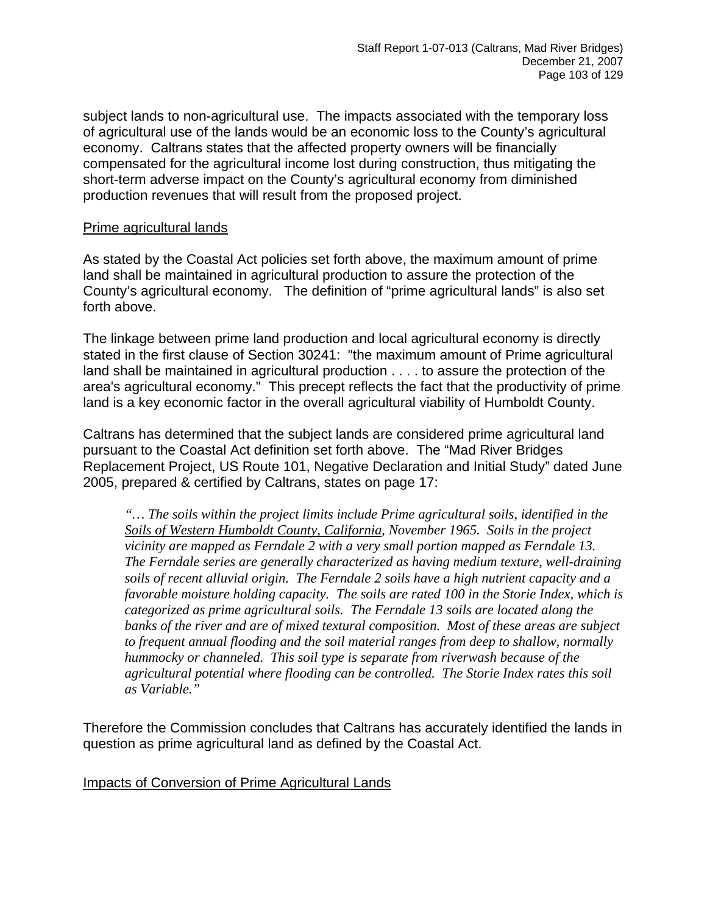subject lands to non-agricultural use. The impacts associated with the temporary loss of agricultural use of the lands would be an economic loss to the County's agricultural economy. Caltrans states that the affected property owners will be financially compensated for the agricultural income lost during construction, thus mitigating the short-term adverse impact on the County's agricultural economy from diminished production revenues that will result from the proposed project.

#### Prime agricultural lands

As stated by the Coastal Act policies set forth above, the maximum amount of prime land shall be maintained in agricultural production to assure the protection of the County's agricultural economy. The definition of "prime agricultural lands" is also set forth above.

The linkage between prime land production and local agricultural economy is directly stated in the first clause of Section 30241: "the maximum amount of Prime agricultural land shall be maintained in agricultural production . . . . to assure the protection of the area's agricultural economy." This precept reflects the fact that the productivity of prime land is a key economic factor in the overall agricultural viability of Humboldt County.

Caltrans has determined that the subject lands are considered prime agricultural land pursuant to the Coastal Act definition set forth above. The "Mad River Bridges Replacement Project, US Route 101, Negative Declaration and Initial Study" dated June 2005, prepared & certified by Caltrans, states on page 17:

*"… The soils within the project limits include Prime agricultural soils, identified in the Soils of Western Humboldt County, California, November 1965. Soils in the project vicinity are mapped as Ferndale 2 with a very small portion mapped as Ferndale 13. The Ferndale series are generally characterized as having medium texture, well-draining soils of recent alluvial origin. The Ferndale 2 soils have a high nutrient capacity and a favorable moisture holding capacity. The soils are rated 100 in the Storie Index, which is categorized as prime agricultural soils. The Ferndale 13 soils are located along the banks of the river and are of mixed textural composition. Most of these areas are subject to frequent annual flooding and the soil material ranges from deep to shallow, normally hummocky or channeled. This soil type is separate from riverwash because of the agricultural potential where flooding can be controlled. The Storie Index rates this soil as Variable."* 

Therefore the Commission concludes that Caltrans has accurately identified the lands in question as prime agricultural land as defined by the Coastal Act.

Impacts of Conversion of Prime Agricultural Lands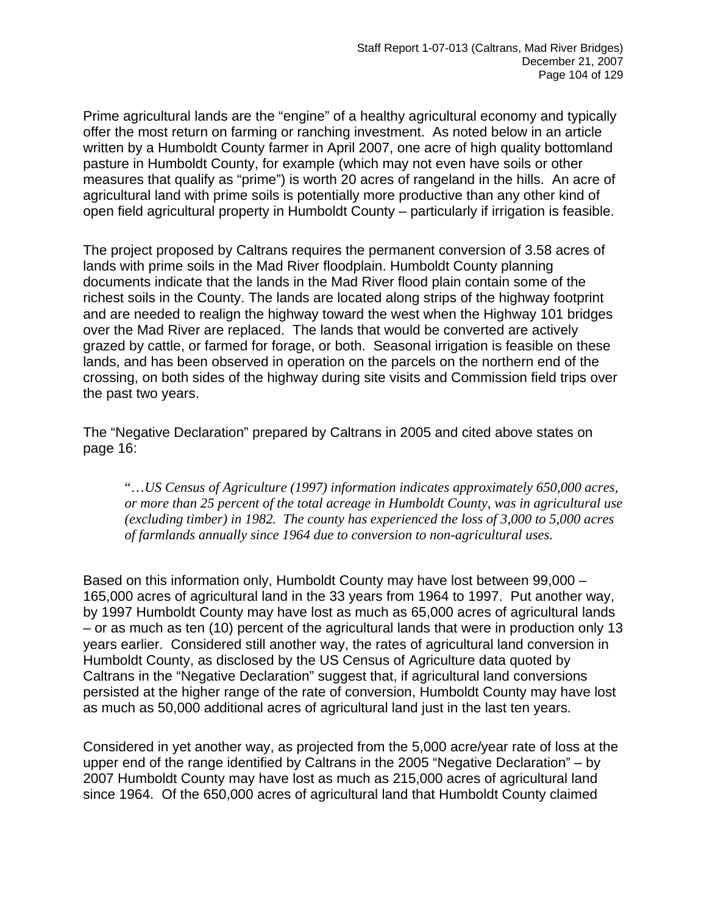Prime agricultural lands are the "engine" of a healthy agricultural economy and typically offer the most return on farming or ranching investment. As noted below in an article written by a Humboldt County farmer in April 2007, one acre of high quality bottomland pasture in Humboldt County, for example (which may not even have soils or other measures that qualify as "prime") is worth 20 acres of rangeland in the hills. An acre of agricultural land with prime soils is potentially more productive than any other kind of open field agricultural property in Humboldt County – particularly if irrigation is feasible.

The project proposed by Caltrans requires the permanent conversion of 3.58 acres of lands with prime soils in the Mad River floodplain. Humboldt County planning documents indicate that the lands in the Mad River flood plain contain some of the richest soils in the County. The lands are located along strips of the highway footprint and are needed to realign the highway toward the west when the Highway 101 bridges over the Mad River are replaced. The lands that would be converted are actively grazed by cattle, or farmed for forage, or both. Seasonal irrigation is feasible on these lands, and has been observed in operation on the parcels on the northern end of the crossing, on both sides of the highway during site visits and Commission field trips over the past two years.

The "Negative Declaration" prepared by Caltrans in 2005 and cited above states on page 16:

"…*US Census of Agriculture (1997) information indicates approximately 650,000 acres, or more than 25 percent of the total acreage in Humboldt County, was in agricultural use (excluding timber) in 1982. The county has experienced the loss of 3,000 to 5,000 acres of farmlands annually since 1964 due to conversion to non-agricultural uses.* 

Based on this information only, Humboldt County may have lost between 99,000 – 165,000 acres of agricultural land in the 33 years from 1964 to 1997. Put another way, by 1997 Humboldt County may have lost as much as 65,000 acres of agricultural lands – or as much as ten (10) percent of the agricultural lands that were in production only 13 years earlier. Considered still another way, the rates of agricultural land conversion in Humboldt County, as disclosed by the US Census of Agriculture data quoted by Caltrans in the "Negative Declaration" suggest that, if agricultural land conversions persisted at the higher range of the rate of conversion, Humboldt County may have lost as much as 50,000 additional acres of agricultural land just in the last ten years.

Considered in yet another way, as projected from the 5,000 acre/year rate of loss at the upper end of the range identified by Caltrans in the 2005 "Negative Declaration" – by 2007 Humboldt County may have lost as much as 215,000 acres of agricultural land since 1964. Of the 650,000 acres of agricultural land that Humboldt County claimed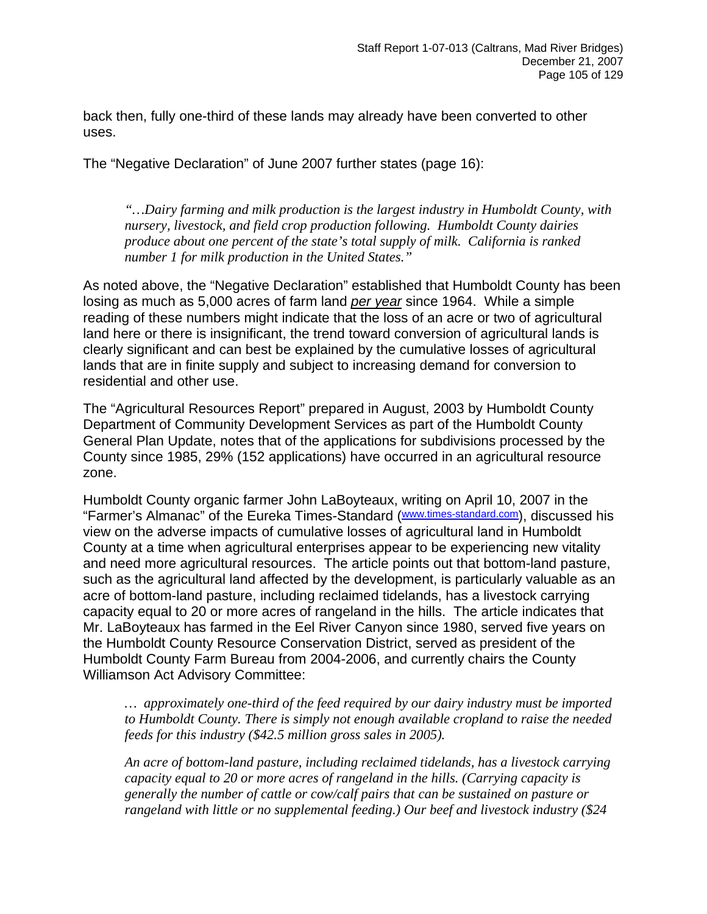back then, fully one-third of these lands may already have been converted to other uses.

The "Negative Declaration" of June 2007 further states (page 16):

 *"…Dairy farming and milk production is the largest industry in Humboldt County, with nursery, livestock, and field crop production following. Humboldt County dairies produce about one percent of the state's total supply of milk. California is ranked number 1 for milk production in the United States."* 

As noted above, the "Negative Declaration" established that Humboldt County has been losing as much as 5,000 acres of farm land *per year* since 1964. While a simple reading of these numbers might indicate that the loss of an acre or two of agricultural land here or there is insignificant, the trend toward conversion of agricultural lands is clearly significant and can best be explained by the cumulative losses of agricultural lands that are in finite supply and subject to increasing demand for conversion to residential and other use.

The "Agricultural Resources Report" prepared in August, 2003 by Humboldt County Department of Community Development Services as part of the Humboldt County General Plan Update, notes that of the applications for subdivisions processed by the County since 1985, 29% (152 applications) have occurred in an agricultural resource zone.

Humboldt County organic farmer John LaBoyteaux, writing on April 10, 2007 in the "Farmer's Almanac" of the Eureka Times-Standard [\(www.times-standard.com](http://www.times-standard.com/)), discussed his view on the adverse impacts of cumulative losses of agricultural land in Humboldt County at a time when agricultural enterprises appear to be experiencing new vitality and need more agricultural resources. The article points out that bottom-land pasture, such as the agricultural land affected by the development, is particularly valuable as an acre of bottom-land pasture, including reclaimed tidelands, has a livestock carrying capacity equal to 20 or more acres of rangeland in the hills. The article indicates that Mr. LaBoyteaux has farmed in the Eel River Canyon since 1980, served five years on the Humboldt County Resource Conservation District, served as president of the Humboldt County Farm Bureau from 2004-2006, and currently chairs the County Williamson Act Advisory Committee:

*… approximately one-third of the feed required by our dairy industry must be imported to Humboldt County. There is simply not enough available cropland to raise the needed feeds for this industry (\$42.5 million gross sales in 2005).* 

*An acre of bottom-land pasture, including reclaimed tidelands, has a livestock carrying capacity equal to 20 or more acres of rangeland in the hills. (Carrying capacity is generally the number of cattle or cow/calf pairs that can be sustained on pasture or rangeland with little or no supplemental feeding.) Our beef and livestock industry (\$24*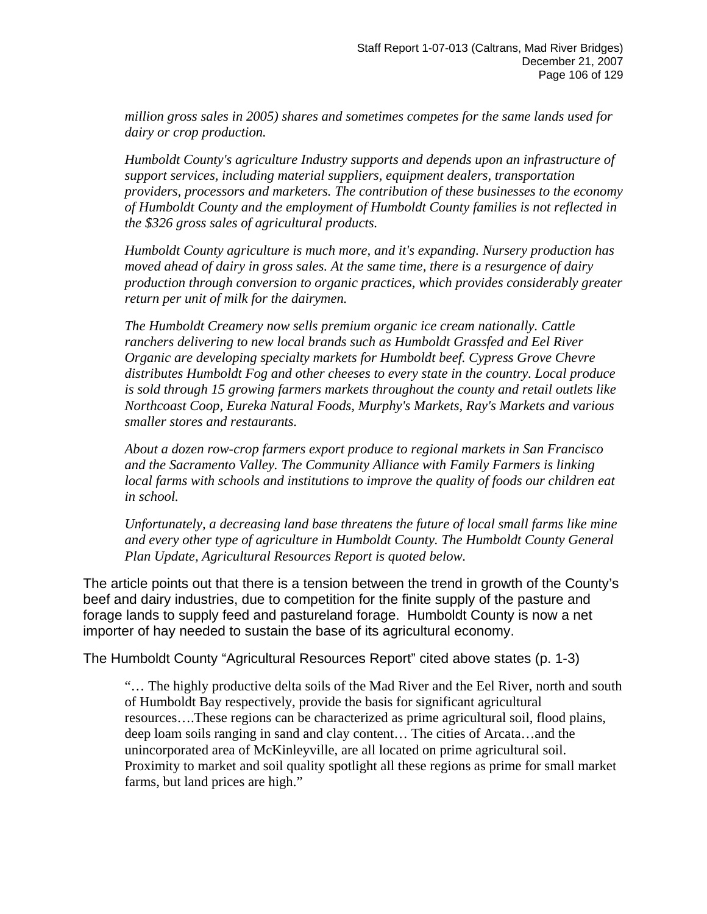*million gross sales in 2005) shares and sometimes competes for the same lands used for dairy or crop production.* 

*Humboldt County's agriculture Industry supports and depends upon an infrastructure of support services, including material suppliers, equipment dealers, transportation providers, processors and marketers. The contribution of these businesses to the economy of Humboldt County and the employment of Humboldt County families is not reflected in the \$326 gross sales of agricultural products.* 

*Humboldt County agriculture is much more, and it's expanding. Nursery production has moved ahead of dairy in gross sales. At the same time, there is a resurgence of dairy production through conversion to organic practices, which provides considerably greater return per unit of milk for the dairymen.* 

*The Humboldt Creamery now sells premium organic ice cream nationally. Cattle ranchers delivering to new local brands such as Humboldt Grassfed and Eel River Organic are developing specialty markets for Humboldt beef. Cypress Grove Chevre distributes Humboldt Fog and other cheeses to every state in the country. Local produce is sold through 15 growing farmers markets throughout the county and retail outlets like Northcoast Coop, Eureka Natural Foods, Murphy's Markets, Ray's Markets and various smaller stores and restaurants.* 

*About a dozen row-crop farmers export produce to regional markets in San Francisco and the Sacramento Valley. The Community Alliance with Family Farmers is linking local farms with schools and institutions to improve the quality of foods our children eat in school.* 

*Unfortunately, a decreasing land base threatens the future of local small farms like mine and every other type of agriculture in Humboldt County. The Humboldt County General Plan Update, Agricultural Resources Report is quoted below.* 

The article points out that there is a tension between the trend in growth of the County's beef and dairy industries, due to competition for the finite supply of the pasture and forage lands to supply feed and pastureland forage. Humboldt County is now a net importer of hay needed to sustain the base of its agricultural economy.

The Humboldt County "Agricultural Resources Report" cited above states (p. 1-3)

"… The highly productive delta soils of the Mad River and the Eel River, north and south of Humboldt Bay respectively, provide the basis for significant agricultural resources….These regions can be characterized as prime agricultural soil, flood plains, deep loam soils ranging in sand and clay content… The cities of Arcata…and the unincorporated area of McKinleyville, are all located on prime agricultural soil. Proximity to market and soil quality spotlight all these regions as prime for small market farms, but land prices are high."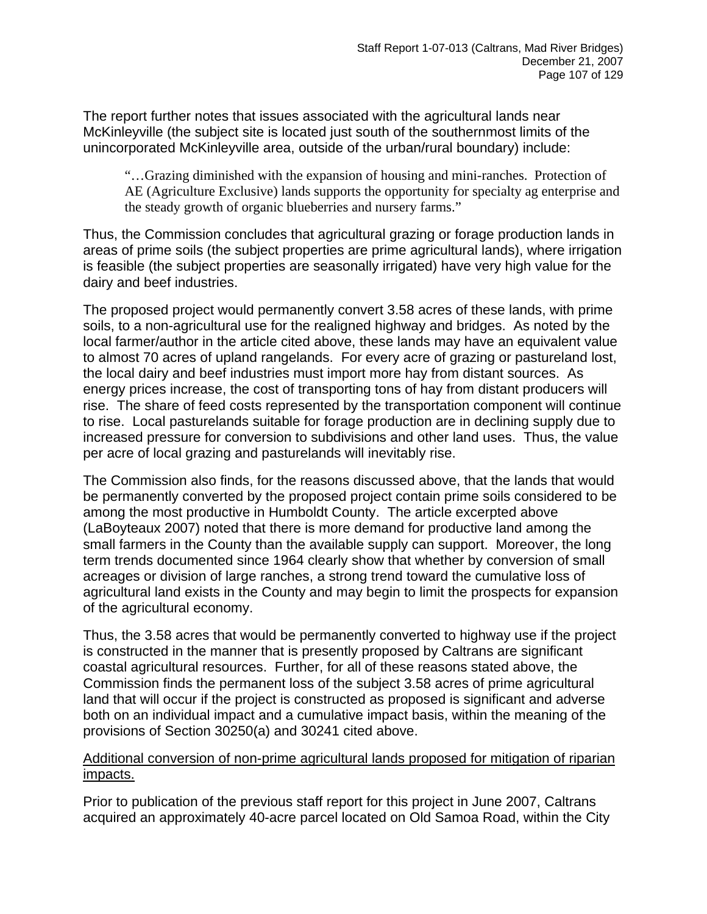The report further notes that issues associated with the agricultural lands near McKinleyville (the subject site is located just south of the southernmost limits of the unincorporated McKinleyville area, outside of the urban/rural boundary) include:

"…Grazing diminished with the expansion of housing and mini-ranches. Protection of AE (Agriculture Exclusive) lands supports the opportunity for specialty ag enterprise and the steady growth of organic blueberries and nursery farms."

Thus, the Commission concludes that agricultural grazing or forage production lands in areas of prime soils (the subject properties are prime agricultural lands), where irrigation is feasible (the subject properties are seasonally irrigated) have very high value for the dairy and beef industries.

The proposed project would permanently convert 3.58 acres of these lands, with prime soils, to a non-agricultural use for the realigned highway and bridges. As noted by the local farmer/author in the article cited above, these lands may have an equivalent value to almost 70 acres of upland rangelands. For every acre of grazing or pastureland lost, the local dairy and beef industries must import more hay from distant sources. As energy prices increase, the cost of transporting tons of hay from distant producers will rise. The share of feed costs represented by the transportation component will continue to rise. Local pasturelands suitable for forage production are in declining supply due to increased pressure for conversion to subdivisions and other land uses. Thus, the value per acre of local grazing and pasturelands will inevitably rise.

The Commission also finds, for the reasons discussed above, that the lands that would be permanently converted by the proposed project contain prime soils considered to be among the most productive in Humboldt County. The article excerpted above (LaBoyteaux 2007) noted that there is more demand for productive land among the small farmers in the County than the available supply can support. Moreover, the long term trends documented since 1964 clearly show that whether by conversion of small acreages or division of large ranches, a strong trend toward the cumulative loss of agricultural land exists in the County and may begin to limit the prospects for expansion of the agricultural economy.

Thus, the 3.58 acres that would be permanently converted to highway use if the project is constructed in the manner that is presently proposed by Caltrans are significant coastal agricultural resources. Further, for all of these reasons stated above, the Commission finds the permanent loss of the subject 3.58 acres of prime agricultural land that will occur if the project is constructed as proposed is significant and adverse both on an individual impact and a cumulative impact basis, within the meaning of the provisions of Section 30250(a) and 30241 cited above.

#### Additional conversion of non-prime agricultural lands proposed for mitigation of riparian impacts.

Prior to publication of the previous staff report for this project in June 2007, Caltrans acquired an approximately 40-acre parcel located on Old Samoa Road, within the City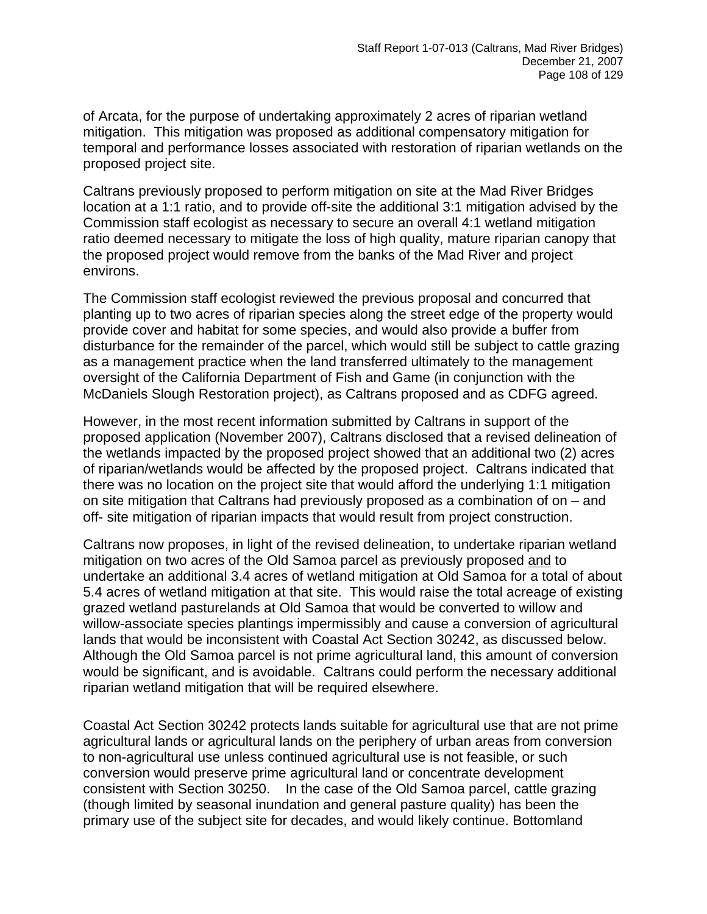of Arcata, for the purpose of undertaking approximately 2 acres of riparian wetland mitigation. This mitigation was proposed as additional compensatory mitigation for temporal and performance losses associated with restoration of riparian wetlands on the proposed project site.

Caltrans previously proposed to perform mitigation on site at the Mad River Bridges location at a 1:1 ratio, and to provide off-site the additional 3:1 mitigation advised by the Commission staff ecologist as necessary to secure an overall 4:1 wetland mitigation ratio deemed necessary to mitigate the loss of high quality, mature riparian canopy that the proposed project would remove from the banks of the Mad River and project environs.

The Commission staff ecologist reviewed the previous proposal and concurred that planting up to two acres of riparian species along the street edge of the property would provide cover and habitat for some species, and would also provide a buffer from disturbance for the remainder of the parcel, which would still be subject to cattle grazing as a management practice when the land transferred ultimately to the management oversight of the California Department of Fish and Game (in conjunction with the McDaniels Slough Restoration project), as Caltrans proposed and as CDFG agreed.

However, in the most recent information submitted by Caltrans in support of the proposed application (November 2007), Caltrans disclosed that a revised delineation of the wetlands impacted by the proposed project showed that an additional two (2) acres of riparian/wetlands would be affected by the proposed project. Caltrans indicated that there was no location on the project site that would afford the underlying 1:1 mitigation on site mitigation that Caltrans had previously proposed as a combination of on – and off- site mitigation of riparian impacts that would result from project construction.

Caltrans now proposes, in light of the revised delineation, to undertake riparian wetland mitigation on two acres of the Old Samoa parcel as previously proposed and to undertake an additional 3.4 acres of wetland mitigation at Old Samoa for a total of about 5.4 acres of wetland mitigation at that site. This would raise the total acreage of existing grazed wetland pasturelands at Old Samoa that would be converted to willow and willow-associate species plantings impermissibly and cause a conversion of agricultural lands that would be inconsistent with Coastal Act Section 30242, as discussed below. Although the Old Samoa parcel is not prime agricultural land, this amount of conversion would be significant, and is avoidable. Caltrans could perform the necessary additional riparian wetland mitigation that will be required elsewhere.

Coastal Act Section 30242 protects lands suitable for agricultural use that are not prime agricultural lands or agricultural lands on the periphery of urban areas from conversion to non-agricultural use unless continued agricultural use is not feasible, or such conversion would preserve prime agricultural land or concentrate development consistent with Section 30250. In the case of the Old Samoa parcel, cattle grazing (though limited by seasonal inundation and general pasture quality) has been the primary use of the subject site for decades, and would likely continue. Bottomland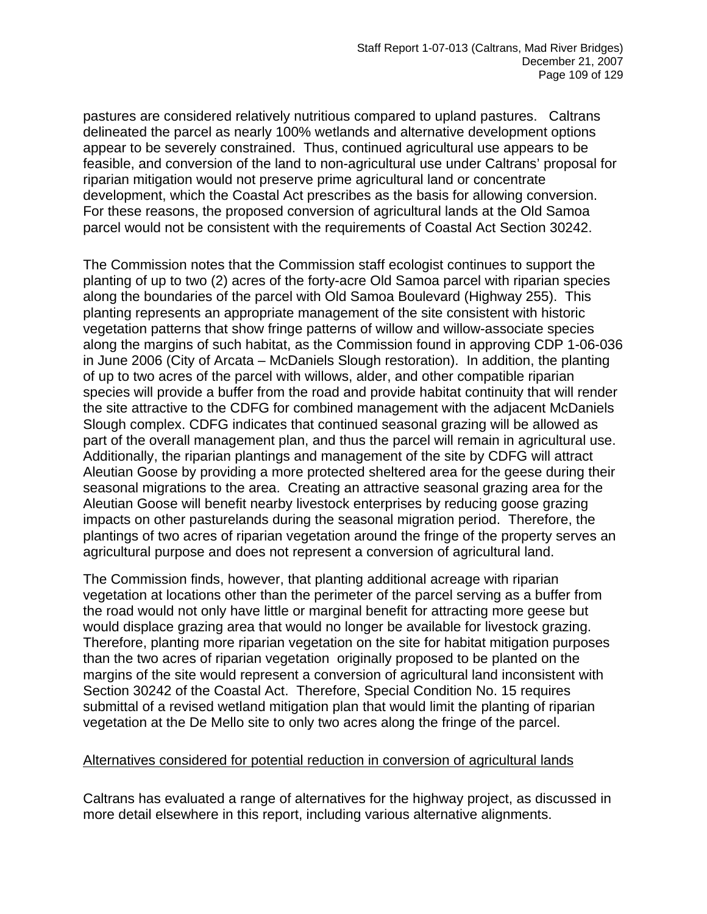pastures are considered relatively nutritious compared to upland pastures. Caltrans delineated the parcel as nearly 100% wetlands and alternative development options appear to be severely constrained. Thus, continued agricultural use appears to be feasible, and conversion of the land to non-agricultural use under Caltrans' proposal for riparian mitigation would not preserve prime agricultural land or concentrate development, which the Coastal Act prescribes as the basis for allowing conversion. For these reasons, the proposed conversion of agricultural lands at the Old Samoa parcel would not be consistent with the requirements of Coastal Act Section 30242.

The Commission notes that the Commission staff ecologist continues to support the planting of up to two (2) acres of the forty-acre Old Samoa parcel with riparian species along the boundaries of the parcel with Old Samoa Boulevard (Highway 255). This planting represents an appropriate management of the site consistent with historic vegetation patterns that show fringe patterns of willow and willow-associate species along the margins of such habitat, as the Commission found in approving CDP 1-06-036 in June 2006 (City of Arcata – McDaniels Slough restoration). In addition, the planting of up to two acres of the parcel with willows, alder, and other compatible riparian species will provide a buffer from the road and provide habitat continuity that will render the site attractive to the CDFG for combined management with the adjacent McDaniels Slough complex. CDFG indicates that continued seasonal grazing will be allowed as part of the overall management plan, and thus the parcel will remain in agricultural use. Additionally, the riparian plantings and management of the site by CDFG will attract Aleutian Goose by providing a more protected sheltered area for the geese during their seasonal migrations to the area. Creating an attractive seasonal grazing area for the Aleutian Goose will benefit nearby livestock enterprises by reducing goose grazing impacts on other pasturelands during the seasonal migration period. Therefore, the plantings of two acres of riparian vegetation around the fringe of the property serves an agricultural purpose and does not represent a conversion of agricultural land.

The Commission finds, however, that planting additional acreage with riparian vegetation at locations other than the perimeter of the parcel serving as a buffer from the road would not only have little or marginal benefit for attracting more geese but would displace grazing area that would no longer be available for livestock grazing. Therefore, planting more riparian vegetation on the site for habitat mitigation purposes than the two acres of riparian vegetation originally proposed to be planted on the margins of the site would represent a conversion of agricultural land inconsistent with Section 30242 of the Coastal Act. Therefore, Special Condition No. 15 requires submittal of a revised wetland mitigation plan that would limit the planting of riparian vegetation at the De Mello site to only two acres along the fringe of the parcel.

#### Alternatives considered for potential reduction in conversion of agricultural lands

Caltrans has evaluated a range of alternatives for the highway project, as discussed in more detail elsewhere in this report, including various alternative alignments.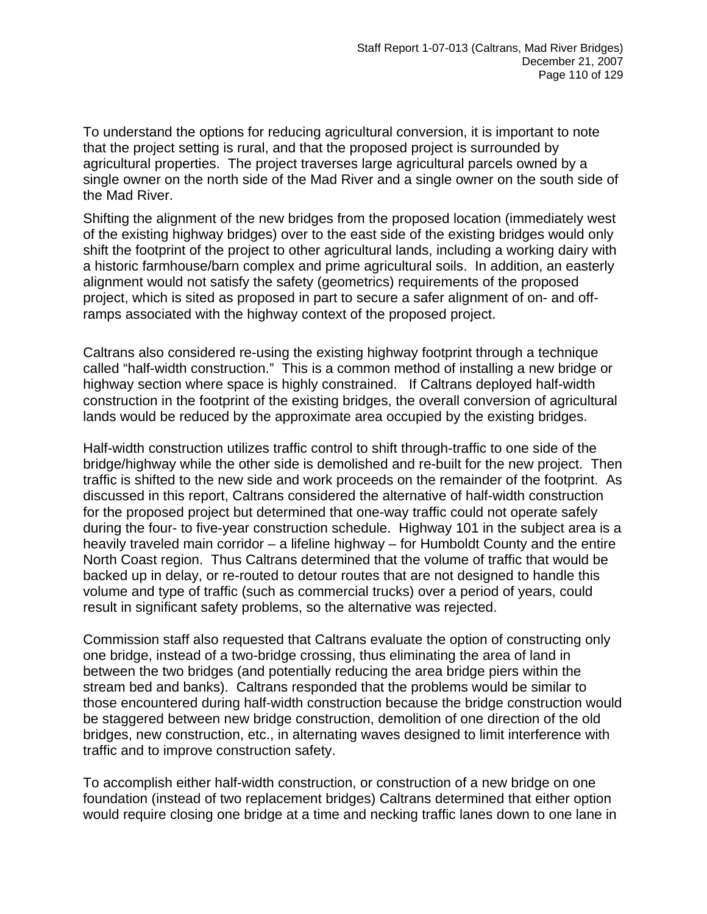To understand the options for reducing agricultural conversion, it is important to note that the project setting is rural, and that the proposed project is surrounded by agricultural properties. The project traverses large agricultural parcels owned by a single owner on the north side of the Mad River and a single owner on the south side of the Mad River.

Shifting the alignment of the new bridges from the proposed location (immediately west of the existing highway bridges) over to the east side of the existing bridges would only shift the footprint of the project to other agricultural lands, including a working dairy with a historic farmhouse/barn complex and prime agricultural soils. In addition, an easterly alignment would not satisfy the safety (geometrics) requirements of the proposed project, which is sited as proposed in part to secure a safer alignment of on- and offramps associated with the highway context of the proposed project.

Caltrans also considered re-using the existing highway footprint through a technique called "half-width construction." This is a common method of installing a new bridge or highway section where space is highly constrained. If Caltrans deployed half-width construction in the footprint of the existing bridges, the overall conversion of agricultural lands would be reduced by the approximate area occupied by the existing bridges.

Half-width construction utilizes traffic control to shift through-traffic to one side of the bridge/highway while the other side is demolished and re-built for the new project. Then traffic is shifted to the new side and work proceeds on the remainder of the footprint. As discussed in this report, Caltrans considered the alternative of half-width construction for the proposed project but determined that one-way traffic could not operate safely during the four- to five-year construction schedule. Highway 101 in the subject area is a heavily traveled main corridor – a lifeline highway – for Humboldt County and the entire North Coast region. Thus Caltrans determined that the volume of traffic that would be backed up in delay, or re-routed to detour routes that are not designed to handle this volume and type of traffic (such as commercial trucks) over a period of years, could result in significant safety problems, so the alternative was rejected.

Commission staff also requested that Caltrans evaluate the option of constructing only one bridge, instead of a two-bridge crossing, thus eliminating the area of land in between the two bridges (and potentially reducing the area bridge piers within the stream bed and banks). Caltrans responded that the problems would be similar to those encountered during half-width construction because the bridge construction would be staggered between new bridge construction, demolition of one direction of the old bridges, new construction, etc., in alternating waves designed to limit interference with traffic and to improve construction safety.

To accomplish either half-width construction, or construction of a new bridge on one foundation (instead of two replacement bridges) Caltrans determined that either option would require closing one bridge at a time and necking traffic lanes down to one lane in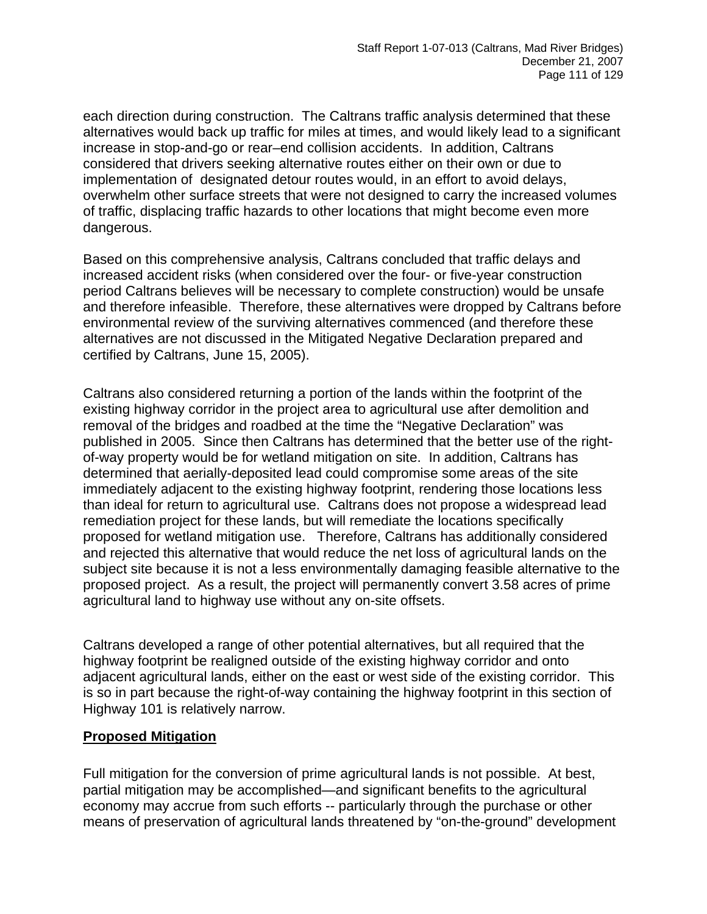each direction during construction. The Caltrans traffic analysis determined that these alternatives would back up traffic for miles at times, and would likely lead to a significant increase in stop-and-go or rear–end collision accidents. In addition, Caltrans considered that drivers seeking alternative routes either on their own or due to implementation of designated detour routes would, in an effort to avoid delays, overwhelm other surface streets that were not designed to carry the increased volumes of traffic, displacing traffic hazards to other locations that might become even more dangerous.

Based on this comprehensive analysis, Caltrans concluded that traffic delays and increased accident risks (when considered over the four- or five-year construction period Caltrans believes will be necessary to complete construction) would be unsafe and therefore infeasible. Therefore, these alternatives were dropped by Caltrans before environmental review of the surviving alternatives commenced (and therefore these alternatives are not discussed in the Mitigated Negative Declaration prepared and certified by Caltrans, June 15, 2005).

Caltrans also considered returning a portion of the lands within the footprint of the existing highway corridor in the project area to agricultural use after demolition and removal of the bridges and roadbed at the time the "Negative Declaration" was published in 2005. Since then Caltrans has determined that the better use of the rightof-way property would be for wetland mitigation on site. In addition, Caltrans has determined that aerially-deposited lead could compromise some areas of the site immediately adjacent to the existing highway footprint, rendering those locations less than ideal for return to agricultural use. Caltrans does not propose a widespread lead remediation project for these lands, but will remediate the locations specifically proposed for wetland mitigation use. Therefore, Caltrans has additionally considered and rejected this alternative that would reduce the net loss of agricultural lands on the subject site because it is not a less environmentally damaging feasible alternative to the proposed project. As a result, the project will permanently convert 3.58 acres of prime agricultural land to highway use without any on-site offsets.

Caltrans developed a range of other potential alternatives, but all required that the highway footprint be realigned outside of the existing highway corridor and onto adjacent agricultural lands, either on the east or west side of the existing corridor. This is so in part because the right-of-way containing the highway footprint in this section of Highway 101 is relatively narrow.

#### **Proposed Mitigation**

Full mitigation for the conversion of prime agricultural lands is not possible. At best, partial mitigation may be accomplished—and significant benefits to the agricultural economy may accrue from such efforts -- particularly through the purchase or other means of preservation of agricultural lands threatened by "on-the-ground" development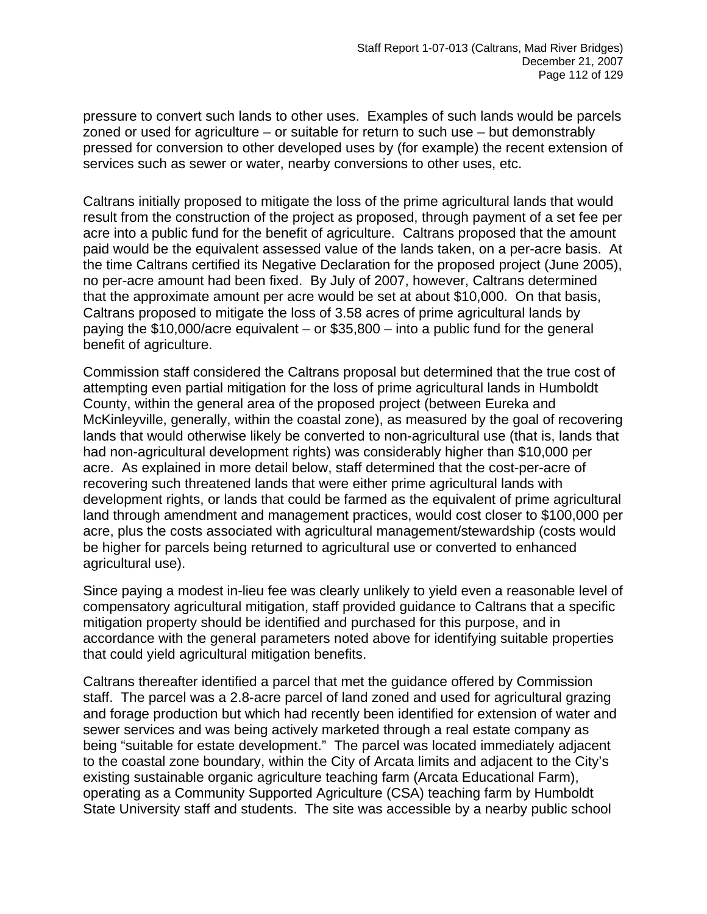pressure to convert such lands to other uses. Examples of such lands would be parcels zoned or used for agriculture – or suitable for return to such use – but demonstrably pressed for conversion to other developed uses by (for example) the recent extension of services such as sewer or water, nearby conversions to other uses, etc.

Caltrans initially proposed to mitigate the loss of the prime agricultural lands that would result from the construction of the project as proposed, through payment of a set fee per acre into a public fund for the benefit of agriculture. Caltrans proposed that the amount paid would be the equivalent assessed value of the lands taken, on a per-acre basis. At the time Caltrans certified its Negative Declaration for the proposed project (June 2005), no per-acre amount had been fixed. By July of 2007, however, Caltrans determined that the approximate amount per acre would be set at about \$10,000. On that basis, Caltrans proposed to mitigate the loss of 3.58 acres of prime agricultural lands by paying the \$10,000/acre equivalent – or \$35,800 – into a public fund for the general benefit of agriculture.

Commission staff considered the Caltrans proposal but determined that the true cost of attempting even partial mitigation for the loss of prime agricultural lands in Humboldt County, within the general area of the proposed project (between Eureka and McKinleyville, generally, within the coastal zone), as measured by the goal of recovering lands that would otherwise likely be converted to non-agricultural use (that is, lands that had non-agricultural development rights) was considerably higher than \$10,000 per acre. As explained in more detail below, staff determined that the cost-per-acre of recovering such threatened lands that were either prime agricultural lands with development rights, or lands that could be farmed as the equivalent of prime agricultural land through amendment and management practices, would cost closer to \$100,000 per acre, plus the costs associated with agricultural management/stewardship (costs would be higher for parcels being returned to agricultural use or converted to enhanced agricultural use).

Since paying a modest in-lieu fee was clearly unlikely to yield even a reasonable level of compensatory agricultural mitigation, staff provided guidance to Caltrans that a specific mitigation property should be identified and purchased for this purpose, and in accordance with the general parameters noted above for identifying suitable properties that could yield agricultural mitigation benefits.

Caltrans thereafter identified a parcel that met the guidance offered by Commission staff. The parcel was a 2.8-acre parcel of land zoned and used for agricultural grazing and forage production but which had recently been identified for extension of water and sewer services and was being actively marketed through a real estate company as being "suitable for estate development." The parcel was located immediately adjacent to the coastal zone boundary, within the City of Arcata limits and adjacent to the City's existing sustainable organic agriculture teaching farm (Arcata Educational Farm), operating as a Community Supported Agriculture (CSA) teaching farm by Humboldt State University staff and students. The site was accessible by a nearby public school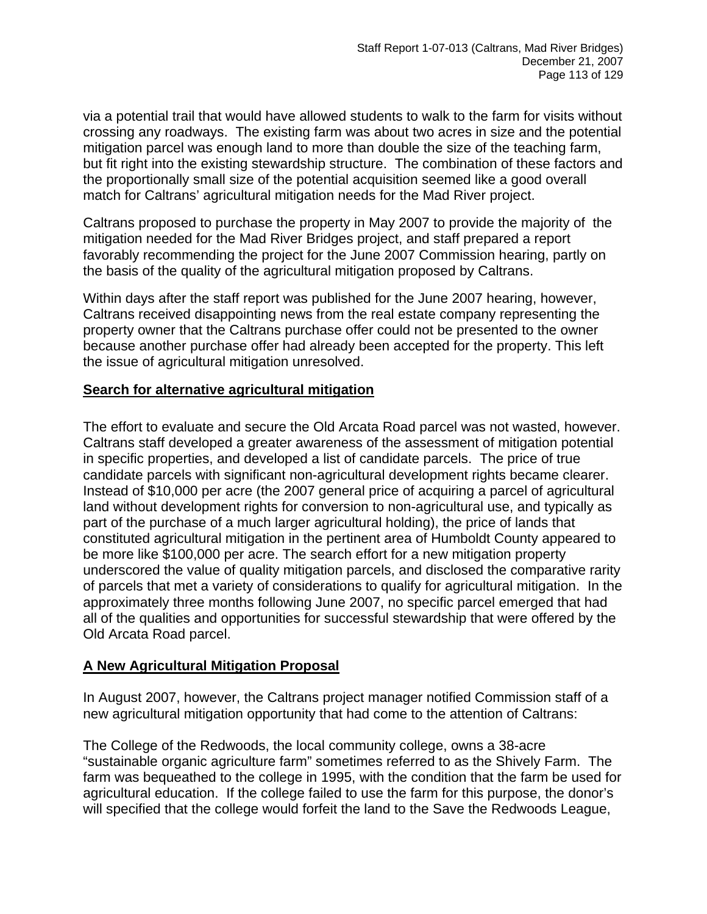via a potential trail that would have allowed students to walk to the farm for visits without crossing any roadways. The existing farm was about two acres in size and the potential mitigation parcel was enough land to more than double the size of the teaching farm, but fit right into the existing stewardship structure. The combination of these factors and the proportionally small size of the potential acquisition seemed like a good overall match for Caltrans' agricultural mitigation needs for the Mad River project.

Caltrans proposed to purchase the property in May 2007 to provide the majority of the mitigation needed for the Mad River Bridges project, and staff prepared a report favorably recommending the project for the June 2007 Commission hearing, partly on the basis of the quality of the agricultural mitigation proposed by Caltrans.

Within days after the staff report was published for the June 2007 hearing, however, Caltrans received disappointing news from the real estate company representing the property owner that the Caltrans purchase offer could not be presented to the owner because another purchase offer had already been accepted for the property. This left the issue of agricultural mitigation unresolved.

### **Search for alternative agricultural mitigation**

The effort to evaluate and secure the Old Arcata Road parcel was not wasted, however. Caltrans staff developed a greater awareness of the assessment of mitigation potential in specific properties, and developed a list of candidate parcels. The price of true candidate parcels with significant non-agricultural development rights became clearer. Instead of \$10,000 per acre (the 2007 general price of acquiring a parcel of agricultural land without development rights for conversion to non-agricultural use, and typically as part of the purchase of a much larger agricultural holding), the price of lands that constituted agricultural mitigation in the pertinent area of Humboldt County appeared to be more like \$100,000 per acre. The search effort for a new mitigation property underscored the value of quality mitigation parcels, and disclosed the comparative rarity of parcels that met a variety of considerations to qualify for agricultural mitigation. In the approximately three months following June 2007, no specific parcel emerged that had all of the qualities and opportunities for successful stewardship that were offered by the Old Arcata Road parcel.

#### **A New Agricultural Mitigation Proposal**

In August 2007, however, the Caltrans project manager notified Commission staff of a new agricultural mitigation opportunity that had come to the attention of Caltrans:

The College of the Redwoods, the local community college, owns a 38-acre "sustainable organic agriculture farm" sometimes referred to as the Shively Farm. The farm was bequeathed to the college in 1995, with the condition that the farm be used for agricultural education. If the college failed to use the farm for this purpose, the donor's will specified that the college would forfeit the land to the Save the Redwoods League,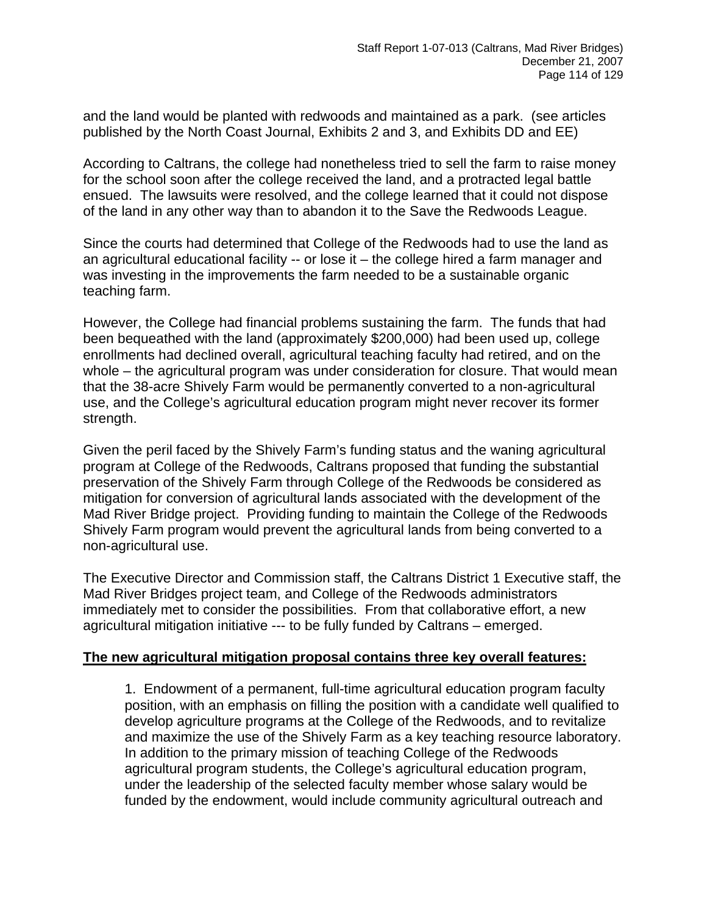and the land would be planted with redwoods and maintained as a park. (see articles published by the North Coast Journal, Exhibits 2 and 3, and Exhibits DD and EE)

According to Caltrans, the college had nonetheless tried to sell the farm to raise money for the school soon after the college received the land, and a protracted legal battle ensued. The lawsuits were resolved, and the college learned that it could not dispose of the land in any other way than to abandon it to the Save the Redwoods League.

Since the courts had determined that College of the Redwoods had to use the land as an agricultural educational facility -- or lose it – the college hired a farm manager and was investing in the improvements the farm needed to be a sustainable organic teaching farm.

However, the College had financial problems sustaining the farm. The funds that had been bequeathed with the land (approximately \$200,000) had been used up, college enrollments had declined overall, agricultural teaching faculty had retired, and on the whole – the agricultural program was under consideration for closure. That would mean that the 38-acre Shively Farm would be permanently converted to a non-agricultural use, and the College's agricultural education program might never recover its former strength.

Given the peril faced by the Shively Farm's funding status and the waning agricultural program at College of the Redwoods, Caltrans proposed that funding the substantial preservation of the Shively Farm through College of the Redwoods be considered as mitigation for conversion of agricultural lands associated with the development of the Mad River Bridge project. Providing funding to maintain the College of the Redwoods Shively Farm program would prevent the agricultural lands from being converted to a non-agricultural use.

The Executive Director and Commission staff, the Caltrans District 1 Executive staff, the Mad River Bridges project team, and College of the Redwoods administrators immediately met to consider the possibilities. From that collaborative effort, a new agricultural mitigation initiative --- to be fully funded by Caltrans – emerged.

#### **The new agricultural mitigation proposal contains three key overall features:**

1. Endowment of a permanent, full-time agricultural education program faculty position, with an emphasis on filling the position with a candidate well qualified to develop agriculture programs at the College of the Redwoods, and to revitalize and maximize the use of the Shively Farm as a key teaching resource laboratory. In addition to the primary mission of teaching College of the Redwoods agricultural program students, the College's agricultural education program, under the leadership of the selected faculty member whose salary would be funded by the endowment, would include community agricultural outreach and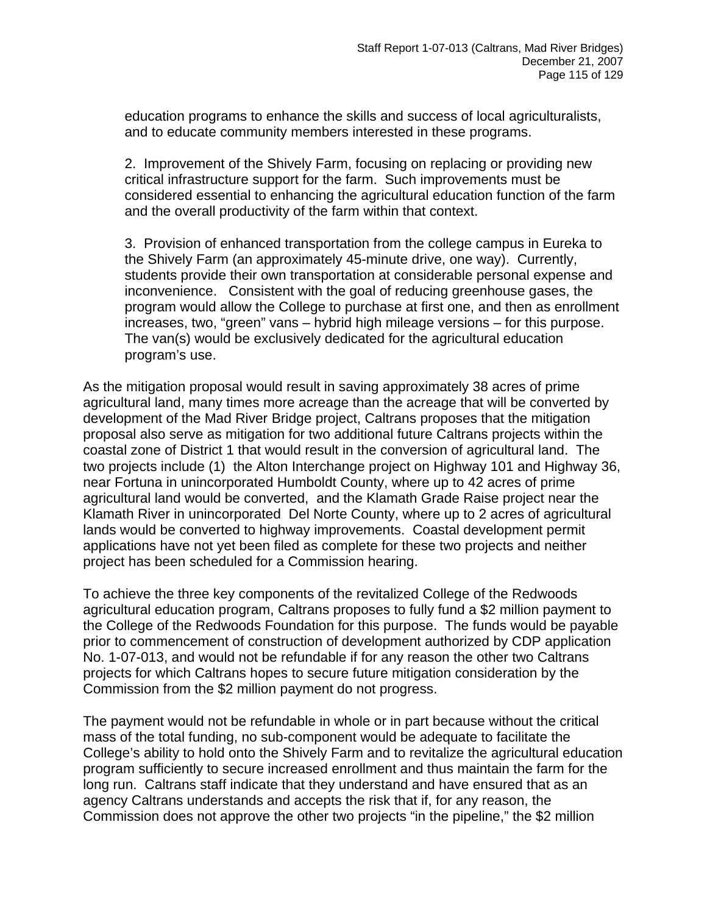education programs to enhance the skills and success of local agriculturalists, and to educate community members interested in these programs.

2. Improvement of the Shively Farm, focusing on replacing or providing new critical infrastructure support for the farm. Such improvements must be considered essential to enhancing the agricultural education function of the farm and the overall productivity of the farm within that context.

3. Provision of enhanced transportation from the college campus in Eureka to the Shively Farm (an approximately 45-minute drive, one way). Currently, students provide their own transportation at considerable personal expense and inconvenience. Consistent with the goal of reducing greenhouse gases, the program would allow the College to purchase at first one, and then as enrollment increases, two, "green" vans – hybrid high mileage versions – for this purpose. The van(s) would be exclusively dedicated for the agricultural education program's use.

As the mitigation proposal would result in saving approximately 38 acres of prime agricultural land, many times more acreage than the acreage that will be converted by development of the Mad River Bridge project, Caltrans proposes that the mitigation proposal also serve as mitigation for two additional future Caltrans projects within the coastal zone of District 1 that would result in the conversion of agricultural land. The two projects include (1) the Alton Interchange project on Highway 101 and Highway 36, near Fortuna in unincorporated Humboldt County, where up to 42 acres of prime agricultural land would be converted, and the Klamath Grade Raise project near the Klamath River in unincorporated Del Norte County, where up to 2 acres of agricultural lands would be converted to highway improvements. Coastal development permit applications have not yet been filed as complete for these two projects and neither project has been scheduled for a Commission hearing.

To achieve the three key components of the revitalized College of the Redwoods agricultural education program, Caltrans proposes to fully fund a \$2 million payment to the College of the Redwoods Foundation for this purpose. The funds would be payable prior to commencement of construction of development authorized by CDP application No. 1-07-013, and would not be refundable if for any reason the other two Caltrans projects for which Caltrans hopes to secure future mitigation consideration by the Commission from the \$2 million payment do not progress.

The payment would not be refundable in whole or in part because without the critical mass of the total funding, no sub-component would be adequate to facilitate the College's ability to hold onto the Shively Farm and to revitalize the agricultural education program sufficiently to secure increased enrollment and thus maintain the farm for the long run. Caltrans staff indicate that they understand and have ensured that as an agency Caltrans understands and accepts the risk that if, for any reason, the Commission does not approve the other two projects "in the pipeline," the \$2 million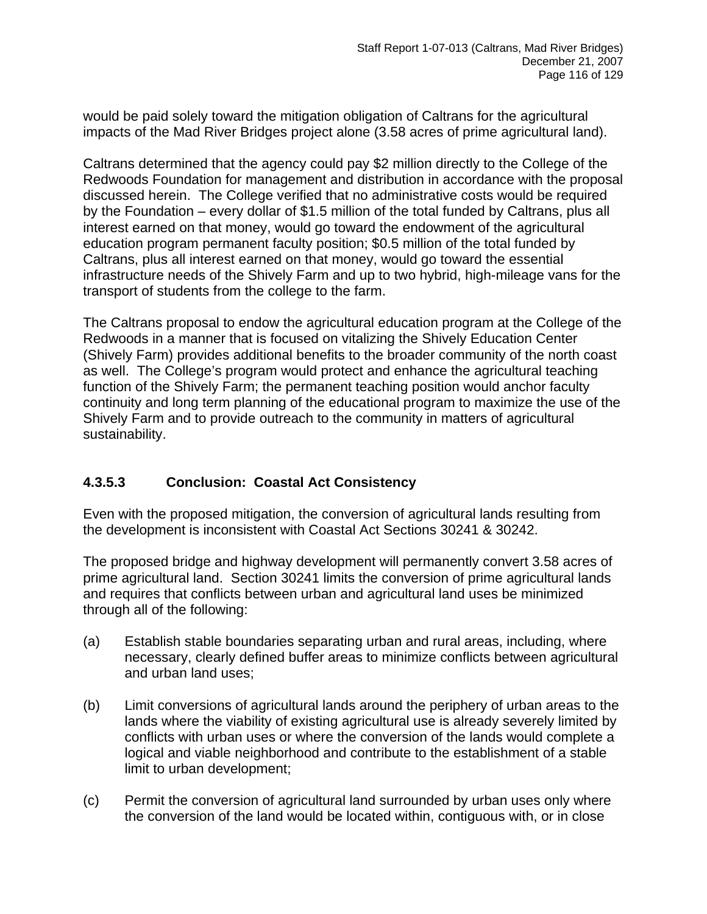would be paid solely toward the mitigation obligation of Caltrans for the agricultural impacts of the Mad River Bridges project alone (3.58 acres of prime agricultural land).

Caltrans determined that the agency could pay \$2 million directly to the College of the Redwoods Foundation for management and distribution in accordance with the proposal discussed herein. The College verified that no administrative costs would be required by the Foundation – every dollar of \$1.5 million of the total funded by Caltrans, plus all interest earned on that money, would go toward the endowment of the agricultural education program permanent faculty position; \$0.5 million of the total funded by Caltrans, plus all interest earned on that money, would go toward the essential infrastructure needs of the Shively Farm and up to two hybrid, high-mileage vans for the transport of students from the college to the farm.

The Caltrans proposal to endow the agricultural education program at the College of the Redwoods in a manner that is focused on vitalizing the Shively Education Center (Shively Farm) provides additional benefits to the broader community of the north coast as well. The College's program would protect and enhance the agricultural teaching function of the Shively Farm; the permanent teaching position would anchor faculty continuity and long term planning of the educational program to maximize the use of the Shively Farm and to provide outreach to the community in matters of agricultural sustainability.

# **4.3.5.3 Conclusion: Coastal Act Consistency**

Even with the proposed mitigation, the conversion of agricultural lands resulting from the development is inconsistent with Coastal Act Sections 30241 & 30242.

The proposed bridge and highway development will permanently convert 3.58 acres of prime agricultural land. Section 30241 limits the conversion of prime agricultural lands and requires that conflicts between urban and agricultural land uses be minimized through all of the following:

- (a) Establish stable boundaries separating urban and rural areas, including, where necessary, clearly defined buffer areas to minimize conflicts between agricultural and urban land uses;
- (b) Limit conversions of agricultural lands around the periphery of urban areas to the lands where the viability of existing agricultural use is already severely limited by conflicts with urban uses or where the conversion of the lands would complete a logical and viable neighborhood and contribute to the establishment of a stable limit to urban development;
- (c) Permit the conversion of agricultural land surrounded by urban uses only where the conversion of the land would [be located within, contiguous with, or in close](#page-0-0)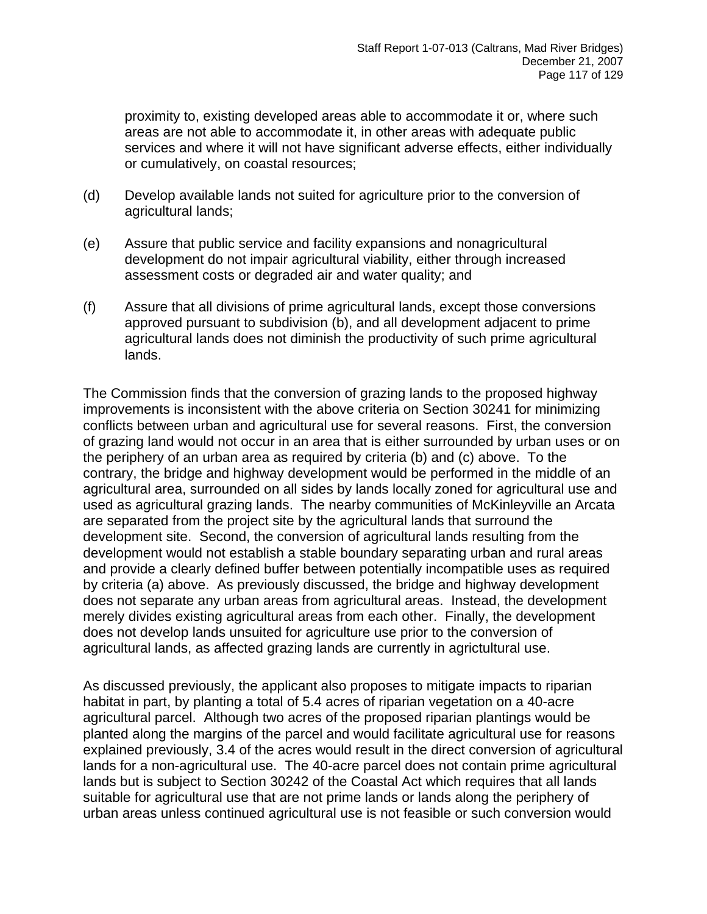[proximity to, existing developed areas able to accommodate it or, where such](#page-0-0)  [areas are not able to accommodate it, in other areas with adequate public](#page-0-0)  [services and where it will not have significant adverse effects, either individually](#page-0-0)  [or cumulatively, on coastal resources](#page-0-0);

- (d) Develop available lands not suited for agriculture prior to the conversion of agricultural lands;
- (e) Assure that public service and facility expansions and nonagricultural development do not impair agricultural viability, either through increased assessment costs or degraded air and water quality; and
- (f) Assure that all divisions of prime agricultural lands, except those conversions approved pursuant to subdivision (b), and all development adjacent to prime agricultural lands does not diminish the productivity of such prime agricultural lands.

The Commission finds that the conversion of grazing lands to the proposed highway improvements is inconsistent with the above criteria on Section 30241 for minimizing conflicts between urban and agricultural use for several reasons. First, the conversion of grazing land would not occur in an area that is either surrounded by urban uses or on the periphery of an urban area as required by criteria (b) and (c) above. To the contrary, the bridge and highway development would be performed in the middle of an agricultural area, surrounded on all sides by lands locally zoned for agricultural use and used as agricultural grazing lands. The nearby communities of McKinleyville an Arcata are separated from the project site by the agricultural lands that surround the development site. Second, the conversion of agricultural lands resulting from the development would not establish a stable boundary separating urban and rural areas and provide a clearly defined buffer between potentially incompatible uses as required by criteria (a) above. As previously discussed, the bridge and highway development does not separate any urban areas from agricultural areas. Instead, the development merely divides existing agricultural areas from each other. Finally, the development does not develop lands unsuited for agriculture use prior to the conversion of agricultural lands, as affected grazing lands are currently in agrictultural use.

As discussed previously, the applicant also proposes to mitigate impacts to riparian habitat in part, by planting a total of 5.4 acres of riparian vegetation on a 40-acre agricultural parcel. Although two acres of the proposed riparian plantings would be planted along the margins of the parcel and would facilitate agricultural use for reasons explained previously, 3.4 of the acres would result in the direct conversion of agricultural lands for a non-agricultural use. The 40-acre parcel does not contain prime agricultural lands but is subject to Section 30242 of the Coastal Act which requires that all lands suitable for agricultural use that are not prime lands or lands along the periphery of urban areas unless continued agricultural use is not feasible or such conversion would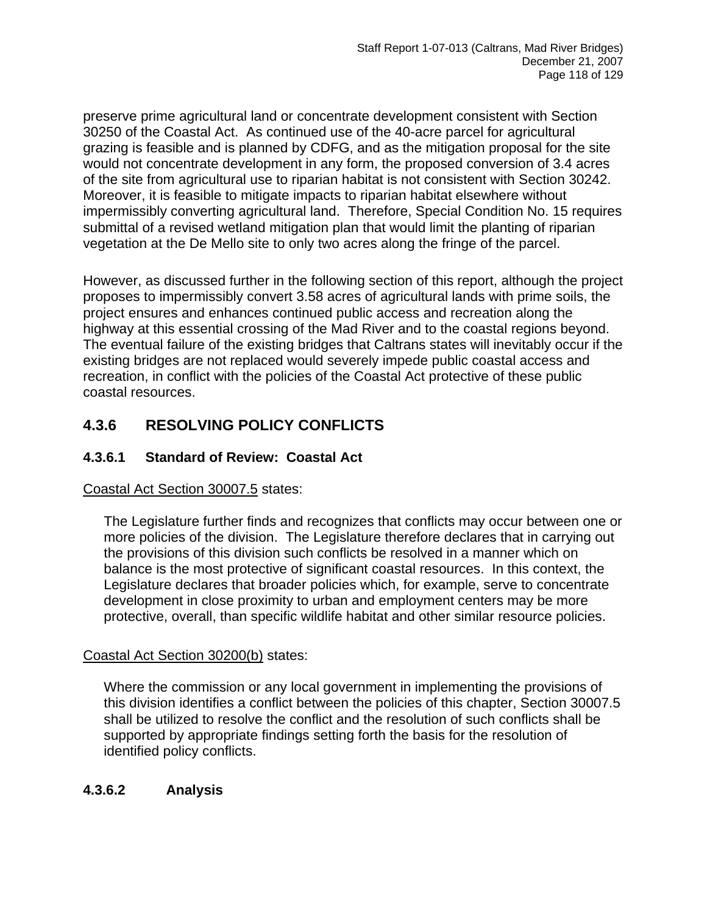preserve prime agricultural land or concentrate development consistent with Section 30250 of the Coastal Act. As continued use of the 40-acre parcel for agricultural grazing is feasible and is planned by CDFG, and as the mitigation proposal for the site would not concentrate development in any form, the proposed conversion of 3.4 acres of the site from agricultural use to riparian habitat is not consistent with Section 30242. Moreover, it is feasible to mitigate impacts to riparian habitat elsewhere without impermissibly converting agricultural land. Therefore, Special Condition No. 15 requires submittal of a revised wetland mitigation plan that would limit the planting of riparian vegetation at the De Mello site to only two acres along the fringe of the parcel.

However, as discussed further in the following section of this report, although the project proposes to impermissibly convert 3.58 acres of agricultural lands with prime soils, the project ensures and enhances continued public access and recreation along the highway at this essential crossing of the Mad River and to the coastal regions beyond. The eventual failure of the existing bridges that Caltrans states will inevitably occur if the existing bridges are not replaced would severely impede public coastal access and recreation, in conflict with the policies of the Coastal Act protective of these public coastal resources.

# **4.3.6 RESOLVING POLICY CONFLICTS**

# **4.3.6.1 Standard of Review: Coastal Act**

### Coastal Act Section 30007.5 states:

The Legislature further finds and recognizes that conflicts may occur between one or more policies of the division. The Legislature therefore declares that in carrying out the provisions of this division such conflicts be resolved in a manner which on balance is the most protective of significant coastal resources. In this context, the Legislature declares that broader policies which, for example, serve to concentrate development in close proximity to urban and employment centers may be more protective, overall, than specific wildlife habitat and other similar resource policies.

### Coastal Act Section 30200(b) states:

Where the commission or any local government in implementing the provisions of this division identifies a conflict between the policies of this chapter, Section 30007.5 shall be utilized to resolve the conflict and the resolution of such conflicts shall be supported by appropriate findings setting forth the basis for the resolution of identified policy conflicts.

# **4.3.6.2 Analysis**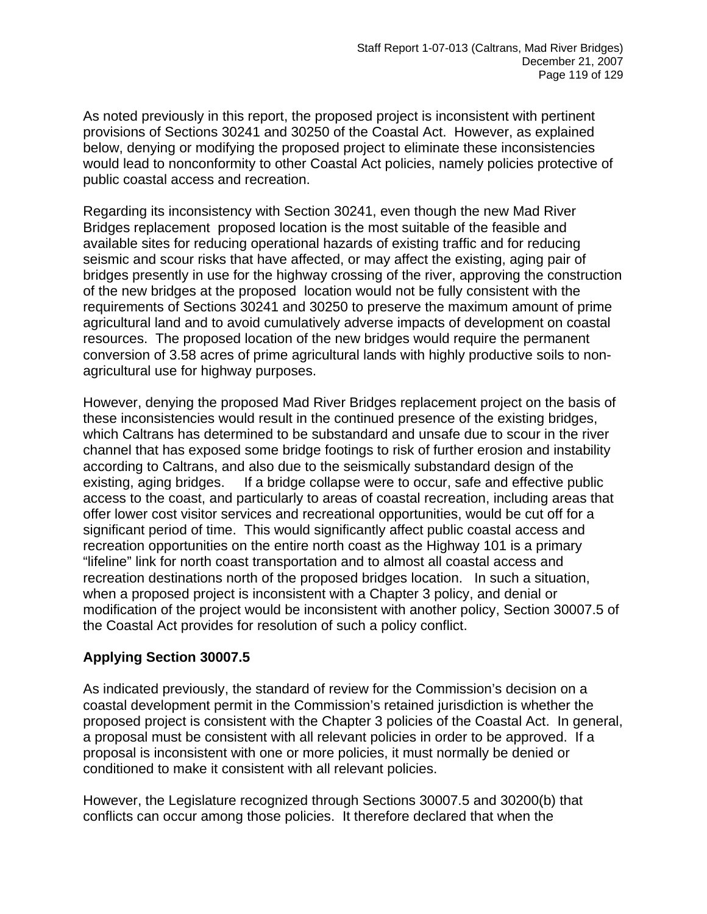As noted previously in this report, the proposed project is inconsistent with pertinent provisions of Sections 30241 and 30250 of the Coastal Act. However, as explained below, denying or modifying the proposed project to eliminate these inconsistencies would lead to nonconformity to other Coastal Act policies, namely policies protective of public coastal access and recreation.

Regarding its inconsistency with Section 30241, even though the new Mad River Bridges replacement proposed location is the most suitable of the feasible and available sites for reducing operational hazards of existing traffic and for reducing seismic and scour risks that have affected, or may affect the existing, aging pair of bridges presently in use for the highway crossing of the river, approving the construction of the new bridges at the proposed location would not be fully consistent with the requirements of Sections 30241 and 30250 to preserve the maximum amount of prime agricultural land and to avoid cumulatively adverse impacts of development on coastal resources. The proposed location of the new bridges would require the permanent conversion of 3.58 acres of prime agricultural lands with highly productive soils to nonagricultural use for highway purposes.

However, denying the proposed Mad River Bridges replacement project on the basis of these inconsistencies would result in the continued presence of the existing bridges, which Caltrans has determined to be substandard and unsafe due to scour in the river channel that has exposed some bridge footings to risk of further erosion and instability according to Caltrans, and also due to the seismically substandard design of the existing, aging bridges. If a bridge collapse were to occur, safe and effective public access to the coast, and particularly to areas of coastal recreation, including areas that offer lower cost visitor services and recreational opportunities, would be cut off for a significant period of time. This would significantly affect public coastal access and recreation opportunities on the entire north coast as the Highway 101 is a primary "lifeline" link for north coast transportation and to almost all coastal access and recreation destinations north of the proposed bridges location. In such a situation, when a proposed project is inconsistent with a Chapter 3 policy, and denial or modification of the project would be inconsistent with another policy, Section 30007.5 of the Coastal Act provides for resolution of such a policy conflict.

### **Applying Section 30007.5**

As indicated previously, the standard of review for the Commission's decision on a coastal development permit in the Commission's retained jurisdiction is whether the proposed project is consistent with the Chapter 3 policies of the Coastal Act. In general, a proposal must be consistent with all relevant policies in order to be approved. If a proposal is inconsistent with one or more policies, it must normally be denied or conditioned to make it consistent with all relevant policies.

However, the Legislature recognized through Sections 30007.5 and 30200(b) that conflicts can occur among those policies. It therefore declared that when the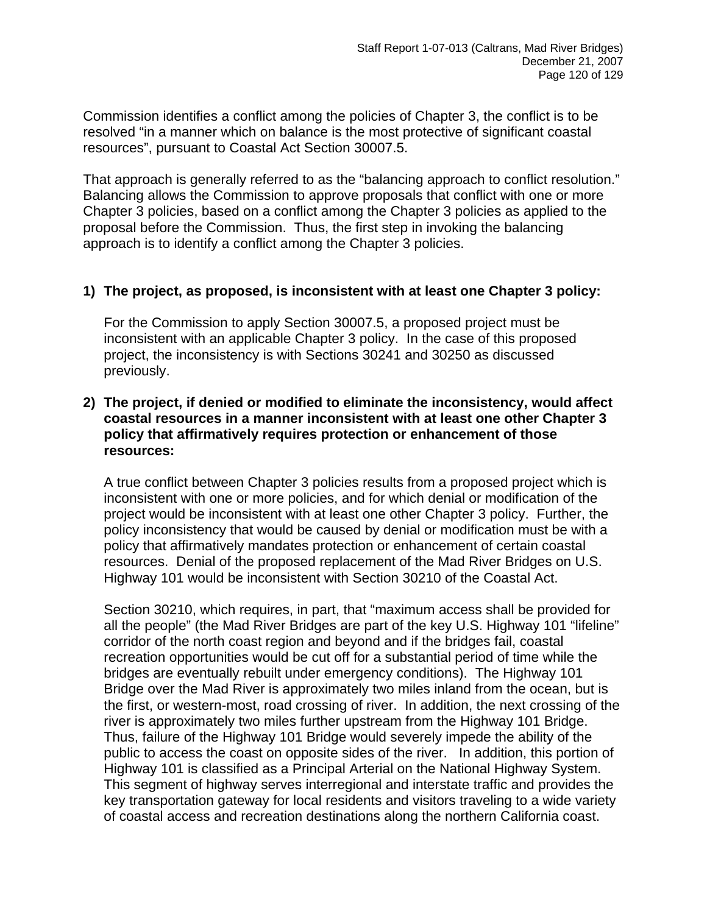Commission identifies a conflict among the policies of Chapter 3, the conflict is to be resolved "in a manner which on balance is the most protective of significant coastal resources", pursuant to Coastal Act Section 30007.5.

That approach is generally referred to as the "balancing approach to conflict resolution." Balancing allows the Commission to approve proposals that conflict with one or more Chapter 3 policies, based on a conflict among the Chapter 3 policies as applied to the proposal before the Commission. Thus, the first step in invoking the balancing approach is to identify a conflict among the Chapter 3 policies.

#### **1) The project, as proposed, is inconsistent with at least one Chapter 3 policy:**

For the Commission to apply Section 30007.5, a proposed project must be inconsistent with an applicable Chapter 3 policy. In the case of this proposed project, the inconsistency is with Sections 30241 and 30250 as discussed previously.

#### **2) The project, if denied or modified to eliminate the inconsistency, would affect coastal resources in a manner inconsistent with at least one other Chapter 3 policy that affirmatively requires protection or enhancement of those resources:**

A true conflict between Chapter 3 policies results from a proposed project which is inconsistent with one or more policies, and for which denial or modification of the project would be inconsistent with at least one other Chapter 3 policy. Further, the policy inconsistency that would be caused by denial or modification must be with a policy that affirmatively mandates protection or enhancement of certain coastal resources. Denial of the proposed replacement of the Mad River Bridges on U.S. Highway 101 would be inconsistent with Section 30210 of the Coastal Act.

Section 30210, which requires, in part, that "maximum access shall be provided for all the people" (the Mad River Bridges are part of the key U.S. Highway 101 "lifeline" corridor of the north coast region and beyond and if the bridges fail, coastal recreation opportunities would be cut off for a substantial period of time while the bridges are eventually rebuilt under emergency conditions). The Highway 101 Bridge over the Mad River is approximately two miles inland from the ocean, but is the first, or western-most, road crossing of river. In addition, the next crossing of the river is approximately two miles further upstream from the Highway 101 Bridge. Thus, failure of the Highway 101 Bridge would severely impede the ability of the public to access the coast on opposite sides of the river. In addition, this portion of Highway 101 is classified as a Principal Arterial on the National Highway System. This segment of highway serves interregional and interstate traffic and provides the key transportation gateway for local residents and visitors traveling to a wide variety of coastal access and recreation destinations along the northern California coast.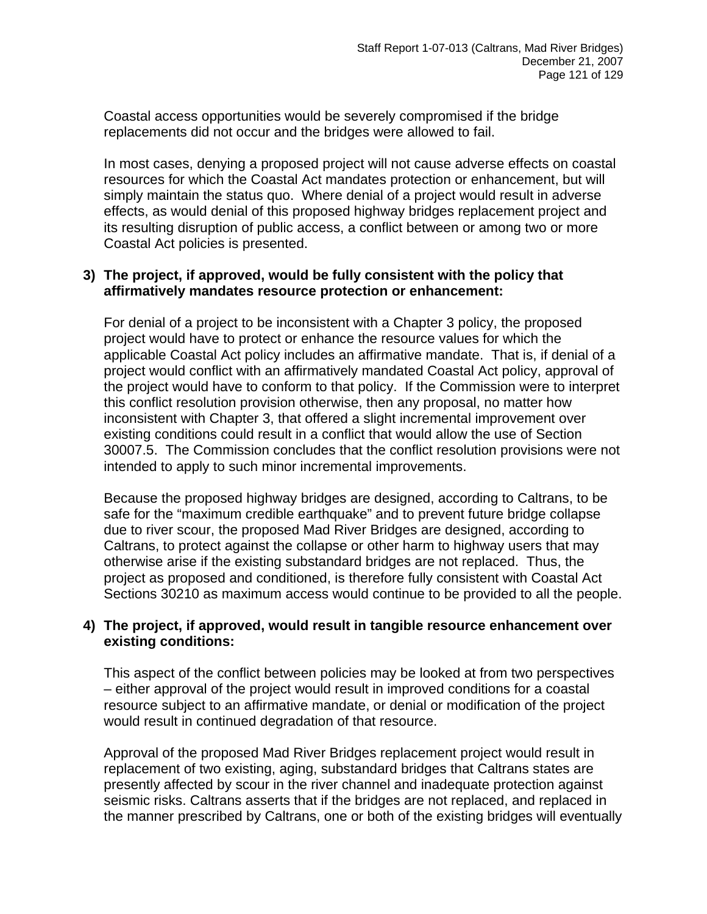Coastal access opportunities would be severely compromised if the bridge replacements did not occur and the bridges were allowed to fail.

In most cases, denying a proposed project will not cause adverse effects on coastal resources for which the Coastal Act mandates protection or enhancement, but will simply maintain the status quo. Where denial of a project would result in adverse effects, as would denial of this proposed highway bridges replacement project and its resulting disruption of public access, a conflict between or among two or more Coastal Act policies is presented.

#### **3) The project, if approved, would be fully consistent with the policy that affirmatively mandates resource protection or enhancement:**

For denial of a project to be inconsistent with a Chapter 3 policy, the proposed project would have to protect or enhance the resource values for which the applicable Coastal Act policy includes an affirmative mandate. That is, if denial of a project would conflict with an affirmatively mandated Coastal Act policy, approval of the project would have to conform to that policy. If the Commission were to interpret this conflict resolution provision otherwise, then any proposal, no matter how inconsistent with Chapter 3, that offered a slight incremental improvement over existing conditions could result in a conflict that would allow the use of Section 30007.5. The Commission concludes that the conflict resolution provisions were not intended to apply to such minor incremental improvements.

Because the proposed highway bridges are designed, according to Caltrans, to be safe for the "maximum credible earthquake" and to prevent future bridge collapse due to river scour, the proposed Mad River Bridges are designed, according to Caltrans, to protect against the collapse or other harm to highway users that may otherwise arise if the existing substandard bridges are not replaced. Thus, the project as proposed and conditioned, is therefore fully consistent with Coastal Act Sections 30210 as maximum access would continue to be provided to all the people.

#### **4) The project, if approved, would result in tangible resource enhancement over existing conditions:**

This aspect of the conflict between policies may be looked at from two perspectives – either approval of the project would result in improved conditions for a coastal resource subject to an affirmative mandate, or denial or modification of the project would result in continued degradation of that resource.

Approval of the proposed Mad River Bridges replacement project would result in replacement of two existing, aging, substandard bridges that Caltrans states are presently affected by scour in the river channel and inadequate protection against seismic risks. Caltrans asserts that if the bridges are not replaced, and replaced in the manner prescribed by Caltrans, one or both of the existing bridges will eventually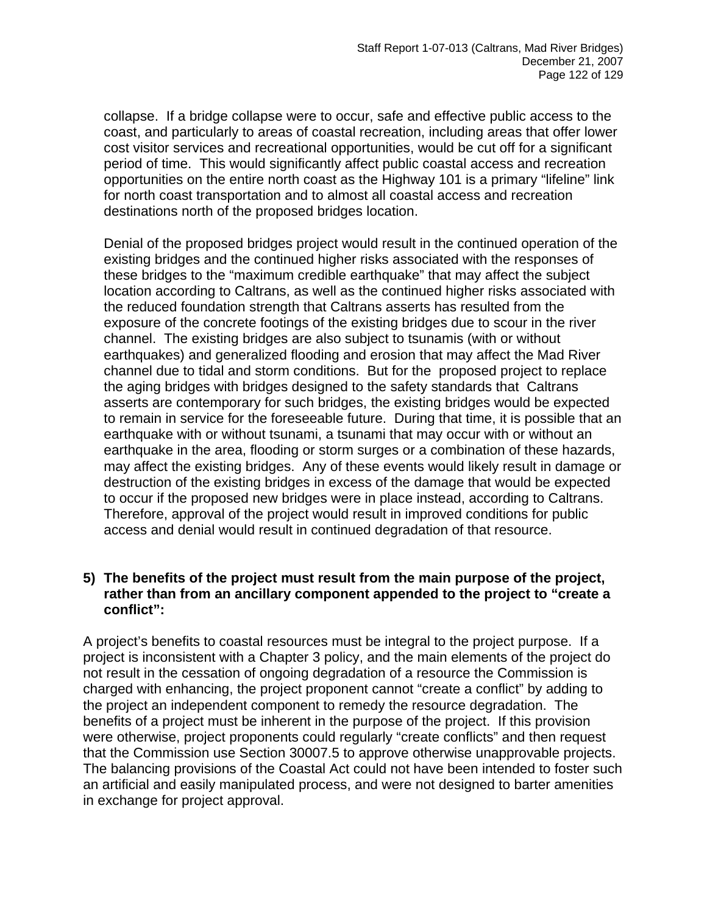collapse. If a bridge collapse were to occur, safe and effective public access to the coast, and particularly to areas of coastal recreation, including areas that offer lower cost visitor services and recreational opportunities, would be cut off for a significant period of time. This would significantly affect public coastal access and recreation opportunities on the entire north coast as the Highway 101 is a primary "lifeline" link for north coast transportation and to almost all coastal access and recreation destinations north of the proposed bridges location.

Denial of the proposed bridges project would result in the continued operation of the existing bridges and the continued higher risks associated with the responses of these bridges to the "maximum credible earthquake" that may affect the subject location according to Caltrans, as well as the continued higher risks associated with the reduced foundation strength that Caltrans asserts has resulted from the exposure of the concrete footings of the existing bridges due to scour in the river channel. The existing bridges are also subject to tsunamis (with or without earthquakes) and generalized flooding and erosion that may affect the Mad River channel due to tidal and storm conditions. But for the proposed project to replace the aging bridges with bridges designed to the safety standards that Caltrans asserts are contemporary for such bridges, the existing bridges would be expected to remain in service for the foreseeable future. During that time, it is possible that an earthquake with or without tsunami, a tsunami that may occur with or without an earthquake in the area, flooding or storm surges or a combination of these hazards, may affect the existing bridges. Any of these events would likely result in damage or destruction of the existing bridges in excess of the damage that would be expected to occur if the proposed new bridges were in place instead, according to Caltrans. Therefore, approval of the project would result in improved conditions for public access and denial would result in continued degradation of that resource.

### **5) The benefits of the project must result from the main purpose of the project, rather than from an ancillary component appended to the project to "create a conflict":**

A project's benefits to coastal resources must be integral to the project purpose. If a project is inconsistent with a Chapter 3 policy, and the main elements of the project do not result in the cessation of ongoing degradation of a resource the Commission is charged with enhancing, the project proponent cannot "create a conflict" by adding to the project an independent component to remedy the resource degradation. The benefits of a project must be inherent in the purpose of the project. If this provision were otherwise, project proponents could regularly "create conflicts" and then request that the Commission use Section 30007.5 to approve otherwise unapprovable projects. The balancing provisions of the Coastal Act could not have been intended to foster such an artificial and easily manipulated process, and were not designed to barter amenities in exchange for project approval.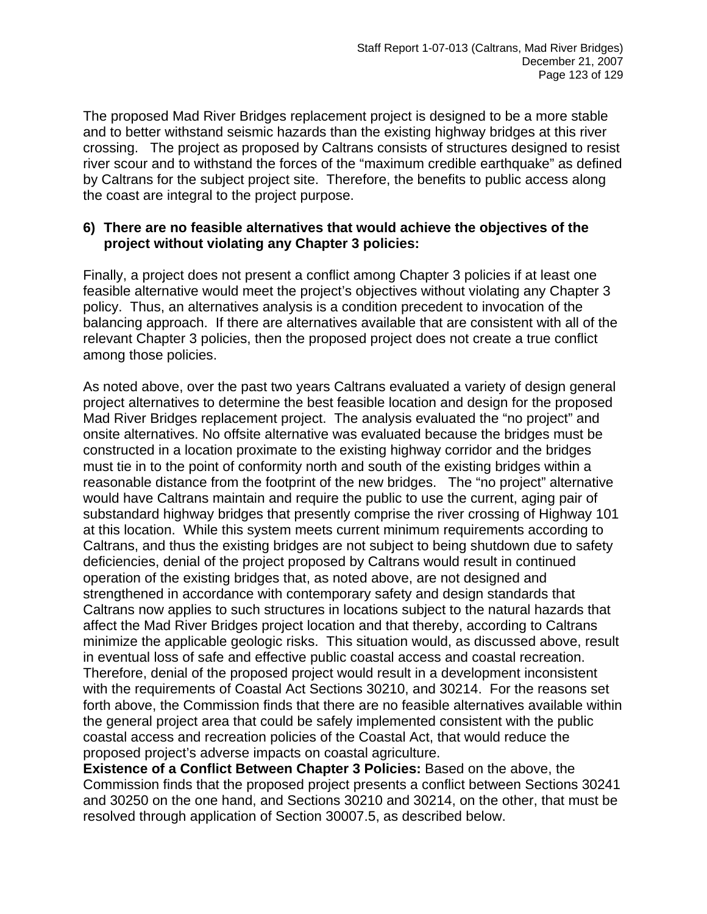The proposed Mad River Bridges replacement project is designed to be a more stable and to better withstand seismic hazards than the existing highway bridges at this river crossing. The project as proposed by Caltrans consists of structures designed to resist river scour and to withstand the forces of the "maximum credible earthquake" as defined by Caltrans for the subject project site. Therefore, the benefits to public access along the coast are integral to the project purpose.

### **6) There are no feasible alternatives that would achieve the objectives of the project without violating any Chapter 3 policies:**

Finally, a project does not present a conflict among Chapter 3 policies if at least one feasible alternative would meet the project's objectives without violating any Chapter 3 policy. Thus, an alternatives analysis is a condition precedent to invocation of the balancing approach. If there are alternatives available that are consistent with all of the relevant Chapter 3 policies, then the proposed project does not create a true conflict among those policies.

As noted above, over the past two years Caltrans evaluated a variety of design general project alternatives to determine the best feasible location and design for the proposed Mad River Bridges replacement project. The analysis evaluated the "no project" and onsite alternatives. No offsite alternative was evaluated because the bridges must be constructed in a location proximate to the existing highway corridor and the bridges must tie in to the point of conformity north and south of the existing bridges within a reasonable distance from the footprint of the new bridges. The "no project" alternative would have Caltrans maintain and require the public to use the current, aging pair of substandard highway bridges that presently comprise the river crossing of Highway 101 at this location. While this system meets current minimum requirements according to Caltrans, and thus the existing bridges are not subject to being shutdown due to safety deficiencies, denial of the project proposed by Caltrans would result in continued operation of the existing bridges that, as noted above, are not designed and strengthened in accordance with contemporary safety and design standards that Caltrans now applies to such structures in locations subject to the natural hazards that affect the Mad River Bridges project location and that thereby, according to Caltrans minimize the applicable geologic risks. This situation would, as discussed above, result in eventual loss of safe and effective public coastal access and coastal recreation. Therefore, denial of the proposed project would result in a development inconsistent with the requirements of Coastal Act Sections 30210, and 30214. For the reasons set forth above, the Commission finds that there are no feasible alternatives available within the general project area that could be safely implemented consistent with the public coastal access and recreation policies of the Coastal Act, that would reduce the proposed project's adverse impacts on coastal agriculture.

**Existence of a Conflict Between Chapter 3 Policies:** Based on the above, the Commission finds that the proposed project presents a conflict between Sections 30241 and 30250 on the one hand, and Sections 30210 and 30214, on the other, that must be resolved through application of Section 30007.5, as described below.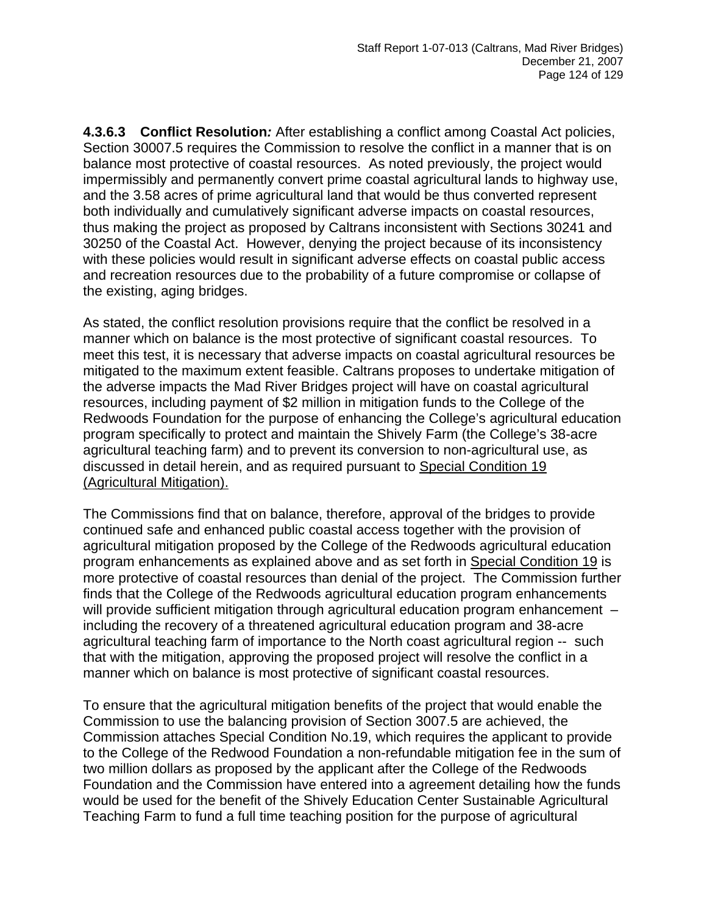**4.3.6.3 Conflict Resolution***:* After establishing a conflict among Coastal Act policies, Section 30007.5 requires the Commission to resolve the conflict in a manner that is on balance most protective of coastal resources. As noted previously, the project would impermissibly and permanently convert prime coastal agricultural lands to highway use, and the 3.58 acres of prime agricultural land that would be thus converted represent both individually and cumulatively significant adverse impacts on coastal resources, thus making the project as proposed by Caltrans inconsistent with Sections 30241 and 30250 of the Coastal Act. However, denying the project because of its inconsistency with these policies would result in significant adverse effects on coastal public access and recreation resources due to the probability of a future compromise or collapse of the existing, aging bridges.

As stated, the conflict resolution provisions require that the conflict be resolved in a manner which on balance is the most protective of significant coastal resources. To meet this test, it is necessary that adverse impacts on coastal agricultural resources be mitigated to the maximum extent feasible. Caltrans proposes to undertake mitigation of the adverse impacts the Mad River Bridges project will have on coastal agricultural resources, including payment of \$2 million in mitigation funds to the College of the Redwoods Foundation for the purpose of enhancing the College's agricultural education program specifically to protect and maintain the Shively Farm (the College's 38-acre agricultural teaching farm) and to prevent its conversion to non-agricultural use, as discussed in detail herein, and as required pursuant to Special Condition 19 (Agricultural Mitigation).

The Commissions find that on balance, therefore, approval of the bridges to provide continued safe and enhanced public coastal access together with the provision of agricultural mitigation proposed by the College of the Redwoods agricultural education program enhancements as explained above and as set forth in Special Condition 19 is more protective of coastal resources than denial of the project. The Commission further finds that the College of the Redwoods agricultural education program enhancements will provide sufficient mitigation through agricultural education program enhancement – including the recovery of a threatened agricultural education program and 38-acre agricultural teaching farm of importance to the North coast agricultural region -- such that with the mitigation, approving the proposed project will resolve the conflict in a manner which on balance is most protective of significant coastal resources.

To ensure that the agricultural mitigation benefits of the project that would enable the Commission to use the balancing provision of Section 3007.5 are achieved, the Commission attaches Special Condition No.19, which requires the applicant to provide to the College of the Redwood Foundation a non-refundable mitigation fee in the sum of two million dollars as proposed by the applicant after the College of the Redwoods Foundation and the Commission have entered into a agreement detailing how the funds would be used for the benefit of the Shively Education Center Sustainable Agricultural Teaching Farm to fund a full time teaching position for the purpose of agricultural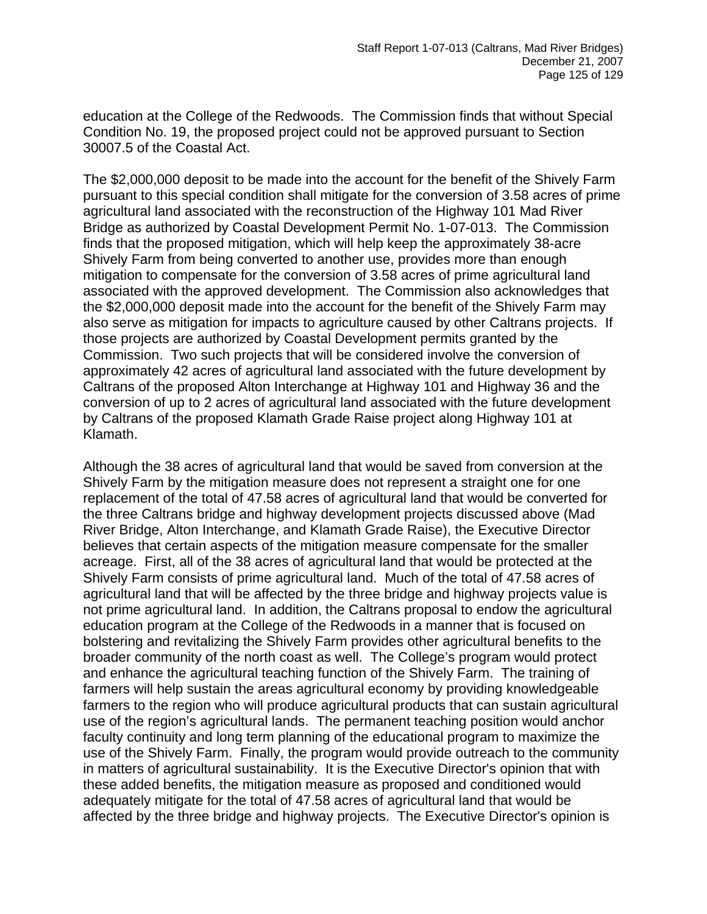education at the College of the Redwoods. The Commission finds that without Special Condition No. 19, the proposed project could not be approved pursuant to Section 30007.5 of the Coastal Act.

The \$2,000,000 deposit to be made into the account for the benefit of the Shively Farm pursuant to this special condition shall mitigate for the conversion of 3.58 acres of prime agricultural land associated with the reconstruction of the Highway 101 Mad River Bridge as authorized by Coastal Development Permit No. 1-07-013. The Commission finds that the proposed mitigation, which will help keep the approximately 38-acre Shively Farm from being converted to another use, provides more than enough mitigation to compensate for the conversion of 3.58 acres of prime agricultural land associated with the approved development. The Commission also acknowledges that the \$2,000,000 deposit made into the account for the benefit of the Shively Farm may also serve as mitigation for impacts to agriculture caused by other Caltrans projects. If those projects are authorized by Coastal Development permits granted by the Commission. Two such projects that will be considered involve the conversion of approximately 42 acres of agricultural land associated with the future development by Caltrans of the proposed Alton Interchange at Highway 101 and Highway 36 and the conversion of up to 2 acres of agricultural land associated with the future development by Caltrans of the proposed Klamath Grade Raise project along Highway 101 at Klamath.

Although the 38 acres of agricultural land that would be saved from conversion at the Shively Farm by the mitigation measure does not represent a straight one for one replacement of the total of 47.58 acres of agricultural land that would be converted for the three Caltrans bridge and highway development projects discussed above (Mad River Bridge, Alton Interchange, and Klamath Grade Raise), the Executive Director believes that certain aspects of the mitigation measure compensate for the smaller acreage. First, all of the 38 acres of agricultural land that would be protected at the Shively Farm consists of prime agricultural land. Much of the total of 47.58 acres of agricultural land that will be affected by the three bridge and highway projects value is not prime agricultural land. In addition, the Caltrans proposal to endow the agricultural education program at the College of the Redwoods in a manner that is focused on bolstering and revitalizing the Shively Farm provides other agricultural benefits to the broader community of the north coast as well. The College's program would protect and enhance the agricultural teaching function of the Shively Farm. The training of farmers will help sustain the areas agricultural economy by providing knowledgeable farmers to the region who will produce agricultural products that can sustain agricultural use of the region's agricultural lands. The permanent teaching position would anchor faculty continuity and long term planning of the educational program to maximize the use of the Shively Farm. Finally, the program would provide outreach to the community in matters of agricultural sustainability. It is the Executive Director's opinion that with these added benefits, the mitigation measure as proposed and conditioned would adequately mitigate for the total of 47.58 acres of agricultural land that would be affected by the three bridge and highway projects. The Executive Director's opinion is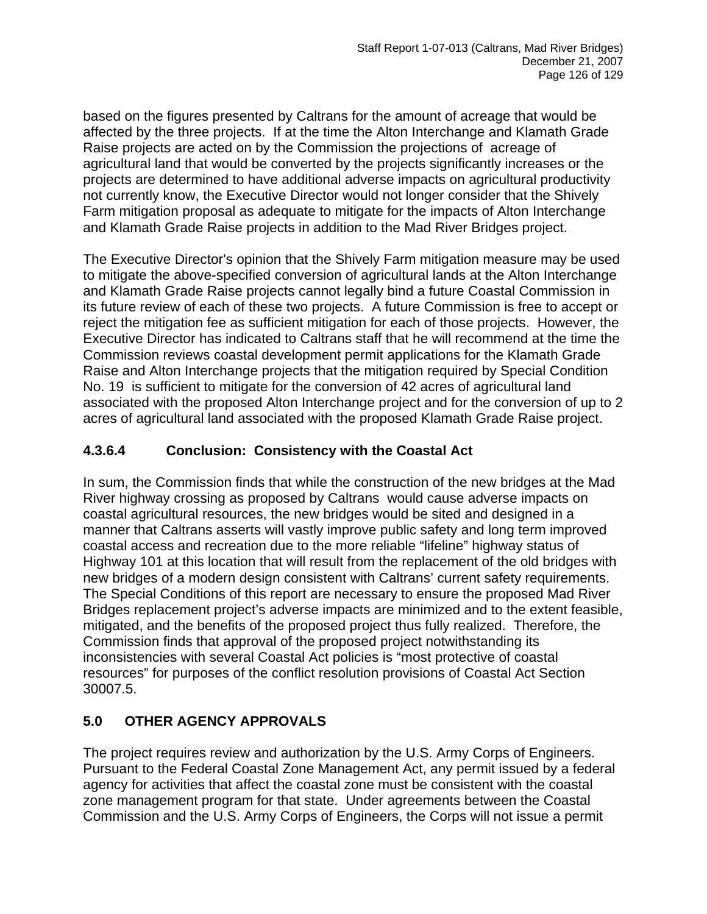based on the figures presented by Caltrans for the amount of acreage that would be affected by the three projects. If at the time the Alton Interchange and Klamath Grade Raise projects are acted on by the Commission the projections of acreage of agricultural land that would be converted by the projects significantly increases or the projects are determined to have additional adverse impacts on agricultural productivity not currently know, the Executive Director would not longer consider that the Shively Farm mitigation proposal as adequate to mitigate for the impacts of Alton Interchange and Klamath Grade Raise projects in addition to the Mad River Bridges project.

The Executive Director's opinion that the Shively Farm mitigation measure may be used to mitigate the above-specified conversion of agricultural lands at the Alton Interchange and Klamath Grade Raise projects cannot legally bind a future Coastal Commission in its future review of each of these two projects. A future Commission is free to accept or reject the mitigation fee as sufficient mitigation for each of those projects. However, the Executive Director has indicated to Caltrans staff that he will recommend at the time the Commission reviews coastal development permit applications for the Klamath Grade Raise and Alton Interchange projects that the mitigation required by Special Condition No. 19 is sufficient to mitigate for the conversion of 42 acres of agricultural land associated with the proposed Alton Interchange project and for the conversion of up to 2 acres of agricultural land associated with the proposed Klamath Grade Raise project.

### **4.3.6.4 Conclusion: Consistency with the Coastal Act**

In sum, the Commission finds that while the construction of the new bridges at the Mad River highway crossing as proposed by Caltrans would cause adverse impacts on coastal agricultural resources, the new bridges would be sited and designed in a manner that Caltrans asserts will vastly improve public safety and long term improved coastal access and recreation due to the more reliable "lifeline" highway status of Highway 101 at this location that will result from the replacement of the old bridges with new bridges of a modern design consistent with Caltrans' current safety requirements. The Special Conditions of this report are necessary to ensure the proposed Mad River Bridges replacement project's adverse impacts are minimized and to the extent feasible, mitigated, and the benefits of the proposed project thus fully realized. Therefore, the Commission finds that approval of the proposed project notwithstanding its inconsistencies with several Coastal Act policies is "most protective of coastal resources" for purposes of the conflict resolution provisions of Coastal Act Section 30007.5.

# **5.0 OTHER AGENCY APPROVALS**

The project requires review and authorization by the U.S. Army Corps of Engineers. Pursuant to the Federal Coastal Zone Management Act, any permit issued by a federal agency for activities that affect the coastal zone must be consistent with the coastal zone management program for that state. Under agreements between the Coastal Commission and the U.S. Army Corps of Engineers, the Corps will not issue a permit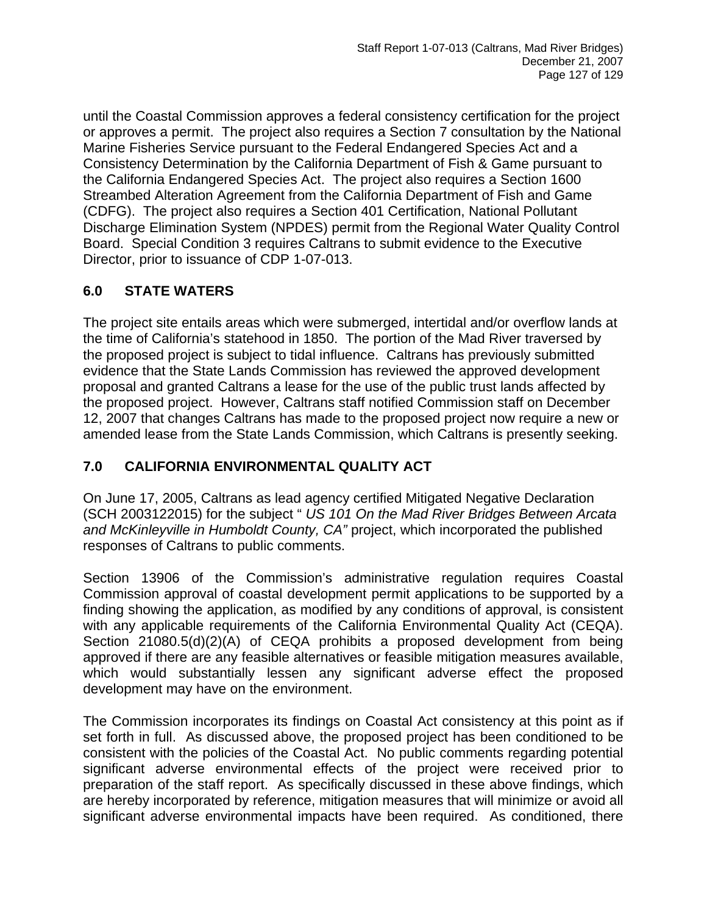until the Coastal Commission approves a federal consistency certification for the project or approves a permit. The project also requires a Section 7 consultation by the National Marine Fisheries Service pursuant to the Federal Endangered Species Act and a Consistency Determination by the California Department of Fish & Game pursuant to the California Endangered Species Act. The project also requires a Section 1600 Streambed Alteration Agreement from the California Department of Fish and Game (CDFG). The project also requires a Section 401 Certification, National Pollutant Discharge Elimination System (NPDES) permit from the Regional Water Quality Control Board. Special Condition 3 requires Caltrans to submit evidence to the Executive Director, prior to issuance of CDP 1-07-013.

### **6.0 STATE WATERS**

The project site entails areas which were submerged, intertidal and/or overflow lands at the time of California's statehood in 1850. The portion of the Mad River traversed by the proposed project is subject to tidal influence. Caltrans has previously submitted evidence that the State Lands Commission has reviewed the approved development proposal and granted Caltrans a lease for the use of the public trust lands affected by the proposed project. However, Caltrans staff notified Commission staff on December 12, 2007 that changes Caltrans has made to the proposed project now require a new or amended lease from the State Lands Commission, which Caltrans is presently seeking.

# **7.0 CALIFORNIA ENVIRONMENTAL QUALITY ACT**

On June 17, 2005, Caltrans as lead agency certified Mitigated Negative Declaration (SCH 2003122015) for the subject " *US 101 On the Mad River Bridges Between Arcata and McKinleyville in Humboldt County, CA"* project, which incorporated the published responses of Caltrans to public comments.

Section 13906 of the Commission's administrative regulation requires Coastal Commission approval of coastal development permit applications to be supported by a finding showing the application, as modified by any conditions of approval, is consistent with any applicable requirements of the California Environmental Quality Act (CEQA). Section 21080.5(d)(2)(A) of CEQA prohibits a proposed development from being approved if there are any feasible alternatives or feasible mitigation measures available, which would substantially lessen any significant adverse effect the proposed development may have on the environment.

The Commission incorporates its findings on Coastal Act consistency at this point as if set forth in full. As discussed above, the proposed project has been conditioned to be consistent with the policies of the Coastal Act. No public comments regarding potential significant adverse environmental effects of the project were received prior to preparation of the staff report. As specifically discussed in these above findings, which are hereby incorporated by reference, mitigation measures that will minimize or avoid all significant adverse environmental impacts have been required. As conditioned, there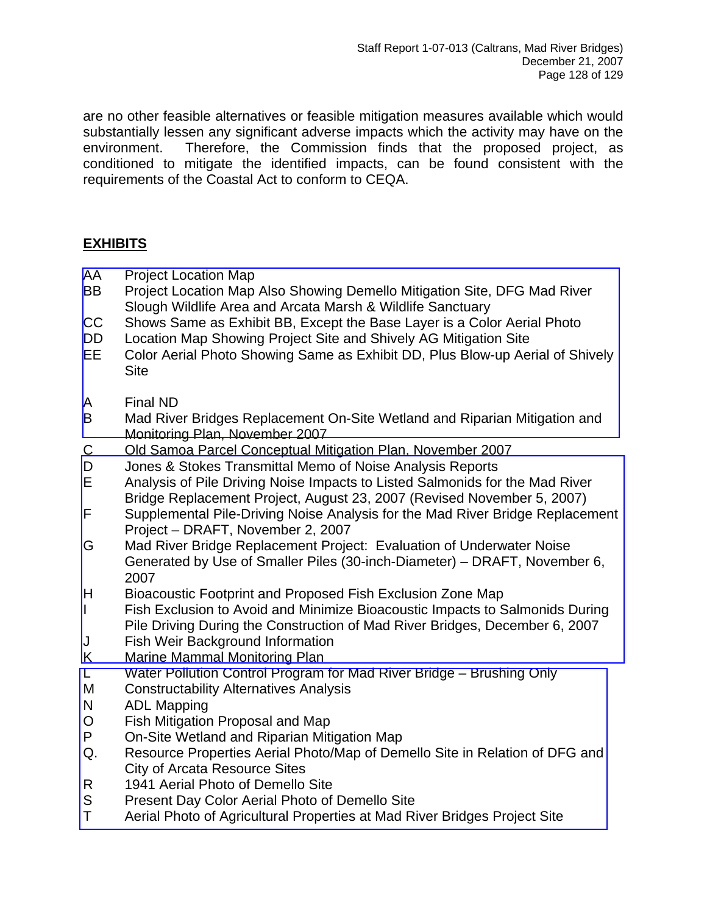are no other feasible alternatives or feasible mitigation measures available which would substantially lessen any significant adverse impacts which the activity may have on the environment. Therefore, the Commission finds that the proposed project, as conditioned to mitigate the identified impacts, can be found consistent with the requirements of the Coastal Act to conform to CEQA.

# **EXHIBITS**

- AA Project Location Map
- BB Project Location Map Also Showing Demello Mitigation Site, DFG Mad River Slough Wildlife Area and Arcata Marsh & Wildlife Sanctuary
- CC Shows Same as Exhibit BB, Except the Base Layer is a Color Aerial Photo
- DD Location Map Showing Project Site and Shively AG Mitigation Site
- [EE Color Aerial Photo Showing Same as Exhibit DD, Plus Blow-up Aerial of Shively](http://documents.coastal.ca.gov/reports/2008/1/F8a-1-2008-a1.pdf)  **Site**
- A Final ND
- B Mad River Bridges Replacement On-Site Wetland and Riparian Mitigation and Monitoring Plan, November 2007
- C Old Samoa Parcel Conceptual Mitigation Plan, November 2007
- D Jones & Stokes Transmittal Memo of Noise Analysis Reports
- E Analysis of Pile Driving Noise Impacts to Listed Salmonids for the Mad River Bridge Replacement Project, August 23, 2007 (Revised November 5, 2007)
- [F Supplemental Pile-Driving Noise Analysis for the Mad River Bridge Replacement](http://documents.coastal.ca.gov/reports/2008/1/F8a-1-2008-a2.pdf)  Project – DRAFT, November 2, 2007
- G Mad River Bridge Replacement Project: Evaluation of Underwater Noise Generated by Use of Smaller Piles (30-inch-Diameter) – DRAFT, November 6, 2007
- H Bioacoustic Footprint and Proposed Fish Exclusion Zone Map
- I Fish Exclusion to Avoid and Minimize Bioacoustic Impacts to Salmonids During Pile Driving During the Construction of Mad River Bridges, December 6, 2007
- J Fish Weir Background Information
- K Marine Mammal Monitoring Plan
- L Water Pollution Control Program for Mad River Bridge Brushing Only
- M Constructability Alternatives Analysis
- N ADL Mapping
- O Fish Mitigation Proposal and Map
- P On-Site Wetland and Riparian Mitigation Map
- [Q. Resource Properties Aerial Photo/Map of Demello Site in Relation of DFG and](http://documents.coastal.ca.gov/reports/2008/1/F8a-1-2008-a3.pdf)  City of Arcata Resource Sites
- R 1941 Aerial Photo of Demello Site
- S Present Day Color Aerial Photo of Demello Site
- T Aerial Photo of Agricultural Properties at Mad River Bridges Project Site